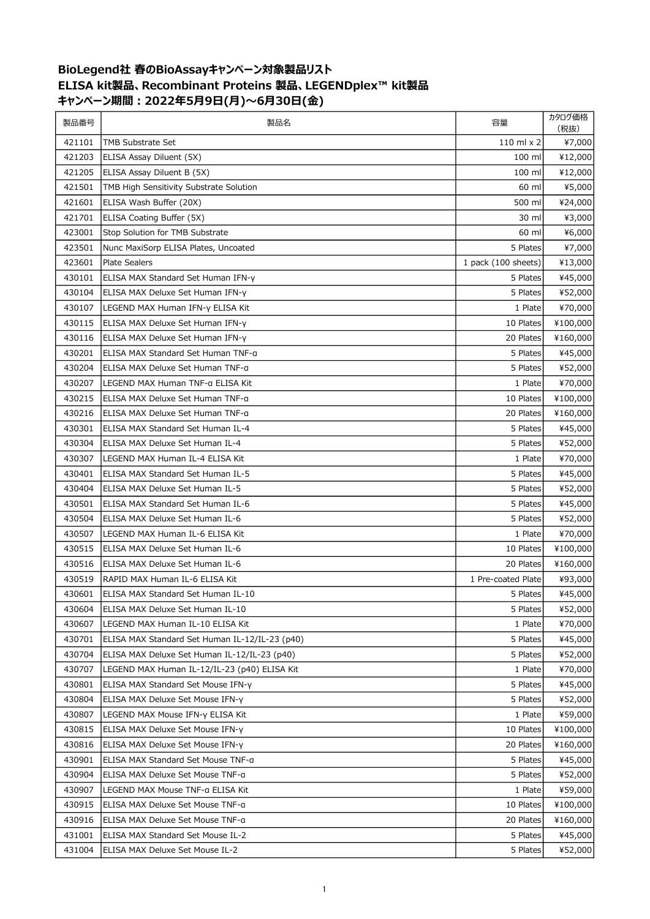## BioLegend社 春のBioAssayキャンペーン対象製品リスト ELISA kit製品、Recombinant Proteins 製品、LEGENDplex™ kit製品 キャンペーン期間:2022年5月9日(月)~6月30日(金)

| 製品番号   | 製品名                                            | 容量                  | カタログ価格<br>(税抜) |
|--------|------------------------------------------------|---------------------|----------------|
| 421101 | TMB Substrate Set                              | 110 ml $\times$ 2   | ¥7,000         |
| 421203 | ELISA Assay Diluent (5X)                       | 100 ml              | ¥12,000        |
| 421205 | ELISA Assay Diluent B (5X)                     | 100 ml              | ¥12,000        |
| 421501 | TMB High Sensitivity Substrate Solution        | 60 ml               | ¥5,000         |
| 421601 | ELISA Wash Buffer (20X)                        | 500 ml              | ¥24,000        |
| 421701 | ELISA Coating Buffer (5X)                      | 30 ml               | ¥3,000         |
| 423001 | Stop Solution for TMB Substrate                | 60 ml               | ¥6,000         |
| 423501 | Nunc MaxiSorp ELISA Plates, Uncoated           | 5 Plates            | ¥7,000         |
| 423601 | <b>Plate Sealers</b>                           | 1 pack (100 sheets) | ¥13,000        |
| 430101 | ELISA MAX Standard Set Human IFN-y             | 5 Plates            | ¥45,000        |
| 430104 | ELISA MAX Deluxe Set Human IFN-y               | 5 Plates            | ¥52,000        |
| 430107 | LEGEND MAX Human IFN-y ELISA Kit               | 1 Plate             | ¥70,000        |
| 430115 | ELISA MAX Deluxe Set Human IFN-y               | 10 Plates           | ¥100,000       |
| 430116 | ELISA MAX Deluxe Set Human IFN-y               | 20 Plates           | ¥160,000       |
| 430201 | ELISA MAX Standard Set Human TNF-g             | 5 Plates            | ¥45,000        |
| 430204 | ELISA MAX Deluxe Set Human TNF-a               | 5 Plates            | ¥52,000        |
| 430207 | LEGEND MAX Human TNF-a ELISA Kit               | 1 Plate             | ¥70,000        |
| 430215 | ELISA MAX Deluxe Set Human TNF-a               | 10 Plates           | ¥100,000       |
| 430216 | ELISA MAX Deluxe Set Human TNF-a               | 20 Plates           | ¥160,000       |
| 430301 | ELISA MAX Standard Set Human IL-4              | 5 Plates            | ¥45,000        |
| 430304 | ELISA MAX Deluxe Set Human IL-4                | 5 Plates            | ¥52,000        |
| 430307 | LEGEND MAX Human IL-4 ELISA Kit                | 1 Plate             | ¥70,000        |
| 430401 | ELISA MAX Standard Set Human IL-5              | 5 Plates            | ¥45,000        |
| 430404 | ELISA MAX Deluxe Set Human IL-5                | 5 Plates            | ¥52,000        |
| 430501 | ELISA MAX Standard Set Human IL-6              | 5 Plates            | ¥45,000        |
| 430504 | ELISA MAX Deluxe Set Human IL-6                | 5 Plates            | ¥52,000        |
| 430507 | LEGEND MAX Human IL-6 ELISA Kit                | 1 Plate             | ¥70,000        |
| 430515 | ELISA MAX Deluxe Set Human IL-6                | 10 Plates           | ¥100,000       |
| 430516 | ELISA MAX Deluxe Set Human IL-6                | 20 Plates           | ¥160,000       |
| 430519 | RAPID MAX Human IL-6 ELISA Kit                 | 1 Pre-coated Plate  | ¥93,000        |
| 430601 | ELISA MAX Standard Set Human IL-10             | 5 Plates            | ¥45,000        |
| 430604 | ELISA MAX Deluxe Set Human IL-10               | 5 Plates            | ¥52,000        |
| 430607 | LEGEND MAX Human IL-10 ELISA Kit               | 1 Plate             | ¥70,000        |
| 430701 | ELISA MAX Standard Set Human IL-12/IL-23 (p40) | 5 Plates            | ¥45,000        |
| 430704 | ELISA MAX Deluxe Set Human IL-12/IL-23 (p40)   | 5 Plates            | ¥52,000        |
| 430707 | LEGEND MAX Human IL-12/IL-23 (p40) ELISA Kit   | 1 Plate             | ¥70,000        |
| 430801 | ELISA MAX Standard Set Mouse IFN-y             | 5 Plates            | ¥45,000        |
| 430804 | ELISA MAX Deluxe Set Mouse IFN-y               | 5 Plates            | ¥52,000        |
| 430807 | LEGEND MAX Mouse IFN-y ELISA Kit               | 1 Plate             | ¥59,000        |
| 430815 | ELISA MAX Deluxe Set Mouse IFN-y               | 10 Plates           | ¥100,000       |
| 430816 | ELISA MAX Deluxe Set Mouse IFN-y               | 20 Plates           | ¥160,000       |
| 430901 | ELISA MAX Standard Set Mouse TNF-a             | 5 Plates            | ¥45,000        |
| 430904 | ELISA MAX Deluxe Set Mouse TNF-a               | 5 Plates            | ¥52,000        |
| 430907 | LEGEND MAX Mouse TNF-a ELISA Kit               | 1 Plate             | ¥59,000        |
| 430915 | ELISA MAX Deluxe Set Mouse TNF-a               | 10 Plates           | ¥100,000       |
| 430916 | ELISA MAX Deluxe Set Mouse TNF-a               | 20 Plates           | ¥160,000       |
| 431001 | ELISA MAX Standard Set Mouse IL-2              | 5 Plates            | ¥45,000        |
| 431004 | ELISA MAX Deluxe Set Mouse IL-2                | 5 Plates            | ¥52,000        |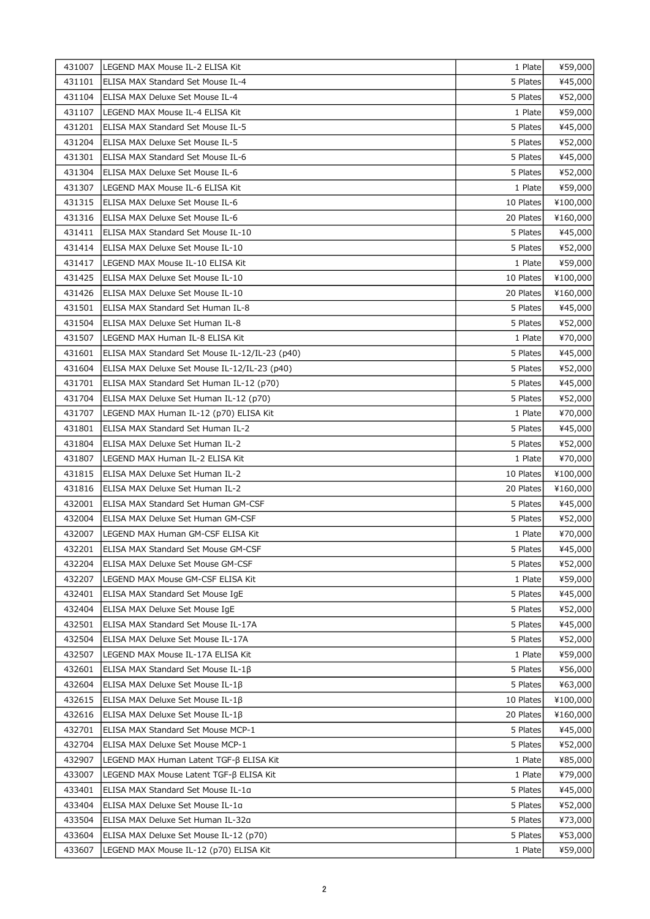| 431007 | LEGEND MAX Mouse IL-2 ELISA Kit                | 1 Plate   | ¥59,000  |
|--------|------------------------------------------------|-----------|----------|
| 431101 | ELISA MAX Standard Set Mouse IL-4              | 5 Plates  | ¥45,000  |
| 431104 | ELISA MAX Deluxe Set Mouse IL-4                | 5 Plates  | ¥52,000  |
| 431107 | LEGEND MAX Mouse IL-4 ELISA Kit                | 1 Plate   | ¥59,000  |
| 431201 | ELISA MAX Standard Set Mouse IL-5              | 5 Plates  | ¥45,000  |
| 431204 | ELISA MAX Deluxe Set Mouse IL-5                | 5 Plates  | ¥52,000  |
| 431301 | ELISA MAX Standard Set Mouse IL-6              | 5 Plates  | ¥45,000  |
| 431304 | ELISA MAX Deluxe Set Mouse IL-6                | 5 Plates  | ¥52,000  |
| 431307 | LEGEND MAX Mouse IL-6 ELISA Kit                | 1 Plate   | ¥59,000  |
| 431315 | ELISA MAX Deluxe Set Mouse IL-6                | 10 Plates | ¥100,000 |
| 431316 | ELISA MAX Deluxe Set Mouse IL-6                | 20 Plates | ¥160,000 |
| 431411 | ELISA MAX Standard Set Mouse IL-10             | 5 Plates  | ¥45,000  |
| 431414 | ELISA MAX Deluxe Set Mouse IL-10               | 5 Plates  | ¥52,000  |
| 431417 | LEGEND MAX Mouse IL-10 ELISA Kit               | 1 Plate   | ¥59,000  |
| 431425 | ELISA MAX Deluxe Set Mouse IL-10               | 10 Plates | ¥100,000 |
| 431426 | ELISA MAX Deluxe Set Mouse IL-10               | 20 Plates | ¥160,000 |
| 431501 | ELISA MAX Standard Set Human IL-8              | 5 Plates  | ¥45,000  |
| 431504 | ELISA MAX Deluxe Set Human IL-8                | 5 Plates  | ¥52,000  |
| 431507 | LEGEND MAX Human IL-8 ELISA Kit                | 1 Plate   | ¥70,000  |
| 431601 | ELISA MAX Standard Set Mouse IL-12/IL-23 (p40) | 5 Plates  | ¥45,000  |
| 431604 | ELISA MAX Deluxe Set Mouse IL-12/IL-23 (p40)   | 5 Plates  | ¥52,000  |
| 431701 | ELISA MAX Standard Set Human IL-12 (p70)       | 5 Plates  | ¥45,000  |
| 431704 | ELISA MAX Deluxe Set Human IL-12 (p70)         | 5 Plates  | ¥52,000  |
| 431707 | LEGEND MAX Human IL-12 (p70) ELISA Kit         | 1 Plate   | ¥70,000  |
| 431801 | ELISA MAX Standard Set Human IL-2              | 5 Plates  | ¥45,000  |
| 431804 | ELISA MAX Deluxe Set Human IL-2                | 5 Plates  | ¥52,000  |
| 431807 | LEGEND MAX Human IL-2 ELISA Kit                | 1 Plate   | ¥70,000  |
| 431815 | ELISA MAX Deluxe Set Human IL-2                | 10 Plates | ¥100,000 |
| 431816 | ELISA MAX Deluxe Set Human IL-2                | 20 Plates | ¥160,000 |
| 432001 | ELISA MAX Standard Set Human GM-CSF            | 5 Plates  | ¥45,000  |
| 432004 | ELISA MAX Deluxe Set Human GM-CSF              | 5 Plates  | ¥52,000  |
| 432007 | LEGEND MAX Human GM-CSF ELISA Kit              | 1 Plate   | ¥70,000  |
| 432201 | <b>ELISA MAX Standard Set Mouse GM-CSF</b>     | 5 Plates  | ¥45,000  |
| 432204 | ELISA MAX Deluxe Set Mouse GM-CSF              | 5 Plates  | ¥52,000  |
| 432207 | LEGEND MAX Mouse GM-CSF ELISA Kit              | 1 Plate   | ¥59,000  |
| 432401 | ELISA MAX Standard Set Mouse IgE               | 5 Plates  | ¥45,000  |
| 432404 | ELISA MAX Deluxe Set Mouse IgE                 | 5 Plates  | ¥52,000  |
| 432501 | ELISA MAX Standard Set Mouse IL-17A            | 5 Plates  | ¥45,000  |
| 432504 | ELISA MAX Deluxe Set Mouse IL-17A              | 5 Plates  | ¥52,000  |
| 432507 | LEGEND MAX Mouse IL-17A ELISA Kit              | 1 Plate   | ¥59,000  |
| 432601 | ELISA MAX Standard Set Mouse IL-1 $\beta$      | 5 Plates  | ¥56,000  |
| 432604 | ELISA MAX Deluxe Set Mouse IL-1β               | 5 Plates  | ¥63,000  |
| 432615 | ELISA MAX Deluxe Set Mouse IL-1β               | 10 Plates | ¥100,000 |
| 432616 | ELISA MAX Deluxe Set Mouse IL-1β               | 20 Plates | ¥160,000 |
| 432701 | ELISA MAX Standard Set Mouse MCP-1             | 5 Plates  | ¥45,000  |
| 432704 | ELISA MAX Deluxe Set Mouse MCP-1               | 5 Plates  | ¥52,000  |
| 432907 | LEGEND MAX Human Latent TGF-β ELISA Kit        | 1 Plate   | ¥85,000  |
| 433007 | LEGEND MAX Mouse Latent TGF-β ELISA Kit        | 1 Plate   | ¥79,000  |
| 433401 | ELISA MAX Standard Set Mouse IL-1a             | 5 Plates  | ¥45,000  |
| 433404 | ELISA MAX Deluxe Set Mouse IL-1a               | 5 Plates  | ¥52,000  |
| 433504 | ELISA MAX Deluxe Set Human IL-32a              | 5 Plates  | ¥73,000  |
| 433604 | ELISA MAX Deluxe Set Mouse IL-12 (p70)         | 5 Plates  | ¥53,000  |
| 433607 | LEGEND MAX Mouse IL-12 (p70) ELISA Kit         |           | ¥59,000  |
|        |                                                | 1 Plate   |          |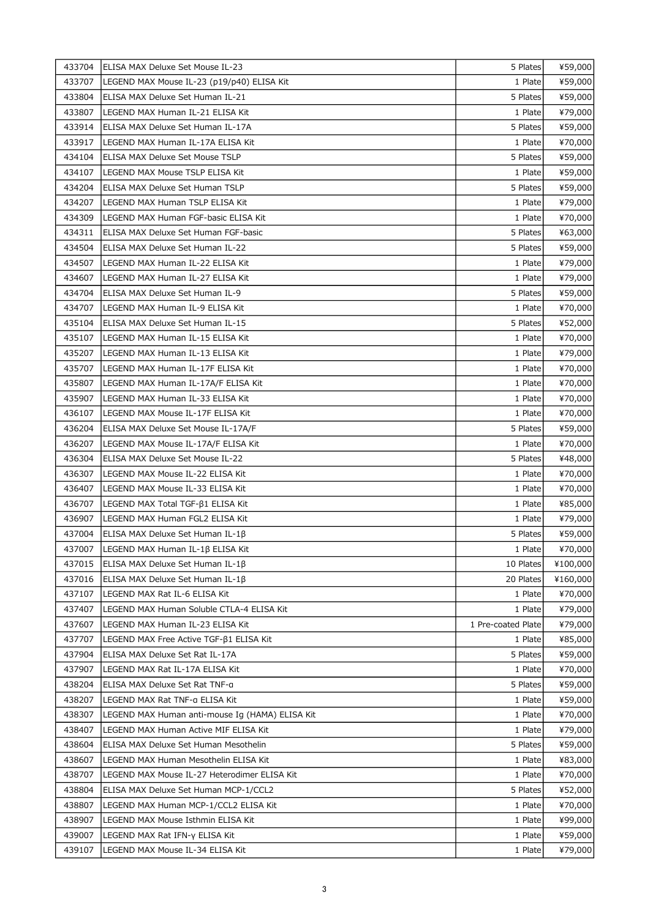| 433704 | ELISA MAX Deluxe Set Mouse IL-23                | 5 Plates           | ¥59,000  |
|--------|-------------------------------------------------|--------------------|----------|
| 433707 | LEGEND MAX Mouse IL-23 (p19/p40) ELISA Kit      | 1 Plate            | ¥59,000  |
| 433804 | ELISA MAX Deluxe Set Human IL-21                | 5 Plates           | ¥59,000  |
| 433807 | LEGEND MAX Human IL-21 ELISA Kit                | 1 Plate            | ¥79,000  |
| 433914 | ELISA MAX Deluxe Set Human IL-17A               | 5 Plates           | ¥59,000  |
| 433917 | LEGEND MAX Human IL-17A ELISA Kit               | 1 Plate            | ¥70,000  |
| 434104 | ELISA MAX Deluxe Set Mouse TSLP                 | 5 Plates           | ¥59,000  |
| 434107 | LEGEND MAX Mouse TSLP ELISA Kit                 | 1 Plate            | ¥59,000  |
| 434204 | ELISA MAX Deluxe Set Human TSLP                 | 5 Plates           | ¥59,000  |
| 434207 | LEGEND MAX Human TSLP ELISA Kit                 | 1 Plate            | ¥79,000  |
| 434309 | LEGEND MAX Human FGF-basic ELISA Kit            | 1 Plate            | ¥70,000  |
| 434311 | ELISA MAX Deluxe Set Human FGF-basic            | 5 Plates           | ¥63,000  |
| 434504 | ELISA MAX Deluxe Set Human IL-22                | 5 Plates           | ¥59,000  |
| 434507 | LEGEND MAX Human IL-22 ELISA Kit                | 1 Plate            | ¥79,000  |
| 434607 | LEGEND MAX Human IL-27 ELISA Kit                | 1 Plate            | ¥79,000  |
| 434704 | ELISA MAX Deluxe Set Human IL-9                 | 5 Plates           | ¥59,000  |
| 434707 | LEGEND MAX Human IL-9 ELISA Kit                 | 1 Plate            | ¥70,000  |
| 435104 | ELISA MAX Deluxe Set Human IL-15                | 5 Plates           | ¥52,000  |
| 435107 | LEGEND MAX Human IL-15 ELISA Kit                | 1 Plate            | ¥70,000  |
| 435207 | LEGEND MAX Human IL-13 ELISA Kit                | 1 Plate            | ¥79,000  |
| 435707 | LEGEND MAX Human IL-17F ELISA Kit               | 1 Plate            | ¥70,000  |
| 435807 | LEGEND MAX Human IL-17A/F ELISA Kit             | 1 Plate            | ¥70,000  |
| 435907 | LEGEND MAX Human IL-33 ELISA Kit                | 1 Plate            | ¥70,000  |
| 436107 | LEGEND MAX Mouse IL-17F ELISA Kit               | 1 Plate            | ¥70,000  |
| 436204 | ELISA MAX Deluxe Set Mouse IL-17A/F             | 5 Plates           | ¥59,000  |
| 436207 | LEGEND MAX Mouse IL-17A/F ELISA Kit             | 1 Plate            | ¥70,000  |
| 436304 | ELISA MAX Deluxe Set Mouse IL-22                | 5 Plates           | ¥48,000  |
| 436307 | LEGEND MAX Mouse IL-22 ELISA Kit                | 1 Plate            | ¥70,000  |
| 436407 | LEGEND MAX Mouse IL-33 ELISA Kit                | 1 Plate            | ¥70,000  |
| 436707 | LEGEND MAX Total TGF-B1 ELISA Kit               | 1 Plate            | ¥85,000  |
| 436907 | LEGEND MAX Human FGL2 ELISA Kit                 | 1 Plate            | ¥79,000  |
| 437004 | ELISA MAX Deluxe Set Human IL-1β                | 5 Plates           | ¥59,000  |
| 437007 | LEGEND MAX Human IL-1β ELISA Kit                | 1 Plate            | ¥70,000  |
| 437015 | ELISA MAX Deluxe Set Human IL-1β                | 10 Plates          | ¥100,000 |
| 437016 | ELISA MAX Deluxe Set Human IL-1 $\beta$         | 20 Plates          | ¥160,000 |
| 437107 | LEGEND MAX Rat IL-6 ELISA Kit                   | 1 Plate            | ¥70,000  |
| 437407 | LEGEND MAX Human Soluble CTLA-4 ELISA Kit       | 1 Plate            | ¥79,000  |
| 437607 | LEGEND MAX Human IL-23 ELISA Kit                | 1 Pre-coated Plate | ¥79,000  |
| 437707 | LEGEND MAX Free Active TGF-β1 ELISA Kit         | 1 Plate            | ¥85,000  |
| 437904 | ELISA MAX Deluxe Set Rat IL-17A                 | 5 Plates           | ¥59,000  |
| 437907 | LEGEND MAX Rat IL-17A ELISA Kit                 | 1 Plate            | ¥70,000  |
| 438204 | ELISA MAX Deluxe Set Rat TNF-a                  | 5 Plates           | ¥59,000  |
| 438207 | LEGEND MAX Rat TNF-a ELISA Kit                  | 1 Plate            | ¥59,000  |
| 438307 | LEGEND MAX Human anti-mouse Ig (HAMA) ELISA Kit | 1 Plate            | ¥70,000  |
| 438407 | LEGEND MAX Human Active MIF ELISA Kit           | 1 Plate            | ¥79,000  |
| 438604 | ELISA MAX Deluxe Set Human Mesothelin           | 5 Plates           | ¥59,000  |
| 438607 | LEGEND MAX Human Mesothelin ELISA Kit           | 1 Plate            | ¥83,000  |
| 438707 | LEGEND MAX Mouse IL-27 Heterodimer ELISA Kit    | 1 Plate            | ¥70,000  |
| 438804 | ELISA MAX Deluxe Set Human MCP-1/CCL2           | 5 Plates           | ¥52,000  |
| 438807 | LEGEND MAX Human MCP-1/CCL2 ELISA Kit           | 1 Plate            | ¥70,000  |
| 438907 | LEGEND MAX Mouse Isthmin ELISA Kit              | 1 Plate            | ¥99,000  |
| 439007 | LEGEND MAX Rat IFN-γ ELISA Kit                  | 1 Plate            | ¥59,000  |
| 439107 | LEGEND MAX Mouse IL-34 ELISA Kit                | 1 Plate            | ¥79,000  |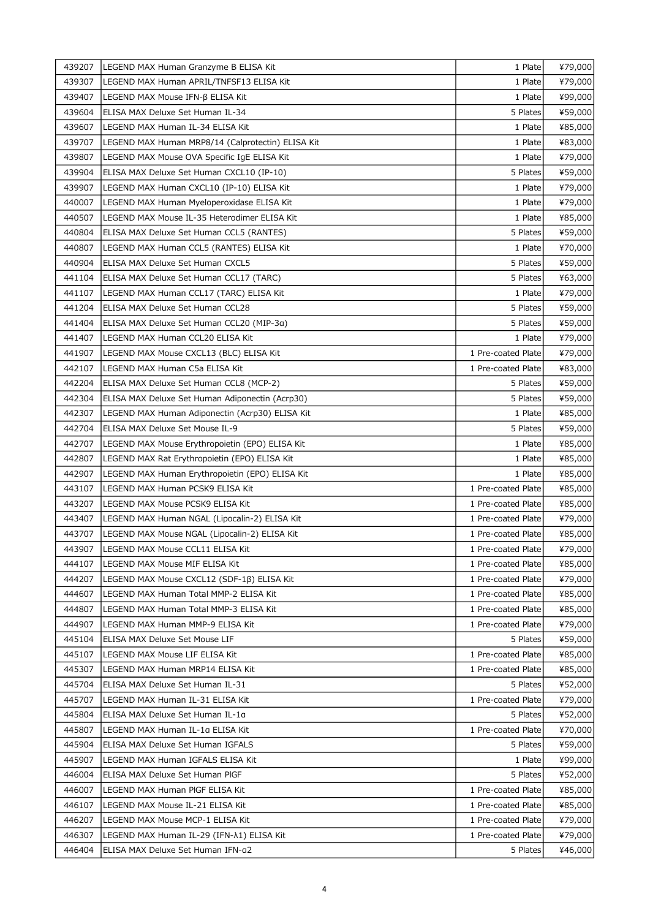| 439207 | LEGEND MAX Human Granzyme B ELISA Kit             | 1 Plate            | ¥79,000 |
|--------|---------------------------------------------------|--------------------|---------|
| 439307 | LEGEND MAX Human APRIL/TNFSF13 ELISA Kit          | 1 Plate            | ¥79,000 |
| 439407 | LEGEND MAX Mouse IFN-β ELISA Kit                  | 1 Plate            | ¥99,000 |
| 439604 | ELISA MAX Deluxe Set Human IL-34                  | 5 Plates           | ¥59,000 |
| 439607 | LEGEND MAX Human IL-34 ELISA Kit                  | 1 Plate            | ¥85,000 |
| 439707 | LEGEND MAX Human MRP8/14 (Calprotectin) ELISA Kit | 1 Plate            | ¥83,000 |
| 439807 | LEGEND MAX Mouse OVA Specific IgE ELISA Kit       | 1 Plate            | ¥79,000 |
| 439904 | ELISA MAX Deluxe Set Human CXCL10 (IP-10)         | 5 Plates           | ¥59,000 |
| 439907 | LEGEND MAX Human CXCL10 (IP-10) ELISA Kit         | 1 Plate            | ¥79,000 |
| 440007 | LEGEND MAX Human Myeloperoxidase ELISA Kit        | 1 Plate            | ¥79,000 |
| 440507 | LEGEND MAX Mouse IL-35 Heterodimer ELISA Kit      | 1 Plate            | ¥85,000 |
| 440804 | ELISA MAX Deluxe Set Human CCL5 (RANTES)          | 5 Plates           | ¥59,000 |
| 440807 | LEGEND MAX Human CCL5 (RANTES) ELISA Kit          | 1 Plate            | ¥70,000 |
| 440904 | ELISA MAX Deluxe Set Human CXCL5                  | 5 Plates           | ¥59,000 |
| 441104 | ELISA MAX Deluxe Set Human CCL17 (TARC)           | 5 Plates           | ¥63,000 |
| 441107 | LEGEND MAX Human CCL17 (TARC) ELISA Kit           | 1 Plate            | ¥79,000 |
| 441204 | ELISA MAX Deluxe Set Human CCL28                  | 5 Plates           | ¥59,000 |
| 441404 | ELISA MAX Deluxe Set Human CCL20 (MIP-3a)         | 5 Plates           | ¥59,000 |
| 441407 | LEGEND MAX Human CCL20 ELISA Kit                  | 1 Plate            | ¥79,000 |
| 441907 | LEGEND MAX Mouse CXCL13 (BLC) ELISA Kit           | 1 Pre-coated Plate | ¥79,000 |
| 442107 | LEGEND MAX Human C5a ELISA Kit                    | 1 Pre-coated Plate | ¥83,000 |
| 442204 | ELISA MAX Deluxe Set Human CCL8 (MCP-2)           | 5 Plates           | ¥59,000 |
| 442304 | ELISA MAX Deluxe Set Human Adiponectin (Acrp30)   | 5 Plates           | ¥59,000 |
| 442307 | LEGEND MAX Human Adiponectin (Acrp30) ELISA Kit   | 1 Plate            | ¥85,000 |
| 442704 | ELISA MAX Deluxe Set Mouse IL-9                   | 5 Plates           | ¥59,000 |
| 442707 | LEGEND MAX Mouse Erythropoietin (EPO) ELISA Kit   | 1 Plate            | ¥85,000 |
| 442807 | LEGEND MAX Rat Erythropoietin (EPO) ELISA Kit     | 1 Plate            | ¥85,000 |
| 442907 | LEGEND MAX Human Erythropoietin (EPO) ELISA Kit   | 1 Plate            | ¥85,000 |
| 443107 | LEGEND MAX Human PCSK9 ELISA Kit                  | 1 Pre-coated Plate | ¥85,000 |
| 443207 | LEGEND MAX Mouse PCSK9 ELISA Kit                  | 1 Pre-coated Plate | ¥85,000 |
| 443407 | LEGEND MAX Human NGAL (Lipocalin-2) ELISA Kit     | 1 Pre-coated Plate | ¥79,000 |
| 443707 | LEGEND MAX Mouse NGAL (Lipocalin-2) ELISA Kit     | 1 Pre-coated Plate | ¥85,000 |
| 443907 | LEGEND MAX Mouse CCL11 ELISA Kit                  | 1 Pre-coated Plate | ¥79,000 |
| 444107 | LEGEND MAX Mouse MIF ELISA Kit                    | 1 Pre-coated Plate | ¥85,000 |
| 444207 | LEGEND MAX Mouse CXCL12 (SDF-1β) ELISA Kit        | 1 Pre-coated Plate | ¥79,000 |
| 444607 | LEGEND MAX Human Total MMP-2 ELISA Kit            | 1 Pre-coated Plate | ¥85,000 |
| 444807 | LEGEND MAX Human Total MMP-3 ELISA Kit            | 1 Pre-coated Plate | ¥85,000 |
| 444907 | LEGEND MAX Human MMP-9 ELISA Kit                  | 1 Pre-coated Plate | ¥79,000 |
| 445104 | ELISA MAX Deluxe Set Mouse LIF                    | 5 Plates           | ¥59,000 |
| 445107 | LEGEND MAX Mouse LIF ELISA Kit                    | 1 Pre-coated Plate | ¥85,000 |
| 445307 | LEGEND MAX Human MRP14 ELISA Kit                  | 1 Pre-coated Plate | ¥85,000 |
| 445704 | ELISA MAX Deluxe Set Human IL-31                  | 5 Plates           | ¥52,000 |
| 445707 | LEGEND MAX Human IL-31 ELISA Kit                  | 1 Pre-coated Plate | ¥79,000 |
| 445804 | ELISA MAX Deluxe Set Human IL-1a                  | 5 Plates           | ¥52,000 |
| 445807 | LEGEND MAX Human IL-1a ELISA Kit                  | 1 Pre-coated Plate | ¥70,000 |
| 445904 | ELISA MAX Deluxe Set Human IGFALS                 | 5 Plates           | ¥59,000 |
| 445907 | LEGEND MAX Human IGFALS ELISA Kit                 | 1 Plate            | ¥99,000 |
| 446004 | ELISA MAX Deluxe Set Human PIGF                   | 5 Plates           | ¥52,000 |
| 446007 | LEGEND MAX Human PIGF ELISA Kit                   | 1 Pre-coated Plate | ¥85,000 |
| 446107 | LEGEND MAX Mouse IL-21 ELISA Kit                  | 1 Pre-coated Plate | ¥85,000 |
| 446207 | LEGEND MAX Mouse MCP-1 ELISA Kit                  | 1 Pre-coated Plate | ¥79,000 |
| 446307 | LEGEND MAX Human IL-29 (IFN-λ1) ELISA Kit         | 1 Pre-coated Plate | ¥79,000 |
| 446404 | ELISA MAX Deluxe Set Human IFN-a2                 | 5 Plates           | ¥46,000 |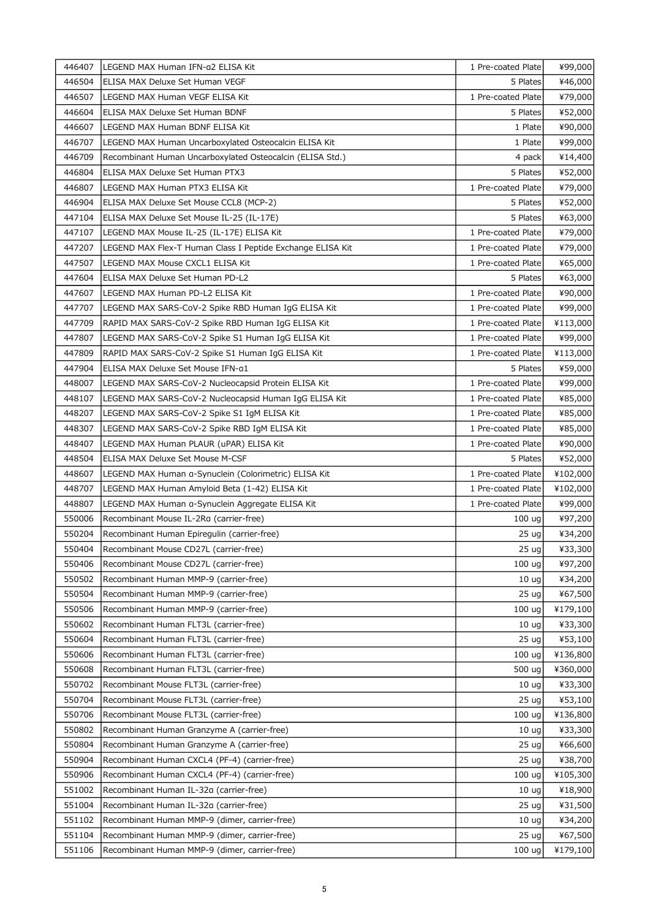| 446504<br>5 Plates<br>¥46,000<br>ELISA MAX Deluxe Set Human VEGF<br>1 Pre-coated Plate<br>¥79,000<br>446507<br>LEGEND MAX Human VEGF ELISA Kit<br>5 Plates<br>446604<br>ELISA MAX Deluxe Set Human BDNF<br>¥52,000<br>446607<br>LEGEND MAX Human BDNF ELISA Kit<br>1 Plate<br>¥90,000<br>446707<br>LEGEND MAX Human Uncarboxylated Osteocalcin ELISA Kit<br>1 Plate<br>¥99,000<br>446709<br>Recombinant Human Uncarboxylated Osteocalcin (ELISA Std.)<br>4 pack<br>¥14,400<br>446804<br>ELISA MAX Deluxe Set Human PTX3<br>5 Plates<br>¥52,000<br>1 Pre-coated Plate<br>¥79,000<br>446807<br>LEGEND MAX Human PTX3 ELISA Kit<br>446904<br>ELISA MAX Deluxe Set Mouse CCL8 (MCP-2)<br>5 Plates<br>¥52,000<br>5 Plates<br>¥63,000<br>447104<br>ELISA MAX Deluxe Set Mouse IL-25 (IL-17E)<br>1 Pre-coated Plate<br>447107<br>LEGEND MAX Mouse IL-25 (IL-17E) ELISA Kit<br>¥79,000<br>1 Pre-coated Plate<br>447207<br>LEGEND MAX Flex-T Human Class I Peptide Exchange ELISA Kit<br>¥79,000<br>447507<br>LEGEND MAX Mouse CXCL1 ELISA Kit<br>1 Pre-coated Plate<br>¥65,000<br>447604<br>ELISA MAX Deluxe Set Human PD-L2<br>5 Plates<br>¥63,000<br>1 Pre-coated Plate<br>447607<br>LEGEND MAX Human PD-L2 ELISA Kit<br>¥90,000<br>1 Pre-coated Plate<br>447707<br>LEGEND MAX SARS-CoV-2 Spike RBD Human IgG ELISA Kit<br>¥99,000<br>447709<br>RAPID MAX SARS-CoV-2 Spike RBD Human IgG ELISA Kit<br>1 Pre-coated Plate<br>¥113,000<br>447807<br>1 Pre-coated Plate<br>LEGEND MAX SARS-CoV-2 Spike S1 Human IgG ELISA Kit<br>¥99,000<br>447809<br>RAPID MAX SARS-CoV-2 Spike S1 Human IgG ELISA Kit<br>1 Pre-coated Plate<br>¥113,000<br>447904<br>ELISA MAX Deluxe Set Mouse IFN-a1<br>5 Plates<br>¥59,000<br>1 Pre-coated Plate<br>448007<br>LEGEND MAX SARS-CoV-2 Nucleocapsid Protein ELISA Kit<br>¥99,000<br>448107<br>LEGEND MAX SARS-CoV-2 Nucleocapsid Human IgG ELISA Kit<br>1 Pre-coated Plate<br>¥85,000<br>448207<br>1 Pre-coated Plate<br>¥85,000<br>LEGEND MAX SARS-CoV-2 Spike S1 IgM ELISA Kit<br>448307<br>1 Pre-coated Plate<br>¥85,000<br>LEGEND MAX SARS-CoV-2 Spike RBD IgM ELISA Kit<br>448407<br>LEGEND MAX Human PLAUR (uPAR) ELISA Kit<br>1 Pre-coated Plate<br>¥90,000<br>448504<br>ELISA MAX Deluxe Set Mouse M-CSF<br>5 Plates<br>¥52,000<br>1 Pre-coated Plate<br>448607<br>LEGEND MAX Human a-Synuclein (Colorimetric) ELISA Kit<br>¥102,000<br>448707<br>1 Pre-coated Plate<br>LEGEND MAX Human Amyloid Beta (1-42) ELISA Kit<br>¥102,000<br>448807<br>LEGEND MAX Human a-Synuclein Aggregate ELISA Kit<br>1 Pre-coated Plate<br>¥99,000<br>550006<br>Recombinant Mouse IL-2Ra (carrier-free)<br>¥97,200<br>100 uq<br>550204<br>¥34,200<br>Recombinant Human Epiregulin (carrier-free)<br>25 ug<br>550404<br>Recombinant Mouse CD27L (carrier-free)<br>$25 \text{ ug}$<br>550406<br>Recombinant Mouse CD27L (carrier-free)<br>100 ug<br>¥97,200<br>550502<br>Recombinant Human MMP-9 (carrier-free)<br>¥34,200<br>10 <sub>uq</sub><br>550504<br>Recombinant Human MMP-9 (carrier-free)<br>25 <sub>uq</sub><br>¥67,500<br>550506<br>Recombinant Human MMP-9 (carrier-free)<br>100 ug<br>¥179,100<br>550602<br>Recombinant Human FLT3L (carrier-free)<br>¥33,300<br>10 <sub>uq</sub><br>550604<br>Recombinant Human FLT3L (carrier-free)<br>25 <sub>uq</sub><br>¥53,100<br>550606<br>Recombinant Human FLT3L (carrier-free)<br>100 ug<br>¥136,800<br>550608<br>Recombinant Human FLT3L (carrier-free)<br>500 ug<br>¥360,000<br>550702<br>¥33,300<br>Recombinant Mouse FLT3L (carrier-free)<br>10 <sub>uq</sub><br>550704<br>Recombinant Mouse FLT3L (carrier-free)<br>25 <sub>uq</sub><br>¥53,100<br>550706<br>Recombinant Mouse FLT3L (carrier-free)<br>100 ug<br>¥136,800<br>550802<br>Recombinant Human Granzyme A (carrier-free)<br>¥33,300<br>10 <sub>uq</sub><br>550804<br>¥66,600<br>Recombinant Human Granzyme A (carrier-free)<br>25 <sub>uq</sub><br>550904<br>Recombinant Human CXCL4 (PF-4) (carrier-free)<br>25 <sub>uq</sub><br>¥38,700<br>550906<br>Recombinant Human CXCL4 (PF-4) (carrier-free)<br>100 ug<br>¥105,300<br>551002<br>¥18,900<br>Recombinant Human IL-32a (carrier-free)<br>10 <sub>uq</sub><br>551004<br>Recombinant Human IL-32a (carrier-free)<br>25 <sub>uq</sub><br>¥31,500<br>551102<br>Recombinant Human MMP-9 (dimer, carrier-free)<br>¥34,200<br>10 <sub>uq</sub><br>551104<br>Recombinant Human MMP-9 (dimer, carrier-free)<br>25 <sub>uq</sub><br>¥67,500<br>551106<br>¥179,100<br>Recombinant Human MMP-9 (dimer, carrier-free)<br>100 <sub>uq</sub> | 446407 | LEGEND MAX Human IFN-a2 ELISA Kit | 1 Pre-coated Plate | ¥99,000 |
|------------------------------------------------------------------------------------------------------------------------------------------------------------------------------------------------------------------------------------------------------------------------------------------------------------------------------------------------------------------------------------------------------------------------------------------------------------------------------------------------------------------------------------------------------------------------------------------------------------------------------------------------------------------------------------------------------------------------------------------------------------------------------------------------------------------------------------------------------------------------------------------------------------------------------------------------------------------------------------------------------------------------------------------------------------------------------------------------------------------------------------------------------------------------------------------------------------------------------------------------------------------------------------------------------------------------------------------------------------------------------------------------------------------------------------------------------------------------------------------------------------------------------------------------------------------------------------------------------------------------------------------------------------------------------------------------------------------------------------------------------------------------------------------------------------------------------------------------------------------------------------------------------------------------------------------------------------------------------------------------------------------------------------------------------------------------------------------------------------------------------------------------------------------------------------------------------------------------------------------------------------------------------------------------------------------------------------------------------------------------------------------------------------------------------------------------------------------------------------------------------------------------------------------------------------------------------------------------------------------------------------------------------------------------------------------------------------------------------------------------------------------------------------------------------------------------------------------------------------------------------------------------------------------------------------------------------------------------------------------------------------------------------------------------------------------------------------------------------------------------------------------------------------------------------------------------------------------------------------------------------------------------------------------------------------------------------------------------------------------------------------------------------------------------------------------------------------------------------------------------------------------------------------------------------------------------------------------------------------------------------------------------------------------------------------------------------------------------------------------------------------------------------------------------------------------------------------------------------------------------------------------------------------------------------------------------------------------------------------------------------------------------------------------------------------------------------------------------------------------------------------------------------------------------------------------------------------------------------------------------------------------------------------------------------------------------------------------------------------------------------------------------------------------------------------------------------------------------------------------------------------------------|--------|-----------------------------------|--------------------|---------|
|                                                                                                                                                                                                                                                                                                                                                                                                                                                                                                                                                                                                                                                                                                                                                                                                                                                                                                                                                                                                                                                                                                                                                                                                                                                                                                                                                                                                                                                                                                                                                                                                                                                                                                                                                                                                                                                                                                                                                                                                                                                                                                                                                                                                                                                                                                                                                                                                                                                                                                                                                                                                                                                                                                                                                                                                                                                                                                                                                                                                                                                                                                                                                                                                                                                                                                                                                                                                                                                                                                                                                                                                                                                                                                                                                                                                                                                                                                                                                                                                                                                                                                                                                                                                                                                                                                                                                                                                                                                                                                                        |        |                                   |                    |         |
|                                                                                                                                                                                                                                                                                                                                                                                                                                                                                                                                                                                                                                                                                                                                                                                                                                                                                                                                                                                                                                                                                                                                                                                                                                                                                                                                                                                                                                                                                                                                                                                                                                                                                                                                                                                                                                                                                                                                                                                                                                                                                                                                                                                                                                                                                                                                                                                                                                                                                                                                                                                                                                                                                                                                                                                                                                                                                                                                                                                                                                                                                                                                                                                                                                                                                                                                                                                                                                                                                                                                                                                                                                                                                                                                                                                                                                                                                                                                                                                                                                                                                                                                                                                                                                                                                                                                                                                                                                                                                                                        |        |                                   |                    |         |
|                                                                                                                                                                                                                                                                                                                                                                                                                                                                                                                                                                                                                                                                                                                                                                                                                                                                                                                                                                                                                                                                                                                                                                                                                                                                                                                                                                                                                                                                                                                                                                                                                                                                                                                                                                                                                                                                                                                                                                                                                                                                                                                                                                                                                                                                                                                                                                                                                                                                                                                                                                                                                                                                                                                                                                                                                                                                                                                                                                                                                                                                                                                                                                                                                                                                                                                                                                                                                                                                                                                                                                                                                                                                                                                                                                                                                                                                                                                                                                                                                                                                                                                                                                                                                                                                                                                                                                                                                                                                                                                        |        |                                   |                    |         |
|                                                                                                                                                                                                                                                                                                                                                                                                                                                                                                                                                                                                                                                                                                                                                                                                                                                                                                                                                                                                                                                                                                                                                                                                                                                                                                                                                                                                                                                                                                                                                                                                                                                                                                                                                                                                                                                                                                                                                                                                                                                                                                                                                                                                                                                                                                                                                                                                                                                                                                                                                                                                                                                                                                                                                                                                                                                                                                                                                                                                                                                                                                                                                                                                                                                                                                                                                                                                                                                                                                                                                                                                                                                                                                                                                                                                                                                                                                                                                                                                                                                                                                                                                                                                                                                                                                                                                                                                                                                                                                                        |        |                                   |                    |         |
|                                                                                                                                                                                                                                                                                                                                                                                                                                                                                                                                                                                                                                                                                                                                                                                                                                                                                                                                                                                                                                                                                                                                                                                                                                                                                                                                                                                                                                                                                                                                                                                                                                                                                                                                                                                                                                                                                                                                                                                                                                                                                                                                                                                                                                                                                                                                                                                                                                                                                                                                                                                                                                                                                                                                                                                                                                                                                                                                                                                                                                                                                                                                                                                                                                                                                                                                                                                                                                                                                                                                                                                                                                                                                                                                                                                                                                                                                                                                                                                                                                                                                                                                                                                                                                                                                                                                                                                                                                                                                                                        |        |                                   |                    |         |
|                                                                                                                                                                                                                                                                                                                                                                                                                                                                                                                                                                                                                                                                                                                                                                                                                                                                                                                                                                                                                                                                                                                                                                                                                                                                                                                                                                                                                                                                                                                                                                                                                                                                                                                                                                                                                                                                                                                                                                                                                                                                                                                                                                                                                                                                                                                                                                                                                                                                                                                                                                                                                                                                                                                                                                                                                                                                                                                                                                                                                                                                                                                                                                                                                                                                                                                                                                                                                                                                                                                                                                                                                                                                                                                                                                                                                                                                                                                                                                                                                                                                                                                                                                                                                                                                                                                                                                                                                                                                                                                        |        |                                   |                    |         |
|                                                                                                                                                                                                                                                                                                                                                                                                                                                                                                                                                                                                                                                                                                                                                                                                                                                                                                                                                                                                                                                                                                                                                                                                                                                                                                                                                                                                                                                                                                                                                                                                                                                                                                                                                                                                                                                                                                                                                                                                                                                                                                                                                                                                                                                                                                                                                                                                                                                                                                                                                                                                                                                                                                                                                                                                                                                                                                                                                                                                                                                                                                                                                                                                                                                                                                                                                                                                                                                                                                                                                                                                                                                                                                                                                                                                                                                                                                                                                                                                                                                                                                                                                                                                                                                                                                                                                                                                                                                                                                                        |        |                                   |                    |         |
|                                                                                                                                                                                                                                                                                                                                                                                                                                                                                                                                                                                                                                                                                                                                                                                                                                                                                                                                                                                                                                                                                                                                                                                                                                                                                                                                                                                                                                                                                                                                                                                                                                                                                                                                                                                                                                                                                                                                                                                                                                                                                                                                                                                                                                                                                                                                                                                                                                                                                                                                                                                                                                                                                                                                                                                                                                                                                                                                                                                                                                                                                                                                                                                                                                                                                                                                                                                                                                                                                                                                                                                                                                                                                                                                                                                                                                                                                                                                                                                                                                                                                                                                                                                                                                                                                                                                                                                                                                                                                                                        |        |                                   |                    |         |
|                                                                                                                                                                                                                                                                                                                                                                                                                                                                                                                                                                                                                                                                                                                                                                                                                                                                                                                                                                                                                                                                                                                                                                                                                                                                                                                                                                                                                                                                                                                                                                                                                                                                                                                                                                                                                                                                                                                                                                                                                                                                                                                                                                                                                                                                                                                                                                                                                                                                                                                                                                                                                                                                                                                                                                                                                                                                                                                                                                                                                                                                                                                                                                                                                                                                                                                                                                                                                                                                                                                                                                                                                                                                                                                                                                                                                                                                                                                                                                                                                                                                                                                                                                                                                                                                                                                                                                                                                                                                                                                        |        |                                   |                    |         |
|                                                                                                                                                                                                                                                                                                                                                                                                                                                                                                                                                                                                                                                                                                                                                                                                                                                                                                                                                                                                                                                                                                                                                                                                                                                                                                                                                                                                                                                                                                                                                                                                                                                                                                                                                                                                                                                                                                                                                                                                                                                                                                                                                                                                                                                                                                                                                                                                                                                                                                                                                                                                                                                                                                                                                                                                                                                                                                                                                                                                                                                                                                                                                                                                                                                                                                                                                                                                                                                                                                                                                                                                                                                                                                                                                                                                                                                                                                                                                                                                                                                                                                                                                                                                                                                                                                                                                                                                                                                                                                                        |        |                                   |                    |         |
|                                                                                                                                                                                                                                                                                                                                                                                                                                                                                                                                                                                                                                                                                                                                                                                                                                                                                                                                                                                                                                                                                                                                                                                                                                                                                                                                                                                                                                                                                                                                                                                                                                                                                                                                                                                                                                                                                                                                                                                                                                                                                                                                                                                                                                                                                                                                                                                                                                                                                                                                                                                                                                                                                                                                                                                                                                                                                                                                                                                                                                                                                                                                                                                                                                                                                                                                                                                                                                                                                                                                                                                                                                                                                                                                                                                                                                                                                                                                                                                                                                                                                                                                                                                                                                                                                                                                                                                                                                                                                                                        |        |                                   |                    |         |
|                                                                                                                                                                                                                                                                                                                                                                                                                                                                                                                                                                                                                                                                                                                                                                                                                                                                                                                                                                                                                                                                                                                                                                                                                                                                                                                                                                                                                                                                                                                                                                                                                                                                                                                                                                                                                                                                                                                                                                                                                                                                                                                                                                                                                                                                                                                                                                                                                                                                                                                                                                                                                                                                                                                                                                                                                                                                                                                                                                                                                                                                                                                                                                                                                                                                                                                                                                                                                                                                                                                                                                                                                                                                                                                                                                                                                                                                                                                                                                                                                                                                                                                                                                                                                                                                                                                                                                                                                                                                                                                        |        |                                   |                    |         |
|                                                                                                                                                                                                                                                                                                                                                                                                                                                                                                                                                                                                                                                                                                                                                                                                                                                                                                                                                                                                                                                                                                                                                                                                                                                                                                                                                                                                                                                                                                                                                                                                                                                                                                                                                                                                                                                                                                                                                                                                                                                                                                                                                                                                                                                                                                                                                                                                                                                                                                                                                                                                                                                                                                                                                                                                                                                                                                                                                                                                                                                                                                                                                                                                                                                                                                                                                                                                                                                                                                                                                                                                                                                                                                                                                                                                                                                                                                                                                                                                                                                                                                                                                                                                                                                                                                                                                                                                                                                                                                                        |        |                                   |                    |         |
|                                                                                                                                                                                                                                                                                                                                                                                                                                                                                                                                                                                                                                                                                                                                                                                                                                                                                                                                                                                                                                                                                                                                                                                                                                                                                                                                                                                                                                                                                                                                                                                                                                                                                                                                                                                                                                                                                                                                                                                                                                                                                                                                                                                                                                                                                                                                                                                                                                                                                                                                                                                                                                                                                                                                                                                                                                                                                                                                                                                                                                                                                                                                                                                                                                                                                                                                                                                                                                                                                                                                                                                                                                                                                                                                                                                                                                                                                                                                                                                                                                                                                                                                                                                                                                                                                                                                                                                                                                                                                                                        |        |                                   |                    |         |
|                                                                                                                                                                                                                                                                                                                                                                                                                                                                                                                                                                                                                                                                                                                                                                                                                                                                                                                                                                                                                                                                                                                                                                                                                                                                                                                                                                                                                                                                                                                                                                                                                                                                                                                                                                                                                                                                                                                                                                                                                                                                                                                                                                                                                                                                                                                                                                                                                                                                                                                                                                                                                                                                                                                                                                                                                                                                                                                                                                                                                                                                                                                                                                                                                                                                                                                                                                                                                                                                                                                                                                                                                                                                                                                                                                                                                                                                                                                                                                                                                                                                                                                                                                                                                                                                                                                                                                                                                                                                                                                        |        |                                   |                    |         |
|                                                                                                                                                                                                                                                                                                                                                                                                                                                                                                                                                                                                                                                                                                                                                                                                                                                                                                                                                                                                                                                                                                                                                                                                                                                                                                                                                                                                                                                                                                                                                                                                                                                                                                                                                                                                                                                                                                                                                                                                                                                                                                                                                                                                                                                                                                                                                                                                                                                                                                                                                                                                                                                                                                                                                                                                                                                                                                                                                                                                                                                                                                                                                                                                                                                                                                                                                                                                                                                                                                                                                                                                                                                                                                                                                                                                                                                                                                                                                                                                                                                                                                                                                                                                                                                                                                                                                                                                                                                                                                                        |        |                                   |                    |         |
|                                                                                                                                                                                                                                                                                                                                                                                                                                                                                                                                                                                                                                                                                                                                                                                                                                                                                                                                                                                                                                                                                                                                                                                                                                                                                                                                                                                                                                                                                                                                                                                                                                                                                                                                                                                                                                                                                                                                                                                                                                                                                                                                                                                                                                                                                                                                                                                                                                                                                                                                                                                                                                                                                                                                                                                                                                                                                                                                                                                                                                                                                                                                                                                                                                                                                                                                                                                                                                                                                                                                                                                                                                                                                                                                                                                                                                                                                                                                                                                                                                                                                                                                                                                                                                                                                                                                                                                                                                                                                                                        |        |                                   |                    |         |
|                                                                                                                                                                                                                                                                                                                                                                                                                                                                                                                                                                                                                                                                                                                                                                                                                                                                                                                                                                                                                                                                                                                                                                                                                                                                                                                                                                                                                                                                                                                                                                                                                                                                                                                                                                                                                                                                                                                                                                                                                                                                                                                                                                                                                                                                                                                                                                                                                                                                                                                                                                                                                                                                                                                                                                                                                                                                                                                                                                                                                                                                                                                                                                                                                                                                                                                                                                                                                                                                                                                                                                                                                                                                                                                                                                                                                                                                                                                                                                                                                                                                                                                                                                                                                                                                                                                                                                                                                                                                                                                        |        |                                   |                    |         |
|                                                                                                                                                                                                                                                                                                                                                                                                                                                                                                                                                                                                                                                                                                                                                                                                                                                                                                                                                                                                                                                                                                                                                                                                                                                                                                                                                                                                                                                                                                                                                                                                                                                                                                                                                                                                                                                                                                                                                                                                                                                                                                                                                                                                                                                                                                                                                                                                                                                                                                                                                                                                                                                                                                                                                                                                                                                                                                                                                                                                                                                                                                                                                                                                                                                                                                                                                                                                                                                                                                                                                                                                                                                                                                                                                                                                                                                                                                                                                                                                                                                                                                                                                                                                                                                                                                                                                                                                                                                                                                                        |        |                                   |                    |         |
|                                                                                                                                                                                                                                                                                                                                                                                                                                                                                                                                                                                                                                                                                                                                                                                                                                                                                                                                                                                                                                                                                                                                                                                                                                                                                                                                                                                                                                                                                                                                                                                                                                                                                                                                                                                                                                                                                                                                                                                                                                                                                                                                                                                                                                                                                                                                                                                                                                                                                                                                                                                                                                                                                                                                                                                                                                                                                                                                                                                                                                                                                                                                                                                                                                                                                                                                                                                                                                                                                                                                                                                                                                                                                                                                                                                                                                                                                                                                                                                                                                                                                                                                                                                                                                                                                                                                                                                                                                                                                                                        |        |                                   |                    |         |
|                                                                                                                                                                                                                                                                                                                                                                                                                                                                                                                                                                                                                                                                                                                                                                                                                                                                                                                                                                                                                                                                                                                                                                                                                                                                                                                                                                                                                                                                                                                                                                                                                                                                                                                                                                                                                                                                                                                                                                                                                                                                                                                                                                                                                                                                                                                                                                                                                                                                                                                                                                                                                                                                                                                                                                                                                                                                                                                                                                                                                                                                                                                                                                                                                                                                                                                                                                                                                                                                                                                                                                                                                                                                                                                                                                                                                                                                                                                                                                                                                                                                                                                                                                                                                                                                                                                                                                                                                                                                                                                        |        |                                   |                    |         |
|                                                                                                                                                                                                                                                                                                                                                                                                                                                                                                                                                                                                                                                                                                                                                                                                                                                                                                                                                                                                                                                                                                                                                                                                                                                                                                                                                                                                                                                                                                                                                                                                                                                                                                                                                                                                                                                                                                                                                                                                                                                                                                                                                                                                                                                                                                                                                                                                                                                                                                                                                                                                                                                                                                                                                                                                                                                                                                                                                                                                                                                                                                                                                                                                                                                                                                                                                                                                                                                                                                                                                                                                                                                                                                                                                                                                                                                                                                                                                                                                                                                                                                                                                                                                                                                                                                                                                                                                                                                                                                                        |        |                                   |                    |         |
|                                                                                                                                                                                                                                                                                                                                                                                                                                                                                                                                                                                                                                                                                                                                                                                                                                                                                                                                                                                                                                                                                                                                                                                                                                                                                                                                                                                                                                                                                                                                                                                                                                                                                                                                                                                                                                                                                                                                                                                                                                                                                                                                                                                                                                                                                                                                                                                                                                                                                                                                                                                                                                                                                                                                                                                                                                                                                                                                                                                                                                                                                                                                                                                                                                                                                                                                                                                                                                                                                                                                                                                                                                                                                                                                                                                                                                                                                                                                                                                                                                                                                                                                                                                                                                                                                                                                                                                                                                                                                                                        |        |                                   |                    |         |
|                                                                                                                                                                                                                                                                                                                                                                                                                                                                                                                                                                                                                                                                                                                                                                                                                                                                                                                                                                                                                                                                                                                                                                                                                                                                                                                                                                                                                                                                                                                                                                                                                                                                                                                                                                                                                                                                                                                                                                                                                                                                                                                                                                                                                                                                                                                                                                                                                                                                                                                                                                                                                                                                                                                                                                                                                                                                                                                                                                                                                                                                                                                                                                                                                                                                                                                                                                                                                                                                                                                                                                                                                                                                                                                                                                                                                                                                                                                                                                                                                                                                                                                                                                                                                                                                                                                                                                                                                                                                                                                        |        |                                   |                    |         |
|                                                                                                                                                                                                                                                                                                                                                                                                                                                                                                                                                                                                                                                                                                                                                                                                                                                                                                                                                                                                                                                                                                                                                                                                                                                                                                                                                                                                                                                                                                                                                                                                                                                                                                                                                                                                                                                                                                                                                                                                                                                                                                                                                                                                                                                                                                                                                                                                                                                                                                                                                                                                                                                                                                                                                                                                                                                                                                                                                                                                                                                                                                                                                                                                                                                                                                                                                                                                                                                                                                                                                                                                                                                                                                                                                                                                                                                                                                                                                                                                                                                                                                                                                                                                                                                                                                                                                                                                                                                                                                                        |        |                                   |                    |         |
|                                                                                                                                                                                                                                                                                                                                                                                                                                                                                                                                                                                                                                                                                                                                                                                                                                                                                                                                                                                                                                                                                                                                                                                                                                                                                                                                                                                                                                                                                                                                                                                                                                                                                                                                                                                                                                                                                                                                                                                                                                                                                                                                                                                                                                                                                                                                                                                                                                                                                                                                                                                                                                                                                                                                                                                                                                                                                                                                                                                                                                                                                                                                                                                                                                                                                                                                                                                                                                                                                                                                                                                                                                                                                                                                                                                                                                                                                                                                                                                                                                                                                                                                                                                                                                                                                                                                                                                                                                                                                                                        |        |                                   |                    |         |
|                                                                                                                                                                                                                                                                                                                                                                                                                                                                                                                                                                                                                                                                                                                                                                                                                                                                                                                                                                                                                                                                                                                                                                                                                                                                                                                                                                                                                                                                                                                                                                                                                                                                                                                                                                                                                                                                                                                                                                                                                                                                                                                                                                                                                                                                                                                                                                                                                                                                                                                                                                                                                                                                                                                                                                                                                                                                                                                                                                                                                                                                                                                                                                                                                                                                                                                                                                                                                                                                                                                                                                                                                                                                                                                                                                                                                                                                                                                                                                                                                                                                                                                                                                                                                                                                                                                                                                                                                                                                                                                        |        |                                   |                    |         |
|                                                                                                                                                                                                                                                                                                                                                                                                                                                                                                                                                                                                                                                                                                                                                                                                                                                                                                                                                                                                                                                                                                                                                                                                                                                                                                                                                                                                                                                                                                                                                                                                                                                                                                                                                                                                                                                                                                                                                                                                                                                                                                                                                                                                                                                                                                                                                                                                                                                                                                                                                                                                                                                                                                                                                                                                                                                                                                                                                                                                                                                                                                                                                                                                                                                                                                                                                                                                                                                                                                                                                                                                                                                                                                                                                                                                                                                                                                                                                                                                                                                                                                                                                                                                                                                                                                                                                                                                                                                                                                                        |        |                                   |                    |         |
|                                                                                                                                                                                                                                                                                                                                                                                                                                                                                                                                                                                                                                                                                                                                                                                                                                                                                                                                                                                                                                                                                                                                                                                                                                                                                                                                                                                                                                                                                                                                                                                                                                                                                                                                                                                                                                                                                                                                                                                                                                                                                                                                                                                                                                                                                                                                                                                                                                                                                                                                                                                                                                                                                                                                                                                                                                                                                                                                                                                                                                                                                                                                                                                                                                                                                                                                                                                                                                                                                                                                                                                                                                                                                                                                                                                                                                                                                                                                                                                                                                                                                                                                                                                                                                                                                                                                                                                                                                                                                                                        |        |                                   |                    |         |
|                                                                                                                                                                                                                                                                                                                                                                                                                                                                                                                                                                                                                                                                                                                                                                                                                                                                                                                                                                                                                                                                                                                                                                                                                                                                                                                                                                                                                                                                                                                                                                                                                                                                                                                                                                                                                                                                                                                                                                                                                                                                                                                                                                                                                                                                                                                                                                                                                                                                                                                                                                                                                                                                                                                                                                                                                                                                                                                                                                                                                                                                                                                                                                                                                                                                                                                                                                                                                                                                                                                                                                                                                                                                                                                                                                                                                                                                                                                                                                                                                                                                                                                                                                                                                                                                                                                                                                                                                                                                                                                        |        |                                   |                    |         |
|                                                                                                                                                                                                                                                                                                                                                                                                                                                                                                                                                                                                                                                                                                                                                                                                                                                                                                                                                                                                                                                                                                                                                                                                                                                                                                                                                                                                                                                                                                                                                                                                                                                                                                                                                                                                                                                                                                                                                                                                                                                                                                                                                                                                                                                                                                                                                                                                                                                                                                                                                                                                                                                                                                                                                                                                                                                                                                                                                                                                                                                                                                                                                                                                                                                                                                                                                                                                                                                                                                                                                                                                                                                                                                                                                                                                                                                                                                                                                                                                                                                                                                                                                                                                                                                                                                                                                                                                                                                                                                                        |        |                                   |                    |         |
|                                                                                                                                                                                                                                                                                                                                                                                                                                                                                                                                                                                                                                                                                                                                                                                                                                                                                                                                                                                                                                                                                                                                                                                                                                                                                                                                                                                                                                                                                                                                                                                                                                                                                                                                                                                                                                                                                                                                                                                                                                                                                                                                                                                                                                                                                                                                                                                                                                                                                                                                                                                                                                                                                                                                                                                                                                                                                                                                                                                                                                                                                                                                                                                                                                                                                                                                                                                                                                                                                                                                                                                                                                                                                                                                                                                                                                                                                                                                                                                                                                                                                                                                                                                                                                                                                                                                                                                                                                                                                                                        |        |                                   |                    | ¥33,300 |
|                                                                                                                                                                                                                                                                                                                                                                                                                                                                                                                                                                                                                                                                                                                                                                                                                                                                                                                                                                                                                                                                                                                                                                                                                                                                                                                                                                                                                                                                                                                                                                                                                                                                                                                                                                                                                                                                                                                                                                                                                                                                                                                                                                                                                                                                                                                                                                                                                                                                                                                                                                                                                                                                                                                                                                                                                                                                                                                                                                                                                                                                                                                                                                                                                                                                                                                                                                                                                                                                                                                                                                                                                                                                                                                                                                                                                                                                                                                                                                                                                                                                                                                                                                                                                                                                                                                                                                                                                                                                                                                        |        |                                   |                    |         |
|                                                                                                                                                                                                                                                                                                                                                                                                                                                                                                                                                                                                                                                                                                                                                                                                                                                                                                                                                                                                                                                                                                                                                                                                                                                                                                                                                                                                                                                                                                                                                                                                                                                                                                                                                                                                                                                                                                                                                                                                                                                                                                                                                                                                                                                                                                                                                                                                                                                                                                                                                                                                                                                                                                                                                                                                                                                                                                                                                                                                                                                                                                                                                                                                                                                                                                                                                                                                                                                                                                                                                                                                                                                                                                                                                                                                                                                                                                                                                                                                                                                                                                                                                                                                                                                                                                                                                                                                                                                                                                                        |        |                                   |                    |         |
|                                                                                                                                                                                                                                                                                                                                                                                                                                                                                                                                                                                                                                                                                                                                                                                                                                                                                                                                                                                                                                                                                                                                                                                                                                                                                                                                                                                                                                                                                                                                                                                                                                                                                                                                                                                                                                                                                                                                                                                                                                                                                                                                                                                                                                                                                                                                                                                                                                                                                                                                                                                                                                                                                                                                                                                                                                                                                                                                                                                                                                                                                                                                                                                                                                                                                                                                                                                                                                                                                                                                                                                                                                                                                                                                                                                                                                                                                                                                                                                                                                                                                                                                                                                                                                                                                                                                                                                                                                                                                                                        |        |                                   |                    |         |
|                                                                                                                                                                                                                                                                                                                                                                                                                                                                                                                                                                                                                                                                                                                                                                                                                                                                                                                                                                                                                                                                                                                                                                                                                                                                                                                                                                                                                                                                                                                                                                                                                                                                                                                                                                                                                                                                                                                                                                                                                                                                                                                                                                                                                                                                                                                                                                                                                                                                                                                                                                                                                                                                                                                                                                                                                                                                                                                                                                                                                                                                                                                                                                                                                                                                                                                                                                                                                                                                                                                                                                                                                                                                                                                                                                                                                                                                                                                                                                                                                                                                                                                                                                                                                                                                                                                                                                                                                                                                                                                        |        |                                   |                    |         |
|                                                                                                                                                                                                                                                                                                                                                                                                                                                                                                                                                                                                                                                                                                                                                                                                                                                                                                                                                                                                                                                                                                                                                                                                                                                                                                                                                                                                                                                                                                                                                                                                                                                                                                                                                                                                                                                                                                                                                                                                                                                                                                                                                                                                                                                                                                                                                                                                                                                                                                                                                                                                                                                                                                                                                                                                                                                                                                                                                                                                                                                                                                                                                                                                                                                                                                                                                                                                                                                                                                                                                                                                                                                                                                                                                                                                                                                                                                                                                                                                                                                                                                                                                                                                                                                                                                                                                                                                                                                                                                                        |        |                                   |                    |         |
|                                                                                                                                                                                                                                                                                                                                                                                                                                                                                                                                                                                                                                                                                                                                                                                                                                                                                                                                                                                                                                                                                                                                                                                                                                                                                                                                                                                                                                                                                                                                                                                                                                                                                                                                                                                                                                                                                                                                                                                                                                                                                                                                                                                                                                                                                                                                                                                                                                                                                                                                                                                                                                                                                                                                                                                                                                                                                                                                                                                                                                                                                                                                                                                                                                                                                                                                                                                                                                                                                                                                                                                                                                                                                                                                                                                                                                                                                                                                                                                                                                                                                                                                                                                                                                                                                                                                                                                                                                                                                                                        |        |                                   |                    |         |
|                                                                                                                                                                                                                                                                                                                                                                                                                                                                                                                                                                                                                                                                                                                                                                                                                                                                                                                                                                                                                                                                                                                                                                                                                                                                                                                                                                                                                                                                                                                                                                                                                                                                                                                                                                                                                                                                                                                                                                                                                                                                                                                                                                                                                                                                                                                                                                                                                                                                                                                                                                                                                                                                                                                                                                                                                                                                                                                                                                                                                                                                                                                                                                                                                                                                                                                                                                                                                                                                                                                                                                                                                                                                                                                                                                                                                                                                                                                                                                                                                                                                                                                                                                                                                                                                                                                                                                                                                                                                                                                        |        |                                   |                    |         |
|                                                                                                                                                                                                                                                                                                                                                                                                                                                                                                                                                                                                                                                                                                                                                                                                                                                                                                                                                                                                                                                                                                                                                                                                                                                                                                                                                                                                                                                                                                                                                                                                                                                                                                                                                                                                                                                                                                                                                                                                                                                                                                                                                                                                                                                                                                                                                                                                                                                                                                                                                                                                                                                                                                                                                                                                                                                                                                                                                                                                                                                                                                                                                                                                                                                                                                                                                                                                                                                                                                                                                                                                                                                                                                                                                                                                                                                                                                                                                                                                                                                                                                                                                                                                                                                                                                                                                                                                                                                                                                                        |        |                                   |                    |         |
|                                                                                                                                                                                                                                                                                                                                                                                                                                                                                                                                                                                                                                                                                                                                                                                                                                                                                                                                                                                                                                                                                                                                                                                                                                                                                                                                                                                                                                                                                                                                                                                                                                                                                                                                                                                                                                                                                                                                                                                                                                                                                                                                                                                                                                                                                                                                                                                                                                                                                                                                                                                                                                                                                                                                                                                                                                                                                                                                                                                                                                                                                                                                                                                                                                                                                                                                                                                                                                                                                                                                                                                                                                                                                                                                                                                                                                                                                                                                                                                                                                                                                                                                                                                                                                                                                                                                                                                                                                                                                                                        |        |                                   |                    |         |
|                                                                                                                                                                                                                                                                                                                                                                                                                                                                                                                                                                                                                                                                                                                                                                                                                                                                                                                                                                                                                                                                                                                                                                                                                                                                                                                                                                                                                                                                                                                                                                                                                                                                                                                                                                                                                                                                                                                                                                                                                                                                                                                                                                                                                                                                                                                                                                                                                                                                                                                                                                                                                                                                                                                                                                                                                                                                                                                                                                                                                                                                                                                                                                                                                                                                                                                                                                                                                                                                                                                                                                                                                                                                                                                                                                                                                                                                                                                                                                                                                                                                                                                                                                                                                                                                                                                                                                                                                                                                                                                        |        |                                   |                    |         |
|                                                                                                                                                                                                                                                                                                                                                                                                                                                                                                                                                                                                                                                                                                                                                                                                                                                                                                                                                                                                                                                                                                                                                                                                                                                                                                                                                                                                                                                                                                                                                                                                                                                                                                                                                                                                                                                                                                                                                                                                                                                                                                                                                                                                                                                                                                                                                                                                                                                                                                                                                                                                                                                                                                                                                                                                                                                                                                                                                                                                                                                                                                                                                                                                                                                                                                                                                                                                                                                                                                                                                                                                                                                                                                                                                                                                                                                                                                                                                                                                                                                                                                                                                                                                                                                                                                                                                                                                                                                                                                                        |        |                                   |                    |         |
|                                                                                                                                                                                                                                                                                                                                                                                                                                                                                                                                                                                                                                                                                                                                                                                                                                                                                                                                                                                                                                                                                                                                                                                                                                                                                                                                                                                                                                                                                                                                                                                                                                                                                                                                                                                                                                                                                                                                                                                                                                                                                                                                                                                                                                                                                                                                                                                                                                                                                                                                                                                                                                                                                                                                                                                                                                                                                                                                                                                                                                                                                                                                                                                                                                                                                                                                                                                                                                                                                                                                                                                                                                                                                                                                                                                                                                                                                                                                                                                                                                                                                                                                                                                                                                                                                                                                                                                                                                                                                                                        |        |                                   |                    |         |
|                                                                                                                                                                                                                                                                                                                                                                                                                                                                                                                                                                                                                                                                                                                                                                                                                                                                                                                                                                                                                                                                                                                                                                                                                                                                                                                                                                                                                                                                                                                                                                                                                                                                                                                                                                                                                                                                                                                                                                                                                                                                                                                                                                                                                                                                                                                                                                                                                                                                                                                                                                                                                                                                                                                                                                                                                                                                                                                                                                                                                                                                                                                                                                                                                                                                                                                                                                                                                                                                                                                                                                                                                                                                                                                                                                                                                                                                                                                                                                                                                                                                                                                                                                                                                                                                                                                                                                                                                                                                                                                        |        |                                   |                    |         |
|                                                                                                                                                                                                                                                                                                                                                                                                                                                                                                                                                                                                                                                                                                                                                                                                                                                                                                                                                                                                                                                                                                                                                                                                                                                                                                                                                                                                                                                                                                                                                                                                                                                                                                                                                                                                                                                                                                                                                                                                                                                                                                                                                                                                                                                                                                                                                                                                                                                                                                                                                                                                                                                                                                                                                                                                                                                                                                                                                                                                                                                                                                                                                                                                                                                                                                                                                                                                                                                                                                                                                                                                                                                                                                                                                                                                                                                                                                                                                                                                                                                                                                                                                                                                                                                                                                                                                                                                                                                                                                                        |        |                                   |                    |         |
|                                                                                                                                                                                                                                                                                                                                                                                                                                                                                                                                                                                                                                                                                                                                                                                                                                                                                                                                                                                                                                                                                                                                                                                                                                                                                                                                                                                                                                                                                                                                                                                                                                                                                                                                                                                                                                                                                                                                                                                                                                                                                                                                                                                                                                                                                                                                                                                                                                                                                                                                                                                                                                                                                                                                                                                                                                                                                                                                                                                                                                                                                                                                                                                                                                                                                                                                                                                                                                                                                                                                                                                                                                                                                                                                                                                                                                                                                                                                                                                                                                                                                                                                                                                                                                                                                                                                                                                                                                                                                                                        |        |                                   |                    |         |
|                                                                                                                                                                                                                                                                                                                                                                                                                                                                                                                                                                                                                                                                                                                                                                                                                                                                                                                                                                                                                                                                                                                                                                                                                                                                                                                                                                                                                                                                                                                                                                                                                                                                                                                                                                                                                                                                                                                                                                                                                                                                                                                                                                                                                                                                                                                                                                                                                                                                                                                                                                                                                                                                                                                                                                                                                                                                                                                                                                                                                                                                                                                                                                                                                                                                                                                                                                                                                                                                                                                                                                                                                                                                                                                                                                                                                                                                                                                                                                                                                                                                                                                                                                                                                                                                                                                                                                                                                                                                                                                        |        |                                   |                    |         |
|                                                                                                                                                                                                                                                                                                                                                                                                                                                                                                                                                                                                                                                                                                                                                                                                                                                                                                                                                                                                                                                                                                                                                                                                                                                                                                                                                                                                                                                                                                                                                                                                                                                                                                                                                                                                                                                                                                                                                                                                                                                                                                                                                                                                                                                                                                                                                                                                                                                                                                                                                                                                                                                                                                                                                                                                                                                                                                                                                                                                                                                                                                                                                                                                                                                                                                                                                                                                                                                                                                                                                                                                                                                                                                                                                                                                                                                                                                                                                                                                                                                                                                                                                                                                                                                                                                                                                                                                                                                                                                                        |        |                                   |                    |         |
|                                                                                                                                                                                                                                                                                                                                                                                                                                                                                                                                                                                                                                                                                                                                                                                                                                                                                                                                                                                                                                                                                                                                                                                                                                                                                                                                                                                                                                                                                                                                                                                                                                                                                                                                                                                                                                                                                                                                                                                                                                                                                                                                                                                                                                                                                                                                                                                                                                                                                                                                                                                                                                                                                                                                                                                                                                                                                                                                                                                                                                                                                                                                                                                                                                                                                                                                                                                                                                                                                                                                                                                                                                                                                                                                                                                                                                                                                                                                                                                                                                                                                                                                                                                                                                                                                                                                                                                                                                                                                                                        |        |                                   |                    |         |
|                                                                                                                                                                                                                                                                                                                                                                                                                                                                                                                                                                                                                                                                                                                                                                                                                                                                                                                                                                                                                                                                                                                                                                                                                                                                                                                                                                                                                                                                                                                                                                                                                                                                                                                                                                                                                                                                                                                                                                                                                                                                                                                                                                                                                                                                                                                                                                                                                                                                                                                                                                                                                                                                                                                                                                                                                                                                                                                                                                                                                                                                                                                                                                                                                                                                                                                                                                                                                                                                                                                                                                                                                                                                                                                                                                                                                                                                                                                                                                                                                                                                                                                                                                                                                                                                                                                                                                                                                                                                                                                        |        |                                   |                    |         |
|                                                                                                                                                                                                                                                                                                                                                                                                                                                                                                                                                                                                                                                                                                                                                                                                                                                                                                                                                                                                                                                                                                                                                                                                                                                                                                                                                                                                                                                                                                                                                                                                                                                                                                                                                                                                                                                                                                                                                                                                                                                                                                                                                                                                                                                                                                                                                                                                                                                                                                                                                                                                                                                                                                                                                                                                                                                                                                                                                                                                                                                                                                                                                                                                                                                                                                                                                                                                                                                                                                                                                                                                                                                                                                                                                                                                                                                                                                                                                                                                                                                                                                                                                                                                                                                                                                                                                                                                                                                                                                                        |        |                                   |                    |         |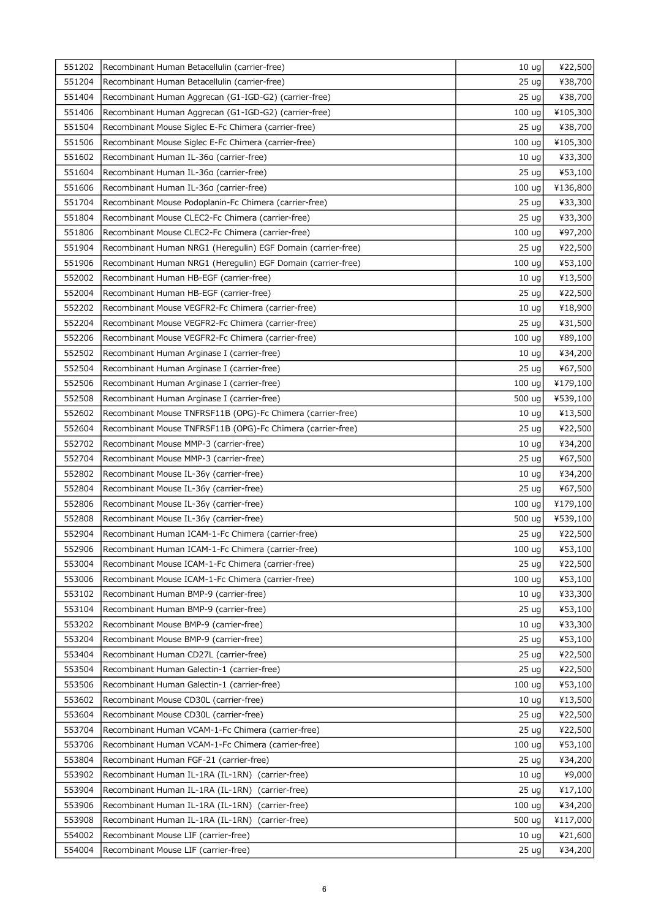| 551202 | Recombinant Human Betacellulin (carrier-free)                | 10 <sub>uq</sub>  | ¥22,500  |
|--------|--------------------------------------------------------------|-------------------|----------|
| 551204 | Recombinant Human Betacellulin (carrier-free)                | 25 <sub>uq</sub>  | ¥38,700  |
| 551404 | Recombinant Human Aggrecan (G1-IGD-G2) (carrier-free)        | 25 <sub>uq</sub>  | ¥38,700  |
| 551406 | Recombinant Human Aggrecan (G1-IGD-G2) (carrier-free)        | 100 ug            | ¥105,300 |
| 551504 | Recombinant Mouse Siglec E-Fc Chimera (carrier-free)         | 25 ug             | ¥38,700  |
| 551506 | Recombinant Mouse Siglec E-Fc Chimera (carrier-free)         | 100 <sub>uq</sub> | ¥105,300 |
| 551602 | Recombinant Human IL-36a (carrier-free)                      | 10 <sub>uq</sub>  | ¥33,300  |
| 551604 | Recombinant Human IL-36a (carrier-free)                      | 25 <sub>uq</sub>  | ¥53,100  |
| 551606 | Recombinant Human IL-36a (carrier-free)                      | 100 ug            | ¥136,800 |
| 551704 | Recombinant Mouse Podoplanin-Fc Chimera (carrier-free)       | 25 <sub>uq</sub>  | ¥33,300  |
| 551804 | Recombinant Mouse CLEC2-Fc Chimera (carrier-free)            | 25 <sub>uq</sub>  | ¥33,300  |
| 551806 | Recombinant Mouse CLEC2-Fc Chimera (carrier-free)            | 100 ug            | ¥97,200  |
| 551904 | Recombinant Human NRG1 (Heregulin) EGF Domain (carrier-free) | 25 ug             | ¥22,500  |
| 551906 | Recombinant Human NRG1 (Heregulin) EGF Domain (carrier-free) | 100 ug            | ¥53,100  |
| 552002 | Recombinant Human HB-EGF (carrier-free)                      | 10 <sub>uq</sub>  | ¥13,500  |
| 552004 | Recombinant Human HB-EGF (carrier-free)                      | 25 <sub>uq</sub>  | ¥22,500  |
| 552202 | Recombinant Mouse VEGFR2-Fc Chimera (carrier-free)           | 10 <sub>uq</sub>  | ¥18,900  |
| 552204 | Recombinant Mouse VEGFR2-Fc Chimera (carrier-free)           | 25 <sub>uq</sub>  | ¥31,500  |
| 552206 | Recombinant Mouse VEGFR2-Fc Chimera (carrier-free)           | 100 ug            | ¥89,100  |
| 552502 | Recombinant Human Arginase I (carrier-free)                  | 10 <sub>uq</sub>  | ¥34,200  |
| 552504 | Recombinant Human Arginase I (carrier-free)                  | 25 <sub>uq</sub>  | ¥67,500  |
| 552506 | Recombinant Human Arginase I (carrier-free)                  | 100 ug            | ¥179,100 |
| 552508 | Recombinant Human Arginase I (carrier-free)                  | 500 ug            | ¥539,100 |
| 552602 | Recombinant Mouse TNFRSF11B (OPG)-Fc Chimera (carrier-free)  | 10 <sub>uq</sub>  | ¥13,500  |
| 552604 | Recombinant Mouse TNFRSF11B (OPG)-Fc Chimera (carrier-free)  | 25 <sub>uq</sub>  | ¥22,500  |
| 552702 | Recombinant Mouse MMP-3 (carrier-free)                       | 10 <sub>uq</sub>  | ¥34,200  |
| 552704 | Recombinant Mouse MMP-3 (carrier-free)                       | 25 <sub>uq</sub>  | ¥67,500  |
| 552802 | Recombinant Mouse IL-36y (carrier-free)                      | 10 <sub>uq</sub>  | ¥34,200  |
| 552804 | Recombinant Mouse IL-36y (carrier-free)                      | 25 ug             | ¥67,500  |
| 552806 | Recombinant Mouse IL-36y (carrier-free)                      | 100 ug            | ¥179,100 |
| 552808 | Recombinant Mouse IL-36y (carrier-free)                      | 500 ug            | ¥539,100 |
| 552904 | Recombinant Human ICAM-1-Fc Chimera (carrier-free)           | 25 ug             | ¥22,500  |
| 552906 | Recombinant Human ICAM-1-Fc Chimera (carrier-free)           | 100 ug            | ¥53,100  |
| 553004 | Recombinant Mouse ICAM-1-Fc Chimera (carrier-free)           | 25 <sub>uq</sub>  | ¥22,500  |
| 553006 | Recombinant Mouse ICAM-1-Fc Chimera (carrier-free)           | 100 ug            | ¥53,100  |
| 553102 | Recombinant Human BMP-9 (carrier-free)                       | 10 <sub>ug</sub>  | ¥33,300  |
| 553104 | Recombinant Human BMP-9 (carrier-free)                       | 25 <sub>uq</sub>  | ¥53,100  |
| 553202 | Recombinant Mouse BMP-9 (carrier-free)                       | 10 <sub>uq</sub>  | ¥33,300  |
| 553204 | Recombinant Mouse BMP-9 (carrier-free)                       | 25 <sub>uq</sub>  | ¥53,100  |
| 553404 | Recombinant Human CD27L (carrier-free)                       | 25 <sub>uq</sub>  | ¥22,500  |
| 553504 | Recombinant Human Galectin-1 (carrier-free)                  | 25 <sub>uq</sub>  | ¥22,500  |
| 553506 | Recombinant Human Galectin-1 (carrier-free)                  | 100 ug            | ¥53,100  |
| 553602 | Recombinant Mouse CD30L (carrier-free)                       | 10 <sub>uq</sub>  | ¥13,500  |
| 553604 | Recombinant Mouse CD30L (carrier-free)                       | 25 <sub>uq</sub>  | ¥22,500  |
| 553704 | Recombinant Human VCAM-1-Fc Chimera (carrier-free)           | 25 <sub>uq</sub>  | ¥22,500  |
| 553706 | Recombinant Human VCAM-1-Fc Chimera (carrier-free)           | 100 ug            | ¥53,100  |
| 553804 | Recombinant Human FGF-21 (carrier-free)                      | 25 <sub>uq</sub>  | ¥34,200  |
| 553902 | Recombinant Human IL-1RA (IL-1RN) (carrier-free)             | 10 <sub>uq</sub>  | ¥9,000   |
| 553904 | Recombinant Human IL-1RA (IL-1RN)<br>(carrier-free)          | 25 <sub>uq</sub>  | ¥17,100  |
| 553906 | Recombinant Human IL-1RA (IL-1RN) (carrier-free)             | 100 ug            | ¥34,200  |
| 553908 | Recombinant Human IL-1RA (IL-1RN)<br>(carrier-free)          | 500 ug            | ¥117,000 |
| 554002 | Recombinant Mouse LIF (carrier-free)                         | 10 <sub>uq</sub>  | ¥21,600  |
| 554004 | Recombinant Mouse LIF (carrier-free)                         | 25 <sub>uq</sub>  | ¥34,200  |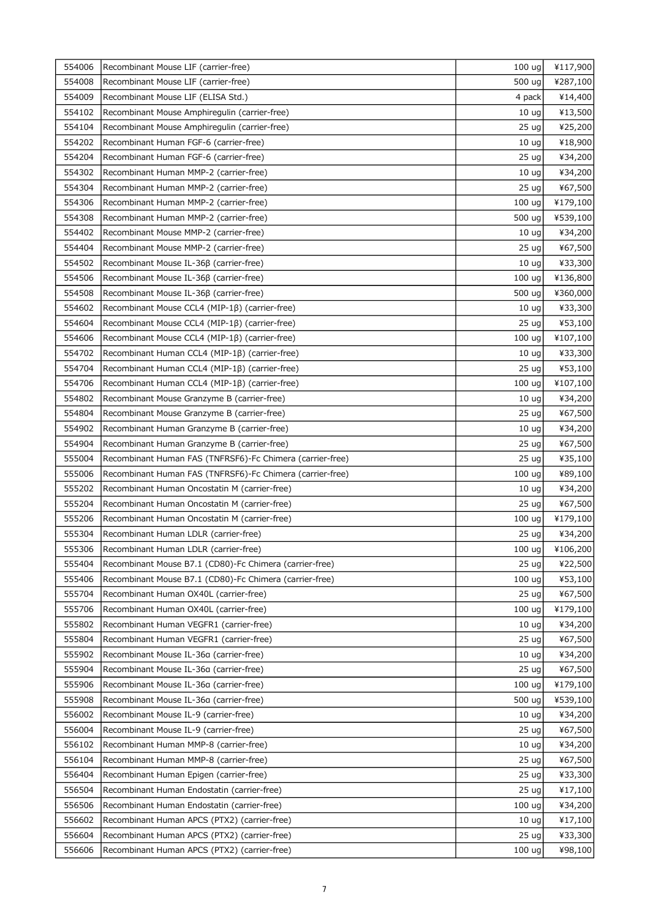| 554006 | Recombinant Mouse LIF (carrier-free)                      | 100 <sub>uq</sub> | ¥117,900 |
|--------|-----------------------------------------------------------|-------------------|----------|
| 554008 | Recombinant Mouse LIF (carrier-free)                      | 500 ug            | ¥287,100 |
| 554009 | Recombinant Mouse LIF (ELISA Std.)                        | 4 pack            | ¥14,400  |
| 554102 | Recombinant Mouse Amphiregulin (carrier-free)             | 10 <sub>ug</sub>  | ¥13,500  |
| 554104 | Recombinant Mouse Amphiregulin (carrier-free)             | 25 <sub>uq</sub>  | ¥25,200  |
| 554202 | Recombinant Human FGF-6 (carrier-free)                    | 10 <sub>uq</sub>  | ¥18,900  |
| 554204 | Recombinant Human FGF-6 (carrier-free)                    | 25 <sub>uq</sub>  | ¥34,200  |
| 554302 | Recombinant Human MMP-2 (carrier-free)                    | 10 <sub>uq</sub>  | ¥34,200  |
| 554304 | Recombinant Human MMP-2 (carrier-free)                    | 25 <sub>uq</sub>  | ¥67,500  |
| 554306 | Recombinant Human MMP-2 (carrier-free)                    | 100 ug            | ¥179,100 |
| 554308 | Recombinant Human MMP-2 (carrier-free)                    | 500 ug            | ¥539,100 |
| 554402 | Recombinant Mouse MMP-2 (carrier-free)                    | 10 <sub>uq</sub>  | ¥34,200  |
| 554404 | Recombinant Mouse MMP-2 (carrier-free)                    | 25 ug             | ¥67,500  |
| 554502 | Recombinant Mouse IL-36β (carrier-free)                   | 10 <sub>uq</sub>  | ¥33,300  |
| 554506 | Recombinant Mouse IL-36β (carrier-free)                   | 100 ug            | ¥136,800 |
| 554508 | Recombinant Mouse IL-36β (carrier-free)                   | 500 ug            | ¥360,000 |
| 554602 | Recombinant Mouse CCL4 (MIP-1B) (carrier-free)            | 10 <sub>uq</sub>  | ¥33,300  |
| 554604 | Recombinant Mouse CCL4 (MIP-1ß) (carrier-free)            | 25 <sub>uq</sub>  | ¥53,100  |
| 554606 | Recombinant Mouse CCL4 (MIP-1ß) (carrier-free)            | 100 ug            | ¥107,100 |
| 554702 | Recombinant Human CCL4 (MIP-1B) (carrier-free)            | 10 <sub>uq</sub>  | ¥33,300  |
| 554704 | Recombinant Human CCL4 (MIP-1B) (carrier-free)            | 25 <sub>uq</sub>  | ¥53,100  |
| 554706 | Recombinant Human CCL4 (MIP-1ß) (carrier-free)            | 100 ug            | ¥107,100 |
| 554802 | Recombinant Mouse Granzyme B (carrier-free)               | 10 <sub>uq</sub>  | ¥34,200  |
| 554804 | Recombinant Mouse Granzyme B (carrier-free)               | 25 <sub>uq</sub>  | ¥67,500  |
| 554902 | Recombinant Human Granzyme B (carrier-free)               | 10 <sub>uq</sub>  | ¥34,200  |
| 554904 | Recombinant Human Granzyme B (carrier-free)               | 25 <sub>uq</sub>  | ¥67,500  |
| 555004 | Recombinant Human FAS (TNFRSF6)-Fc Chimera (carrier-free) | 25 <sub>uq</sub>  | ¥35,100  |
| 555006 | Recombinant Human FAS (TNFRSF6)-Fc Chimera (carrier-free) | 100 ug            | ¥89,100  |
| 555202 | Recombinant Human Oncostatin M (carrier-free)             | 10 <sub>ug</sub>  | ¥34,200  |
| 555204 | Recombinant Human Oncostatin M (carrier-free)             | 25 <sub>uq</sub>  | ¥67,500  |
| 555206 | Recombinant Human Oncostatin M (carrier-free)             | 100 ug            | ¥179,100 |
| 555304 | Recombinant Human LDLR (carrier-free)                     | 25 ug             | ¥34,200  |
| 555306 | Recombinant Human LDLR (carrier-free)                     | $100 \text{ ug}$  | ¥106,200 |
| 555404 | Recombinant Mouse B7.1 (CD80)-Fc Chimera (carrier-free)   | 25 <sub>uq</sub>  | ¥22,500  |
| 555406 | Recombinant Mouse B7.1 (CD80)-Fc Chimera (carrier-free)   | 100 ug            | ¥53,100  |
| 555704 | Recombinant Human OX40L (carrier-free)                    | 25 <sub>uq</sub>  | ¥67,500  |
| 555706 | Recombinant Human OX40L (carrier-free)                    | 100 ug            | ¥179,100 |
| 555802 | Recombinant Human VEGFR1 (carrier-free)                   | 10 <sub>uq</sub>  | ¥34,200  |
| 555804 | Recombinant Human VEGFR1 (carrier-free)                   | 25 <sub>uq</sub>  | ¥67,500  |
| 555902 | Recombinant Mouse IL-36a (carrier-free)                   | 10 <sub>uq</sub>  | ¥34,200  |
| 555904 | Recombinant Mouse IL-36a (carrier-free)                   | 25 <sub>uq</sub>  | ¥67,500  |
| 555906 | Recombinant Mouse IL-36a (carrier-free)                   | 100 ug            | ¥179,100 |
| 555908 | Recombinant Mouse IL-36a (carrier-free)                   | 500 ug            | ¥539,100 |
| 556002 | Recombinant Mouse IL-9 (carrier-free)                     | 10 <sub>uq</sub>  | ¥34,200  |
| 556004 | Recombinant Mouse IL-9 (carrier-free)                     | 25 <sub>uq</sub>  | ¥67,500  |
| 556102 | Recombinant Human MMP-8 (carrier-free)                    | 10 <sub>uq</sub>  | ¥34,200  |
| 556104 | Recombinant Human MMP-8 (carrier-free)                    | 25 <sub>uq</sub>  | ¥67,500  |
| 556404 | Recombinant Human Epigen (carrier-free)                   | 25 <sub>uq</sub>  | ¥33,300  |
| 556504 | Recombinant Human Endostatin (carrier-free)               | 25 <sub>uq</sub>  | ¥17,100  |
| 556506 | Recombinant Human Endostatin (carrier-free)               | 100 uq            | ¥34,200  |
| 556602 | Recombinant Human APCS (PTX2) (carrier-free)              | 10 <sub>uq</sub>  | ¥17,100  |
| 556604 | Recombinant Human APCS (PTX2) (carrier-free)              | 25 <sub>uq</sub>  | ¥33,300  |
| 556606 | Recombinant Human APCS (PTX2) (carrier-free)              | 100 <sub>uq</sub> | ¥98,100  |
|        |                                                           |                   |          |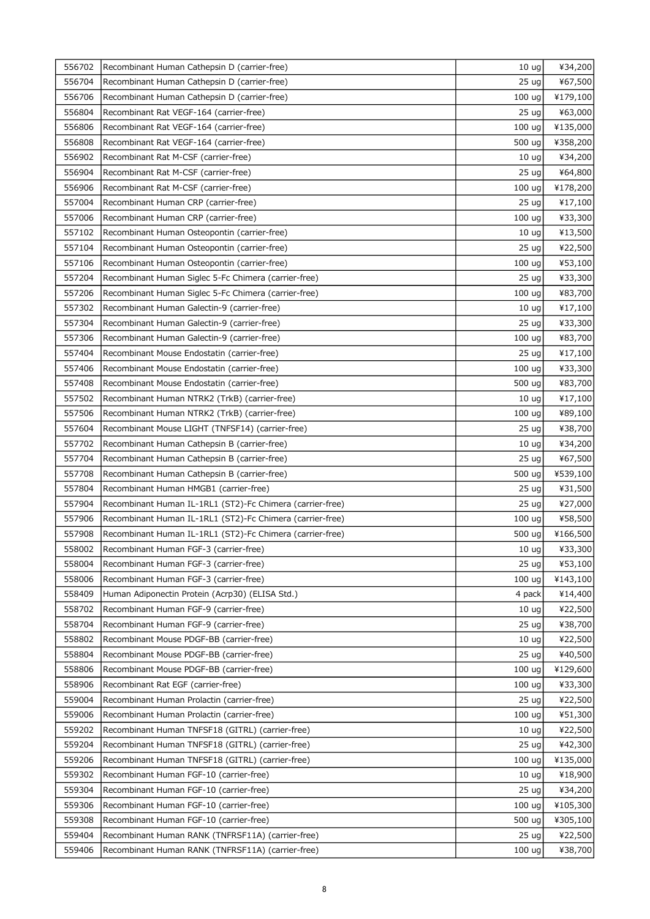| 556702 | Recombinant Human Cathepsin D (carrier-free)              | 10 <sub>uq</sub>  | ¥34,200  |
|--------|-----------------------------------------------------------|-------------------|----------|
| 556704 | Recombinant Human Cathepsin D (carrier-free)              | 25 <sub>uq</sub>  | ¥67,500  |
| 556706 | Recombinant Human Cathepsin D (carrier-free)              | 100 ug            | ¥179,100 |
| 556804 | Recombinant Rat VEGF-164 (carrier-free)                   | 25 <sub>uq</sub>  | ¥63,000  |
| 556806 | Recombinant Rat VEGF-164 (carrier-free)                   | 100 ug            | ¥135,000 |
| 556808 | Recombinant Rat VEGF-164 (carrier-free)                   | 500 ug            | ¥358,200 |
| 556902 | Recombinant Rat M-CSF (carrier-free)                      | 10 <sub>uq</sub>  | ¥34,200  |
| 556904 | Recombinant Rat M-CSF (carrier-free)                      | 25 <sub>uq</sub>  | ¥64,800  |
| 556906 | Recombinant Rat M-CSF (carrier-free)                      | 100 ug            | ¥178,200 |
| 557004 | Recombinant Human CRP (carrier-free)                      | 25 <sub>uq</sub>  | ¥17,100  |
| 557006 | Recombinant Human CRP (carrier-free)                      | 100 ug            | ¥33,300  |
| 557102 | Recombinant Human Osteopontin (carrier-free)              | 10 <sub>ug</sub>  | ¥13,500  |
| 557104 | Recombinant Human Osteopontin (carrier-free)              | 25 <sub>uq</sub>  | ¥22,500  |
| 557106 | Recombinant Human Osteopontin (carrier-free)              | 100 ug            | ¥53,100  |
| 557204 | Recombinant Human Siglec 5-Fc Chimera (carrier-free)      | 25 <sub>uq</sub>  | ¥33,300  |
| 557206 | Recombinant Human Siglec 5-Fc Chimera (carrier-free)      | 100 ug            | ¥83,700  |
| 557302 | Recombinant Human Galectin-9 (carrier-free)               | 10 <sub>ug</sub>  | ¥17,100  |
| 557304 | Recombinant Human Galectin-9 (carrier-free)               | 25 <sub>uq</sub>  | ¥33,300  |
| 557306 | Recombinant Human Galectin-9 (carrier-free)               | 100 ug            | ¥83,700  |
| 557404 | Recombinant Mouse Endostatin (carrier-free)               | 25 <sub>uq</sub>  | ¥17,100  |
| 557406 | Recombinant Mouse Endostatin (carrier-free)               | 100 ug            | ¥33,300  |
| 557408 | Recombinant Mouse Endostatin (carrier-free)               | 500 ug            | ¥83,700  |
| 557502 | Recombinant Human NTRK2 (TrkB) (carrier-free)             | 10 <sub>uq</sub>  | ¥17,100  |
| 557506 | Recombinant Human NTRK2 (TrkB) (carrier-free)             | 100 uq            | ¥89,100  |
| 557604 | Recombinant Mouse LIGHT (TNFSF14) (carrier-free)          | 25 <sub>uq</sub>  | ¥38,700  |
| 557702 | Recombinant Human Cathepsin B (carrier-free)              | 10 <sub>uq</sub>  | ¥34,200  |
| 557704 | Recombinant Human Cathepsin B (carrier-free)              | 25 <sub>uq</sub>  | ¥67,500  |
| 557708 | Recombinant Human Cathepsin B (carrier-free)              | 500 ug            | ¥539,100 |
| 557804 | Recombinant Human HMGB1 (carrier-free)                    | 25 ug             | ¥31,500  |
| 557904 | Recombinant Human IL-1RL1 (ST2)-Fc Chimera (carrier-free) | 25 <sub>uq</sub>  | ¥27,000  |
| 557906 | Recombinant Human IL-1RL1 (ST2)-Fc Chimera (carrier-free) | 100 ug            | ¥58,500  |
| 557908 | Recombinant Human IL-1RL1 (ST2)-Fc Chimera (carrier-free) | 500 ug            | ¥166,500 |
| 558002 | Recombinant Human FGF-3 (carrier-free)                    | $10 \text{ ug}$   | ¥33,300  |
| 558004 | Recombinant Human FGF-3 (carrier-free)                    | 25 <sub>uq</sub>  | ¥53,100  |
| 558006 | Recombinant Human FGF-3 (carrier-free)                    | 100 <sub>uq</sub> | ¥143,100 |
| 558409 | Human Adiponectin Protein (Acrp30) (ELISA Std.)           | 4 pack            | ¥14,400  |
| 558702 | Recombinant Human FGF-9 (carrier-free)                    | 10 <sub>uq</sub>  | ¥22,500  |
| 558704 | Recombinant Human FGF-9 (carrier-free)                    | 25 <sub>uq</sub>  | ¥38,700  |
| 558802 | Recombinant Mouse PDGF-BB (carrier-free)                  | 10 <sub>uq</sub>  | ¥22,500  |
| 558804 | Recombinant Mouse PDGF-BB (carrier-free)                  | 25 <sub>uq</sub>  | ¥40,500  |
| 558806 | Recombinant Mouse PDGF-BB (carrier-free)                  | 100 <sub>uq</sub> | ¥129,600 |
| 558906 | Recombinant Rat EGF (carrier-free)                        | 100 ug            | ¥33,300  |
| 559004 | Recombinant Human Prolactin (carrier-free)                | 25 <sub>uq</sub>  | ¥22,500  |
| 559006 | Recombinant Human Prolactin (carrier-free)                | 100 ug            | ¥51,300  |
| 559202 | Recombinant Human TNFSF18 (GITRL) (carrier-free)          | 10 <sub>uq</sub>  | ¥22,500  |
| 559204 | Recombinant Human TNFSF18 (GITRL) (carrier-free)          | 25 <sub>uq</sub>  | ¥42,300  |
| 559206 | Recombinant Human TNFSF18 (GITRL) (carrier-free)          | 100 <sub>uq</sub> | ¥135,000 |
| 559302 | Recombinant Human FGF-10 (carrier-free)                   | 10 <sub>uq</sub>  | ¥18,900  |
| 559304 | Recombinant Human FGF-10 (carrier-free)                   | 25 <sub>uq</sub>  | ¥34,200  |
| 559306 | Recombinant Human FGF-10 (carrier-free)                   | 100 ug            | ¥105,300 |
| 559308 | Recombinant Human FGF-10 (carrier-free)                   | 500 ug            | ¥305,100 |
| 559404 | Recombinant Human RANK (TNFRSF11A) (carrier-free)         | 25 <sub>uq</sub>  | ¥22,500  |
| 559406 | Recombinant Human RANK (TNFRSF11A) (carrier-free)         | 100 <sub>uq</sub> | ¥38,700  |
|        |                                                           |                   |          |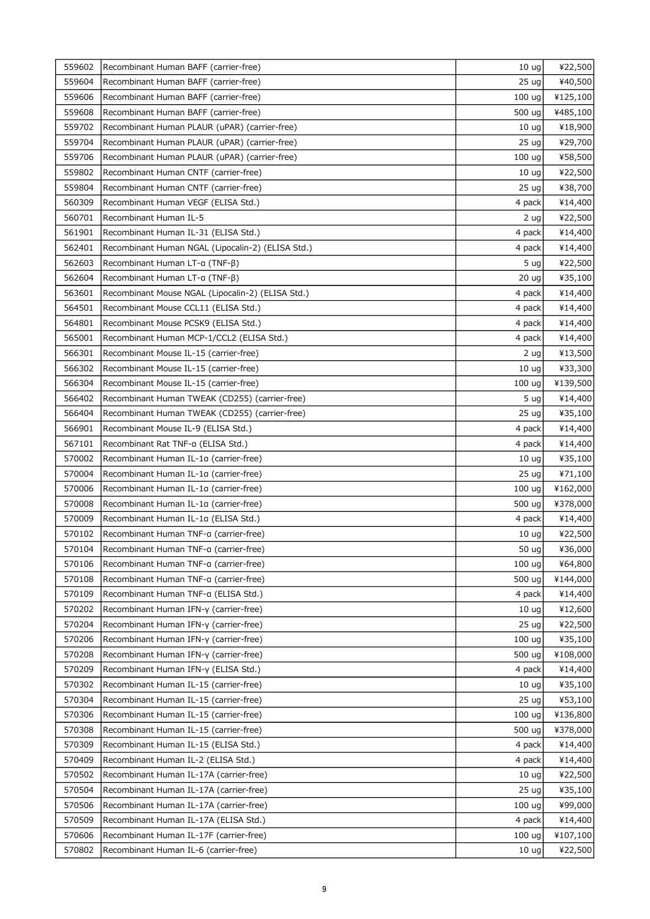| 559602 | Recombinant Human BAFF (carrier-free)             | 10 <sub>uq</sub>  | ¥22,500  |
|--------|---------------------------------------------------|-------------------|----------|
| 559604 | Recombinant Human BAFF (carrier-free)             | 25 <sub>uq</sub>  | ¥40,500  |
| 559606 | Recombinant Human BAFF (carrier-free)             | 100 ug            | ¥125,100 |
| 559608 | Recombinant Human BAFF (carrier-free)             | 500 ug            | ¥485,100 |
| 559702 | Recombinant Human PLAUR (uPAR) (carrier-free)     | 10 <sub>uq</sub>  | ¥18,900  |
| 559704 | Recombinant Human PLAUR (uPAR) (carrier-free)     | 25 <sub>uq</sub>  | ¥29,700  |
| 559706 | Recombinant Human PLAUR (uPAR) (carrier-free)     | 100 ug            | ¥58,500  |
| 559802 | Recombinant Human CNTF (carrier-free)             | 10 <sub>uq</sub>  | ¥22,500  |
| 559804 | Recombinant Human CNTF (carrier-free)             | 25 <sub>uq</sub>  | ¥38,700  |
| 560309 | Recombinant Human VEGF (ELISA Std.)               | 4 pack            | ¥14,400  |
| 560701 | Recombinant Human IL-5                            | 2 ug              | ¥22,500  |
| 561901 | Recombinant Human IL-31 (ELISA Std.)              | 4 pack            | ¥14,400  |
| 562401 | Recombinant Human NGAL (Lipocalin-2) (ELISA Std.) | 4 pack            | ¥14,400  |
| 562603 | Recombinant Human LT-α (TNF-β)                    | 5 <sub>uq</sub>   | ¥22,500  |
| 562604 | Recombinant Human LT-a (TNF-B)                    | 20 <sub>uq</sub>  | ¥35,100  |
| 563601 | Recombinant Mouse NGAL (Lipocalin-2) (ELISA Std.) | 4 pack            | ¥14,400  |
| 564501 | Recombinant Mouse CCL11 (ELISA Std.)              | 4 pack            | ¥14,400  |
| 564801 | Recombinant Mouse PCSK9 (ELISA Std.)              | 4 pack            | ¥14,400  |
| 565001 | Recombinant Human MCP-1/CCL2 (ELISA Std.)         | 4 pack            | ¥14,400  |
| 566301 | Recombinant Mouse IL-15 (carrier-free)            | 2 ug              | ¥13,500  |
| 566302 | Recombinant Mouse IL-15 (carrier-free)            | 10 <sub>uq</sub>  | ¥33,300  |
| 566304 | Recombinant Mouse IL-15 (carrier-free)            | 100 ug            | ¥139,500 |
| 566402 | Recombinant Human TWEAK (CD255) (carrier-free)    | 5 ug              | ¥14,400  |
| 566404 | Recombinant Human TWEAK (CD255) (carrier-free)    | 25 <sub>uq</sub>  | ¥35,100  |
| 566901 | Recombinant Mouse IL-9 (ELISA Std.)               | 4 pack            | ¥14,400  |
| 567101 | Recombinant Rat TNF-a (ELISA Std.)                | 4 pack            | ¥14,400  |
| 570002 | Recombinant Human IL-1a (carrier-free)            | 10 <sub>uq</sub>  | ¥35,100  |
| 570004 | Recombinant Human IL-1a (carrier-free)            | 25 <sub>uq</sub>  | ¥71,100  |
| 570006 | Recombinant Human IL-1a (carrier-free)            | 100 ug            | ¥162,000 |
| 570008 | Recombinant Human IL-1a (carrier-free)            | 500 ug            | ¥378,000 |
| 570009 | Recombinant Human IL-1a (ELISA Std.)              | 4 pack            | ¥14,400  |
| 570102 | Recombinant Human TNF-a (carrier-free)            | 10 <sub>ug</sub>  | ¥22,500  |
| 570104 | Recombinant Human TNF-a (carrier-free)            | 50 ug             | ¥36,000  |
| 570106 | Recombinant Human TNF-a (carrier-free)            | 100 ug            | ¥64,800  |
| 570108 | Recombinant Human TNF-a (carrier-free)            | 500 ug            | ¥144,000 |
| 570109 | Recombinant Human TNF-a (ELISA Std.)              | 4 pack            | ¥14,400  |
| 570202 | Recombinant Human IFN-y (carrier-free)            | 10 <sub>uq</sub>  | ¥12,600  |
| 570204 | Recombinant Human IFN-y (carrier-free)            | 25 <sub>uq</sub>  | ¥22,500  |
| 570206 | Recombinant Human IFN-y (carrier-free)            | 100 ug            | ¥35,100  |
| 570208 | Recombinant Human IFN-y (carrier-free)            | 500 ug            | ¥108,000 |
| 570209 | Recombinant Human IFN-y (ELISA Std.)              | 4 pack            | ¥14,400  |
| 570302 | Recombinant Human IL-15 (carrier-free)            | 10 <sub>uq</sub>  | ¥35,100  |
| 570304 | Recombinant Human IL-15 (carrier-free)            | 25 <sub>uq</sub>  | ¥53,100  |
| 570306 | Recombinant Human IL-15 (carrier-free)            | 100 <sub>uq</sub> | ¥136,800 |
| 570308 | Recombinant Human IL-15 (carrier-free)            | 500 ug            | ¥378,000 |
| 570309 | Recombinant Human IL-15 (ELISA Std.)              | 4 pack            | ¥14,400  |
| 570409 | Recombinant Human IL-2 (ELISA Std.)               | 4 pack            | ¥14,400  |
| 570502 | Recombinant Human IL-17A (carrier-free)           | 10 <sub>uq</sub>  | ¥22,500  |
| 570504 | Recombinant Human IL-17A (carrier-free)           | 25 <sub>uq</sub>  | ¥35,100  |
| 570506 | Recombinant Human IL-17A (carrier-free)           | 100 ug            | ¥99,000  |
| 570509 | Recombinant Human IL-17A (ELISA Std.)             | 4 pack            | ¥14,400  |
| 570606 | Recombinant Human IL-17F (carrier-free)           | 100 ug            | ¥107,100 |
| 570802 | Recombinant Human IL-6 (carrier-free)             | 10 <sub>uq</sub>  | ¥22,500  |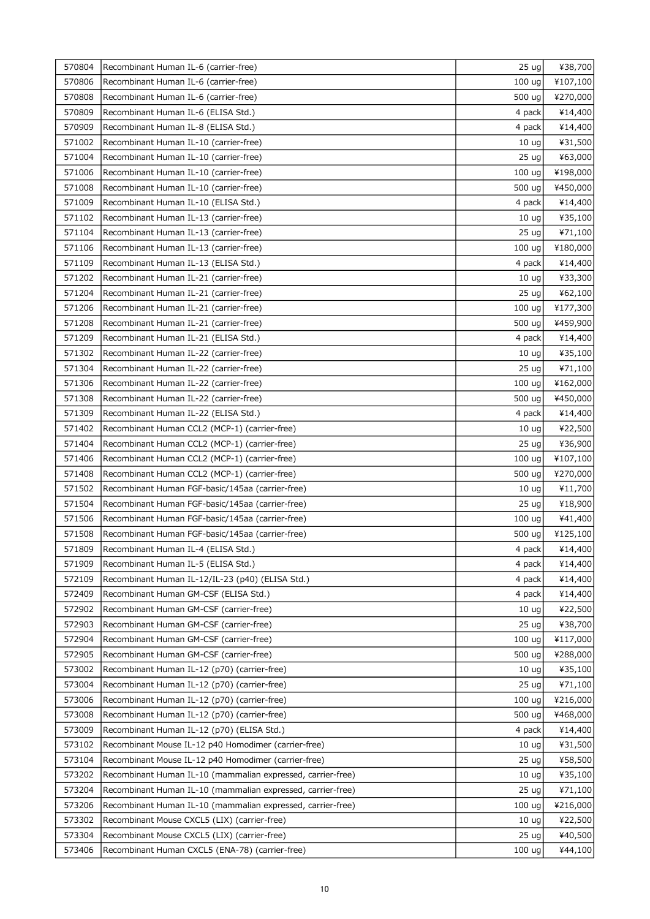| 570804 | Recombinant Human IL-6 (carrier-free)                       | 25 ug             | ¥38,700  |
|--------|-------------------------------------------------------------|-------------------|----------|
| 570806 | Recombinant Human IL-6 (carrier-free)                       | 100 ug            | ¥107,100 |
| 570808 | Recombinant Human IL-6 (carrier-free)                       | 500 ug            | ¥270,000 |
| 570809 | Recombinant Human IL-6 (ELISA Std.)                         | 4 pack            | ¥14,400  |
| 570909 | Recombinant Human IL-8 (ELISA Std.)                         | 4 pack            | ¥14,400  |
| 571002 | Recombinant Human IL-10 (carrier-free)                      | 10 <sub>uq</sub>  | ¥31,500  |
| 571004 | Recombinant Human IL-10 (carrier-free)                      | 25 <sub>uq</sub>  | ¥63,000  |
| 571006 | Recombinant Human IL-10 (carrier-free)                      | 100 <sub>uq</sub> | ¥198,000 |
| 571008 | Recombinant Human IL-10 (carrier-free)                      | 500 ug            | ¥450,000 |
| 571009 | Recombinant Human IL-10 (ELISA Std.)                        | 4 pack            | ¥14,400  |
| 571102 | Recombinant Human IL-13 (carrier-free)                      | 10 <sub>uq</sub>  | ¥35,100  |
| 571104 | Recombinant Human IL-13 (carrier-free)                      | 25 <sub>uq</sub>  | ¥71,100  |
| 571106 | Recombinant Human IL-13 (carrier-free)                      | 100 <sub>uq</sub> | ¥180,000 |
| 571109 | Recombinant Human IL-13 (ELISA Std.)                        | 4 pack            | ¥14,400  |
| 571202 | Recombinant Human IL-21 (carrier-free)                      | 10 <sub>uq</sub>  | ¥33,300  |
| 571204 | Recombinant Human IL-21 (carrier-free)                      | 25 ug             | ¥62,100  |
| 571206 | Recombinant Human IL-21 (carrier-free)                      | 100 <sub>uq</sub> | ¥177,300 |
| 571208 | Recombinant Human IL-21 (carrier-free)                      | 500 ug            | ¥459,900 |
| 571209 | Recombinant Human IL-21 (ELISA Std.)                        | 4 pack            | ¥14,400  |
| 571302 | Recombinant Human IL-22 (carrier-free)                      | 10 <sub>uq</sub>  | ¥35,100  |
| 571304 | Recombinant Human IL-22 (carrier-free)                      | 25 <sub>uq</sub>  | ¥71,100  |
| 571306 | Recombinant Human IL-22 (carrier-free)                      | 100 <sub>uq</sub> | ¥162,000 |
| 571308 | Recombinant Human IL-22 (carrier-free)                      | 500 ug            | ¥450,000 |
| 571309 | Recombinant Human IL-22 (ELISA Std.)                        | 4 pack            | ¥14,400  |
| 571402 | Recombinant Human CCL2 (MCP-1) (carrier-free)               | 10 <sub>uq</sub>  | ¥22,500  |
| 571404 | Recombinant Human CCL2 (MCP-1) (carrier-free)               | 25 <sub>uq</sub>  | ¥36,900  |
| 571406 | Recombinant Human CCL2 (MCP-1) (carrier-free)               | 100 <sub>uq</sub> | ¥107,100 |
| 571408 | Recombinant Human CCL2 (MCP-1) (carrier-free)               | 500 ug            | ¥270,000 |
| 571502 | Recombinant Human FGF-basic/145aa (carrier-free)            | 10 <sub>uq</sub>  | ¥11,700  |
| 571504 | Recombinant Human FGF-basic/145aa (carrier-free)            | 25 <sub>uq</sub>  | ¥18,900  |
| 571506 | Recombinant Human FGF-basic/145aa (carrier-free)            | 100 <sub>uq</sub> | ¥41,400  |
| 571508 | Recombinant Human FGF-basic/145aa (carrier-free)            | 500 ug            | ¥125,100 |
| 571809 | Recombinant Human IL-4 (ELISA Std.)                         | 4 pack            | ¥14,400  |
| 571909 | Recombinant Human IL-5 (ELISA Std.)                         | 4 pack            | ¥14,400  |
| 572109 | Recombinant Human IL-12/IL-23 (p40) (ELISA Std.)            | 4 pack            | ¥14,400  |
| 572409 | Recombinant Human GM-CSF (ELISA Std.)                       | 4 pack            | ¥14,400  |
| 572902 | Recombinant Human GM-CSF (carrier-free)                     | 10 <sub>uq</sub>  | ¥22,500  |
| 572903 | Recombinant Human GM-CSF (carrier-free)                     | 25 <sub>uq</sub>  | ¥38,700  |
| 572904 | Recombinant Human GM-CSF (carrier-free)                     | 100 ug            | ¥117,000 |
| 572905 | Recombinant Human GM-CSF (carrier-free)                     | 500 ug            | ¥288,000 |
| 573002 | Recombinant Human IL-12 (p70) (carrier-free)                | 10 <sub>uq</sub>  | ¥35,100  |
| 573004 | Recombinant Human IL-12 (p70) (carrier-free)                | 25 <sub>uq</sub>  | ¥71,100  |
| 573006 | Recombinant Human IL-12 (p70) (carrier-free)                | 100 <sub>uq</sub> | ¥216,000 |
| 573008 | Recombinant Human IL-12 (p70) (carrier-free)                | 500 ug            | ¥468,000 |
| 573009 | Recombinant Human IL-12 (p70) (ELISA Std.)                  | 4 pack            | ¥14,400  |
| 573102 | Recombinant Mouse IL-12 p40 Homodimer (carrier-free)        | 10 <sub>uq</sub>  | ¥31,500  |
| 573104 | Recombinant Mouse IL-12 p40 Homodimer (carrier-free)        | 25 <sub>uq</sub>  | ¥58,500  |
| 573202 | Recombinant Human IL-10 (mammalian expressed, carrier-free) | 10 <sub>uq</sub>  | ¥35,100  |
| 573204 | Recombinant Human IL-10 (mammalian expressed, carrier-free) | 25 <sub>uq</sub>  | ¥71,100  |
| 573206 | Recombinant Human IL-10 (mammalian expressed, carrier-free) | 100 <sub>uq</sub> | ¥216,000 |
| 573302 | Recombinant Mouse CXCL5 (LIX) (carrier-free)                | 10 <sub>uq</sub>  | ¥22,500  |
| 573304 | Recombinant Mouse CXCL5 (LIX) (carrier-free)                | 25 <sub>uq</sub>  | ¥40,500  |
| 573406 | Recombinant Human CXCL5 (ENA-78) (carrier-free)             | 100 <sub>uq</sub> | ¥44,100  |
|        |                                                             |                   |          |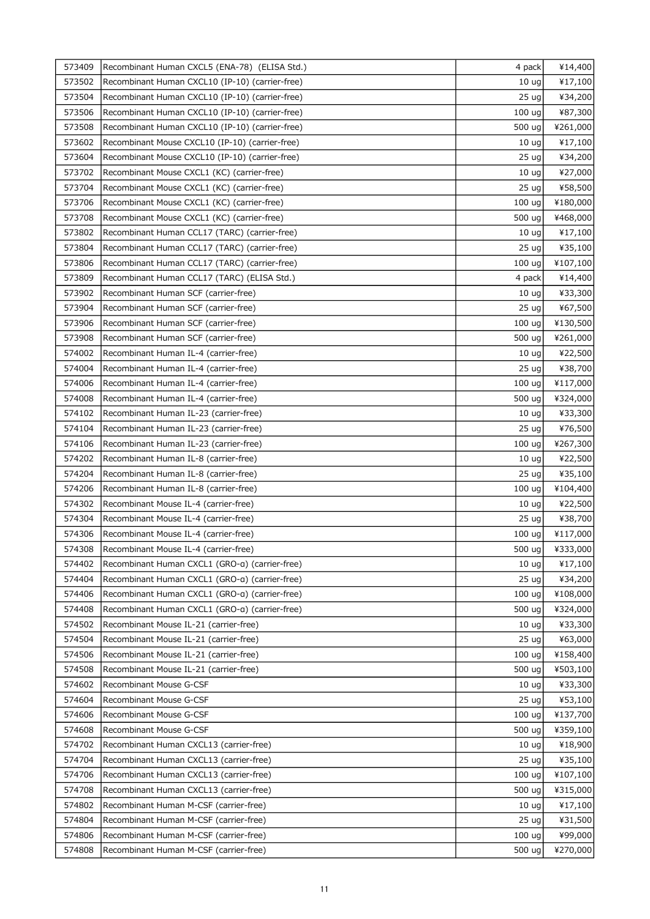| 573409 | Recombinant Human CXCL5 (ENA-78) (ELISA Std.)   | 4 pack            | ¥14,400  |
|--------|-------------------------------------------------|-------------------|----------|
| 573502 | Recombinant Human CXCL10 (IP-10) (carrier-free) | 10 <sub>uq</sub>  | ¥17,100  |
| 573504 | Recombinant Human CXCL10 (IP-10) (carrier-free) | 25 <sub>uq</sub>  | ¥34,200  |
| 573506 | Recombinant Human CXCL10 (IP-10) (carrier-free) | 100 <sub>uq</sub> | ¥87,300  |
| 573508 | Recombinant Human CXCL10 (IP-10) (carrier-free) | 500 ug            | ¥261,000 |
| 573602 | Recombinant Mouse CXCL10 (IP-10) (carrier-free) | 10 <sub>uq</sub>  | ¥17,100  |
| 573604 | Recombinant Mouse CXCL10 (IP-10) (carrier-free) | 25 ug             | ¥34,200  |
| 573702 | Recombinant Mouse CXCL1 (KC) (carrier-free)     | 10 <sub>uq</sub>  | ¥27,000  |
| 573704 | Recombinant Mouse CXCL1 (KC) (carrier-free)     | 25 <sub>uq</sub>  | ¥58,500  |
| 573706 | Recombinant Mouse CXCL1 (KC) (carrier-free)     | 100 <sub>uq</sub> | ¥180,000 |
| 573708 | Recombinant Mouse CXCL1 (KC) (carrier-free)     | 500 ug            | ¥468,000 |
| 573802 | Recombinant Human CCL17 (TARC) (carrier-free)   | 10 <sub>ug</sub>  | ¥17,100  |
| 573804 | Recombinant Human CCL17 (TARC) (carrier-free)   | 25 <sub>uq</sub>  | ¥35,100  |
| 573806 | Recombinant Human CCL17 (TARC) (carrier-free)   | 100 <sub>uq</sub> | ¥107,100 |
| 573809 | Recombinant Human CCL17 (TARC) (ELISA Std.)     | 4 pack            | ¥14,400  |
| 573902 | Recombinant Human SCF (carrier-free)            | 10 <sub>ug</sub>  | ¥33,300  |
| 573904 | Recombinant Human SCF (carrier-free)            | 25 <sub>uq</sub>  | ¥67,500  |
| 573906 | Recombinant Human SCF (carrier-free)            | 100 <sub>uq</sub> | ¥130,500 |
| 573908 | Recombinant Human SCF (carrier-free)            | 500 ug            | ¥261,000 |
| 574002 | Recombinant Human IL-4 (carrier-free)           | 10 <sub>uq</sub>  | ¥22,500  |
| 574004 | Recombinant Human IL-4 (carrier-free)           | 25 <sub>uq</sub>  | ¥38,700  |
| 574006 | Recombinant Human IL-4 (carrier-free)           | 100 <sub>uq</sub> | ¥117,000 |
| 574008 | Recombinant Human IL-4 (carrier-free)           | 500 ug            | ¥324,000 |
| 574102 | Recombinant Human IL-23 (carrier-free)          | 10 <sub>uq</sub>  | ¥33,300  |
| 574104 | Recombinant Human IL-23 (carrier-free)          | 25 <sub>uq</sub>  | ¥76,500  |
| 574106 | Recombinant Human IL-23 (carrier-free)          | 100 <sub>uq</sub> | ¥267,300 |
| 574202 | Recombinant Human IL-8 (carrier-free)           | 10 <sub>uq</sub>  | ¥22,500  |
| 574204 | Recombinant Human IL-8 (carrier-free)           | 25 <sub>uq</sub>  | ¥35,100  |
| 574206 | Recombinant Human IL-8 (carrier-free)           | 100 <sub>uq</sub> | ¥104,400 |
| 574302 | Recombinant Mouse IL-4 (carrier-free)           | 10 <sub>uq</sub>  | ¥22,500  |
| 574304 | Recombinant Mouse IL-4 (carrier-free)           | 25 <sub>uq</sub>  | ¥38,700  |
| 574306 | Recombinant Mouse IL-4 (carrier-free)           | 100 ug            | ¥117,000 |
| 574308 | Recombinant Mouse IL-4 (carrier-free)           | 500 ug            | ¥333,000 |
| 574402 | Recombinant Human CXCL1 (GRO-a) (carrier-free)  | 10 <sub>uq</sub>  | ¥17,100  |
| 574404 | Recombinant Human CXCL1 (GRO-a) (carrier-free)  | 25 <sub>uq</sub>  | ¥34,200  |
| 574406 | Recombinant Human CXCL1 (GRO-a) (carrier-free)  | 100 ug            | ¥108,000 |
| 574408 | Recombinant Human CXCL1 (GRO-a) (carrier-free)  | 500 ug            | ¥324,000 |
| 574502 | Recombinant Mouse IL-21 (carrier-free)          | 10 <sub>uq</sub>  | ¥33,300  |
| 574504 | Recombinant Mouse IL-21 (carrier-free)          | 25 <sub>uq</sub>  | ¥63,000  |
| 574506 | Recombinant Mouse IL-21 (carrier-free)          | 100 <sub>uq</sub> | ¥158,400 |
| 574508 | Recombinant Mouse IL-21 (carrier-free)          | 500 ug            | ¥503,100 |
| 574602 | Recombinant Mouse G-CSF                         | 10 <sub>uq</sub>  | ¥33,300  |
| 574604 | Recombinant Mouse G-CSF                         | 25 <sub>uq</sub>  | ¥53,100  |
| 574606 | Recombinant Mouse G-CSF                         | 100 <sub>uq</sub> | ¥137,700 |
| 574608 | Recombinant Mouse G-CSF                         | 500 ug            | ¥359,100 |
| 574702 | Recombinant Human CXCL13 (carrier-free)         | 10 <sub>uq</sub>  | ¥18,900  |
| 574704 | Recombinant Human CXCL13 (carrier-free)         | 25 <sub>uq</sub>  | ¥35,100  |
| 574706 | Recombinant Human CXCL13 (carrier-free)         | 100 ug            | ¥107,100 |
| 574708 | Recombinant Human CXCL13 (carrier-free)         | 500 ug            | ¥315,000 |
| 574802 | Recombinant Human M-CSF (carrier-free)          | 10 <sub>uq</sub>  | ¥17,100  |
| 574804 | Recombinant Human M-CSF (carrier-free)          | 25 <sub>uq</sub>  | ¥31,500  |
| 574806 | Recombinant Human M-CSF (carrier-free)          | 100 <sub>uq</sub> | ¥99,000  |
| 574808 | Recombinant Human M-CSF (carrier-free)          | 500 ug            | ¥270,000 |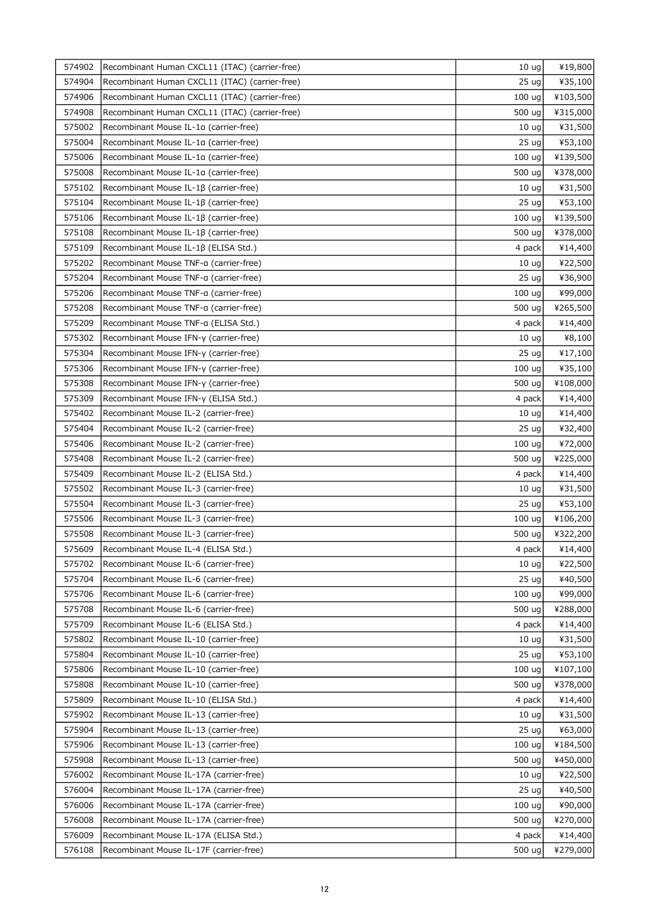| 574902 | Recombinant Human CXCL11 (ITAC) (carrier-free) | 10 <sub>uq</sub>  | ¥19,800  |
|--------|------------------------------------------------|-------------------|----------|
| 574904 | Recombinant Human CXCL11 (ITAC) (carrier-free) | 25 <sub>uq</sub>  | ¥35,100  |
| 574906 | Recombinant Human CXCL11 (ITAC) (carrier-free) | 100 ug            | ¥103,500 |
| 574908 | Recombinant Human CXCL11 (ITAC) (carrier-free) | 500 ug            | ¥315,000 |
| 575002 | Recombinant Mouse IL-1a (carrier-free)         | 10 <sub>uq</sub>  | ¥31,500  |
| 575004 | Recombinant Mouse IL-1a (carrier-free)         | 25 <sub>uq</sub>  | ¥53,100  |
| 575006 | Recombinant Mouse IL-1a (carrier-free)         | 100 <sub>uq</sub> | ¥139,500 |
| 575008 | Recombinant Mouse IL-1a (carrier-free)         | 500 ug            | ¥378,000 |
| 575102 | Recombinant Mouse IL-1β (carrier-free)         | 10 <sub>uq</sub>  | ¥31,500  |
| 575104 | Recombinant Mouse IL-1β (carrier-free)         | 25 <sub>uq</sub>  | ¥53,100  |
| 575106 | Recombinant Mouse IL-1ß (carrier-free)         | 100 <sub>uq</sub> | ¥139,500 |
| 575108 | Recombinant Mouse IL-1ß (carrier-free)         | 500 ug            | ¥378,000 |
| 575109 | Recombinant Mouse IL-1β (ELISA Std.)           | 4 pack            | ¥14,400  |
| 575202 | Recombinant Mouse TNF-a (carrier-free)         | 10 <sub>uq</sub>  | ¥22,500  |
| 575204 | Recombinant Mouse TNF-a (carrier-free)         | 25 <sub>uq</sub>  | ¥36,900  |
| 575206 | Recombinant Mouse TNF-a (carrier-free)         | 100 <sub>uq</sub> | ¥99,000  |
| 575208 | Recombinant Mouse TNF-a (carrier-free)         | 500 ug            | ¥265,500 |
| 575209 | Recombinant Mouse TNF-a (ELISA Std.)           | 4 pack            | ¥14,400  |
| 575302 | Recombinant Mouse IFN-y (carrier-free)         | 10 <sub>uq</sub>  | ¥8,100   |
| 575304 | Recombinant Mouse IFN-y (carrier-free)         | 25 <sub>uq</sub>  | ¥17,100  |
| 575306 | Recombinant Mouse IFN-y (carrier-free)         | 100 ug            | ¥35,100  |
| 575308 | Recombinant Mouse IFN-y (carrier-free)         | 500 ug            | ¥108,000 |
| 575309 | Recombinant Mouse IFN-y (ELISA Std.)           | 4 pack            | ¥14,400  |
| 575402 | Recombinant Mouse IL-2 (carrier-free)          | 10 <sub>uq</sub>  | ¥14,400  |
| 575404 | Recombinant Mouse IL-2 (carrier-free)          | 25 <sub>uq</sub>  | ¥32,400  |
| 575406 | Recombinant Mouse IL-2 (carrier-free)          | 100 ug            | ¥72,000  |
| 575408 | Recombinant Mouse IL-2 (carrier-free)          | 500 ug            | ¥225,000 |
| 575409 | Recombinant Mouse IL-2 (ELISA Std.)            | 4 pack            | ¥14,400  |
| 575502 | Recombinant Mouse IL-3 (carrier-free)          | 10 <sub>uq</sub>  | ¥31,500  |
| 575504 | Recombinant Mouse IL-3 (carrier-free)          | 25 <sub>uq</sub>  | ¥53,100  |
| 575506 | Recombinant Mouse IL-3 (carrier-free)          | 100 <sub>uq</sub> | ¥106,200 |
| 575508 | Recombinant Mouse IL-3 (carrier-free)          | 500 ug            | ¥322,200 |
| 575609 | Recombinant Mouse IL-4 (ELISA Std.)            | 4 pack            | ¥14,400  |
| 575702 | Recombinant Mouse IL-6 (carrier-free)          | 10 <sub>uq</sub>  | ¥22,500  |
| 575704 | Recombinant Mouse IL-6 (carrier-free)          | 25 <sub>uq</sub>  | ¥40,500  |
| 575706 | Recombinant Mouse IL-6 (carrier-free)          | 100 ug            | ¥99,000  |
| 575708 | Recombinant Mouse IL-6 (carrier-free)          | 500 ug            | ¥288,000 |
| 575709 | Recombinant Mouse IL-6 (ELISA Std.)            | 4 pack            | ¥14,400  |
| 575802 | Recombinant Mouse IL-10 (carrier-free)         | 10 <sub>uq</sub>  | ¥31,500  |
| 575804 | Recombinant Mouse IL-10 (carrier-free)         | 25 <sub>uq</sub>  | ¥53,100  |
| 575806 | Recombinant Mouse IL-10 (carrier-free)         | 100 <sub>uq</sub> | ¥107,100 |
| 575808 | Recombinant Mouse IL-10 (carrier-free)         | 500 ug            | ¥378,000 |
| 575809 | Recombinant Mouse IL-10 (ELISA Std.)           | 4 pack            | ¥14,400  |
| 575902 | Recombinant Mouse IL-13 (carrier-free)         | 10 <sub>uq</sub>  | ¥31,500  |
|        |                                                |                   |          |
| 575904 | Recombinant Mouse IL-13 (carrier-free)         | 25 <sub>uq</sub>  | ¥63,000  |
| 575906 | Recombinant Mouse IL-13 (carrier-free)         | 100 ug            | ¥184,500 |
| 575908 | Recombinant Mouse IL-13 (carrier-free)         | 500 ug            | ¥450,000 |
| 576002 | Recombinant Mouse IL-17A (carrier-free)        | 10 <sub>uq</sub>  | ¥22,500  |
| 576004 | Recombinant Mouse IL-17A (carrier-free)        | 25 <sub>uq</sub>  | ¥40,500  |
| 576006 | Recombinant Mouse IL-17A (carrier-free)        | 100 <sub>uq</sub> | ¥90,000  |
| 576008 | Recombinant Mouse IL-17A (carrier-free)        | 500 ug            | ¥270,000 |
| 576009 | Recombinant Mouse IL-17A (ELISA Std.)          | 4 pack            | ¥14,400  |
| 576108 | Recombinant Mouse IL-17F (carrier-free)        | 500 ug            | ¥279,000 |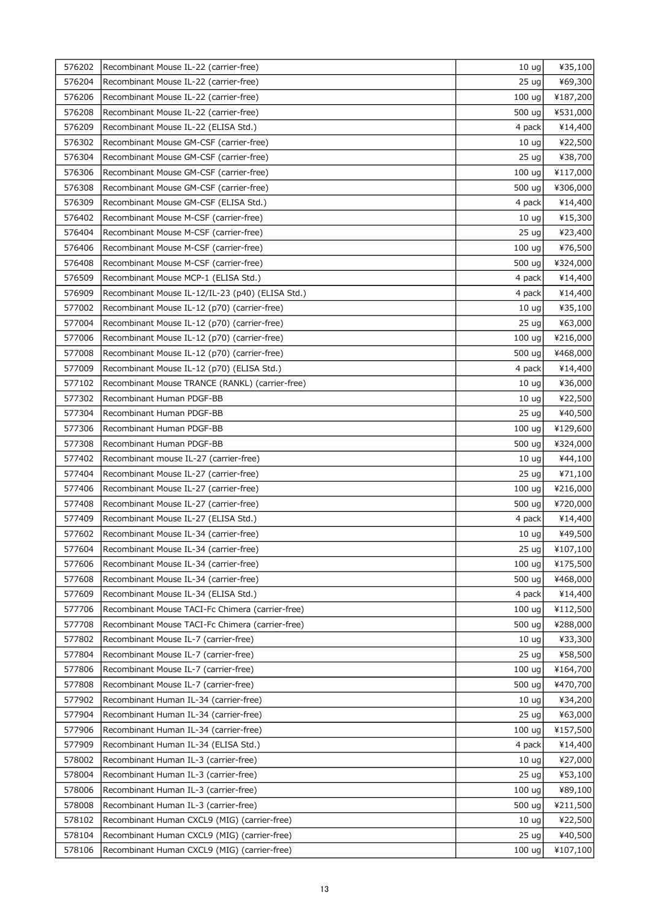| 576202 | Recombinant Mouse IL-22 (carrier-free)                                         | 10 <sub>uq</sub>           | ¥35,100            |
|--------|--------------------------------------------------------------------------------|----------------------------|--------------------|
| 576204 | Recombinant Mouse IL-22 (carrier-free)                                         | 25 <sub>uq</sub>           | ¥69,300            |
| 576206 | Recombinant Mouse IL-22 (carrier-free)                                         | 100 ug                     | ¥187,200           |
| 576208 | Recombinant Mouse IL-22 (carrier-free)                                         | 500 ug                     | ¥531,000           |
| 576209 | Recombinant Mouse IL-22 (ELISA Std.)                                           | 4 pack                     | ¥14,400            |
| 576302 | Recombinant Mouse GM-CSF (carrier-free)                                        | 10 <sub>uq</sub>           | ¥22,500            |
| 576304 | Recombinant Mouse GM-CSF (carrier-free)                                        | 25 <sub>uq</sub>           | ¥38,700            |
| 576306 | Recombinant Mouse GM-CSF (carrier-free)                                        | 100 ug                     | ¥117,000           |
| 576308 | Recombinant Mouse GM-CSF (carrier-free)                                        | 500 ug                     | ¥306,000           |
| 576309 | Recombinant Mouse GM-CSF (ELISA Std.)                                          | 4 pack                     | ¥14,400            |
| 576402 | Recombinant Mouse M-CSF (carrier-free)                                         | 10 <sub>uq</sub>           | ¥15,300            |
| 576404 | Recombinant Mouse M-CSF (carrier-free)                                         | 25 <sub>uq</sub>           | ¥23,400            |
| 576406 | Recombinant Mouse M-CSF (carrier-free)                                         | 100 <sub>uq</sub>          | ¥76,500            |
| 576408 | Recombinant Mouse M-CSF (carrier-free)                                         | 500 ug                     | ¥324,000           |
| 576509 | Recombinant Mouse MCP-1 (ELISA Std.)                                           | 4 pack                     | ¥14,400            |
| 576909 | Recombinant Mouse IL-12/IL-23 (p40) (ELISA Std.)                               | 4 pack                     | ¥14,400            |
| 577002 | Recombinant Mouse IL-12 (p70) (carrier-free)                                   | 10 <sub>uq</sub>           | ¥35,100            |
| 577004 | Recombinant Mouse IL-12 (p70) (carrier-free)                                   | 25 <sub>uq</sub>           | ¥63,000            |
| 577006 | Recombinant Mouse IL-12 (p70) (carrier-free)                                   | 100 ug                     | ¥216,000           |
| 577008 | Recombinant Mouse IL-12 (p70) (carrier-free)                                   | 500 ug                     | ¥468,000           |
| 577009 | Recombinant Mouse IL-12 (p70) (ELISA Std.)                                     | 4 pack                     | ¥14,400            |
| 577102 | Recombinant Mouse TRANCE (RANKL) (carrier-free)                                | 10 <sub>uq</sub>           | ¥36,000            |
| 577302 | Recombinant Human PDGF-BB                                                      | 10 <sub>uq</sub>           | ¥22,500            |
| 577304 | Recombinant Human PDGF-BB                                                      | 25 <sub>uq</sub>           | ¥40,500            |
| 577306 | Recombinant Human PDGF-BB                                                      | 100 ug                     | ¥129,600           |
| 577308 | Recombinant Human PDGF-BB                                                      | 500 ug                     | ¥324,000           |
| 577402 | Recombinant mouse IL-27 (carrier-free)                                         | 10 <sub>uq</sub>           | ¥44,100            |
| 577404 | Recombinant Mouse IL-27 (carrier-free)                                         | 25 <sub>uq</sub>           | ¥71,100            |
| 577406 | Recombinant Mouse IL-27 (carrier-free)                                         | 100 ug                     | ¥216,000           |
| 577408 | Recombinant Mouse IL-27 (carrier-free)                                         | 500 ug                     | ¥720,000           |
| 577409 | Recombinant Mouse IL-27 (ELISA Std.)                                           | 4 pack                     | ¥14,400            |
| 577602 | Recombinant Mouse IL-34 (carrier-free)                                         | 10 <sub>ug</sub>           | ¥49,500            |
| 577604 | Recombinant Mouse IL-34 (carrier-free)                                         | $25 \text{ ug}$            | ¥107,100           |
| 577606 | Recombinant Mouse IL-34 (carrier-free)                                         | 100 ug                     | ¥175,500           |
| 577608 | Recombinant Mouse IL-34 (carrier-free)                                         | 500 ug                     | ¥468,000           |
| 577609 | Recombinant Mouse IL-34 (ELISA Std.)                                           | 4 pack                     | ¥14,400            |
| 577706 | Recombinant Mouse TACI-Fc Chimera (carrier-free)                               | 100 ug                     | ¥112,500           |
| 577708 | Recombinant Mouse TACI-Fc Chimera (carrier-free)                               | 500 ug                     | ¥288,000           |
| 577802 | Recombinant Mouse IL-7 (carrier-free)                                          | 10 <sub>uq</sub>           | ¥33,300            |
| 577804 | Recombinant Mouse IL-7 (carrier-free)                                          | 25 <sub>uq</sub>           | ¥58,500            |
| 577806 | Recombinant Mouse IL-7 (carrier-free)                                          | 100 ug                     | ¥164,700           |
| 577808 | Recombinant Mouse IL-7 (carrier-free)                                          | 500 ug                     | ¥470,700           |
| 577902 | Recombinant Human IL-34 (carrier-free)                                         | 10 <sub>uq</sub>           | ¥34,200            |
| 577904 | Recombinant Human IL-34 (carrier-free)                                         | 25 <sub>uq</sub>           | ¥63,000            |
| 577906 | Recombinant Human IL-34 (carrier-free)                                         | 100 ug                     | ¥157,500           |
| 577909 |                                                                                |                            | ¥14,400            |
| 578002 | Recombinant Human IL-34 (ELISA Std.)                                           | 4 pack                     |                    |
| 578004 | Recombinant Human IL-3 (carrier-free)                                          | 10 <sub>uq</sub>           | ¥27,000            |
| 578006 | Recombinant Human IL-3 (carrier-free)<br>Recombinant Human IL-3 (carrier-free) | 25 <sub>uq</sub><br>100 ug | ¥53,100<br>¥89,100 |
| 578008 | Recombinant Human IL-3 (carrier-free)                                          | 500 ug                     | ¥211,500           |
| 578102 | Recombinant Human CXCL9 (MIG) (carrier-free)                                   | 10 <sub>uq</sub>           | ¥22,500            |
| 578104 | Recombinant Human CXCL9 (MIG) (carrier-free)                                   | 25 <sub>uq</sub>           | ¥40,500            |
| 578106 | Recombinant Human CXCL9 (MIG) (carrier-free)                                   | 100 <sub>uq</sub>          | ¥107,100           |
|        |                                                                                |                            |                    |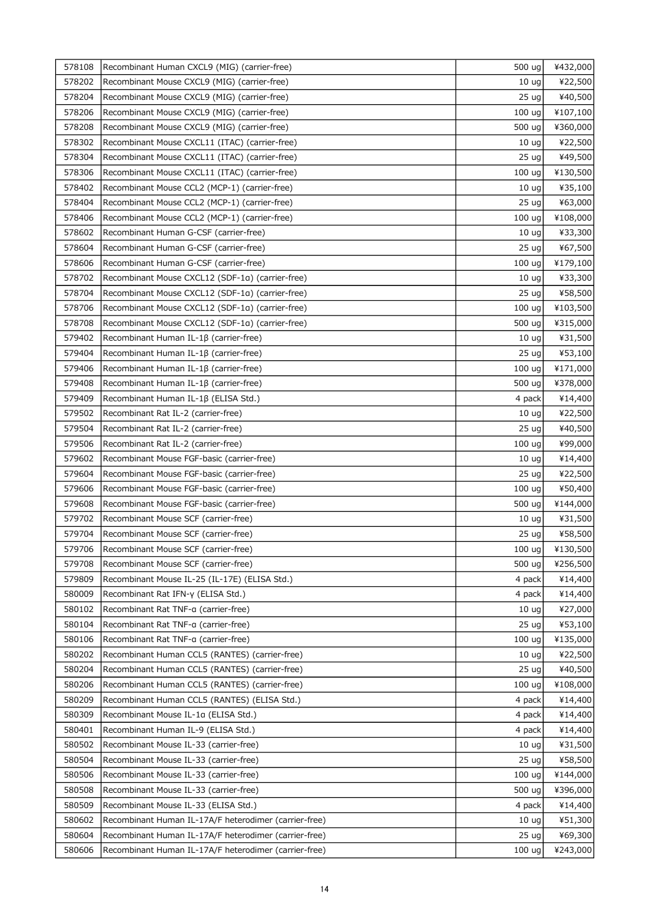| 578108 | Recombinant Human CXCL9 (MIG) (carrier-free)          | 500 ug            | ¥432,000 |
|--------|-------------------------------------------------------|-------------------|----------|
| 578202 | Recombinant Mouse CXCL9 (MIG) (carrier-free)          | 10 <sub>uq</sub>  | ¥22,500  |
| 578204 | Recombinant Mouse CXCL9 (MIG) (carrier-free)          | 25 <sub>uq</sub>  | ¥40,500  |
| 578206 | Recombinant Mouse CXCL9 (MIG) (carrier-free)          | 100 ug            | ¥107,100 |
| 578208 | Recombinant Mouse CXCL9 (MIG) (carrier-free)          | 500 ug            | ¥360,000 |
| 578302 | Recombinant Mouse CXCL11 (ITAC) (carrier-free)        | 10 <sub>uq</sub>  | ¥22,500  |
| 578304 | Recombinant Mouse CXCL11 (ITAC) (carrier-free)        | 25 ug             | ¥49,500  |
| 578306 | Recombinant Mouse CXCL11 (ITAC) (carrier-free)        | 100 ug            | ¥130,500 |
| 578402 | Recombinant Mouse CCL2 (MCP-1) (carrier-free)         | 10 <sub>ug</sub>  | ¥35,100  |
| 578404 | Recombinant Mouse CCL2 (MCP-1) (carrier-free)         | 25 <sub>uq</sub>  | ¥63,000  |
| 578406 | Recombinant Mouse CCL2 (MCP-1) (carrier-free)         | 100 ug            | ¥108,000 |
| 578602 | Recombinant Human G-CSF (carrier-free)                | 10 <sub>ug</sub>  | ¥33,300  |
| 578604 | Recombinant Human G-CSF (carrier-free)                | 25 <sub>uq</sub>  | ¥67,500  |
| 578606 | Recombinant Human G-CSF (carrier-free)                | 100 ug            | ¥179,100 |
| 578702 | Recombinant Mouse CXCL12 (SDF-1a) (carrier-free)      | 10 <sub>uq</sub>  | ¥33,300  |
| 578704 | Recombinant Mouse CXCL12 (SDF-1a) (carrier-free)      | 25 <sub>uq</sub>  | ¥58,500  |
| 578706 | Recombinant Mouse CXCL12 (SDF-1a) (carrier-free)      | 100 ug            | ¥103,500 |
| 578708 | Recombinant Mouse CXCL12 (SDF-1a) (carrier-free)      | 500 ug            | ¥315,000 |
| 579402 | Recombinant Human IL-1β (carrier-free)                | 10 <sub>ug</sub>  | ¥31,500  |
| 579404 | Recombinant Human IL-1ß (carrier-free)                | 25 <sub>uq</sub>  | ¥53,100  |
| 579406 | Recombinant Human IL-1ß (carrier-free)                | 100 ug            | ¥171,000 |
| 579408 | Recombinant Human IL-1β (carrier-free)                | 500 ug            | ¥378,000 |
| 579409 | Recombinant Human IL-1β (ELISA Std.)                  | 4 pack            | ¥14,400  |
| 579502 | Recombinant Rat IL-2 (carrier-free)                   | 10 <sub>ug</sub>  | ¥22,500  |
| 579504 | Recombinant Rat IL-2 (carrier-free)                   | 25 <sub>uq</sub>  | ¥40,500  |
| 579506 | Recombinant Rat IL-2 (carrier-free)                   | 100 ug            | ¥99,000  |
| 579602 | Recombinant Mouse FGF-basic (carrier-free)            | 10 <sub>uq</sub>  | ¥14,400  |
| 579604 | Recombinant Mouse FGF-basic (carrier-free)            | 25 <sub>uq</sub>  | ¥22,500  |
| 579606 | Recombinant Mouse FGF-basic (carrier-free)            | 100 <sub>uq</sub> | ¥50,400  |
| 579608 | Recombinant Mouse FGF-basic (carrier-free)            | 500 ug            | ¥144,000 |
| 579702 | Recombinant Mouse SCF (carrier-free)                  | 10 <sub>uq</sub>  | ¥31,500  |
| 579704 | Recombinant Mouse SCF (carrier-free)                  | 25 <sub>uq</sub>  | ¥58,500  |
| 579706 | Recombinant Mouse SCF (carrier-free)                  | 100 $ug$          | ¥130,500 |
| 579708 | Recombinant Mouse SCF (carrier-free)                  | 500 ug            | ¥256,500 |
| 579809 | Recombinant Mouse IL-25 (IL-17E) (ELISA Std.)         | 4 pack            | ¥14,400  |
| 580009 | Recombinant Rat IFN-y (ELISA Std.)                    | 4 pack            | ¥14,400  |
| 580102 | Recombinant Rat TNF-a (carrier-free)                  | 10 <sub>uq</sub>  | ¥27,000  |
| 580104 | Recombinant Rat TNF-a (carrier-free)                  | 25 <sub>uq</sub>  | ¥53,100  |
| 580106 | Recombinant Rat TNF-a (carrier-free)                  | 100 ug            | ¥135,000 |
| 580202 | Recombinant Human CCL5 (RANTES) (carrier-free)        | 10 <sub>uq</sub>  | ¥22,500  |
| 580204 | Recombinant Human CCL5 (RANTES) (carrier-free)        | 25 <sub>uq</sub>  | ¥40,500  |
| 580206 | Recombinant Human CCL5 (RANTES) (carrier-free)        | 100 ug            | ¥108,000 |
| 580209 | Recombinant Human CCL5 (RANTES) (ELISA Std.)          | 4 pack            | ¥14,400  |
| 580309 | Recombinant Mouse IL-1a (ELISA Std.)                  | 4 pack            | ¥14,400  |
| 580401 | Recombinant Human IL-9 (ELISA Std.)                   | 4 pack            | ¥14,400  |
| 580502 | Recombinant Mouse IL-33 (carrier-free)                | 10 <sub>uq</sub>  | ¥31,500  |
| 580504 | Recombinant Mouse IL-33 (carrier-free)                | 25 <sub>uq</sub>  | ¥58,500  |
| 580506 | Recombinant Mouse IL-33 (carrier-free)                | 100 <sub>uq</sub> | ¥144,000 |
| 580508 | Recombinant Mouse IL-33 (carrier-free)                | 500 ug            | ¥396,000 |
| 580509 | Recombinant Mouse IL-33 (ELISA Std.)                  | 4 pack            | ¥14,400  |
| 580602 | Recombinant Human IL-17A/F heterodimer (carrier-free) | 10 <sub>uq</sub>  | ¥51,300  |
| 580604 | Recombinant Human IL-17A/F heterodimer (carrier-free) | 25 <sub>uq</sub>  | ¥69,300  |
| 580606 | Recombinant Human IL-17A/F heterodimer (carrier-free) | 100 <sub>uq</sub> | ¥243,000 |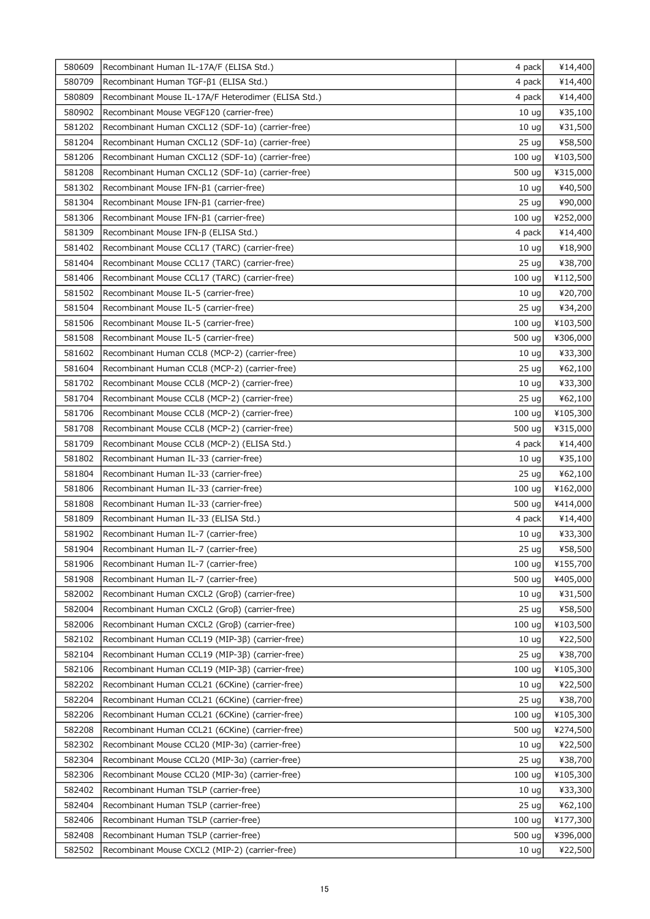| 580609 | Recombinant Human IL-17A/F (ELISA Std.)             | 4 pack            | ¥14,400  |
|--------|-----------------------------------------------------|-------------------|----------|
| 580709 | Recombinant Human TGF- $\beta$ 1 (ELISA Std.)       | 4 pack            | ¥14,400  |
| 580809 | Recombinant Mouse IL-17A/F Heterodimer (ELISA Std.) | 4 pack            | ¥14,400  |
| 580902 | Recombinant Mouse VEGF120 (carrier-free)            | 10 <sub>uq</sub>  | ¥35,100  |
| 581202 | Recombinant Human CXCL12 (SDF-1a) (carrier-free)    | 10 <sub>uq</sub>  | ¥31,500  |
| 581204 | Recombinant Human CXCL12 (SDF-1a) (carrier-free)    | 25 <sub>uq</sub>  | ¥58,500  |
| 581206 | Recombinant Human CXCL12 (SDF-1a) (carrier-free)    | 100 <sub>uq</sub> | ¥103,500 |
| 581208 | Recombinant Human CXCL12 (SDF-1a) (carrier-free)    | 500 ug            | ¥315,000 |
| 581302 | Recombinant Mouse IFN-B1 (carrier-free)             | 10 <sub>uq</sub>  | ¥40,500  |
| 581304 | Recombinant Mouse IFN-β1 (carrier-free)             | 25 <sub>uq</sub>  | ¥90,000  |
| 581306 | Recombinant Mouse IFN-β1 (carrier-free)             | 100 ug            | ¥252,000 |
| 581309 | Recombinant Mouse IFN-ß (ELISA Std.)                | 4 pack            | ¥14,400  |
| 581402 | Recombinant Mouse CCL17 (TARC) (carrier-free)       | 10 <sub>ug</sub>  | ¥18,900  |
| 581404 | Recombinant Mouse CCL17 (TARC) (carrier-free)       | 25 <sub>uq</sub>  | ¥38,700  |
| 581406 | Recombinant Mouse CCL17 (TARC) (carrier-free)       | 100 ug            | ¥112,500 |
| 581502 | Recombinant Mouse IL-5 (carrier-free)               | 10 <sub>uq</sub>  | ¥20,700  |
| 581504 | Recombinant Mouse IL-5 (carrier-free)               | 25 <sub>uq</sub>  | ¥34,200  |
| 581506 | Recombinant Mouse IL-5 (carrier-free)               | 100 ug            | ¥103,500 |
| 581508 | Recombinant Mouse IL-5 (carrier-free)               | 500 ug            | ¥306,000 |
| 581602 | Recombinant Human CCL8 (MCP-2) (carrier-free)       | 10 <sub>uq</sub>  | ¥33,300  |
| 581604 | Recombinant Human CCL8 (MCP-2) (carrier-free)       | 25 <sub>uq</sub>  | ¥62,100  |
| 581702 | Recombinant Mouse CCL8 (MCP-2) (carrier-free)       | 10 <sub>uq</sub>  | ¥33,300  |
| 581704 | Recombinant Mouse CCL8 (MCP-2) (carrier-free)       | 25 <sub>uq</sub>  | ¥62,100  |
| 581706 | Recombinant Mouse CCL8 (MCP-2) (carrier-free)       | 100 <sub>uq</sub> | ¥105,300 |
| 581708 | Recombinant Mouse CCL8 (MCP-2) (carrier-free)       | 500 ug            | ¥315,000 |
| 581709 | Recombinant Mouse CCL8 (MCP-2) (ELISA Std.)         | 4 pack            | ¥14,400  |
| 581802 | Recombinant Human IL-33 (carrier-free)              | 10 <sub>uq</sub>  | ¥35,100  |
| 581804 | Recombinant Human IL-33 (carrier-free)              | 25 <sub>uq</sub>  | ¥62,100  |
| 581806 | Recombinant Human IL-33 (carrier-free)              | 100 ug            | ¥162,000 |
| 581808 | Recombinant Human IL-33 (carrier-free)              | 500 ug            | ¥414,000 |
| 581809 | Recombinant Human IL-33 (ELISA Std.)                | 4 pack            | ¥14,400  |
| 581902 | Recombinant Human IL-7 (carrier-free)               | 10 <sub>ug</sub>  | ¥33,300  |
| 581904 | Recombinant Human IL-7 (carrier-free)               | $25 \text{ ug}$   | ¥58,500  |
| 581906 | Recombinant Human IL-7 (carrier-free)               | 100 ug            | ¥155,700 |
| 581908 | Recombinant Human IL-7 (carrier-free)               | 500 ug            | ¥405,000 |
| 582002 | Recombinant Human CXCL2 (Groß) (carrier-free)       | 10 <sub>uq</sub>  | ¥31,500  |
| 582004 | Recombinant Human CXCL2 (Groß) (carrier-free)       | 25 <sub>uq</sub>  | ¥58,500  |
| 582006 | Recombinant Human CXCL2 (Groß) (carrier-free)       | 100 uq            | ¥103,500 |
| 582102 | Recombinant Human CCL19 (MIP-3ß) (carrier-free)     | 10 <sub>uq</sub>  | ¥22,500  |
| 582104 | Recombinant Human CCL19 (MIP-3ß) (carrier-free)     | 25 <sub>uq</sub>  | ¥38,700  |
| 582106 | Recombinant Human CCL19 (MIP-3ß) (carrier-free)     | 100 <sub>uq</sub> | ¥105,300 |
| 582202 | Recombinant Human CCL21 (6CKine) (carrier-free)     | 10 <sub>uq</sub>  | ¥22,500  |
| 582204 | Recombinant Human CCL21 (6CKine) (carrier-free)     | 25 <sub>uq</sub>  | ¥38,700  |
| 582206 | Recombinant Human CCL21 (6CKine) (carrier-free)     | 100 ug            | ¥105,300 |
| 582208 | Recombinant Human CCL21 (6CKine) (carrier-free)     | 500 ug            | ¥274,500 |
| 582302 | Recombinant Mouse CCL20 (MIP-3a) (carrier-free)     | 10 <sub>uq</sub>  | ¥22,500  |
| 582304 | Recombinant Mouse CCL20 (MIP-3a) (carrier-free)     | 25 <sub>uq</sub>  | ¥38,700  |
| 582306 | Recombinant Mouse CCL20 (MIP-3a) (carrier-free)     | 100 <sub>uq</sub> | ¥105,300 |
| 582402 | Recombinant Human TSLP (carrier-free)               | 10 <sub>uq</sub>  | ¥33,300  |
| 582404 | Recombinant Human TSLP (carrier-free)               | 25 <sub>uq</sub>  | ¥62,100  |
| 582406 | Recombinant Human TSLP (carrier-free)               | 100 ug            | ¥177,300 |
| 582408 | Recombinant Human TSLP (carrier-free)               | 500 ug            | ¥396,000 |
| 582502 | Recombinant Mouse CXCL2 (MIP-2) (carrier-free)      | 10 <sub>uq</sub>  | ¥22,500  |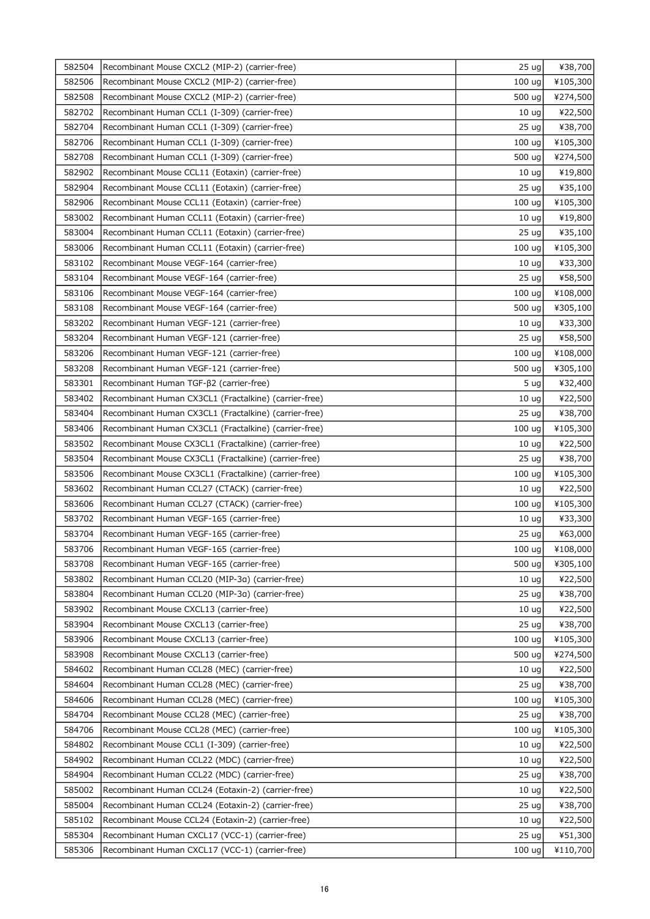| 582504 | Recombinant Mouse CXCL2 (MIP-2) (carrier-free)        | 25 <sub>uq</sub>  | ¥38,700  |
|--------|-------------------------------------------------------|-------------------|----------|
| 582506 | Recombinant Mouse CXCL2 (MIP-2) (carrier-free)        | 100 ug            | ¥105,300 |
| 582508 | Recombinant Mouse CXCL2 (MIP-2) (carrier-free)        | 500 ug            | ¥274,500 |
| 582702 | Recombinant Human CCL1 (I-309) (carrier-free)         | 10 <sub>uq</sub>  | ¥22,500  |
| 582704 | Recombinant Human CCL1 (I-309) (carrier-free)         | 25 <sub>uq</sub>  | ¥38,700  |
| 582706 | Recombinant Human CCL1 (I-309) (carrier-free)         | 100 ug            | ¥105,300 |
| 582708 | Recombinant Human CCL1 (I-309) (carrier-free)         | 500 ug            | ¥274,500 |
| 582902 | Recombinant Mouse CCL11 (Eotaxin) (carrier-free)      | 10 <sub>uq</sub>  | ¥19,800  |
| 582904 | Recombinant Mouse CCL11 (Eotaxin) (carrier-free)      | 25 <sub>uq</sub>  | ¥35,100  |
| 582906 | Recombinant Mouse CCL11 (Eotaxin) (carrier-free)      | 100 <sub>uq</sub> | ¥105,300 |
| 583002 | Recombinant Human CCL11 (Eotaxin) (carrier-free)      | 10 <sub>uq</sub>  | ¥19,800  |
| 583004 | Recombinant Human CCL11 (Eotaxin) (carrier-free)      | 25 <sub>uq</sub>  | ¥35,100  |
| 583006 | Recombinant Human CCL11 (Eotaxin) (carrier-free)      | 100 <sub>uq</sub> | ¥105,300 |
| 583102 | Recombinant Mouse VEGF-164 (carrier-free)             | 10 <sub>uq</sub>  | ¥33,300  |
| 583104 | Recombinant Mouse VEGF-164 (carrier-free)             | 25 <sub>uq</sub>  | ¥58,500  |
| 583106 | Recombinant Mouse VEGF-164 (carrier-free)             | 100 ug            | ¥108,000 |
| 583108 | Recombinant Mouse VEGF-164 (carrier-free)             | 500 ug            | ¥305,100 |
| 583202 | Recombinant Human VEGF-121 (carrier-free)             | 10 <sub>uq</sub>  | ¥33,300  |
| 583204 | Recombinant Human VEGF-121 (carrier-free)             | 25 ug             | ¥58,500  |
| 583206 | Recombinant Human VEGF-121 (carrier-free)             | 100 <sub>uq</sub> | ¥108,000 |
| 583208 | Recombinant Human VEGF-121 (carrier-free)             | 500 ug            | ¥305,100 |
| 583301 | Recombinant Human TGF-β2 (carrier-free)               | 5 <sub>uq</sub>   | ¥32,400  |
| 583402 | Recombinant Human CX3CL1 (Fractalkine) (carrier-free) | 10 <sub>uq</sub>  | ¥22,500  |
| 583404 | Recombinant Human CX3CL1 (Fractalkine) (carrier-free) | 25 <sub>uq</sub>  | ¥38,700  |
| 583406 | Recombinant Human CX3CL1 (Fractalkine) (carrier-free) | 100 ug            | ¥105,300 |
| 583502 | Recombinant Mouse CX3CL1 (Fractalkine) (carrier-free) | 10 <sub>uq</sub>  | ¥22,500  |
| 583504 | Recombinant Mouse CX3CL1 (Fractalkine) (carrier-free) | 25 <sub>uq</sub>  | ¥38,700  |
| 583506 | Recombinant Mouse CX3CL1 (Fractalkine) (carrier-free) | 100 ug            | ¥105,300 |
| 583602 | Recombinant Human CCL27 (CTACK) (carrier-free)        | 10 <sub>uq</sub>  | ¥22,500  |
| 583606 | Recombinant Human CCL27 (CTACK) (carrier-free)        | 100 ug            | ¥105,300 |
| 583702 | Recombinant Human VEGF-165 (carrier-free)             | 10 <sub>uq</sub>  | ¥33,300  |
| 583704 | Recombinant Human VEGF-165 (carrier-free)             | 25 <sub>uq</sub>  | ¥63,000  |
| 583706 | Recombinant Human VEGF-165 (carrier-free)             | 100 $ug$          | ¥108,000 |
| 583708 | Recombinant Human VEGF-165 (carrier-free)             | 500 ug            | ¥305,100 |
| 583802 | Recombinant Human CCL20 (MIP-3a) (carrier-free)       | 10 <sub>uq</sub>  | ¥22,500  |
| 583804 | Recombinant Human CCL20 (MIP-3a) (carrier-free)       | 25 <sub>uq</sub>  | ¥38,700  |
| 583902 | Recombinant Mouse CXCL13 (carrier-free)               | 10 <sub>uq</sub>  | ¥22,500  |
| 583904 | Recombinant Mouse CXCL13 (carrier-free)               | 25 <sub>uq</sub>  | ¥38,700  |
| 583906 | Recombinant Mouse CXCL13 (carrier-free)               | 100 ug            | ¥105,300 |
| 583908 | Recombinant Mouse CXCL13 (carrier-free)               | 500 ug            | ¥274,500 |
| 584602 | Recombinant Human CCL28 (MEC) (carrier-free)          | 10 <sub>uq</sub>  | ¥22,500  |
| 584604 | Recombinant Human CCL28 (MEC) (carrier-free)          | 25 <sub>uq</sub>  | ¥38,700  |
| 584606 | Recombinant Human CCL28 (MEC) (carrier-free)          | 100 ug            | ¥105,300 |
| 584704 | Recombinant Mouse CCL28 (MEC) (carrier-free)          | 25 <sub>uq</sub>  | ¥38,700  |
| 584706 | Recombinant Mouse CCL28 (MEC) (carrier-free)          | 100 ug            | ¥105,300 |
| 584802 | Recombinant Mouse CCL1 (I-309) (carrier-free)         | 10 <sub>uq</sub>  | ¥22,500  |
| 584902 | Recombinant Human CCL22 (MDC) (carrier-free)          | 10 <sub>uq</sub>  | ¥22,500  |
| 584904 | Recombinant Human CCL22 (MDC) (carrier-free)          | 25 <sub>uq</sub>  | ¥38,700  |
| 585002 | Recombinant Human CCL24 (Eotaxin-2) (carrier-free)    | 10 <sub>uq</sub>  | ¥22,500  |
| 585004 | Recombinant Human CCL24 (Eotaxin-2) (carrier-free)    | 25 <sub>uq</sub>  | ¥38,700  |
| 585102 | Recombinant Mouse CCL24 (Eotaxin-2) (carrier-free)    | 10 <sub>uq</sub>  | ¥22,500  |
| 585304 | Recombinant Human CXCL17 (VCC-1) (carrier-free)       | 25 <sub>uq</sub>  | ¥51,300  |
| 585306 | Recombinant Human CXCL17 (VCC-1) (carrier-free)       | 100 <sub>uq</sub> | ¥110,700 |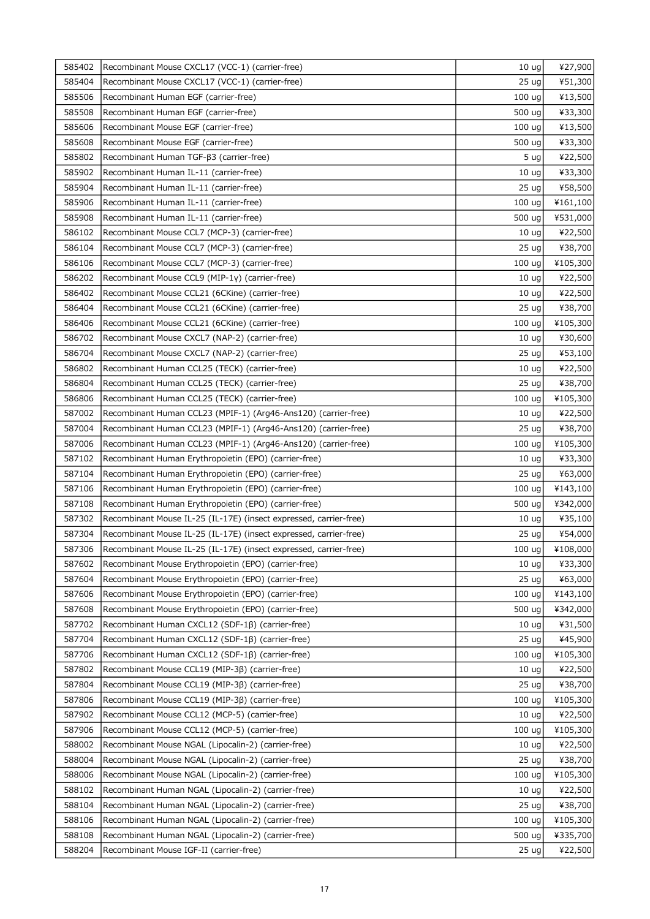| 585402 | Recombinant Mouse CXCL17 (VCC-1) (carrier-free)                   | 10 <sub>uq</sub>  | ¥27,900  |
|--------|-------------------------------------------------------------------|-------------------|----------|
| 585404 | Recombinant Mouse CXCL17 (VCC-1) (carrier-free)                   | 25 <sub>uq</sub>  | ¥51,300  |
| 585506 | Recombinant Human EGF (carrier-free)                              | 100 <sub>uq</sub> | ¥13,500  |
| 585508 | Recombinant Human EGF (carrier-free)                              | 500 ug            | ¥33,300  |
| 585606 | Recombinant Mouse EGF (carrier-free)                              | 100 ug            | ¥13,500  |
| 585608 | Recombinant Mouse EGF (carrier-free)                              | 500 ug            | ¥33,300  |
| 585802 | Recombinant Human $TGF-\beta3 (carrier-free)$                     | 5 <sub>uq</sub>   | ¥22,500  |
| 585902 | Recombinant Human IL-11 (carrier-free)                            | 10 <sub>uq</sub>  | ¥33,300  |
| 585904 | Recombinant Human IL-11 (carrier-free)                            | 25 ug             | ¥58,500  |
| 585906 | Recombinant Human IL-11 (carrier-free)                            | 100 <sub>uq</sub> | ¥161,100 |
| 585908 | Recombinant Human IL-11 (carrier-free)                            | 500 ug            | ¥531,000 |
| 586102 | Recombinant Mouse CCL7 (MCP-3) (carrier-free)                     | 10 <sub>ug</sub>  | ¥22,500  |
| 586104 | Recombinant Mouse CCL7 (MCP-3) (carrier-free)                     | 25 <sub>uq</sub>  | ¥38,700  |
| 586106 | Recombinant Mouse CCL7 (MCP-3) (carrier-free)                     | 100 ug            | ¥105,300 |
| 586202 | Recombinant Mouse CCL9 (MIP-1y) (carrier-free)                    | 10 <sub>uq</sub>  | ¥22,500  |
| 586402 | Recombinant Mouse CCL21 (6CKine) (carrier-free)                   | 10 <sub>ug</sub>  | ¥22,500  |
| 586404 | Recombinant Mouse CCL21 (6CKine) (carrier-free)                   | 25 <sub>uq</sub>  | ¥38,700  |
| 586406 | Recombinant Mouse CCL21 (6CKine) (carrier-free)                   | 100 ug            | ¥105,300 |
| 586702 | Recombinant Mouse CXCL7 (NAP-2) (carrier-free)                    | 10 <sub>ug</sub>  | ¥30,600  |
| 586704 | Recombinant Mouse CXCL7 (NAP-2) (carrier-free)                    | 25 <sub>uq</sub>  | ¥53,100  |
| 586802 | Recombinant Human CCL25 (TECK) (carrier-free)                     | 10 <sub>uq</sub>  | ¥22,500  |
| 586804 | Recombinant Human CCL25 (TECK) (carrier-free)                     | 25 ug             | ¥38,700  |
| 586806 | Recombinant Human CCL25 (TECK) (carrier-free)                     | 100 ug            | ¥105,300 |
| 587002 | Recombinant Human CCL23 (MPIF-1) (Arg46-Ans120) (carrier-free)    | 10 <sub>uq</sub>  | ¥22,500  |
| 587004 | Recombinant Human CCL23 (MPIF-1) (Arg46-Ans120) (carrier-free)    | 25 <sub>uq</sub>  | ¥38,700  |
| 587006 | Recombinant Human CCL23 (MPIF-1) (Arg46-Ans120) (carrier-free)    | 100 <sub>uq</sub> | ¥105,300 |
| 587102 | Recombinant Human Erythropoietin (EPO) (carrier-free)             | 10 <sub>uq</sub>  | ¥33,300  |
| 587104 | Recombinant Human Erythropoietin (EPO) (carrier-free)             | 25 <sub>uq</sub>  | ¥63,000  |
| 587106 | Recombinant Human Erythropoietin (EPO) (carrier-free)             | 100 ug            | ¥143,100 |
| 587108 | Recombinant Human Erythropoietin (EPO) (carrier-free)             | 500 ug            | ¥342,000 |
| 587302 | Recombinant Mouse IL-25 (IL-17E) (insect expressed, carrier-free) | 10 <sub>uq</sub>  | ¥35,100  |
| 587304 | Recombinant Mouse IL-25 (IL-17E) (insect expressed, carrier-free) | 25 ug             | ¥54,000  |
| 587306 | Recombinant Mouse IL-25 (IL-17E) (insect expressed, carrier-free) | $100 \text{ ug}$  | ¥108,000 |
| 587602 | Recombinant Mouse Erythropoietin (EPO) (carrier-free)             | 10 <sub>uq</sub>  | ¥33,300  |
| 587604 | Recombinant Mouse Erythropoietin (EPO) (carrier-free)             | 25 <sub>uq</sub>  | ¥63,000  |
| 587606 | Recombinant Mouse Erythropoietin (EPO) (carrier-free)             | 100 ug            | ¥143,100 |
| 587608 | Recombinant Mouse Erythropoietin (EPO) (carrier-free)             | 500 ug            | ¥342,000 |
| 587702 | Recombinant Human CXCL12 (SDF-1B) (carrier-free)                  | 10 <sub>uq</sub>  | ¥31,500  |
| 587704 | Recombinant Human CXCL12 (SDF-1ß) (carrier-free)                  | 25 <sub>uq</sub>  | ¥45,900  |
| 587706 | Recombinant Human CXCL12 (SDF-1B) (carrier-free)                  | 100 uq            | ¥105,300 |
| 587802 | Recombinant Mouse CCL19 (MIP-3B) (carrier-free)                   | 10 <sub>uq</sub>  | ¥22,500  |
| 587804 | Recombinant Mouse CCL19 (MIP-3ß) (carrier-free)                   | 25 <sub>uq</sub>  | ¥38,700  |
| 587806 | Recombinant Mouse CCL19 (MIP-3ß) (carrier-free)                   | 100 <sub>uq</sub> | ¥105,300 |
| 587902 | Recombinant Mouse CCL12 (MCP-5) (carrier-free)                    | 10 <sub>uq</sub>  | ¥22,500  |
| 587906 | Recombinant Mouse CCL12 (MCP-5) (carrier-free)                    | 100 ug            | ¥105,300 |
| 588002 | Recombinant Mouse NGAL (Lipocalin-2) (carrier-free)               | 10 <sub>uq</sub>  | ¥22,500  |
| 588004 | Recombinant Mouse NGAL (Lipocalin-2) (carrier-free)               | 25 <sub>uq</sub>  | ¥38,700  |
| 588006 | Recombinant Mouse NGAL (Lipocalin-2) (carrier-free)               | 100 ug            | ¥105,300 |
| 588102 | Recombinant Human NGAL (Lipocalin-2) (carrier-free)               | 10 <sub>uq</sub>  | ¥22,500  |
| 588104 | Recombinant Human NGAL (Lipocalin-2) (carrier-free)               | 25 <sub>uq</sub>  | ¥38,700  |
| 588106 | Recombinant Human NGAL (Lipocalin-2) (carrier-free)               | 100 ug            | ¥105,300 |
| 588108 | Recombinant Human NGAL (Lipocalin-2) (carrier-free)               | 500 ug            | ¥335,700 |
| 588204 | Recombinant Mouse IGF-II (carrier-free)                           | 25 <sub>uq</sub>  | ¥22,500  |
|        |                                                                   |                   |          |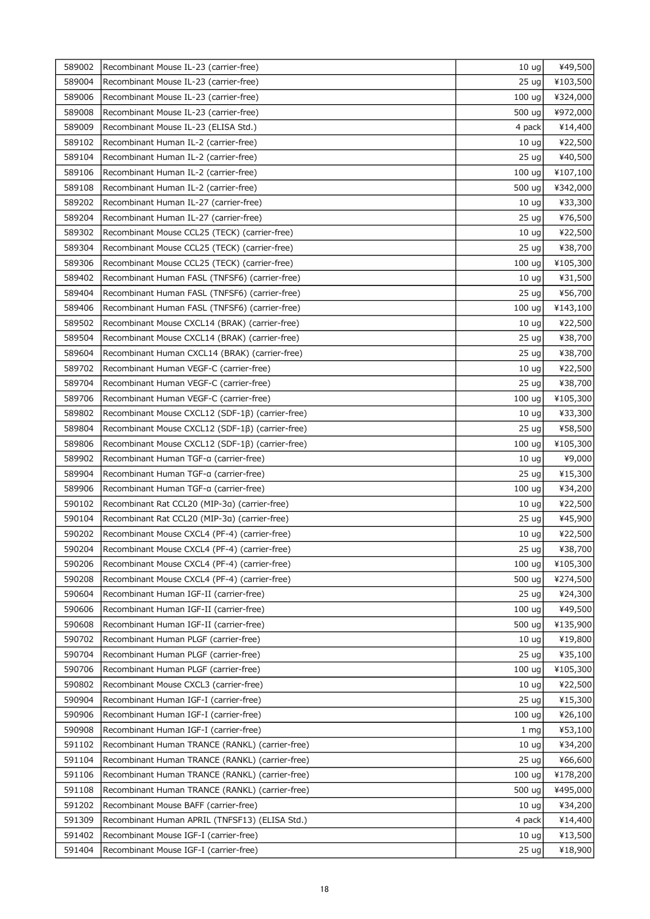| 589002 | Recombinant Mouse IL-23 (carrier-free)           | 10 <sub>uq</sub>  | ¥49,500  |
|--------|--------------------------------------------------|-------------------|----------|
| 589004 | Recombinant Mouse IL-23 (carrier-free)           | 25 <sub>uq</sub>  | ¥103,500 |
| 589006 | Recombinant Mouse IL-23 (carrier-free)           | 100 ug            | ¥324,000 |
| 589008 | Recombinant Mouse IL-23 (carrier-free)           | 500 ug            | ¥972,000 |
| 589009 | Recombinant Mouse IL-23 (ELISA Std.)             | 4 pack            | ¥14,400  |
| 589102 | Recombinant Human IL-2 (carrier-free)            | 10 <sub>uq</sub>  | ¥22,500  |
| 589104 | Recombinant Human IL-2 (carrier-free)            | 25 <sub>uq</sub>  | ¥40,500  |
| 589106 | Recombinant Human IL-2 (carrier-free)            | 100 ug            | ¥107,100 |
| 589108 | Recombinant Human IL-2 (carrier-free)            | 500 ug            | ¥342,000 |
| 589202 | Recombinant Human IL-27 (carrier-free)           | 10 <sub>uq</sub>  | ¥33,300  |
| 589204 | Recombinant Human IL-27 (carrier-free)           | 25 <sub>uq</sub>  | ¥76,500  |
| 589302 | Recombinant Mouse CCL25 (TECK) (carrier-free)    | 10 <sub>uq</sub>  | ¥22,500  |
| 589304 | Recombinant Mouse CCL25 (TECK) (carrier-free)    | 25 <sub>uq</sub>  | ¥38,700  |
| 589306 | Recombinant Mouse CCL25 (TECK) (carrier-free)    | 100 ug            | ¥105,300 |
| 589402 | Recombinant Human FASL (TNFSF6) (carrier-free)   | 10 <sub>uq</sub>  | ¥31,500  |
| 589404 | Recombinant Human FASL (TNFSF6) (carrier-free)   | 25 <sub>uq</sub>  | ¥56,700  |
| 589406 | Recombinant Human FASL (TNFSF6) (carrier-free)   | 100 ug            | ¥143,100 |
| 589502 | Recombinant Mouse CXCL14 (BRAK) (carrier-free)   | 10 <sub>uq</sub>  | ¥22,500  |
| 589504 | Recombinant Mouse CXCL14 (BRAK) (carrier-free)   | 25 <sub>uq</sub>  | ¥38,700  |
| 589604 | Recombinant Human CXCL14 (BRAK) (carrier-free)   | 25 <sub>uq</sub>  | ¥38,700  |
| 589702 | Recombinant Human VEGF-C (carrier-free)          | 10 <sub>uq</sub>  | ¥22,500  |
| 589704 | Recombinant Human VEGF-C (carrier-free)          | 25 <sub>uq</sub>  | ¥38,700  |
| 589706 | Recombinant Human VEGF-C (carrier-free)          | 100 <sub>uq</sub> | ¥105,300 |
| 589802 | Recombinant Mouse CXCL12 (SDF-1B) (carrier-free) | 10 <sub>uq</sub>  | ¥33,300  |
| 589804 | Recombinant Mouse CXCL12 (SDF-1ß) (carrier-free) | 25 <sub>uq</sub>  | ¥58,500  |
| 589806 | Recombinant Mouse CXCL12 (SDF-1ß) (carrier-free) | 100 ug            | ¥105,300 |
| 589902 | Recombinant Human TGF-a (carrier-free)           | 10 <sub>uq</sub>  | ¥9,000   |
| 589904 | Recombinant Human TGF-a (carrier-free)           | 25 <sub>uq</sub>  | ¥15,300  |
| 589906 | Recombinant Human TGF-a (carrier-free)           | 100 ug            | ¥34,200  |
| 590102 | Recombinant Rat CCL20 (MIP-3a) (carrier-free)    | 10 <sub>ug</sub>  | ¥22,500  |
| 590104 | Recombinant Rat CCL20 (MIP-3a) (carrier-free)    | 25 <sub>uq</sub>  | ¥45,900  |
| 590202 | Recombinant Mouse CXCL4 (PF-4) (carrier-free)    | 10 <sub>ug</sub>  | ¥22,500  |
| 590204 | Recombinant Mouse CXCL4 (PF-4) (carrier-free)    | 25 ug             | ¥38,700  |
| 590206 | Recombinant Mouse CXCL4 (PF-4) (carrier-free)    | 100 ug            | ¥105,300 |
| 590208 | Recombinant Mouse CXCL4 (PF-4) (carrier-free)    | 500 ug            | ¥274,500 |
| 590604 | Recombinant Human IGF-II (carrier-free)          | 25 <sub>uq</sub>  | ¥24,300  |
| 590606 | Recombinant Human IGF-II (carrier-free)          | 100 <sub>uq</sub> | ¥49,500  |
| 590608 | Recombinant Human IGF-II (carrier-free)          | 500 ug            | ¥135,900 |
| 590702 | Recombinant Human PLGF (carrier-free)            | 10 <sub>uq</sub>  | ¥19,800  |
| 590704 | Recombinant Human PLGF (carrier-free)            | 25 <sub>uq</sub>  | ¥35,100  |
| 590706 | Recombinant Human PLGF (carrier-free)            | 100 ug            | ¥105,300 |
| 590802 | Recombinant Mouse CXCL3 (carrier-free)           | 10 <sub>uq</sub>  | ¥22,500  |
| 590904 | Recombinant Human IGF-I (carrier-free)           | 25 <sub>uq</sub>  | ¥15,300  |
| 590906 | Recombinant Human IGF-I (carrier-free)           | 100 ug            | ¥26,100  |
| 590908 | Recombinant Human IGF-I (carrier-free)           | 1 <sub>mg</sub>   | ¥53,100  |
| 591102 | Recombinant Human TRANCE (RANKL) (carrier-free)  | 10 <sub>uq</sub>  | ¥34,200  |
| 591104 | Recombinant Human TRANCE (RANKL) (carrier-free)  | 25 <sub>uq</sub>  | ¥66,600  |
| 591106 | Recombinant Human TRANCE (RANKL) (carrier-free)  | 100 ug            | ¥178,200 |
| 591108 | Recombinant Human TRANCE (RANKL) (carrier-free)  | 500 ug            | ¥495,000 |
| 591202 | Recombinant Mouse BAFF (carrier-free)            | 10 <sub>uq</sub>  | ¥34,200  |
| 591309 | Recombinant Human APRIL (TNFSF13) (ELISA Std.)   | 4 pack            | ¥14,400  |
| 591402 | Recombinant Mouse IGF-I (carrier-free)           | 10 <sub>uq</sub>  | ¥13,500  |
| 591404 | Recombinant Mouse IGF-I (carrier-free)           | 25 <sub>uq</sub>  | ¥18,900  |
|        |                                                  |                   |          |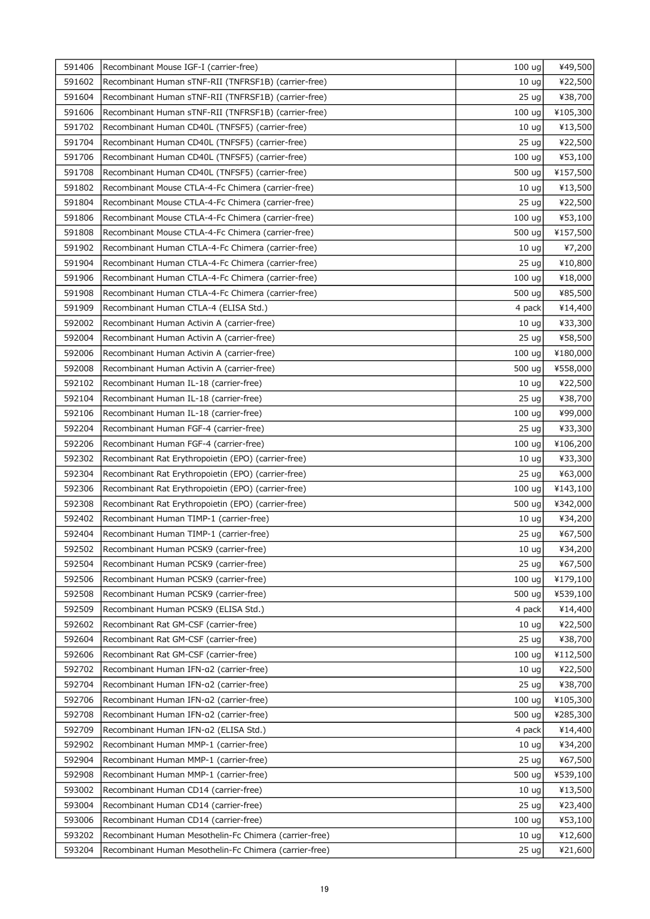| 591406 | Recombinant Mouse IGF-I (carrier-free)                                         | 100 <sub>uq</sub> | ¥49,500            |
|--------|--------------------------------------------------------------------------------|-------------------|--------------------|
| 591602 | Recombinant Human sTNF-RII (TNFRSF1B) (carrier-free)                           | 10 <sub>ug</sub>  | ¥22,500            |
| 591604 | Recombinant Human sTNF-RII (TNFRSF1B) (carrier-free)                           | 25 <sub>uq</sub>  | ¥38,700            |
| 591606 | Recombinant Human sTNF-RII (TNFRSF1B) (carrier-free)                           | 100 ug            | ¥105,300           |
| 591702 | Recombinant Human CD40L (TNFSF5) (carrier-free)                                | 10 <sub>uq</sub>  | ¥13,500            |
| 591704 | Recombinant Human CD40L (TNFSF5) (carrier-free)                                | 25 <sub>uq</sub>  | ¥22,500            |
| 591706 | Recombinant Human CD40L (TNFSF5) (carrier-free)                                | 100 ug            | ¥53,100            |
| 591708 | Recombinant Human CD40L (TNFSF5) (carrier-free)                                | 500 ug            | ¥157,500           |
| 591802 | Recombinant Mouse CTLA-4-Fc Chimera (carrier-free)                             | 10 <sub>uq</sub>  | ¥13,500            |
| 591804 | Recombinant Mouse CTLA-4-Fc Chimera (carrier-free)                             | 25 <sub>uq</sub>  | ¥22,500            |
| 591806 | Recombinant Mouse CTLA-4-Fc Chimera (carrier-free)                             | 100 ug            | ¥53,100            |
| 591808 | Recombinant Mouse CTLA-4-Fc Chimera (carrier-free)                             | 500 ug            | ¥157,500           |
| 591902 | Recombinant Human CTLA-4-Fc Chimera (carrier-free)                             | 10 <sub>uq</sub>  | ¥7,200             |
| 591904 | Recombinant Human CTLA-4-Fc Chimera (carrier-free)                             | 25 <sub>uq</sub>  | ¥10,800            |
| 591906 | Recombinant Human CTLA-4-Fc Chimera (carrier-free)                             | 100 <sub>uq</sub> | ¥18,000            |
| 591908 | Recombinant Human CTLA-4-Fc Chimera (carrier-free)                             | 500 ug            | ¥85,500            |
| 591909 | Recombinant Human CTLA-4 (ELISA Std.)                                          | 4 pack            | ¥14,400            |
| 592002 | Recombinant Human Activin A (carrier-free)                                     | 10 <sub>uq</sub>  | ¥33,300            |
| 592004 | Recombinant Human Activin A (carrier-free)                                     | 25 <sub>uq</sub>  | ¥58,500            |
| 592006 | Recombinant Human Activin A (carrier-free)                                     | 100 ug            | ¥180,000           |
| 592008 | Recombinant Human Activin A (carrier-free)                                     | 500 ug            | ¥558,000           |
| 592102 | Recombinant Human IL-18 (carrier-free)                                         | 10 <sub>uq</sub>  | ¥22,500            |
| 592104 | Recombinant Human IL-18 (carrier-free)                                         | 25 <sub>uq</sub>  | ¥38,700            |
| 592106 | Recombinant Human IL-18 (carrier-free)                                         | 100 uq            | ¥99,000            |
| 592204 | Recombinant Human FGF-4 (carrier-free)                                         | 25 <sub>uq</sub>  | ¥33,300            |
| 592206 | Recombinant Human FGF-4 (carrier-free)                                         | 100 ug            | ¥106,200           |
| 592302 | Recombinant Rat Erythropoietin (EPO) (carrier-free)                            | 10 <sub>uq</sub>  | ¥33,300            |
| 592304 | Recombinant Rat Erythropoietin (EPO) (carrier-free)                            | 25 <sub>uq</sub>  | ¥63,000            |
| 592306 | Recombinant Rat Erythropoietin (EPO) (carrier-free)                            | 100 <sub>uq</sub> | ¥143,100           |
| 592308 | Recombinant Rat Erythropoietin (EPO) (carrier-free)                            | 500 ug            | ¥342,000           |
| 592402 | Recombinant Human TIMP-1 (carrier-free)                                        | 10 <sub>uq</sub>  | ¥34,200            |
| 592404 | Recombinant Human TIMP-1 (carrier-free)                                        | 25 ug             | ¥67,500            |
| 592502 | Recombinant Human PCSK9 (carrier-free)                                         | 10 <sub>ug</sub>  | ¥34,200            |
| 592504 | Recombinant Human PCSK9 (carrier-free)                                         | 25 <sub>uq</sub>  | ¥67,500            |
| 592506 | Recombinant Human PCSK9 (carrier-free)                                         | 100 ug            | ¥179,100           |
| 592508 | Recombinant Human PCSK9 (carrier-free)                                         | 500 ug            | ¥539,100           |
| 592509 |                                                                                |                   |                    |
| 592602 | Recombinant Human PCSK9 (ELISA Std.)                                           | 4 pack            | ¥14,400            |
| 592604 | Recombinant Rat GM-CSF (carrier-free)                                          | 10 <sub>uq</sub>  | ¥22,500<br>¥38,700 |
| 592606 | Recombinant Rat GM-CSF (carrier-free)<br>Recombinant Rat GM-CSF (carrier-free) | 25 <sub>uq</sub>  |                    |
|        |                                                                                | 100 ug            | ¥112,500           |
| 592702 | Recombinant Human IFN-a2 (carrier-free)                                        | 10 <sub>uq</sub>  | ¥22,500            |
| 592704 | Recombinant Human IFN-a2 (carrier-free)                                        | 25 <sub>uq</sub>  | ¥38,700            |
| 592706 | Recombinant Human IFN-a2 (carrier-free)                                        | 100 ug            | ¥105,300           |
| 592708 | Recombinant Human IFN-a2 (carrier-free)                                        | 500 ug            | ¥285,300           |
| 592709 | Recombinant Human IFN-a2 (ELISA Std.)                                          | 4 pack            | ¥14,400            |
| 592902 | Recombinant Human MMP-1 (carrier-free)                                         | 10 <sub>uq</sub>  | ¥34,200            |
| 592904 | Recombinant Human MMP-1 (carrier-free)                                         | 25 <sub>uq</sub>  | ¥67,500            |
| 592908 | Recombinant Human MMP-1 (carrier-free)                                         | 500 ug            | ¥539,100           |
| 593002 | Recombinant Human CD14 (carrier-free)                                          | 10 <sub>uq</sub>  | ¥13,500            |
| 593004 | Recombinant Human CD14 (carrier-free)                                          | 25 <sub>uq</sub>  | ¥23,400            |
| 593006 | Recombinant Human CD14 (carrier-free)                                          | 100 ug            | ¥53,100            |
| 593202 | Recombinant Human Mesothelin-Fc Chimera (carrier-free)                         | 10 <sub>uq</sub>  | ¥12,600            |
| 593204 | Recombinant Human Mesothelin-Fc Chimera (carrier-free)                         | 25 <sub>uq</sub>  | ¥21,600            |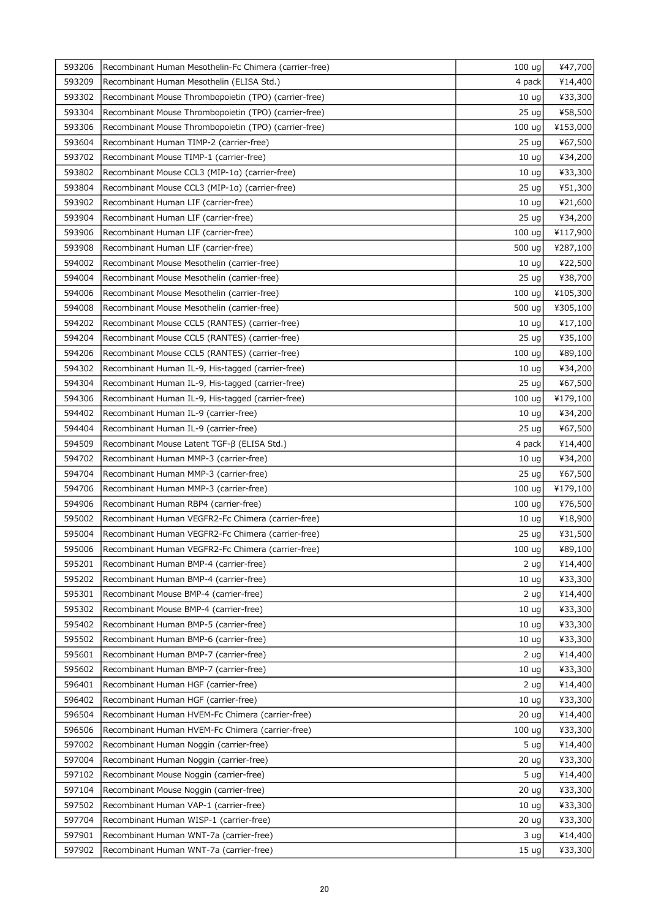| 593206 | Recombinant Human Mesothelin-Fc Chimera (carrier-free) | 100 ug            | ¥47,700  |
|--------|--------------------------------------------------------|-------------------|----------|
| 593209 | Recombinant Human Mesothelin (ELISA Std.)              | 4 pack            | ¥14,400  |
| 593302 | Recombinant Mouse Thrombopoietin (TPO) (carrier-free)  | 10 <sub>uq</sub>  | ¥33,300  |
| 593304 | Recombinant Mouse Thrombopoietin (TPO) (carrier-free)  | 25 <sub>uq</sub>  | ¥58,500  |
| 593306 | Recombinant Mouse Thrombopoietin (TPO) (carrier-free)  | 100 ug            | ¥153,000 |
| 593604 | Recombinant Human TIMP-2 (carrier-free)                | 25 <sub>uq</sub>  | ¥67,500  |
| 593702 | Recombinant Mouse TIMP-1 (carrier-free)                | 10 <sub>uq</sub>  | ¥34,200  |
| 593802 | Recombinant Mouse CCL3 (MIP-1a) (carrier-free)         | 10 <sub>uq</sub>  | ¥33,300  |
| 593804 | Recombinant Mouse CCL3 (MIP-1a) (carrier-free)         | 25 ug             | ¥51,300  |
| 593902 | Recombinant Human LIF (carrier-free)                   | 10 <sub>uq</sub>  | ¥21,600  |
| 593904 | Recombinant Human LIF (carrier-free)                   | 25 <sub>uq</sub>  | ¥34,200  |
| 593906 | Recombinant Human LIF (carrier-free)                   | 100 ug            | ¥117,900 |
| 593908 | Recombinant Human LIF (carrier-free)                   | 500 ug            | ¥287,100 |
| 594002 | Recombinant Mouse Mesothelin (carrier-free)            | 10 <sub>uq</sub>  | ¥22,500  |
| 594004 | Recombinant Mouse Mesothelin (carrier-free)            | 25 <sub>uq</sub>  | ¥38,700  |
| 594006 | Recombinant Mouse Mesothelin (carrier-free)            | 100 ug            | ¥105,300 |
| 594008 | Recombinant Mouse Mesothelin (carrier-free)            | 500 ug            | ¥305,100 |
| 594202 | Recombinant Mouse CCL5 (RANTES) (carrier-free)         | 10 <sub>uq</sub>  | ¥17,100  |
| 594204 | Recombinant Mouse CCL5 (RANTES) (carrier-free)         | 25 ug             | ¥35,100  |
| 594206 | Recombinant Mouse CCL5 (RANTES) (carrier-free)         | 100 ug            | ¥89,100  |
| 594302 | Recombinant Human IL-9, His-tagged (carrier-free)      | 10 <sub>uq</sub>  | ¥34,200  |
| 594304 | Recombinant Human IL-9, His-tagged (carrier-free)      | 25 ug             | ¥67,500  |
| 594306 | Recombinant Human IL-9, His-tagged (carrier-free)      | 100 <sub>uq</sub> | ¥179,100 |
| 594402 | Recombinant Human IL-9 (carrier-free)                  | 10 <sub>uq</sub>  | ¥34,200  |
| 594404 | Recombinant Human IL-9 (carrier-free)                  | 25 <sub>uq</sub>  | ¥67,500  |
| 594509 | Recombinant Mouse Latent TGF-β (ELISA Std.)            | 4 pack            | ¥14,400  |
| 594702 | Recombinant Human MMP-3 (carrier-free)                 | 10 <sub>ug</sub>  | ¥34,200  |
| 594704 | Recombinant Human MMP-3 (carrier-free)                 | 25 <sub>uq</sub>  | ¥67,500  |
| 594706 | Recombinant Human MMP-3 (carrier-free)                 | 100 <sub>uq</sub> | ¥179,100 |
| 594906 | Recombinant Human RBP4 (carrier-free)                  | 100 <sub>uq</sub> | ¥76,500  |
| 595002 | Recombinant Human VEGFR2-Fc Chimera (carrier-free)     | 10 <sub>uq</sub>  | ¥18,900  |
| 595004 | Recombinant Human VEGFR2-Fc Chimera (carrier-free)     | 25 ug             | ¥31,500  |
| 595006 | Recombinant Human VEGFR2-Fc Chimera (carrier-free)     | $100 \text{ ug}$  | ¥89,100  |
| 595201 | Recombinant Human BMP-4 (carrier-free)                 | 2 ug              | ¥14,400  |
| 595202 | Recombinant Human BMP-4 (carrier-free)                 | 10 <sub>uq</sub>  | ¥33,300  |
| 595301 | Recombinant Mouse BMP-4 (carrier-free)                 | 2 <sub>uq</sub>   | ¥14,400  |
| 595302 | Recombinant Mouse BMP-4 (carrier-free)                 | 10 <sub>uq</sub>  | ¥33,300  |
| 595402 | Recombinant Human BMP-5 (carrier-free)                 | 10 <sub>uq</sub>  | ¥33,300  |
| 595502 | Recombinant Human BMP-6 (carrier-free)                 | 10 <sub>uq</sub>  | ¥33,300  |
| 595601 | Recombinant Human BMP-7 (carrier-free)                 | 2 ug              | ¥14,400  |
| 595602 | Recombinant Human BMP-7 (carrier-free)                 | 10 <sub>uq</sub>  | ¥33,300  |
| 596401 | Recombinant Human HGF (carrier-free)                   | 2 <sub>uq</sub>   | ¥14,400  |
| 596402 | Recombinant Human HGF (carrier-free)                   | 10 <sub>uq</sub>  | ¥33,300  |
| 596504 | Recombinant Human HVEM-Fc Chimera (carrier-free)       | 20 <sub>uq</sub>  | ¥14,400  |
| 596506 | Recombinant Human HVEM-Fc Chimera (carrier-free)       | 100 uq            | ¥33,300  |
| 597002 | Recombinant Human Noggin (carrier-free)                | 5 <sub>uq</sub>   | ¥14,400  |
| 597004 | Recombinant Human Noggin (carrier-free)                | 20 <sub>uq</sub>  | ¥33,300  |
| 597102 | Recombinant Mouse Noggin (carrier-free)                | 5 <sub>uq</sub>   | ¥14,400  |
| 597104 | Recombinant Mouse Noggin (carrier-free)                | 20 <sub>uq</sub>  | ¥33,300  |
| 597502 | Recombinant Human VAP-1 (carrier-free)                 | 10 <sub>uq</sub>  | ¥33,300  |
| 597704 | Recombinant Human WISP-1 (carrier-free)                | 20 <sub>uq</sub>  | ¥33,300  |
| 597901 | Recombinant Human WNT-7a (carrier-free)                | 3 <sub>uq</sub>   | ¥14,400  |
| 597902 | Recombinant Human WNT-7a (carrier-free)                | 15 <sub>uq</sub>  | ¥33,300  |
|        |                                                        |                   |          |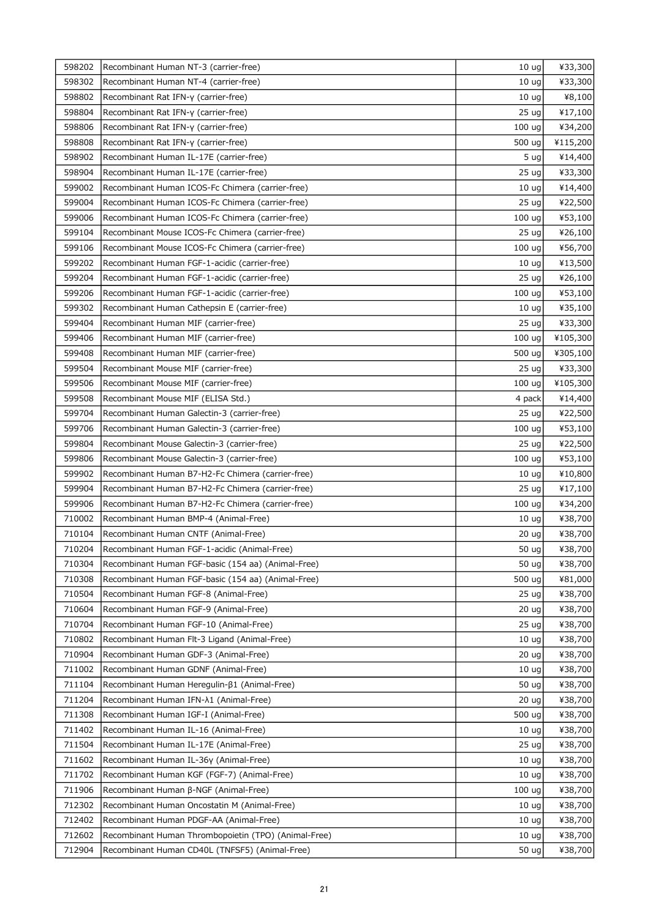| 598202 | Recombinant Human NT-3 (carrier-free)                | 10 <sub>uq</sub> | ¥33,300  |
|--------|------------------------------------------------------|------------------|----------|
| 598302 | Recombinant Human NT-4 (carrier-free)                | 10 <sub>uq</sub> | ¥33,300  |
| 598802 | Recombinant Rat IFN-y (carrier-free)                 | 10 <sub>uq</sub> | ¥8,100   |
| 598804 | Recombinant Rat IFN-y (carrier-free)                 | 25 <sub>uq</sub> | ¥17,100  |
| 598806 | Recombinant Rat IFN-y (carrier-free)                 | 100 ug           | ¥34,200  |
| 598808 | Recombinant Rat IFN-y (carrier-free)                 | 500 ug           | ¥115,200 |
| 598902 | Recombinant Human IL-17E (carrier-free)              | 5 <sub>uq</sub>  | ¥14,400  |
| 598904 | Recombinant Human IL-17E (carrier-free)              | 25 <sub>uq</sub> | ¥33,300  |
| 599002 | Recombinant Human ICOS-Fc Chimera (carrier-free)     | 10 <sub>ug</sub> | ¥14,400  |
| 599004 | Recombinant Human ICOS-Fc Chimera (carrier-free)     | 25 <sub>uq</sub> | ¥22,500  |
| 599006 | Recombinant Human ICOS-Fc Chimera (carrier-free)     | 100 ug           | ¥53,100  |
| 599104 | Recombinant Mouse ICOS-Fc Chimera (carrier-free)     | 25 ug            | ¥26,100  |
| 599106 | Recombinant Mouse ICOS-Fc Chimera (carrier-free)     | 100 ug           | ¥56,700  |
| 599202 | Recombinant Human FGF-1-acidic (carrier-free)        | 10 <sub>uq</sub> | ¥13,500  |
| 599204 | Recombinant Human FGF-1-acidic (carrier-free)        | 25 <sub>uq</sub> | ¥26,100  |
| 599206 | Recombinant Human FGF-1-acidic (carrier-free)        | 100 ug           | ¥53,100  |
| 599302 | Recombinant Human Cathepsin E (carrier-free)         | 10 <sub>ug</sub> | ¥35,100  |
| 599404 | Recombinant Human MIF (carrier-free)                 | 25 <sub>uq</sub> | ¥33,300  |
| 599406 | Recombinant Human MIF (carrier-free)                 | 100 ug           | ¥105,300 |
| 599408 | Recombinant Human MIF (carrier-free)                 | 500 ug           | ¥305,100 |
| 599504 | Recombinant Mouse MIF (carrier-free)                 | 25 <sub>uq</sub> | ¥33,300  |
| 599506 | Recombinant Mouse MIF (carrier-free)                 | 100 ug           | ¥105,300 |
| 599508 | Recombinant Mouse MIF (ELISA Std.)                   | 4 pack           | ¥14,400  |
| 599704 | Recombinant Human Galectin-3 (carrier-free)          | 25 <sub>uq</sub> | ¥22,500  |
| 599706 | Recombinant Human Galectin-3 (carrier-free)          | 100 ug           | ¥53,100  |
| 599804 | Recombinant Mouse Galectin-3 (carrier-free)          | 25 <sub>uq</sub> | ¥22,500  |
| 599806 | Recombinant Mouse Galectin-3 (carrier-free)          | 100 ug           | ¥53,100  |
| 599902 | Recombinant Human B7-H2-Fc Chimera (carrier-free)    | 10 <sub>uq</sub> | ¥10,800  |
| 599904 | Recombinant Human B7-H2-Fc Chimera (carrier-free)    | 25 <sub>uq</sub> | ¥17,100  |
| 599906 | Recombinant Human B7-H2-Fc Chimera (carrier-free)    | 100 ug           | ¥34,200  |
| 710002 | Recombinant Human BMP-4 (Animal-Free)                | 10 <sub>uq</sub> | ¥38,700  |
| 710104 | Recombinant Human CNTF (Animal-Free)                 | 20 ug            | ¥38,700  |
| 710204 | Recombinant Human FGF-1-acidic (Animal-Free)         | 50 ug            | ¥38,700  |
| 710304 | Recombinant Human FGF-basic (154 aa) (Animal-Free)   | 50 ug            | ¥38,700  |
| 710308 | Recombinant Human FGF-basic (154 aa) (Animal-Free)   | 500 ug           | ¥81,000  |
| 710504 | Recombinant Human FGF-8 (Animal-Free)                | 25 <sub>uq</sub> | ¥38,700  |
| 710604 | Recombinant Human FGF-9 (Animal-Free)                | 20 <sub>uq</sub> | ¥38,700  |
| 710704 | Recombinant Human FGF-10 (Animal-Free)               | 25 <sub>uq</sub> | ¥38,700  |
| 710802 | Recombinant Human Flt-3 Ligand (Animal-Free)         | 10 <sub>uq</sub> | ¥38,700  |
| 710904 | Recombinant Human GDF-3 (Animal-Free)                | 20 <sub>uq</sub> | ¥38,700  |
| 711002 | Recombinant Human GDNF (Animal-Free)                 | 10 <sub>uq</sub> | ¥38,700  |
| 711104 | Recombinant Human Heregulin-β1 (Animal-Free)         | 50 ug            | ¥38,700  |
| 711204 | Recombinant Human IFN- $\lambda$ 1 (Animal-Free)     | 20 <sub>uq</sub> | ¥38,700  |
| 711308 | Recombinant Human IGF-I (Animal-Free)                | 500 ug           | ¥38,700  |
| 711402 | Recombinant Human IL-16 (Animal-Free)                | 10 <sub>uq</sub> | ¥38,700  |
| 711504 | Recombinant Human IL-17E (Animal-Free)               | 25 <sub>uq</sub> | ¥38,700  |
| 711602 | Recombinant Human IL-36y (Animal-Free)               | 10 <sub>uq</sub> | ¥38,700  |
| 711702 | Recombinant Human KGF (FGF-7) (Animal-Free)          | 10 <sub>uq</sub> | ¥38,700  |
| 711906 | Recombinant Human β-NGF (Animal-Free)                | 100 ug           | ¥38,700  |
| 712302 | Recombinant Human Oncostatin M (Animal-Free)         | 10 <sub>uq</sub> | ¥38,700  |
| 712402 | Recombinant Human PDGF-AA (Animal-Free)              | 10 <sub>uq</sub> | ¥38,700  |
| 712602 | Recombinant Human Thrombopoietin (TPO) (Animal-Free) | 10 <sub>uq</sub> | ¥38,700  |
| 712904 | Recombinant Human CD40L (TNFSF5) (Animal-Free)       | 50 ug            | ¥38,700  |
|        |                                                      |                  |          |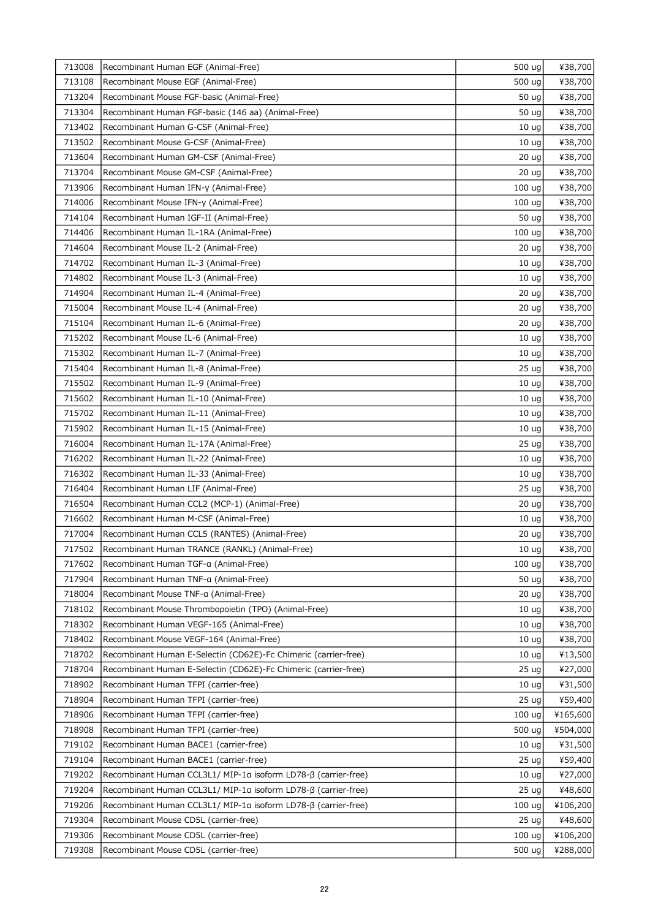| 713008 | Recombinant Human EGF (Animal-Free)                             | 500 ug            | ¥38,700  |
|--------|-----------------------------------------------------------------|-------------------|----------|
| 713108 | Recombinant Mouse EGF (Animal-Free)                             | 500 ug            | ¥38,700  |
| 713204 | Recombinant Mouse FGF-basic (Animal-Free)                       | 50 ug             | ¥38,700  |
| 713304 | Recombinant Human FGF-basic (146 aa) (Animal-Free)              | 50 ug             | ¥38,700  |
| 713402 | Recombinant Human G-CSF (Animal-Free)                           | 10 <sub>uq</sub>  | ¥38,700  |
| 713502 | Recombinant Mouse G-CSF (Animal-Free)                           | 10 <sub>uq</sub>  | ¥38,700  |
| 713604 | Recombinant Human GM-CSF (Animal-Free)                          | 20 <sub>uq</sub>  | ¥38,700  |
| 713704 | Recombinant Mouse GM-CSF (Animal-Free)                          | 20 <sub>uq</sub>  | ¥38,700  |
| 713906 | Recombinant Human IFN-y (Animal-Free)                           | 100 ug            | ¥38,700  |
| 714006 | Recombinant Mouse IFN-y (Animal-Free)                           | 100 <sub>uq</sub> | ¥38,700  |
| 714104 | Recombinant Human IGF-II (Animal-Free)                          | 50 ug             | ¥38,700  |
| 714406 | Recombinant Human IL-1RA (Animal-Free)                          | 100 <sub>uq</sub> | ¥38,700  |
| 714604 | Recombinant Mouse IL-2 (Animal-Free)                            | 20 <sub>uq</sub>  | ¥38,700  |
| 714702 | Recombinant Human IL-3 (Animal-Free)                            | 10 <sub>uq</sub>  | ¥38,700  |
| 714802 | Recombinant Mouse IL-3 (Animal-Free)                            | 10 <sub>uq</sub>  | ¥38,700  |
| 714904 | Recombinant Human IL-4 (Animal-Free)                            | 20 ug             | ¥38,700  |
| 715004 | Recombinant Mouse IL-4 (Animal-Free)                            | 20 <sub>uq</sub>  | ¥38,700  |
| 715104 | Recombinant Human IL-6 (Animal-Free)                            | 20 <sub>uq</sub>  | ¥38,700  |
| 715202 | Recombinant Mouse IL-6 (Animal-Free)                            | 10 <sub>uq</sub>  | ¥38,700  |
| 715302 | Recombinant Human IL-7 (Animal-Free)                            | 10 <sub>uq</sub>  | ¥38,700  |
| 715404 | Recombinant Human IL-8 (Animal-Free)                            | 25 <sub>uq</sub>  | ¥38,700  |
| 715502 | Recombinant Human IL-9 (Animal-Free)                            | 10 <sub>uq</sub>  | ¥38,700  |
| 715602 | Recombinant Human IL-10 (Animal-Free)                           | 10 <sub>uq</sub>  | ¥38,700  |
| 715702 | Recombinant Human IL-11 (Animal-Free)                           | 10 <sub>uq</sub>  | ¥38,700  |
| 715902 | Recombinant Human IL-15 (Animal-Free)                           | 10 <sub>uq</sub>  | ¥38,700  |
| 716004 | Recombinant Human IL-17A (Animal-Free)                          | 25 <sub>uq</sub>  | ¥38,700  |
| 716202 | Recombinant Human IL-22 (Animal-Free)                           | 10 <sub>uq</sub>  | ¥38,700  |
| 716302 | Recombinant Human IL-33 (Animal-Free)                           | 10 <sub>uq</sub>  | ¥38,700  |
| 716404 | Recombinant Human LIF (Animal-Free)                             | 25 ug             | ¥38,700  |
| 716504 | Recombinant Human CCL2 (MCP-1) (Animal-Free)                    | 20 ug             | ¥38,700  |
| 716602 | Recombinant Human M-CSF (Animal-Free)                           | 10 <sub>uq</sub>  | ¥38,700  |
| 717004 | Recombinant Human CCL5 (RANTES) (Animal-Free)                   | 20 <sub>uq</sub>  | ¥38,700  |
| 717502 | Recombinant Human TRANCE (RANKL) (Animal-Free)                  | 10 <sub>ug</sub>  | ¥38,700  |
| 717602 | Recombinant Human TGF-a (Animal-Free)                           | 100 uq            | ¥38,700  |
| 717904 | Recombinant Human TNF-a (Animal-Free)                           | 50 ug             | ¥38,700  |
| 718004 | Recombinant Mouse TNF-a (Animal-Free)                           | 20 <sub>uq</sub>  | ¥38,700  |
| 718102 | Recombinant Mouse Thrombopoietin (TPO) (Animal-Free)            | 10 <sub>uq</sub>  | ¥38,700  |
| 718302 | Recombinant Human VEGF-165 (Animal-Free)                        | 10 <sub>uq</sub>  | ¥38,700  |
| 718402 | Recombinant Mouse VEGF-164 (Animal-Free)                        | 10 <sub>uq</sub>  | ¥38,700  |
| 718702 | Recombinant Human E-Selectin (CD62E)-Fc Chimeric (carrier-free) | 10 <sub>uq</sub>  | ¥13,500  |
| 718704 | Recombinant Human E-Selectin (CD62E)-Fc Chimeric (carrier-free) | 25 <sub>uq</sub>  | ¥27,000  |
| 718902 | Recombinant Human TFPI (carrier-free)                           | 10 <sub>uq</sub>  | ¥31,500  |
| 718904 | Recombinant Human TFPI (carrier-free)                           | 25 <sub>uq</sub>  | ¥59,400  |
| 718906 | Recombinant Human TFPI (carrier-free)                           | 100 <sub>uq</sub> | ¥165,600 |
| 718908 | Recombinant Human TFPI (carrier-free)                           | 500 ug            | ¥504,000 |
| 719102 | Recombinant Human BACE1 (carrier-free)                          | 10 <sub>uq</sub>  | ¥31,500  |
| 719104 | Recombinant Human BACE1 (carrier-free)                          | 25 <sub>uq</sub>  | ¥59,400  |
| 719202 | Recombinant Human CCL3L1/ MIP-1a isoform LD78-β (carrier-free)  | 10 <sub>uq</sub>  | ¥27,000  |
| 719204 | Recombinant Human CCL3L1/ MIP-1a isoform LD78-β (carrier-free)  | 25 <sub>uq</sub>  | ¥48,600  |
| 719206 | Recombinant Human CCL3L1/ MIP-1a isoform LD78-β (carrier-free)  | 100 <sub>uq</sub> | ¥106,200 |
| 719304 | Recombinant Mouse CD5L (carrier-free)                           | 25 <sub>uq</sub>  | ¥48,600  |
| 719306 | Recombinant Mouse CD5L (carrier-free)                           | 100 <sub>uq</sub> | ¥106,200 |
| 719308 | Recombinant Mouse CD5L (carrier-free)                           | 500 ug            | ¥288,000 |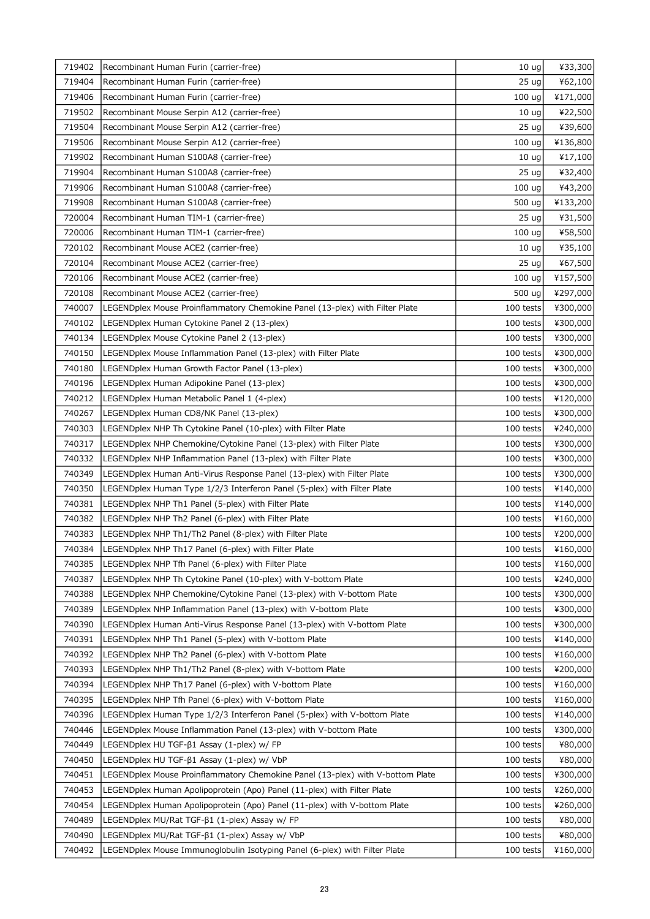| 719402 | Recombinant Human Furin (carrier-free)                                         | 10 <sub>ug</sub>  | ¥33,300  |
|--------|--------------------------------------------------------------------------------|-------------------|----------|
| 719404 | Recombinant Human Furin (carrier-free)                                         | 25 <sub>uq</sub>  | ¥62,100  |
| 719406 | Recombinant Human Furin (carrier-free)                                         | 100 <sub>uq</sub> | ¥171,000 |
| 719502 | Recombinant Mouse Serpin A12 (carrier-free)                                    | 10 <sub>uq</sub>  | ¥22,500  |
| 719504 | Recombinant Mouse Serpin A12 (carrier-free)                                    | 25 <sub>uq</sub>  | ¥39,600  |
| 719506 | Recombinant Mouse Serpin A12 (carrier-free)                                    | 100 <sub>uq</sub> | ¥136,800 |
| 719902 | Recombinant Human S100A8 (carrier-free)                                        | 10 <sub>uq</sub>  | ¥17,100  |
| 719904 | Recombinant Human S100A8 (carrier-free)                                        | 25 <sub>uq</sub>  | ¥32,400  |
| 719906 | Recombinant Human S100A8 (carrier-free)                                        | 100 ug            | ¥43,200  |
| 719908 | Recombinant Human S100A8 (carrier-free)                                        | 500 ug            | ¥133,200 |
| 720004 | Recombinant Human TIM-1 (carrier-free)                                         | 25 <sub>uq</sub>  | ¥31,500  |
| 720006 | Recombinant Human TIM-1 (carrier-free)                                         | 100 <sub>uq</sub> | ¥58,500  |
| 720102 | Recombinant Mouse ACE2 (carrier-free)                                          | 10 <sub>ug</sub>  | ¥35,100  |
| 720104 | Recombinant Mouse ACE2 (carrier-free)                                          | 25 <sub>uq</sub>  | ¥67,500  |
| 720106 | Recombinant Mouse ACE2 (carrier-free)                                          | 100 <sub>uq</sub> | ¥157,500 |
| 720108 | Recombinant Mouse ACE2 (carrier-free)                                          | 500 ug            | ¥297,000 |
| 740007 | LEGENDplex Mouse Proinflammatory Chemokine Panel (13-plex) with Filter Plate   | 100 tests         | ¥300,000 |
| 740102 | LEGENDplex Human Cytokine Panel 2 (13-plex)                                    | 100 tests         | ¥300,000 |
| 740134 | LEGENDplex Mouse Cytokine Panel 2 (13-plex)                                    | 100 tests         | ¥300,000 |
| 740150 | LEGENDplex Mouse Inflammation Panel (13-plex) with Filter Plate                | 100 tests         | ¥300,000 |
| 740180 | LEGENDplex Human Growth Factor Panel (13-plex)                                 | 100 tests         | ¥300,000 |
| 740196 | LEGENDplex Human Adipokine Panel (13-plex)                                     | 100 tests         | ¥300,000 |
| 740212 | LEGENDplex Human Metabolic Panel 1 (4-plex)                                    | 100 tests         | ¥120,000 |
| 740267 | LEGENDplex Human CD8/NK Panel (13-plex)                                        | 100 tests         | ¥300,000 |
| 740303 | LEGENDplex NHP Th Cytokine Panel (10-plex) with Filter Plate                   | 100 tests         | ¥240,000 |
| 740317 | LEGENDplex NHP Chemokine/Cytokine Panel (13-plex) with Filter Plate            | 100 tests         | ¥300,000 |
| 740332 | LEGENDplex NHP Inflammation Panel (13-plex) with Filter Plate                  | 100 tests         | ¥300,000 |
| 740349 | LEGENDplex Human Anti-Virus Response Panel (13-plex) with Filter Plate         | 100 tests         | ¥300,000 |
| 740350 | LEGENDplex Human Type 1/2/3 Interferon Panel (5-plex) with Filter Plate        | 100 tests         | ¥140,000 |
| 740381 | LEGENDplex NHP Th1 Panel (5-plex) with Filter Plate                            | 100 tests         | ¥140,000 |
| 740382 | LEGENDplex NHP Th2 Panel (6-plex) with Filter Plate                            | 100 tests         | ¥160,000 |
| 740383 | LEGENDplex NHP Th1/Th2 Panel (8-plex) with Filter Plate                        | 100 tests         | ¥200,000 |
| 740384 | LEGENDplex NHP Th17 Panel (6-plex) with Filter Plate                           | $100$ tests       | ¥160,000 |
| 740385 | LEGENDplex NHP Tfh Panel (6-plex) with Filter Plate                            | 100 tests         | ¥160,000 |
| 740387 | LEGENDplex NHP Th Cytokine Panel (10-plex) with V-bottom Plate                 | 100 tests         | ¥240,000 |
| 740388 | LEGENDplex NHP Chemokine/Cytokine Panel (13-plex) with V-bottom Plate          | 100 tests         | ¥300,000 |
| 740389 | LEGENDplex NHP Inflammation Panel (13-plex) with V-bottom Plate                | 100 tests         | ¥300,000 |
| 740390 | LEGENDplex Human Anti-Virus Response Panel (13-plex) with V-bottom Plate       | 100 tests         | ¥300,000 |
| 740391 | LEGENDplex NHP Th1 Panel (5-plex) with V-bottom Plate                          | 100 tests         | ¥140,000 |
| 740392 | LEGENDplex NHP Th2 Panel (6-plex) with V-bottom Plate                          | 100 tests         | ¥160,000 |
| 740393 | LEGENDplex NHP Th1/Th2 Panel (8-plex) with V-bottom Plate                      | 100 tests         | ¥200,000 |
| 740394 | LEGENDplex NHP Th17 Panel (6-plex) with V-bottom Plate                         | 100 tests         | ¥160,000 |
| 740395 | LEGENDplex NHP Tfh Panel (6-plex) with V-bottom Plate                          | 100 tests         | ¥160,000 |
| 740396 | LEGENDplex Human Type 1/2/3 Interferon Panel (5-plex) with V-bottom Plate      | 100 tests         | ¥140,000 |
| 740446 | LEGENDplex Mouse Inflammation Panel (13-plex) with V-bottom Plate              | 100 tests         | ¥300,000 |
| 740449 | LEGENDplex HU TGF-ß1 Assay (1-plex) w/ FP                                      | 100 tests         | ¥80,000  |
| 740450 | LEGENDplex HU TGF-β1 Assay (1-plex) w/ VbP                                     | 100 tests         | ¥80,000  |
| 740451 | LEGENDplex Mouse Proinflammatory Chemokine Panel (13-plex) with V-bottom Plate | 100 tests         | ¥300,000 |
| 740453 | LEGENDplex Human Apolipoprotein (Apo) Panel (11-plex) with Filter Plate        | 100 tests         | ¥260,000 |
| 740454 | LEGENDplex Human Apolipoprotein (Apo) Panel (11-plex) with V-bottom Plate      | 100 tests         | ¥260,000 |
| 740489 | LEGENDplex MU/Rat TGF-β1 (1-plex) Assay w/ FP                                  | 100 tests         | ¥80,000  |
| 740490 | LEGENDplex MU/Rat TGF-ß1 (1-plex) Assay w/ VbP                                 | 100 tests         | ¥80,000  |
| 740492 | LEGENDplex Mouse Immunoglobulin Isotyping Panel (6-plex) with Filter Plate     | 100 tests         | ¥160,000 |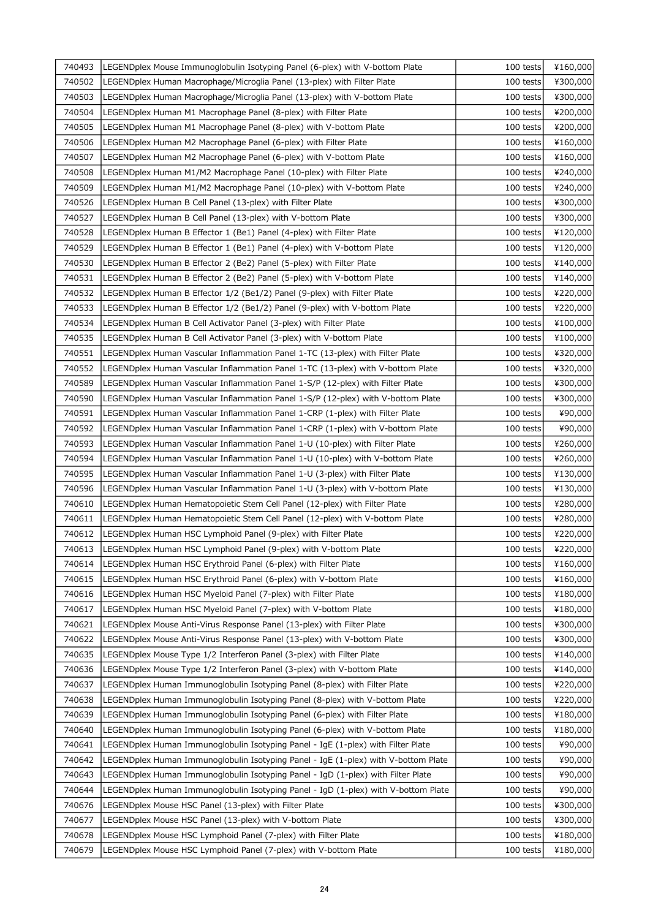| 740493 | LEGENDplex Mouse Immunoglobulin Isotyping Panel (6-plex) with V-bottom Plate       | 100 tests | ¥160,000 |
|--------|------------------------------------------------------------------------------------|-----------|----------|
| 740502 | LEGENDplex Human Macrophage/Microglia Panel (13-plex) with Filter Plate            | 100 tests | ¥300,000 |
| 740503 | LEGENDplex Human Macrophage/Microglia Panel (13-plex) with V-bottom Plate          | 100 tests | ¥300,000 |
| 740504 | LEGENDplex Human M1 Macrophage Panel (8-plex) with Filter Plate                    | 100 tests | ¥200,000 |
| 740505 | LEGENDplex Human M1 Macrophage Panel (8-plex) with V-bottom Plate                  | 100 tests | ¥200,000 |
| 740506 | LEGENDplex Human M2 Macrophage Panel (6-plex) with Filter Plate                    | 100 tests | ¥160,000 |
| 740507 | LEGENDplex Human M2 Macrophage Panel (6-plex) with V-bottom Plate                  | 100 tests | ¥160,000 |
| 740508 | LEGENDplex Human M1/M2 Macrophage Panel (10-plex) with Filter Plate                | 100 tests | ¥240,000 |
| 740509 | LEGENDplex Human M1/M2 Macrophage Panel (10-plex) with V-bottom Plate              | 100 tests | ¥240,000 |
| 740526 | LEGENDplex Human B Cell Panel (13-plex) with Filter Plate                          | 100 tests | ¥300,000 |
| 740527 | LEGENDplex Human B Cell Panel (13-plex) with V-bottom Plate                        | 100 tests | ¥300,000 |
| 740528 | LEGENDplex Human B Effector 1 (Be1) Panel (4-plex) with Filter Plate               | 100 tests | ¥120,000 |
| 740529 | LEGENDplex Human B Effector 1 (Be1) Panel (4-plex) with V-bottom Plate             | 100 tests | ¥120,000 |
| 740530 | LEGENDplex Human B Effector 2 (Be2) Panel (5-plex) with Filter Plate               | 100 tests | ¥140,000 |
| 740531 | LEGENDplex Human B Effector 2 (Be2) Panel (5-plex) with V-bottom Plate             | 100 tests | ¥140,000 |
| 740532 | LEGENDplex Human B Effector 1/2 (Be1/2) Panel (9-plex) with Filter Plate           | 100 tests | ¥220,000 |
| 740533 | LEGENDplex Human B Effector 1/2 (Be1/2) Panel (9-plex) with V-bottom Plate         | 100 tests | ¥220,000 |
| 740534 | LEGENDplex Human B Cell Activator Panel (3-plex) with Filter Plate                 | 100 tests | ¥100,000 |
| 740535 | LEGENDplex Human B Cell Activator Panel (3-plex) with V-bottom Plate               | 100 tests | ¥100,000 |
| 740551 | LEGENDplex Human Vascular Inflammation Panel 1-TC (13-plex) with Filter Plate      | 100 tests | ¥320,000 |
| 740552 | LEGENDplex Human Vascular Inflammation Panel 1-TC (13-plex) with V-bottom Plate    | 100 tests | ¥320,000 |
| 740589 | LEGENDplex Human Vascular Inflammation Panel 1-S/P (12-plex) with Filter Plate     | 100 tests | ¥300,000 |
| 740590 | LEGENDplex Human Vascular Inflammation Panel 1-S/P (12-plex) with V-bottom Plate   | 100 tests | ¥300,000 |
| 740591 | LEGENDplex Human Vascular Inflammation Panel 1-CRP (1-plex) with Filter Plate      | 100 tests | ¥90,000  |
| 740592 | LEGENDplex Human Vascular Inflammation Panel 1-CRP (1-plex) with V-bottom Plate    | 100 tests | ¥90,000  |
| 740593 | LEGENDplex Human Vascular Inflammation Panel 1-U (10-plex) with Filter Plate       | 100 tests | ¥260,000 |
| 740594 | LEGENDplex Human Vascular Inflammation Panel 1-U (10-plex) with V-bottom Plate     | 100 tests | ¥260,000 |
| 740595 | LEGENDplex Human Vascular Inflammation Panel 1-U (3-plex) with Filter Plate        | 100 tests | ¥130,000 |
| 740596 | LEGENDplex Human Vascular Inflammation Panel 1-U (3-plex) with V-bottom Plate      | 100 tests | ¥130,000 |
| 740610 | LEGENDplex Human Hematopoietic Stem Cell Panel (12-plex) with Filter Plate         | 100 tests | ¥280,000 |
| 740611 | LEGENDplex Human Hematopoietic Stem Cell Panel (12-plex) with V-bottom Plate       | 100 tests | ¥280,000 |
| 740612 | LEGENDplex Human HSC Lymphoid Panel (9-plex) with Filter Plate                     | 100 tests | ¥220,000 |
| 740613 | LEGENDplex Human HSC Lymphoid Panel (9-plex) with V-bottom Plate                   | 100 tests | ¥220,000 |
| 740614 | LEGENDplex Human HSC Erythroid Panel (6-plex) with Filter Plate                    | 100 tests | ¥160,000 |
| 740615 | LEGENDplex Human HSC Erythroid Panel (6-plex) with V-bottom Plate                  | 100 tests | ¥160,000 |
| 740616 | LEGENDplex Human HSC Myeloid Panel (7-plex) with Filter Plate                      | 100 tests | ¥180,000 |
| 740617 | LEGENDplex Human HSC Myeloid Panel (7-plex) with V-bottom Plate                    | 100 tests | ¥180,000 |
| 740621 | LEGENDplex Mouse Anti-Virus Response Panel (13-plex) with Filter Plate             | 100 tests | ¥300,000 |
| 740622 | LEGENDplex Mouse Anti-Virus Response Panel (13-plex) with V-bottom Plate           | 100 tests | ¥300,000 |
| 740635 | LEGENDplex Mouse Type 1/2 Interferon Panel (3-plex) with Filter Plate              | 100 tests | ¥140,000 |
| 740636 | LEGENDplex Mouse Type 1/2 Interferon Panel (3-plex) with V-bottom Plate            | 100 tests | ¥140,000 |
| 740637 | LEGENDplex Human Immunoglobulin Isotyping Panel (8-plex) with Filter Plate         | 100 tests | ¥220,000 |
| 740638 | LEGENDplex Human Immunoglobulin Isotyping Panel (8-plex) with V-bottom Plate       | 100 tests | ¥220,000 |
| 740639 | LEGENDplex Human Immunoglobulin Isotyping Panel (6-plex) with Filter Plate         | 100 tests | ¥180,000 |
| 740640 | LEGENDplex Human Immunoglobulin Isotyping Panel (6-plex) with V-bottom Plate       | 100 tests | ¥180,000 |
| 740641 | LEGENDplex Human Immunoglobulin Isotyping Panel - IgE (1-plex) with Filter Plate   | 100 tests | ¥90,000  |
| 740642 | LEGENDplex Human Immunoglobulin Isotyping Panel - IgE (1-plex) with V-bottom Plate | 100 tests | ¥90,000  |
| 740643 | LEGENDplex Human Immunoglobulin Isotyping Panel - IgD (1-plex) with Filter Plate   | 100 tests | ¥90,000  |
| 740644 | LEGENDplex Human Immunoglobulin Isotyping Panel - IgD (1-plex) with V-bottom Plate | 100 tests | ¥90,000  |
| 740676 | LEGENDplex Mouse HSC Panel (13-plex) with Filter Plate                             | 100 tests | ¥300,000 |
| 740677 | LEGENDplex Mouse HSC Panel (13-plex) with V-bottom Plate                           | 100 tests | ¥300,000 |
| 740678 | LEGENDplex Mouse HSC Lymphoid Panel (7-plex) with Filter Plate                     | 100 tests | ¥180,000 |
| 740679 | LEGENDplex Mouse HSC Lymphoid Panel (7-plex) with V-bottom Plate                   | 100 tests | ¥180,000 |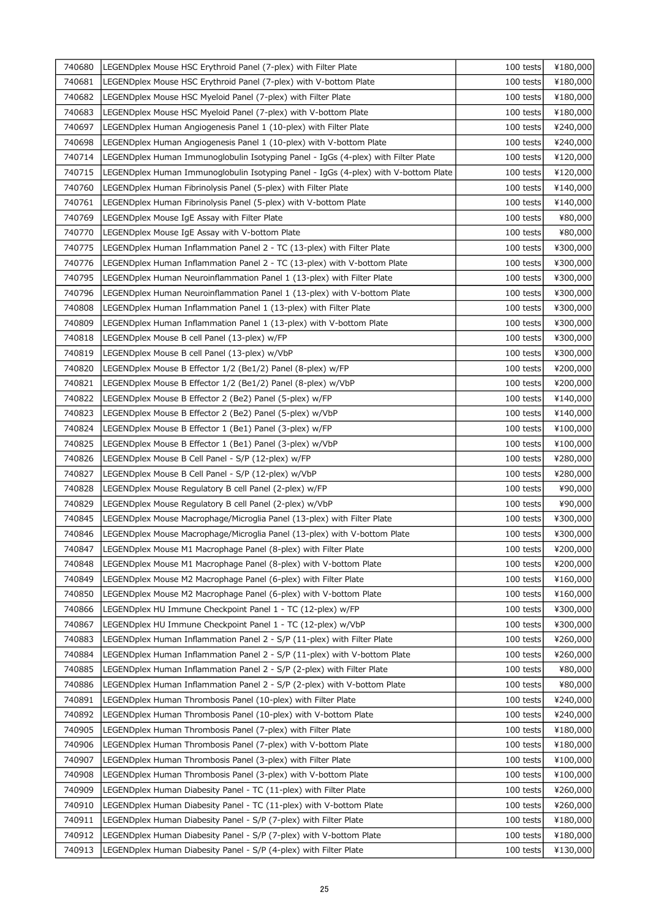| 740680 | LEGENDplex Mouse HSC Erythroid Panel (7-plex) with Filter Plate                     | 100 tests   | ¥180,000 |
|--------|-------------------------------------------------------------------------------------|-------------|----------|
| 740681 | LEGENDplex Mouse HSC Erythroid Panel (7-plex) with V-bottom Plate                   | 100 tests   | ¥180,000 |
| 740682 | LEGENDplex Mouse HSC Myeloid Panel (7-plex) with Filter Plate                       | 100 tests   | ¥180,000 |
| 740683 | LEGENDplex Mouse HSC Myeloid Panel (7-plex) with V-bottom Plate                     | 100 tests   | ¥180,000 |
| 740697 | LEGENDplex Human Angiogenesis Panel 1 (10-plex) with Filter Plate                   | 100 tests   | ¥240,000 |
| 740698 | LEGENDplex Human Angiogenesis Panel 1 (10-plex) with V-bottom Plate                 | 100 tests   | ¥240,000 |
| 740714 | LEGENDplex Human Immunoglobulin Isotyping Panel - IgGs (4-plex) with Filter Plate   | 100 tests   | ¥120,000 |
| 740715 | LEGENDplex Human Immunoglobulin Isotyping Panel - IgGs (4-plex) with V-bottom Plate | 100 tests   | ¥120,000 |
| 740760 | LEGENDplex Human Fibrinolysis Panel (5-plex) with Filter Plate                      | 100 tests   | ¥140,000 |
| 740761 | LEGENDplex Human Fibrinolysis Panel (5-plex) with V-bottom Plate                    | 100 tests   | ¥140,000 |
| 740769 | LEGENDplex Mouse IgE Assay with Filter Plate                                        | 100 tests   | ¥80,000  |
| 740770 | LEGENDplex Mouse IgE Assay with V-bottom Plate                                      | 100 tests   | ¥80,000  |
| 740775 | LEGENDplex Human Inflammation Panel 2 - TC (13-plex) with Filter Plate              | 100 tests   | ¥300,000 |
| 740776 | LEGENDplex Human Inflammation Panel 2 - TC (13-plex) with V-bottom Plate            | 100 tests   | ¥300,000 |
| 740795 | LEGENDplex Human Neuroinflammation Panel 1 (13-plex) with Filter Plate              | 100 tests   | ¥300,000 |
| 740796 | LEGENDplex Human Neuroinflammation Panel 1 (13-plex) with V-bottom Plate            | 100 tests   | ¥300,000 |
| 740808 | LEGENDplex Human Inflammation Panel 1 (13-plex) with Filter Plate                   | 100 tests   | ¥300,000 |
| 740809 | LEGENDplex Human Inflammation Panel 1 (13-plex) with V-bottom Plate                 | 100 tests   | ¥300,000 |
| 740818 | LEGENDplex Mouse B cell Panel (13-plex) w/FP                                        | 100 tests   | ¥300,000 |
| 740819 | LEGENDplex Mouse B cell Panel (13-plex) w/VbP                                       | 100 tests   | ¥300,000 |
| 740820 | LEGENDplex Mouse B Effector 1/2 (Be1/2) Panel (8-plex) w/FP                         | 100 tests   | ¥200,000 |
| 740821 | LEGENDplex Mouse B Effector 1/2 (Be1/2) Panel (8-plex) w/VbP                        | 100 tests   | ¥200,000 |
| 740822 | LEGENDplex Mouse B Effector 2 (Be2) Panel (5-plex) w/FP                             | 100 tests   | ¥140,000 |
| 740823 | LEGENDplex Mouse B Effector 2 (Be2) Panel (5-plex) w/VbP                            | 100 tests   | ¥140,000 |
| 740824 | LEGENDplex Mouse B Effector 1 (Be1) Panel (3-plex) w/FP                             | 100 tests   | ¥100,000 |
| 740825 | LEGENDplex Mouse B Effector 1 (Be1) Panel (3-plex) w/VbP                            | 100 tests   | ¥100,000 |
| 740826 | LEGENDplex Mouse B Cell Panel - S/P (12-plex) w/FP                                  | $100$ tests | ¥280,000 |
| 740827 | LEGENDplex Mouse B Cell Panel - S/P (12-plex) w/VbP                                 | 100 tests   | ¥280,000 |
| 740828 | LEGENDplex Mouse Regulatory B cell Panel (2-plex) w/FP                              | 100 tests   | ¥90,000  |
| 740829 | LEGENDplex Mouse Regulatory B cell Panel (2-plex) w/VbP                             | 100 tests   | ¥90,000  |
| 740845 | LEGENDplex Mouse Macrophage/Microglia Panel (13-plex) with Filter Plate             | 100 tests   | ¥300,000 |
| 740846 | LEGENDplex Mouse Macrophage/Microglia Panel (13-plex) with V-bottom Plate           | 100 tests   | ¥300,000 |
| 740847 | LEGENDplex Mouse M1 Macrophage Panel (8-plex) with Filter Plate                     | 100 tests   | ¥200,000 |
| 740848 | LEGENDplex Mouse M1 Macrophage Panel (8-plex) with V-bottom Plate                   | 100 tests   | ¥200,000 |
| 740849 | LEGENDplex Mouse M2 Macrophage Panel (6-plex) with Filter Plate                     | 100 tests   | ¥160,000 |
| 740850 | LEGENDplex Mouse M2 Macrophage Panel (6-plex) with V-bottom Plate                   | 100 tests   | ¥160,000 |
| 740866 | LEGENDplex HU Immune Checkpoint Panel 1 - TC (12-plex) w/FP                         | 100 tests   | ¥300,000 |
| 740867 | LEGENDplex HU Immune Checkpoint Panel 1 - TC (12-plex) w/VbP                        | 100 tests   | ¥300,000 |
| 740883 | LEGENDplex Human Inflammation Panel 2 - S/P (11-plex) with Filter Plate             | 100 tests   | ¥260,000 |
| 740884 | LEGENDplex Human Inflammation Panel 2 - S/P (11-plex) with V-bottom Plate           | 100 tests   | ¥260,000 |
| 740885 | LEGENDplex Human Inflammation Panel 2 - S/P (2-plex) with Filter Plate              | 100 tests   | ¥80,000  |
| 740886 | LEGENDplex Human Inflammation Panel 2 - S/P (2-plex) with V-bottom Plate            | 100 tests   | ¥80,000  |
| 740891 | LEGENDplex Human Thrombosis Panel (10-plex) with Filter Plate                       | 100 tests   | ¥240,000 |
| 740892 | LEGENDplex Human Thrombosis Panel (10-plex) with V-bottom Plate                     | 100 tests   | ¥240,000 |
| 740905 | LEGENDplex Human Thrombosis Panel (7-plex) with Filter Plate                        | 100 tests   | ¥180,000 |
| 740906 | LEGENDplex Human Thrombosis Panel (7-plex) with V-bottom Plate                      | 100 tests   | ¥180,000 |
| 740907 | LEGENDplex Human Thrombosis Panel (3-plex) with Filter Plate                        | 100 tests   | ¥100,000 |
| 740908 | LEGENDplex Human Thrombosis Panel (3-plex) with V-bottom Plate                      | 100 tests   | ¥100,000 |
| 740909 | LEGENDplex Human Diabesity Panel - TC (11-plex) with Filter Plate                   | 100 tests   | ¥260,000 |
| 740910 | LEGENDplex Human Diabesity Panel - TC (11-plex) with V-bottom Plate                 | 100 tests   | ¥260,000 |
| 740911 | LEGENDplex Human Diabesity Panel - S/P (7-plex) with Filter Plate                   | 100 tests   | ¥180,000 |
| 740912 | LEGENDplex Human Diabesity Panel - S/P (7-plex) with V-bottom Plate                 | 100 tests   | ¥180,000 |
| 740913 | LEGENDplex Human Diabesity Panel - S/P (4-plex) with Filter Plate                   | 100 tests   | ¥130,000 |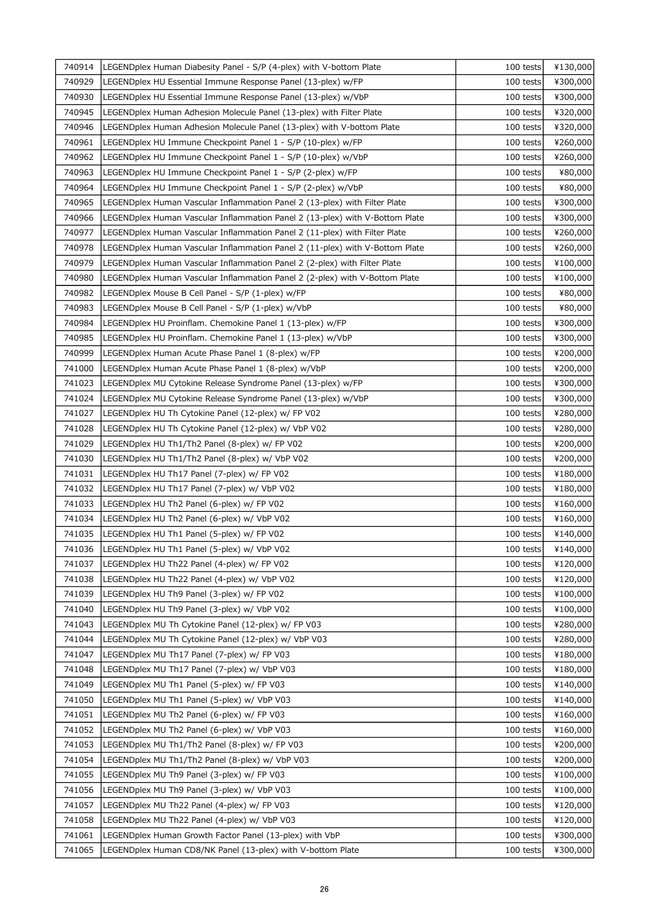| 740929<br>100 tests<br>LEGENDplex HU Essential Immune Response Panel (13-plex) w/FP<br>¥300,000<br>740930<br>LEGENDplex HU Essential Immune Response Panel (13-plex) w/VbP<br>100 tests<br>¥300,000<br>740945<br>LEGENDplex Human Adhesion Molecule Panel (13-plex) with Filter Plate<br>100 tests<br>¥320,000<br>740946<br>LEGENDplex Human Adhesion Molecule Panel (13-plex) with V-bottom Plate<br>100 tests<br>¥320,000<br>740961<br>LEGENDplex HU Immune Checkpoint Panel 1 - S/P (10-plex) w/FP<br>100 tests<br>¥260,000<br>740962<br>LEGENDplex HU Immune Checkpoint Panel 1 - S/P (10-plex) w/VbP<br>100 tests<br>¥260,000<br>740963<br>LEGENDplex HU Immune Checkpoint Panel 1 - S/P (2-plex) w/FP<br>100 tests<br>¥80,000<br>740964<br>100 tests<br>¥80,000<br>LEGENDplex HU Immune Checkpoint Panel 1 - S/P (2-plex) w/VbP<br>740965<br>LEGENDplex Human Vascular Inflammation Panel 2 (13-plex) with Filter Plate<br>100 tests<br>¥300,000<br>740966<br>LEGENDplex Human Vascular Inflammation Panel 2 (13-plex) with V-Bottom Plate<br>100 tests<br>¥300,000<br>740977<br>LEGENDplex Human Vascular Inflammation Panel 2 (11-plex) with Filter Plate<br>100 tests<br>¥260,000<br>740978<br>LEGENDplex Human Vascular Inflammation Panel 2 (11-plex) with V-Bottom Plate<br>100 tests<br>¥260,000<br>740979<br>LEGENDplex Human Vascular Inflammation Panel 2 (2-plex) with Filter Plate<br>100 tests<br>¥100,000<br>740980<br>LEGENDplex Human Vascular Inflammation Panel 2 (2-plex) with V-Bottom Plate<br>100 tests<br>¥100,000<br>740982<br>LEGENDplex Mouse B Cell Panel - S/P (1-plex) w/FP<br>100 tests<br>¥80,000<br>740983<br>LEGENDplex Mouse B Cell Panel - S/P (1-plex) w/VbP<br>100 tests<br>¥80,000<br>740984<br>LEGENDplex HU Proinflam. Chemokine Panel 1 (13-plex) w/FP<br>100 tests<br>¥300,000<br>740985<br>100 tests<br>LEGENDplex HU Proinflam. Chemokine Panel 1 (13-plex) w/VbP<br>¥300,000<br>740999<br>LEGENDplex Human Acute Phase Panel 1 (8-plex) w/FP<br>100 tests<br>¥200,000<br>741000<br>LEGENDplex Human Acute Phase Panel 1 (8-plex) w/VbP<br>100 tests<br>¥200,000<br>741023<br>LEGENDplex MU Cytokine Release Syndrome Panel (13-plex) w/FP<br>100 tests<br>¥300,000<br>741024<br>LEGENDplex MU Cytokine Release Syndrome Panel (13-plex) w/VbP<br>100 tests<br>¥300,000<br>741027<br>100 tests<br>LEGENDplex HU Th Cytokine Panel (12-plex) w/ FP V02<br>¥280,000<br>741028<br>LEGENDplex HU Th Cytokine Panel (12-plex) w/ VbP V02<br>100 tests<br>¥280,000<br>741029<br>LEGENDplex HU Th1/Th2 Panel (8-plex) w/ FP V02<br>100 tests<br>¥200,000<br>741030<br>LEGENDplex HU Th1/Th2 Panel (8-plex) w/ VbP V02<br>100 tests<br>¥200,000<br>741031<br>LEGENDplex HU Th17 Panel (7-plex) w/ FP V02<br>100 tests<br>¥180,000<br>741032<br>LEGENDplex HU Th17 Panel (7-plex) w/ VbP V02<br>100 tests<br>¥180,000<br>741033<br>LEGENDplex HU Th2 Panel (6-plex) w/ FP V02<br>100 tests<br>¥160,000<br>741034<br>LEGENDplex HU Th2 Panel (6-plex) w/ VbP V02<br>100 tests<br>¥160,000<br>741035<br>LEGENDplex HU Th1 Panel (5-plex) w/ FP V02<br>100 tests<br>¥140,000<br>741036<br>LEGENDplex HU Th1 Panel (5-plex) w/ VbP V02<br>100 tests<br>741037<br>LEGENDplex HU Th22 Panel (4-plex) w/ FP V02<br>¥120,000<br>100 tests<br>741038<br>LEGENDplex HU Th22 Panel (4-plex) w/ VbP V02<br>100 tests<br>¥120,000<br>741039<br>LEGENDplex HU Th9 Panel (3-plex) w/ FP V02<br>100 tests<br>¥100,000<br>741040<br>LEGENDplex HU Th9 Panel (3-plex) w/ VbP V02<br>100 tests<br>¥100,000<br>741043<br>LEGENDplex MU Th Cytokine Panel (12-plex) w/ FP V03<br>100 tests<br>¥280,000<br>741044<br>LEGENDplex MU Th Cytokine Panel (12-plex) w/ VbP V03<br>100 tests<br>¥280,000<br>741047<br>LEGENDplex MU Th17 Panel (7-plex) w/ FP V03<br>100 tests<br>¥180,000<br>741048<br>LEGENDplex MU Th17 Panel (7-plex) w/ VbP V03<br>100 tests<br>¥180,000<br>741049<br>LEGENDplex MU Th1 Panel (5-plex) w/ FP V03<br>100 tests<br>¥140,000<br>741050<br>LEGENDplex MU Th1 Panel (5-plex) w/ VbP V03<br>100 tests<br>¥140,000<br>741051<br>LEGENDplex MU Th2 Panel (6-plex) w/ FP V03<br>100 tests<br>¥160,000<br>741052<br>LEGENDplex MU Th2 Panel (6-plex) w/ VbP V03<br>100 tests<br>¥160,000<br>741053<br>LEGENDplex MU Th1/Th2 Panel (8-plex) w/ FP V03<br>100 tests<br>¥200,000<br>741054<br>LEGENDplex MU Th1/Th2 Panel (8-plex) w/ VbP V03<br>100 tests<br>¥200,000<br>741055<br>LEGENDplex MU Th9 Panel (3-plex) w/ FP V03<br>100 tests<br>¥100,000<br>741056<br>LEGENDplex MU Th9 Panel (3-plex) w/ VbP V03<br>100 tests<br>¥100,000<br>741057<br>LEGENDplex MU Th22 Panel (4-plex) w/ FP V03<br>100 tests<br>¥120,000<br>LEGENDplex MU Th22 Panel (4-plex) w/ VbP V03<br>741058<br>100 tests<br>¥120,000<br>741061<br>100 tests<br>LEGENDplex Human Growth Factor Panel (13-plex) with VbP<br>¥300,000<br>741065<br>100 tests<br>LEGENDplex Human CD8/NK Panel (13-plex) with V-bottom Plate<br>¥300,000 | 740914 | LEGENDplex Human Diabesity Panel - S/P (4-plex) with V-bottom Plate | 100 tests | ¥130,000 |
|-----------------------------------------------------------------------------------------------------------------------------------------------------------------------------------------------------------------------------------------------------------------------------------------------------------------------------------------------------------------------------------------------------------------------------------------------------------------------------------------------------------------------------------------------------------------------------------------------------------------------------------------------------------------------------------------------------------------------------------------------------------------------------------------------------------------------------------------------------------------------------------------------------------------------------------------------------------------------------------------------------------------------------------------------------------------------------------------------------------------------------------------------------------------------------------------------------------------------------------------------------------------------------------------------------------------------------------------------------------------------------------------------------------------------------------------------------------------------------------------------------------------------------------------------------------------------------------------------------------------------------------------------------------------------------------------------------------------------------------------------------------------------------------------------------------------------------------------------------------------------------------------------------------------------------------------------------------------------------------------------------------------------------------------------------------------------------------------------------------------------------------------------------------------------------------------------------------------------------------------------------------------------------------------------------------------------------------------------------------------------------------------------------------------------------------------------------------------------------------------------------------------------------------------------------------------------------------------------------------------------------------------------------------------------------------------------------------------------------------------------------------------------------------------------------------------------------------------------------------------------------------------------------------------------------------------------------------------------------------------------------------------------------------------------------------------------------------------------------------------------------------------------------------------------------------------------------------------------------------------------------------------------------------------------------------------------------------------------------------------------------------------------------------------------------------------------------------------------------------------------------------------------------------------------------------------------------------------------------------------------------------------------------------------------------------------------------------------------------------------------------------------------------------------------------------------------------------------------------------------------------------------------------------------------------------------------------------------------------------------------------------------------------------------------------------------------------------------------------------------------------------------------------------------------------------------------------------------------------------------------------------------------------------------------------------------------------------------------------------------------------------------------------------------------------------------------------------------------------------------------------------------------------------------------------------------------------------------------------------------------------------------------------------------------------------------------------------------------------------------------------------------------------------------------------------------------------------------------------------------------------------------------------------------------------------------------------|--------|---------------------------------------------------------------------|-----------|----------|
|                                                                                                                                                                                                                                                                                                                                                                                                                                                                                                                                                                                                                                                                                                                                                                                                                                                                                                                                                                                                                                                                                                                                                                                                                                                                                                                                                                                                                                                                                                                                                                                                                                                                                                                                                                                                                                                                                                                                                                                                                                                                                                                                                                                                                                                                                                                                                                                                                                                                                                                                                                                                                                                                                                                                                                                                                                                                                                                                                                                                                                                                                                                                                                                                                                                                                                                                                                                                                                                                                                                                                                                                                                                                                                                                                                                                                                                                                                                                                                                                                                                                                                                                                                                                                                                                                                                                                                                                                                                                                                                                                                                                                                                                                                                                                                                                                                                                                                                                                     |        |                                                                     |           |          |
|                                                                                                                                                                                                                                                                                                                                                                                                                                                                                                                                                                                                                                                                                                                                                                                                                                                                                                                                                                                                                                                                                                                                                                                                                                                                                                                                                                                                                                                                                                                                                                                                                                                                                                                                                                                                                                                                                                                                                                                                                                                                                                                                                                                                                                                                                                                                                                                                                                                                                                                                                                                                                                                                                                                                                                                                                                                                                                                                                                                                                                                                                                                                                                                                                                                                                                                                                                                                                                                                                                                                                                                                                                                                                                                                                                                                                                                                                                                                                                                                                                                                                                                                                                                                                                                                                                                                                                                                                                                                                                                                                                                                                                                                                                                                                                                                                                                                                                                                                     |        |                                                                     |           |          |
|                                                                                                                                                                                                                                                                                                                                                                                                                                                                                                                                                                                                                                                                                                                                                                                                                                                                                                                                                                                                                                                                                                                                                                                                                                                                                                                                                                                                                                                                                                                                                                                                                                                                                                                                                                                                                                                                                                                                                                                                                                                                                                                                                                                                                                                                                                                                                                                                                                                                                                                                                                                                                                                                                                                                                                                                                                                                                                                                                                                                                                                                                                                                                                                                                                                                                                                                                                                                                                                                                                                                                                                                                                                                                                                                                                                                                                                                                                                                                                                                                                                                                                                                                                                                                                                                                                                                                                                                                                                                                                                                                                                                                                                                                                                                                                                                                                                                                                                                                     |        |                                                                     |           |          |
|                                                                                                                                                                                                                                                                                                                                                                                                                                                                                                                                                                                                                                                                                                                                                                                                                                                                                                                                                                                                                                                                                                                                                                                                                                                                                                                                                                                                                                                                                                                                                                                                                                                                                                                                                                                                                                                                                                                                                                                                                                                                                                                                                                                                                                                                                                                                                                                                                                                                                                                                                                                                                                                                                                                                                                                                                                                                                                                                                                                                                                                                                                                                                                                                                                                                                                                                                                                                                                                                                                                                                                                                                                                                                                                                                                                                                                                                                                                                                                                                                                                                                                                                                                                                                                                                                                                                                                                                                                                                                                                                                                                                                                                                                                                                                                                                                                                                                                                                                     |        |                                                                     |           |          |
|                                                                                                                                                                                                                                                                                                                                                                                                                                                                                                                                                                                                                                                                                                                                                                                                                                                                                                                                                                                                                                                                                                                                                                                                                                                                                                                                                                                                                                                                                                                                                                                                                                                                                                                                                                                                                                                                                                                                                                                                                                                                                                                                                                                                                                                                                                                                                                                                                                                                                                                                                                                                                                                                                                                                                                                                                                                                                                                                                                                                                                                                                                                                                                                                                                                                                                                                                                                                                                                                                                                                                                                                                                                                                                                                                                                                                                                                                                                                                                                                                                                                                                                                                                                                                                                                                                                                                                                                                                                                                                                                                                                                                                                                                                                                                                                                                                                                                                                                                     |        |                                                                     |           |          |
|                                                                                                                                                                                                                                                                                                                                                                                                                                                                                                                                                                                                                                                                                                                                                                                                                                                                                                                                                                                                                                                                                                                                                                                                                                                                                                                                                                                                                                                                                                                                                                                                                                                                                                                                                                                                                                                                                                                                                                                                                                                                                                                                                                                                                                                                                                                                                                                                                                                                                                                                                                                                                                                                                                                                                                                                                                                                                                                                                                                                                                                                                                                                                                                                                                                                                                                                                                                                                                                                                                                                                                                                                                                                                                                                                                                                                                                                                                                                                                                                                                                                                                                                                                                                                                                                                                                                                                                                                                                                                                                                                                                                                                                                                                                                                                                                                                                                                                                                                     |        |                                                                     |           |          |
|                                                                                                                                                                                                                                                                                                                                                                                                                                                                                                                                                                                                                                                                                                                                                                                                                                                                                                                                                                                                                                                                                                                                                                                                                                                                                                                                                                                                                                                                                                                                                                                                                                                                                                                                                                                                                                                                                                                                                                                                                                                                                                                                                                                                                                                                                                                                                                                                                                                                                                                                                                                                                                                                                                                                                                                                                                                                                                                                                                                                                                                                                                                                                                                                                                                                                                                                                                                                                                                                                                                                                                                                                                                                                                                                                                                                                                                                                                                                                                                                                                                                                                                                                                                                                                                                                                                                                                                                                                                                                                                                                                                                                                                                                                                                                                                                                                                                                                                                                     |        |                                                                     |           |          |
| ¥140,000                                                                                                                                                                                                                                                                                                                                                                                                                                                                                                                                                                                                                                                                                                                                                                                                                                                                                                                                                                                                                                                                                                                                                                                                                                                                                                                                                                                                                                                                                                                                                                                                                                                                                                                                                                                                                                                                                                                                                                                                                                                                                                                                                                                                                                                                                                                                                                                                                                                                                                                                                                                                                                                                                                                                                                                                                                                                                                                                                                                                                                                                                                                                                                                                                                                                                                                                                                                                                                                                                                                                                                                                                                                                                                                                                                                                                                                                                                                                                                                                                                                                                                                                                                                                                                                                                                                                                                                                                                                                                                                                                                                                                                                                                                                                                                                                                                                                                                                                            |        |                                                                     |           |          |
|                                                                                                                                                                                                                                                                                                                                                                                                                                                                                                                                                                                                                                                                                                                                                                                                                                                                                                                                                                                                                                                                                                                                                                                                                                                                                                                                                                                                                                                                                                                                                                                                                                                                                                                                                                                                                                                                                                                                                                                                                                                                                                                                                                                                                                                                                                                                                                                                                                                                                                                                                                                                                                                                                                                                                                                                                                                                                                                                                                                                                                                                                                                                                                                                                                                                                                                                                                                                                                                                                                                                                                                                                                                                                                                                                                                                                                                                                                                                                                                                                                                                                                                                                                                                                                                                                                                                                                                                                                                                                                                                                                                                                                                                                                                                                                                                                                                                                                                                                     |        |                                                                     |           |          |
|                                                                                                                                                                                                                                                                                                                                                                                                                                                                                                                                                                                                                                                                                                                                                                                                                                                                                                                                                                                                                                                                                                                                                                                                                                                                                                                                                                                                                                                                                                                                                                                                                                                                                                                                                                                                                                                                                                                                                                                                                                                                                                                                                                                                                                                                                                                                                                                                                                                                                                                                                                                                                                                                                                                                                                                                                                                                                                                                                                                                                                                                                                                                                                                                                                                                                                                                                                                                                                                                                                                                                                                                                                                                                                                                                                                                                                                                                                                                                                                                                                                                                                                                                                                                                                                                                                                                                                                                                                                                                                                                                                                                                                                                                                                                                                                                                                                                                                                                                     |        |                                                                     |           |          |
|                                                                                                                                                                                                                                                                                                                                                                                                                                                                                                                                                                                                                                                                                                                                                                                                                                                                                                                                                                                                                                                                                                                                                                                                                                                                                                                                                                                                                                                                                                                                                                                                                                                                                                                                                                                                                                                                                                                                                                                                                                                                                                                                                                                                                                                                                                                                                                                                                                                                                                                                                                                                                                                                                                                                                                                                                                                                                                                                                                                                                                                                                                                                                                                                                                                                                                                                                                                                                                                                                                                                                                                                                                                                                                                                                                                                                                                                                                                                                                                                                                                                                                                                                                                                                                                                                                                                                                                                                                                                                                                                                                                                                                                                                                                                                                                                                                                                                                                                                     |        |                                                                     |           |          |
|                                                                                                                                                                                                                                                                                                                                                                                                                                                                                                                                                                                                                                                                                                                                                                                                                                                                                                                                                                                                                                                                                                                                                                                                                                                                                                                                                                                                                                                                                                                                                                                                                                                                                                                                                                                                                                                                                                                                                                                                                                                                                                                                                                                                                                                                                                                                                                                                                                                                                                                                                                                                                                                                                                                                                                                                                                                                                                                                                                                                                                                                                                                                                                                                                                                                                                                                                                                                                                                                                                                                                                                                                                                                                                                                                                                                                                                                                                                                                                                                                                                                                                                                                                                                                                                                                                                                                                                                                                                                                                                                                                                                                                                                                                                                                                                                                                                                                                                                                     |        |                                                                     |           |          |
|                                                                                                                                                                                                                                                                                                                                                                                                                                                                                                                                                                                                                                                                                                                                                                                                                                                                                                                                                                                                                                                                                                                                                                                                                                                                                                                                                                                                                                                                                                                                                                                                                                                                                                                                                                                                                                                                                                                                                                                                                                                                                                                                                                                                                                                                                                                                                                                                                                                                                                                                                                                                                                                                                                                                                                                                                                                                                                                                                                                                                                                                                                                                                                                                                                                                                                                                                                                                                                                                                                                                                                                                                                                                                                                                                                                                                                                                                                                                                                                                                                                                                                                                                                                                                                                                                                                                                                                                                                                                                                                                                                                                                                                                                                                                                                                                                                                                                                                                                     |        |                                                                     |           |          |
|                                                                                                                                                                                                                                                                                                                                                                                                                                                                                                                                                                                                                                                                                                                                                                                                                                                                                                                                                                                                                                                                                                                                                                                                                                                                                                                                                                                                                                                                                                                                                                                                                                                                                                                                                                                                                                                                                                                                                                                                                                                                                                                                                                                                                                                                                                                                                                                                                                                                                                                                                                                                                                                                                                                                                                                                                                                                                                                                                                                                                                                                                                                                                                                                                                                                                                                                                                                                                                                                                                                                                                                                                                                                                                                                                                                                                                                                                                                                                                                                                                                                                                                                                                                                                                                                                                                                                                                                                                                                                                                                                                                                                                                                                                                                                                                                                                                                                                                                                     |        |                                                                     |           |          |
|                                                                                                                                                                                                                                                                                                                                                                                                                                                                                                                                                                                                                                                                                                                                                                                                                                                                                                                                                                                                                                                                                                                                                                                                                                                                                                                                                                                                                                                                                                                                                                                                                                                                                                                                                                                                                                                                                                                                                                                                                                                                                                                                                                                                                                                                                                                                                                                                                                                                                                                                                                                                                                                                                                                                                                                                                                                                                                                                                                                                                                                                                                                                                                                                                                                                                                                                                                                                                                                                                                                                                                                                                                                                                                                                                                                                                                                                                                                                                                                                                                                                                                                                                                                                                                                                                                                                                                                                                                                                                                                                                                                                                                                                                                                                                                                                                                                                                                                                                     |        |                                                                     |           |          |
|                                                                                                                                                                                                                                                                                                                                                                                                                                                                                                                                                                                                                                                                                                                                                                                                                                                                                                                                                                                                                                                                                                                                                                                                                                                                                                                                                                                                                                                                                                                                                                                                                                                                                                                                                                                                                                                                                                                                                                                                                                                                                                                                                                                                                                                                                                                                                                                                                                                                                                                                                                                                                                                                                                                                                                                                                                                                                                                                                                                                                                                                                                                                                                                                                                                                                                                                                                                                                                                                                                                                                                                                                                                                                                                                                                                                                                                                                                                                                                                                                                                                                                                                                                                                                                                                                                                                                                                                                                                                                                                                                                                                                                                                                                                                                                                                                                                                                                                                                     |        |                                                                     |           |          |
|                                                                                                                                                                                                                                                                                                                                                                                                                                                                                                                                                                                                                                                                                                                                                                                                                                                                                                                                                                                                                                                                                                                                                                                                                                                                                                                                                                                                                                                                                                                                                                                                                                                                                                                                                                                                                                                                                                                                                                                                                                                                                                                                                                                                                                                                                                                                                                                                                                                                                                                                                                                                                                                                                                                                                                                                                                                                                                                                                                                                                                                                                                                                                                                                                                                                                                                                                                                                                                                                                                                                                                                                                                                                                                                                                                                                                                                                                                                                                                                                                                                                                                                                                                                                                                                                                                                                                                                                                                                                                                                                                                                                                                                                                                                                                                                                                                                                                                                                                     |        |                                                                     |           |          |
|                                                                                                                                                                                                                                                                                                                                                                                                                                                                                                                                                                                                                                                                                                                                                                                                                                                                                                                                                                                                                                                                                                                                                                                                                                                                                                                                                                                                                                                                                                                                                                                                                                                                                                                                                                                                                                                                                                                                                                                                                                                                                                                                                                                                                                                                                                                                                                                                                                                                                                                                                                                                                                                                                                                                                                                                                                                                                                                                                                                                                                                                                                                                                                                                                                                                                                                                                                                                                                                                                                                                                                                                                                                                                                                                                                                                                                                                                                                                                                                                                                                                                                                                                                                                                                                                                                                                                                                                                                                                                                                                                                                                                                                                                                                                                                                                                                                                                                                                                     |        |                                                                     |           |          |
|                                                                                                                                                                                                                                                                                                                                                                                                                                                                                                                                                                                                                                                                                                                                                                                                                                                                                                                                                                                                                                                                                                                                                                                                                                                                                                                                                                                                                                                                                                                                                                                                                                                                                                                                                                                                                                                                                                                                                                                                                                                                                                                                                                                                                                                                                                                                                                                                                                                                                                                                                                                                                                                                                                                                                                                                                                                                                                                                                                                                                                                                                                                                                                                                                                                                                                                                                                                                                                                                                                                                                                                                                                                                                                                                                                                                                                                                                                                                                                                                                                                                                                                                                                                                                                                                                                                                                                                                                                                                                                                                                                                                                                                                                                                                                                                                                                                                                                                                                     |        |                                                                     |           |          |
|                                                                                                                                                                                                                                                                                                                                                                                                                                                                                                                                                                                                                                                                                                                                                                                                                                                                                                                                                                                                                                                                                                                                                                                                                                                                                                                                                                                                                                                                                                                                                                                                                                                                                                                                                                                                                                                                                                                                                                                                                                                                                                                                                                                                                                                                                                                                                                                                                                                                                                                                                                                                                                                                                                                                                                                                                                                                                                                                                                                                                                                                                                                                                                                                                                                                                                                                                                                                                                                                                                                                                                                                                                                                                                                                                                                                                                                                                                                                                                                                                                                                                                                                                                                                                                                                                                                                                                                                                                                                                                                                                                                                                                                                                                                                                                                                                                                                                                                                                     |        |                                                                     |           |          |
|                                                                                                                                                                                                                                                                                                                                                                                                                                                                                                                                                                                                                                                                                                                                                                                                                                                                                                                                                                                                                                                                                                                                                                                                                                                                                                                                                                                                                                                                                                                                                                                                                                                                                                                                                                                                                                                                                                                                                                                                                                                                                                                                                                                                                                                                                                                                                                                                                                                                                                                                                                                                                                                                                                                                                                                                                                                                                                                                                                                                                                                                                                                                                                                                                                                                                                                                                                                                                                                                                                                                                                                                                                                                                                                                                                                                                                                                                                                                                                                                                                                                                                                                                                                                                                                                                                                                                                                                                                                                                                                                                                                                                                                                                                                                                                                                                                                                                                                                                     |        |                                                                     |           |          |
|                                                                                                                                                                                                                                                                                                                                                                                                                                                                                                                                                                                                                                                                                                                                                                                                                                                                                                                                                                                                                                                                                                                                                                                                                                                                                                                                                                                                                                                                                                                                                                                                                                                                                                                                                                                                                                                                                                                                                                                                                                                                                                                                                                                                                                                                                                                                                                                                                                                                                                                                                                                                                                                                                                                                                                                                                                                                                                                                                                                                                                                                                                                                                                                                                                                                                                                                                                                                                                                                                                                                                                                                                                                                                                                                                                                                                                                                                                                                                                                                                                                                                                                                                                                                                                                                                                                                                                                                                                                                                                                                                                                                                                                                                                                                                                                                                                                                                                                                                     |        |                                                                     |           |          |
|                                                                                                                                                                                                                                                                                                                                                                                                                                                                                                                                                                                                                                                                                                                                                                                                                                                                                                                                                                                                                                                                                                                                                                                                                                                                                                                                                                                                                                                                                                                                                                                                                                                                                                                                                                                                                                                                                                                                                                                                                                                                                                                                                                                                                                                                                                                                                                                                                                                                                                                                                                                                                                                                                                                                                                                                                                                                                                                                                                                                                                                                                                                                                                                                                                                                                                                                                                                                                                                                                                                                                                                                                                                                                                                                                                                                                                                                                                                                                                                                                                                                                                                                                                                                                                                                                                                                                                                                                                                                                                                                                                                                                                                                                                                                                                                                                                                                                                                                                     |        |                                                                     |           |          |
|                                                                                                                                                                                                                                                                                                                                                                                                                                                                                                                                                                                                                                                                                                                                                                                                                                                                                                                                                                                                                                                                                                                                                                                                                                                                                                                                                                                                                                                                                                                                                                                                                                                                                                                                                                                                                                                                                                                                                                                                                                                                                                                                                                                                                                                                                                                                                                                                                                                                                                                                                                                                                                                                                                                                                                                                                                                                                                                                                                                                                                                                                                                                                                                                                                                                                                                                                                                                                                                                                                                                                                                                                                                                                                                                                                                                                                                                                                                                                                                                                                                                                                                                                                                                                                                                                                                                                                                                                                                                                                                                                                                                                                                                                                                                                                                                                                                                                                                                                     |        |                                                                     |           |          |
|                                                                                                                                                                                                                                                                                                                                                                                                                                                                                                                                                                                                                                                                                                                                                                                                                                                                                                                                                                                                                                                                                                                                                                                                                                                                                                                                                                                                                                                                                                                                                                                                                                                                                                                                                                                                                                                                                                                                                                                                                                                                                                                                                                                                                                                                                                                                                                                                                                                                                                                                                                                                                                                                                                                                                                                                                                                                                                                                                                                                                                                                                                                                                                                                                                                                                                                                                                                                                                                                                                                                                                                                                                                                                                                                                                                                                                                                                                                                                                                                                                                                                                                                                                                                                                                                                                                                                                                                                                                                                                                                                                                                                                                                                                                                                                                                                                                                                                                                                     |        |                                                                     |           |          |
|                                                                                                                                                                                                                                                                                                                                                                                                                                                                                                                                                                                                                                                                                                                                                                                                                                                                                                                                                                                                                                                                                                                                                                                                                                                                                                                                                                                                                                                                                                                                                                                                                                                                                                                                                                                                                                                                                                                                                                                                                                                                                                                                                                                                                                                                                                                                                                                                                                                                                                                                                                                                                                                                                                                                                                                                                                                                                                                                                                                                                                                                                                                                                                                                                                                                                                                                                                                                                                                                                                                                                                                                                                                                                                                                                                                                                                                                                                                                                                                                                                                                                                                                                                                                                                                                                                                                                                                                                                                                                                                                                                                                                                                                                                                                                                                                                                                                                                                                                     |        |                                                                     |           |          |
|                                                                                                                                                                                                                                                                                                                                                                                                                                                                                                                                                                                                                                                                                                                                                                                                                                                                                                                                                                                                                                                                                                                                                                                                                                                                                                                                                                                                                                                                                                                                                                                                                                                                                                                                                                                                                                                                                                                                                                                                                                                                                                                                                                                                                                                                                                                                                                                                                                                                                                                                                                                                                                                                                                                                                                                                                                                                                                                                                                                                                                                                                                                                                                                                                                                                                                                                                                                                                                                                                                                                                                                                                                                                                                                                                                                                                                                                                                                                                                                                                                                                                                                                                                                                                                                                                                                                                                                                                                                                                                                                                                                                                                                                                                                                                                                                                                                                                                                                                     |        |                                                                     |           |          |
|                                                                                                                                                                                                                                                                                                                                                                                                                                                                                                                                                                                                                                                                                                                                                                                                                                                                                                                                                                                                                                                                                                                                                                                                                                                                                                                                                                                                                                                                                                                                                                                                                                                                                                                                                                                                                                                                                                                                                                                                                                                                                                                                                                                                                                                                                                                                                                                                                                                                                                                                                                                                                                                                                                                                                                                                                                                                                                                                                                                                                                                                                                                                                                                                                                                                                                                                                                                                                                                                                                                                                                                                                                                                                                                                                                                                                                                                                                                                                                                                                                                                                                                                                                                                                                                                                                                                                                                                                                                                                                                                                                                                                                                                                                                                                                                                                                                                                                                                                     |        |                                                                     |           |          |
|                                                                                                                                                                                                                                                                                                                                                                                                                                                                                                                                                                                                                                                                                                                                                                                                                                                                                                                                                                                                                                                                                                                                                                                                                                                                                                                                                                                                                                                                                                                                                                                                                                                                                                                                                                                                                                                                                                                                                                                                                                                                                                                                                                                                                                                                                                                                                                                                                                                                                                                                                                                                                                                                                                                                                                                                                                                                                                                                                                                                                                                                                                                                                                                                                                                                                                                                                                                                                                                                                                                                                                                                                                                                                                                                                                                                                                                                                                                                                                                                                                                                                                                                                                                                                                                                                                                                                                                                                                                                                                                                                                                                                                                                                                                                                                                                                                                                                                                                                     |        |                                                                     |           |          |
|                                                                                                                                                                                                                                                                                                                                                                                                                                                                                                                                                                                                                                                                                                                                                                                                                                                                                                                                                                                                                                                                                                                                                                                                                                                                                                                                                                                                                                                                                                                                                                                                                                                                                                                                                                                                                                                                                                                                                                                                                                                                                                                                                                                                                                                                                                                                                                                                                                                                                                                                                                                                                                                                                                                                                                                                                                                                                                                                                                                                                                                                                                                                                                                                                                                                                                                                                                                                                                                                                                                                                                                                                                                                                                                                                                                                                                                                                                                                                                                                                                                                                                                                                                                                                                                                                                                                                                                                                                                                                                                                                                                                                                                                                                                                                                                                                                                                                                                                                     |        |                                                                     |           |          |
|                                                                                                                                                                                                                                                                                                                                                                                                                                                                                                                                                                                                                                                                                                                                                                                                                                                                                                                                                                                                                                                                                                                                                                                                                                                                                                                                                                                                                                                                                                                                                                                                                                                                                                                                                                                                                                                                                                                                                                                                                                                                                                                                                                                                                                                                                                                                                                                                                                                                                                                                                                                                                                                                                                                                                                                                                                                                                                                                                                                                                                                                                                                                                                                                                                                                                                                                                                                                                                                                                                                                                                                                                                                                                                                                                                                                                                                                                                                                                                                                                                                                                                                                                                                                                                                                                                                                                                                                                                                                                                                                                                                                                                                                                                                                                                                                                                                                                                                                                     |        |                                                                     |           |          |
|                                                                                                                                                                                                                                                                                                                                                                                                                                                                                                                                                                                                                                                                                                                                                                                                                                                                                                                                                                                                                                                                                                                                                                                                                                                                                                                                                                                                                                                                                                                                                                                                                                                                                                                                                                                                                                                                                                                                                                                                                                                                                                                                                                                                                                                                                                                                                                                                                                                                                                                                                                                                                                                                                                                                                                                                                                                                                                                                                                                                                                                                                                                                                                                                                                                                                                                                                                                                                                                                                                                                                                                                                                                                                                                                                                                                                                                                                                                                                                                                                                                                                                                                                                                                                                                                                                                                                                                                                                                                                                                                                                                                                                                                                                                                                                                                                                                                                                                                                     |        |                                                                     |           |          |
|                                                                                                                                                                                                                                                                                                                                                                                                                                                                                                                                                                                                                                                                                                                                                                                                                                                                                                                                                                                                                                                                                                                                                                                                                                                                                                                                                                                                                                                                                                                                                                                                                                                                                                                                                                                                                                                                                                                                                                                                                                                                                                                                                                                                                                                                                                                                                                                                                                                                                                                                                                                                                                                                                                                                                                                                                                                                                                                                                                                                                                                                                                                                                                                                                                                                                                                                                                                                                                                                                                                                                                                                                                                                                                                                                                                                                                                                                                                                                                                                                                                                                                                                                                                                                                                                                                                                                                                                                                                                                                                                                                                                                                                                                                                                                                                                                                                                                                                                                     |        |                                                                     |           |          |
|                                                                                                                                                                                                                                                                                                                                                                                                                                                                                                                                                                                                                                                                                                                                                                                                                                                                                                                                                                                                                                                                                                                                                                                                                                                                                                                                                                                                                                                                                                                                                                                                                                                                                                                                                                                                                                                                                                                                                                                                                                                                                                                                                                                                                                                                                                                                                                                                                                                                                                                                                                                                                                                                                                                                                                                                                                                                                                                                                                                                                                                                                                                                                                                                                                                                                                                                                                                                                                                                                                                                                                                                                                                                                                                                                                                                                                                                                                                                                                                                                                                                                                                                                                                                                                                                                                                                                                                                                                                                                                                                                                                                                                                                                                                                                                                                                                                                                                                                                     |        |                                                                     |           |          |
|                                                                                                                                                                                                                                                                                                                                                                                                                                                                                                                                                                                                                                                                                                                                                                                                                                                                                                                                                                                                                                                                                                                                                                                                                                                                                                                                                                                                                                                                                                                                                                                                                                                                                                                                                                                                                                                                                                                                                                                                                                                                                                                                                                                                                                                                                                                                                                                                                                                                                                                                                                                                                                                                                                                                                                                                                                                                                                                                                                                                                                                                                                                                                                                                                                                                                                                                                                                                                                                                                                                                                                                                                                                                                                                                                                                                                                                                                                                                                                                                                                                                                                                                                                                                                                                                                                                                                                                                                                                                                                                                                                                                                                                                                                                                                                                                                                                                                                                                                     |        |                                                                     |           |          |
|                                                                                                                                                                                                                                                                                                                                                                                                                                                                                                                                                                                                                                                                                                                                                                                                                                                                                                                                                                                                                                                                                                                                                                                                                                                                                                                                                                                                                                                                                                                                                                                                                                                                                                                                                                                                                                                                                                                                                                                                                                                                                                                                                                                                                                                                                                                                                                                                                                                                                                                                                                                                                                                                                                                                                                                                                                                                                                                                                                                                                                                                                                                                                                                                                                                                                                                                                                                                                                                                                                                                                                                                                                                                                                                                                                                                                                                                                                                                                                                                                                                                                                                                                                                                                                                                                                                                                                                                                                                                                                                                                                                                                                                                                                                                                                                                                                                                                                                                                     |        |                                                                     |           |          |
|                                                                                                                                                                                                                                                                                                                                                                                                                                                                                                                                                                                                                                                                                                                                                                                                                                                                                                                                                                                                                                                                                                                                                                                                                                                                                                                                                                                                                                                                                                                                                                                                                                                                                                                                                                                                                                                                                                                                                                                                                                                                                                                                                                                                                                                                                                                                                                                                                                                                                                                                                                                                                                                                                                                                                                                                                                                                                                                                                                                                                                                                                                                                                                                                                                                                                                                                                                                                                                                                                                                                                                                                                                                                                                                                                                                                                                                                                                                                                                                                                                                                                                                                                                                                                                                                                                                                                                                                                                                                                                                                                                                                                                                                                                                                                                                                                                                                                                                                                     |        |                                                                     |           |          |
|                                                                                                                                                                                                                                                                                                                                                                                                                                                                                                                                                                                                                                                                                                                                                                                                                                                                                                                                                                                                                                                                                                                                                                                                                                                                                                                                                                                                                                                                                                                                                                                                                                                                                                                                                                                                                                                                                                                                                                                                                                                                                                                                                                                                                                                                                                                                                                                                                                                                                                                                                                                                                                                                                                                                                                                                                                                                                                                                                                                                                                                                                                                                                                                                                                                                                                                                                                                                                                                                                                                                                                                                                                                                                                                                                                                                                                                                                                                                                                                                                                                                                                                                                                                                                                                                                                                                                                                                                                                                                                                                                                                                                                                                                                                                                                                                                                                                                                                                                     |        |                                                                     |           |          |
|                                                                                                                                                                                                                                                                                                                                                                                                                                                                                                                                                                                                                                                                                                                                                                                                                                                                                                                                                                                                                                                                                                                                                                                                                                                                                                                                                                                                                                                                                                                                                                                                                                                                                                                                                                                                                                                                                                                                                                                                                                                                                                                                                                                                                                                                                                                                                                                                                                                                                                                                                                                                                                                                                                                                                                                                                                                                                                                                                                                                                                                                                                                                                                                                                                                                                                                                                                                                                                                                                                                                                                                                                                                                                                                                                                                                                                                                                                                                                                                                                                                                                                                                                                                                                                                                                                                                                                                                                                                                                                                                                                                                                                                                                                                                                                                                                                                                                                                                                     |        |                                                                     |           |          |
|                                                                                                                                                                                                                                                                                                                                                                                                                                                                                                                                                                                                                                                                                                                                                                                                                                                                                                                                                                                                                                                                                                                                                                                                                                                                                                                                                                                                                                                                                                                                                                                                                                                                                                                                                                                                                                                                                                                                                                                                                                                                                                                                                                                                                                                                                                                                                                                                                                                                                                                                                                                                                                                                                                                                                                                                                                                                                                                                                                                                                                                                                                                                                                                                                                                                                                                                                                                                                                                                                                                                                                                                                                                                                                                                                                                                                                                                                                                                                                                                                                                                                                                                                                                                                                                                                                                                                                                                                                                                                                                                                                                                                                                                                                                                                                                                                                                                                                                                                     |        |                                                                     |           |          |
|                                                                                                                                                                                                                                                                                                                                                                                                                                                                                                                                                                                                                                                                                                                                                                                                                                                                                                                                                                                                                                                                                                                                                                                                                                                                                                                                                                                                                                                                                                                                                                                                                                                                                                                                                                                                                                                                                                                                                                                                                                                                                                                                                                                                                                                                                                                                                                                                                                                                                                                                                                                                                                                                                                                                                                                                                                                                                                                                                                                                                                                                                                                                                                                                                                                                                                                                                                                                                                                                                                                                                                                                                                                                                                                                                                                                                                                                                                                                                                                                                                                                                                                                                                                                                                                                                                                                                                                                                                                                                                                                                                                                                                                                                                                                                                                                                                                                                                                                                     |        |                                                                     |           |          |
|                                                                                                                                                                                                                                                                                                                                                                                                                                                                                                                                                                                                                                                                                                                                                                                                                                                                                                                                                                                                                                                                                                                                                                                                                                                                                                                                                                                                                                                                                                                                                                                                                                                                                                                                                                                                                                                                                                                                                                                                                                                                                                                                                                                                                                                                                                                                                                                                                                                                                                                                                                                                                                                                                                                                                                                                                                                                                                                                                                                                                                                                                                                                                                                                                                                                                                                                                                                                                                                                                                                                                                                                                                                                                                                                                                                                                                                                                                                                                                                                                                                                                                                                                                                                                                                                                                                                                                                                                                                                                                                                                                                                                                                                                                                                                                                                                                                                                                                                                     |        |                                                                     |           |          |
|                                                                                                                                                                                                                                                                                                                                                                                                                                                                                                                                                                                                                                                                                                                                                                                                                                                                                                                                                                                                                                                                                                                                                                                                                                                                                                                                                                                                                                                                                                                                                                                                                                                                                                                                                                                                                                                                                                                                                                                                                                                                                                                                                                                                                                                                                                                                                                                                                                                                                                                                                                                                                                                                                                                                                                                                                                                                                                                                                                                                                                                                                                                                                                                                                                                                                                                                                                                                                                                                                                                                                                                                                                                                                                                                                                                                                                                                                                                                                                                                                                                                                                                                                                                                                                                                                                                                                                                                                                                                                                                                                                                                                                                                                                                                                                                                                                                                                                                                                     |        |                                                                     |           |          |
|                                                                                                                                                                                                                                                                                                                                                                                                                                                                                                                                                                                                                                                                                                                                                                                                                                                                                                                                                                                                                                                                                                                                                                                                                                                                                                                                                                                                                                                                                                                                                                                                                                                                                                                                                                                                                                                                                                                                                                                                                                                                                                                                                                                                                                                                                                                                                                                                                                                                                                                                                                                                                                                                                                                                                                                                                                                                                                                                                                                                                                                                                                                                                                                                                                                                                                                                                                                                                                                                                                                                                                                                                                                                                                                                                                                                                                                                                                                                                                                                                                                                                                                                                                                                                                                                                                                                                                                                                                                                                                                                                                                                                                                                                                                                                                                                                                                                                                                                                     |        |                                                                     |           |          |
|                                                                                                                                                                                                                                                                                                                                                                                                                                                                                                                                                                                                                                                                                                                                                                                                                                                                                                                                                                                                                                                                                                                                                                                                                                                                                                                                                                                                                                                                                                                                                                                                                                                                                                                                                                                                                                                                                                                                                                                                                                                                                                                                                                                                                                                                                                                                                                                                                                                                                                                                                                                                                                                                                                                                                                                                                                                                                                                                                                                                                                                                                                                                                                                                                                                                                                                                                                                                                                                                                                                                                                                                                                                                                                                                                                                                                                                                                                                                                                                                                                                                                                                                                                                                                                                                                                                                                                                                                                                                                                                                                                                                                                                                                                                                                                                                                                                                                                                                                     |        |                                                                     |           |          |
|                                                                                                                                                                                                                                                                                                                                                                                                                                                                                                                                                                                                                                                                                                                                                                                                                                                                                                                                                                                                                                                                                                                                                                                                                                                                                                                                                                                                                                                                                                                                                                                                                                                                                                                                                                                                                                                                                                                                                                                                                                                                                                                                                                                                                                                                                                                                                                                                                                                                                                                                                                                                                                                                                                                                                                                                                                                                                                                                                                                                                                                                                                                                                                                                                                                                                                                                                                                                                                                                                                                                                                                                                                                                                                                                                                                                                                                                                                                                                                                                                                                                                                                                                                                                                                                                                                                                                                                                                                                                                                                                                                                                                                                                                                                                                                                                                                                                                                                                                     |        |                                                                     |           |          |
|                                                                                                                                                                                                                                                                                                                                                                                                                                                                                                                                                                                                                                                                                                                                                                                                                                                                                                                                                                                                                                                                                                                                                                                                                                                                                                                                                                                                                                                                                                                                                                                                                                                                                                                                                                                                                                                                                                                                                                                                                                                                                                                                                                                                                                                                                                                                                                                                                                                                                                                                                                                                                                                                                                                                                                                                                                                                                                                                                                                                                                                                                                                                                                                                                                                                                                                                                                                                                                                                                                                                                                                                                                                                                                                                                                                                                                                                                                                                                                                                                                                                                                                                                                                                                                                                                                                                                                                                                                                                                                                                                                                                                                                                                                                                                                                                                                                                                                                                                     |        |                                                                     |           |          |
|                                                                                                                                                                                                                                                                                                                                                                                                                                                                                                                                                                                                                                                                                                                                                                                                                                                                                                                                                                                                                                                                                                                                                                                                                                                                                                                                                                                                                                                                                                                                                                                                                                                                                                                                                                                                                                                                                                                                                                                                                                                                                                                                                                                                                                                                                                                                                                                                                                                                                                                                                                                                                                                                                                                                                                                                                                                                                                                                                                                                                                                                                                                                                                                                                                                                                                                                                                                                                                                                                                                                                                                                                                                                                                                                                                                                                                                                                                                                                                                                                                                                                                                                                                                                                                                                                                                                                                                                                                                                                                                                                                                                                                                                                                                                                                                                                                                                                                                                                     |        |                                                                     |           |          |
|                                                                                                                                                                                                                                                                                                                                                                                                                                                                                                                                                                                                                                                                                                                                                                                                                                                                                                                                                                                                                                                                                                                                                                                                                                                                                                                                                                                                                                                                                                                                                                                                                                                                                                                                                                                                                                                                                                                                                                                                                                                                                                                                                                                                                                                                                                                                                                                                                                                                                                                                                                                                                                                                                                                                                                                                                                                                                                                                                                                                                                                                                                                                                                                                                                                                                                                                                                                                                                                                                                                                                                                                                                                                                                                                                                                                                                                                                                                                                                                                                                                                                                                                                                                                                                                                                                                                                                                                                                                                                                                                                                                                                                                                                                                                                                                                                                                                                                                                                     |        |                                                                     |           |          |
|                                                                                                                                                                                                                                                                                                                                                                                                                                                                                                                                                                                                                                                                                                                                                                                                                                                                                                                                                                                                                                                                                                                                                                                                                                                                                                                                                                                                                                                                                                                                                                                                                                                                                                                                                                                                                                                                                                                                                                                                                                                                                                                                                                                                                                                                                                                                                                                                                                                                                                                                                                                                                                                                                                                                                                                                                                                                                                                                                                                                                                                                                                                                                                                                                                                                                                                                                                                                                                                                                                                                                                                                                                                                                                                                                                                                                                                                                                                                                                                                                                                                                                                                                                                                                                                                                                                                                                                                                                                                                                                                                                                                                                                                                                                                                                                                                                                                                                                                                     |        |                                                                     |           |          |
|                                                                                                                                                                                                                                                                                                                                                                                                                                                                                                                                                                                                                                                                                                                                                                                                                                                                                                                                                                                                                                                                                                                                                                                                                                                                                                                                                                                                                                                                                                                                                                                                                                                                                                                                                                                                                                                                                                                                                                                                                                                                                                                                                                                                                                                                                                                                                                                                                                                                                                                                                                                                                                                                                                                                                                                                                                                                                                                                                                                                                                                                                                                                                                                                                                                                                                                                                                                                                                                                                                                                                                                                                                                                                                                                                                                                                                                                                                                                                                                                                                                                                                                                                                                                                                                                                                                                                                                                                                                                                                                                                                                                                                                                                                                                                                                                                                                                                                                                                     |        |                                                                     |           |          |
|                                                                                                                                                                                                                                                                                                                                                                                                                                                                                                                                                                                                                                                                                                                                                                                                                                                                                                                                                                                                                                                                                                                                                                                                                                                                                                                                                                                                                                                                                                                                                                                                                                                                                                                                                                                                                                                                                                                                                                                                                                                                                                                                                                                                                                                                                                                                                                                                                                                                                                                                                                                                                                                                                                                                                                                                                                                                                                                                                                                                                                                                                                                                                                                                                                                                                                                                                                                                                                                                                                                                                                                                                                                                                                                                                                                                                                                                                                                                                                                                                                                                                                                                                                                                                                                                                                                                                                                                                                                                                                                                                                                                                                                                                                                                                                                                                                                                                                                                                     |        |                                                                     |           |          |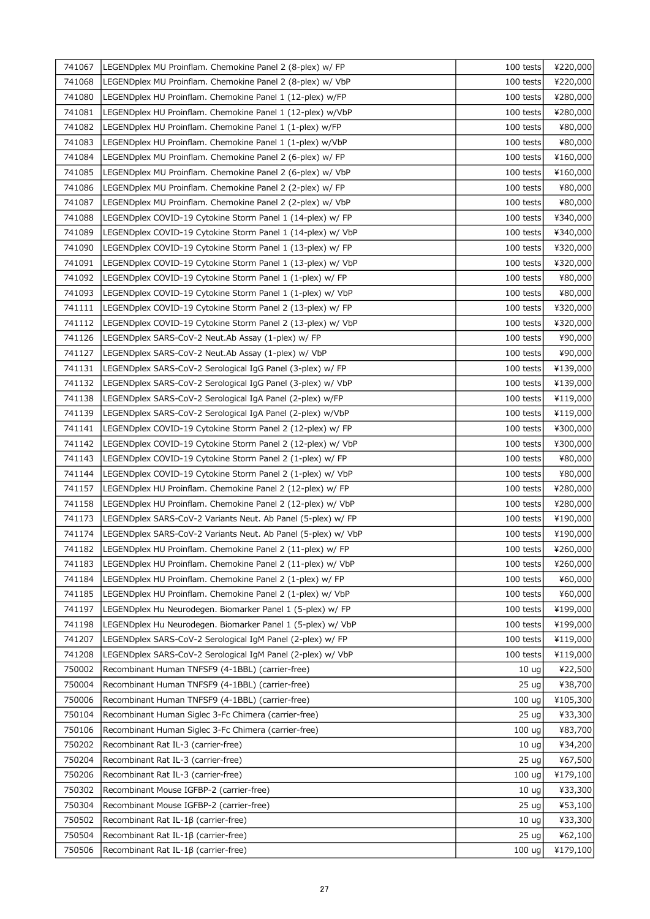| 741067 | LEGENDplex MU Proinflam. Chemokine Panel 2 (8-plex) w/ FP     | 100 tests         | ¥220,000 |
|--------|---------------------------------------------------------------|-------------------|----------|
| 741068 | LEGENDplex MU Proinflam. Chemokine Panel 2 (8-plex) w/ VbP    | 100 tests         | ¥220,000 |
| 741080 | LEGENDplex HU Proinflam. Chemokine Panel 1 (12-plex) w/FP     | 100 tests         | ¥280,000 |
| 741081 | LEGENDplex HU Proinflam. Chemokine Panel 1 (12-plex) w/VbP    | 100 tests         | ¥280,000 |
| 741082 | LEGENDplex HU Proinflam. Chemokine Panel 1 (1-plex) w/FP      | 100 tests         | ¥80,000  |
| 741083 | LEGENDplex HU Proinflam. Chemokine Panel 1 (1-plex) w/VbP     | 100 tests         | ¥80,000  |
| 741084 | LEGENDplex MU Proinflam. Chemokine Panel 2 (6-plex) w/ FP     | 100 tests         | ¥160,000 |
| 741085 | LEGENDplex MU Proinflam. Chemokine Panel 2 (6-plex) w/ VbP    | 100 tests         | ¥160,000 |
| 741086 | LEGENDplex MU Proinflam. Chemokine Panel 2 (2-plex) w/ FP     | 100 tests         | ¥80,000  |
| 741087 | LEGENDplex MU Proinflam. Chemokine Panel 2 (2-plex) w/ VbP    | 100 tests         | ¥80,000  |
| 741088 | LEGENDplex COVID-19 Cytokine Storm Panel 1 (14-plex) w/ FP    | 100 tests         | ¥340,000 |
| 741089 | LEGENDplex COVID-19 Cytokine Storm Panel 1 (14-plex) w/ VbP   | 100 tests         | ¥340,000 |
| 741090 | LEGENDplex COVID-19 Cytokine Storm Panel 1 (13-plex) w/ FP    | 100 tests         | ¥320,000 |
| 741091 | LEGENDplex COVID-19 Cytokine Storm Panel 1 (13-plex) w/ VbP   | 100 tests         | ¥320,000 |
| 741092 | LEGENDplex COVID-19 Cytokine Storm Panel 1 (1-plex) w/ FP     | 100 tests         | ¥80,000  |
| 741093 | LEGENDplex COVID-19 Cytokine Storm Panel 1 (1-plex) w/ VbP    | 100 tests         | ¥80,000  |
| 741111 | LEGENDplex COVID-19 Cytokine Storm Panel 2 (13-plex) w/ FP    | 100 tests         | ¥320,000 |
| 741112 | LEGENDplex COVID-19 Cytokine Storm Panel 2 (13-plex) w/ VbP   | 100 tests         | ¥320,000 |
| 741126 | LEGENDplex SARS-CoV-2 Neut.Ab Assay (1-plex) w/ FP            | 100 tests         | ¥90,000  |
| 741127 | LEGENDplex SARS-CoV-2 Neut.Ab Assay (1-plex) w/ VbP           | 100 tests         | ¥90,000  |
| 741131 | LEGENDplex SARS-CoV-2 Serological IgG Panel (3-plex) w/ FP    | 100 tests         | ¥139,000 |
| 741132 | LEGENDplex SARS-CoV-2 Serological IgG Panel (3-plex) w/ VbP   | 100 tests         | ¥139,000 |
| 741138 | LEGENDplex SARS-CoV-2 Serological IgA Panel (2-plex) w/FP     | 100 tests         | ¥119,000 |
| 741139 | LEGENDplex SARS-CoV-2 Serological IgA Panel (2-plex) w/VbP    | 100 tests         | ¥119,000 |
| 741141 | LEGENDplex COVID-19 Cytokine Storm Panel 2 (12-plex) w/ FP    | 100 tests         | ¥300,000 |
| 741142 | LEGENDplex COVID-19 Cytokine Storm Panel 2 (12-plex) w/ VbP   | 100 tests         | ¥300,000 |
| 741143 | LEGENDplex COVID-19 Cytokine Storm Panel 2 (1-plex) w/ FP     | 100 tests         | ¥80,000  |
| 741144 | LEGENDplex COVID-19 Cytokine Storm Panel 2 (1-plex) w/ VbP    | 100 tests         | ¥80,000  |
| 741157 | LEGENDplex HU Proinflam. Chemokine Panel 2 (12-plex) w/ FP    | 100 tests         | ¥280,000 |
| 741158 | LEGENDplex HU Proinflam. Chemokine Panel 2 (12-plex) w/ VbP   | 100 tests         | ¥280,000 |
| 741173 | LEGENDplex SARS-CoV-2 Variants Neut. Ab Panel (5-plex) w/ FP  | 100 tests         | ¥190,000 |
| 741174 | LEGENDplex SARS-CoV-2 Variants Neut. Ab Panel (5-plex) w/ VbP | 100 tests         | ¥190,000 |
| 741182 | LEGENDplex HU Proinflam. Chemokine Panel 2 (11-plex) w/ FP    | 100 tests         | ¥260,000 |
| 741183 | LEGENDplex HU Proinflam. Chemokine Panel 2 (11-plex) w/ VbP   | 100 tests         | ¥260,000 |
| 741184 | LEGENDplex HU Proinflam. Chemokine Panel 2 (1-plex) w/ FP     | 100 tests         | ¥60,000  |
| 741185 | LEGENDplex HU Proinflam. Chemokine Panel 2 (1-plex) w/ VbP    | 100 tests         | ¥60,000  |
| 741197 | LEGENDplex Hu Neurodegen. Biomarker Panel 1 (5-plex) w/ FP    | 100 tests         | ¥199,000 |
| 741198 | LEGENDplex Hu Neurodegen. Biomarker Panel 1 (5-plex) w/ VbP   | 100 tests         | ¥199,000 |
| 741207 | LEGENDplex SARS-CoV-2 Serological IgM Panel (2-plex) w/ FP    | 100 tests         | ¥119,000 |
| 741208 | LEGENDplex SARS-CoV-2 Serological IgM Panel (2-plex) w/ VbP   | 100 tests         | ¥119,000 |
| 750002 | Recombinant Human TNFSF9 (4-1BBL) (carrier-free)              | 10 <sub>uq</sub>  | ¥22,500  |
| 750004 | Recombinant Human TNFSF9 (4-1BBL) (carrier-free)              | 25 <sub>uq</sub>  | ¥38,700  |
| 750006 | Recombinant Human TNFSF9 (4-1BBL) (carrier-free)              | 100 <sub>uq</sub> | ¥105,300 |
| 750104 | Recombinant Human Siglec 3-Fc Chimera (carrier-free)          | 25 <sub>uq</sub>  | ¥33,300  |
| 750106 | Recombinant Human Siglec 3-Fc Chimera (carrier-free)          | 100 ug            | ¥83,700  |
| 750202 | Recombinant Rat IL-3 (carrier-free)                           | 10 <sub>uq</sub>  | ¥34,200  |
| 750204 | Recombinant Rat IL-3 (carrier-free)                           | 25 <sub>uq</sub>  | ¥67,500  |
| 750206 | Recombinant Rat IL-3 (carrier-free)                           | 100 ug            | ¥179,100 |
| 750302 | Recombinant Mouse IGFBP-2 (carrier-free)                      | 10 <sub>uq</sub>  | ¥33,300  |
| 750304 | Recombinant Mouse IGFBP-2 (carrier-free)                      | 25 <sub>uq</sub>  | ¥53,100  |
| 750502 | Recombinant Rat IL-1β (carrier-free)                          | 10 <sub>uq</sub>  | ¥33,300  |
| 750504 | Recombinant Rat IL-1β (carrier-free)                          | 25 <sub>uq</sub>  | ¥62,100  |
| 750506 | Recombinant Rat IL-1ß (carrier-free)                          | 100 <sub>uq</sub> | ¥179,100 |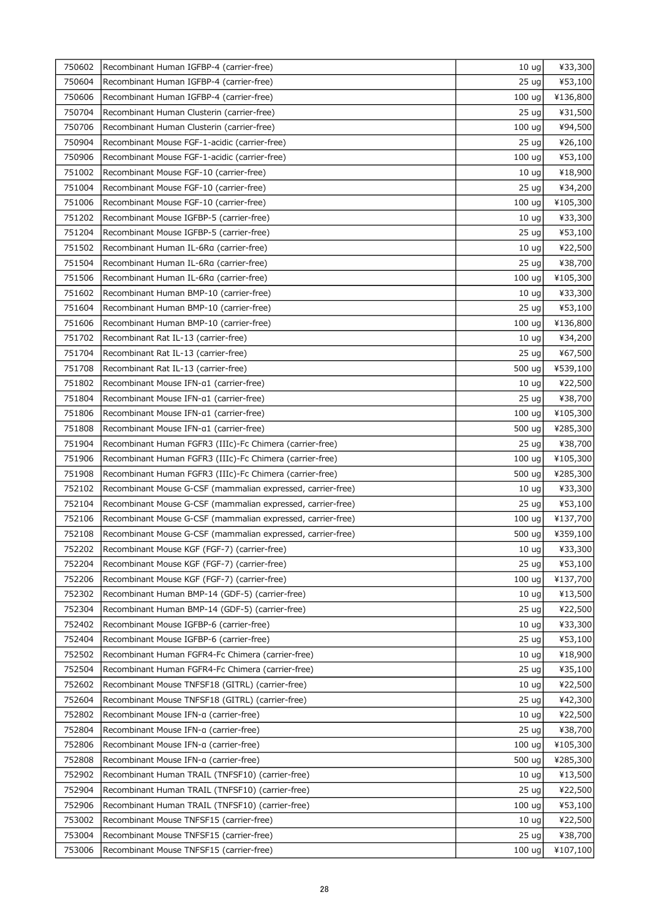| 750602 | Recombinant Human IGFBP-4 (carrier-free)                    | 10 <sub>uq</sub>  | ¥33,300  |
|--------|-------------------------------------------------------------|-------------------|----------|
| 750604 | Recombinant Human IGFBP-4 (carrier-free)                    | 25 <sub>uq</sub>  | ¥53,100  |
| 750606 | Recombinant Human IGFBP-4 (carrier-free)                    | 100 <sub>uq</sub> | ¥136,800 |
| 750704 | Recombinant Human Clusterin (carrier-free)                  | 25 <sub>uq</sub>  | ¥31,500  |
| 750706 | Recombinant Human Clusterin (carrier-free)                  | 100 <sub>uq</sub> | ¥94,500  |
| 750904 | Recombinant Mouse FGF-1-acidic (carrier-free)               | 25 ug             | ¥26,100  |
| 750906 | Recombinant Mouse FGF-1-acidic (carrier-free)               | 100 <sub>uq</sub> | ¥53,100  |
| 751002 | Recombinant Mouse FGF-10 (carrier-free)                     | 10 <sub>uq</sub>  | ¥18,900  |
| 751004 | Recombinant Mouse FGF-10 (carrier-free)                     | 25 <sub>uq</sub>  | ¥34,200  |
| 751006 | Recombinant Mouse FGF-10 (carrier-free)                     | 100 <sub>uq</sub> | ¥105,300 |
| 751202 | Recombinant Mouse IGFBP-5 (carrier-free)                    | 10 <sub>uq</sub>  | ¥33,300  |
| 751204 | Recombinant Mouse IGFBP-5 (carrier-free)                    | 25 <sub>uq</sub>  | ¥53,100  |
| 751502 | Recombinant Human IL-6Ra (carrier-free)                     | 10 <sub>uq</sub>  | ¥22,500  |
| 751504 | Recombinant Human IL-6Ra (carrier-free)                     | 25 <sub>uq</sub>  | ¥38,700  |
| 751506 | Recombinant Human IL-6Ra (carrier-free)                     | 100 <sub>uq</sub> | ¥105,300 |
| 751602 | Recombinant Human BMP-10 (carrier-free)                     | 10 <sub>ug</sub>  | ¥33,300  |
| 751604 | Recombinant Human BMP-10 (carrier-free)                     | 25 <sub>uq</sub>  | ¥53,100  |
| 751606 | Recombinant Human BMP-10 (carrier-free)                     | 100 <sub>uq</sub> | ¥136,800 |
| 751702 | Recombinant Rat IL-13 (carrier-free)                        | 10 <sub>uq</sub>  | ¥34,200  |
| 751704 | Recombinant Rat IL-13 (carrier-free)                        | 25 <sub>uq</sub>  | ¥67,500  |
| 751708 | Recombinant Rat IL-13 (carrier-free)                        | 500 ug            | ¥539,100 |
| 751802 | Recombinant Mouse IFN-a1 (carrier-free)                     | 10 <sub>uq</sub>  | ¥22,500  |
| 751804 | Recombinant Mouse IFN-a1 (carrier-free)                     | 25 <sub>uq</sub>  | ¥38,700  |
| 751806 | Recombinant Mouse IFN-a1 (carrier-free)                     | 100 <sub>uq</sub> | ¥105,300 |
| 751808 | Recombinant Mouse IFN-a1 (carrier-free)                     | 500 ug            | ¥285,300 |
| 751904 | Recombinant Human FGFR3 (IIIc)-Fc Chimera (carrier-free)    | 25 <sub>uq</sub>  | ¥38,700  |
| 751906 | Recombinant Human FGFR3 (IIIc)-Fc Chimera (carrier-free)    | 100 <sub>uq</sub> | ¥105,300 |
| 751908 | Recombinant Human FGFR3 (IIIc)-Fc Chimera (carrier-free)    | 500 ug            | ¥285,300 |
| 752102 | Recombinant Mouse G-CSF (mammalian expressed, carrier-free) | 10 <sub>uq</sub>  | ¥33,300  |
| 752104 | Recombinant Mouse G-CSF (mammalian expressed, carrier-free) | 25 <sub>uq</sub>  | ¥53,100  |
| 752106 | Recombinant Mouse G-CSF (mammalian expressed, carrier-free) | 100 ug            | ¥137,700 |
| 752108 | Recombinant Mouse G-CSF (mammalian expressed, carrier-free) | 500 ug            | ¥359,100 |
| 752202 | Recombinant Mouse KGF (FGF-7) (carrier-free)                | $10 \text{ ug}$   | ¥33,300  |
| 752204 | Recombinant Mouse KGF (FGF-7) (carrier-free)                | 25 <sub>uq</sub>  | ¥53,100  |
| 752206 | Recombinant Mouse KGF (FGF-7) (carrier-free)                | 100 <sub>uq</sub> | ¥137,700 |
| 752302 | Recombinant Human BMP-14 (GDF-5) (carrier-free)             | 10 <sub>ug</sub>  | ¥13,500  |
| 752304 | Recombinant Human BMP-14 (GDF-5) (carrier-free)             | 25 <sub>uq</sub>  | ¥22,500  |
| 752402 | Recombinant Mouse IGFBP-6 (carrier-free)                    | 10 <sub>uq</sub>  | ¥33,300  |
| 752404 | Recombinant Mouse IGFBP-6 (carrier-free)                    | 25 <sub>uq</sub>  | ¥53,100  |
| 752502 | Recombinant Human FGFR4-Fc Chimera (carrier-free)           | 10 <sub>uq</sub>  | ¥18,900  |
| 752504 | Recombinant Human FGFR4-Fc Chimera (carrier-free)           | 25 <sub>uq</sub>  | ¥35,100  |
| 752602 | Recombinant Mouse TNFSF18 (GITRL) (carrier-free)            | 10 <sub>uq</sub>  | ¥22,500  |
| 752604 | Recombinant Mouse TNFSF18 (GITRL) (carrier-free)            | 25 <sub>uq</sub>  | ¥42,300  |
| 752802 | Recombinant Mouse IFN-a (carrier-free)                      | 10 <sub>uq</sub>  | ¥22,500  |
| 752804 | Recombinant Mouse IFN-a (carrier-free)                      | 25 <sub>uq</sub>  | ¥38,700  |
| 752806 | Recombinant Mouse IFN-a (carrier-free)                      | 100 <sub>uq</sub> | ¥105,300 |
| 752808 | Recombinant Mouse IFN-a (carrier-free)                      | 500 ug            | ¥285,300 |
| 752902 | Recombinant Human TRAIL (TNFSF10) (carrier-free)            | 10 <sub>uq</sub>  | ¥13,500  |
| 752904 | Recombinant Human TRAIL (TNFSF10) (carrier-free)            | 25 <sub>uq</sub>  | ¥22,500  |
| 752906 | Recombinant Human TRAIL (TNFSF10) (carrier-free)            | 100 uq            | ¥53,100  |
| 753002 | Recombinant Mouse TNFSF15 (carrier-free)                    | 10 <sub>uq</sub>  | ¥22,500  |
| 753004 | Recombinant Mouse TNFSF15 (carrier-free)                    | 25 <sub>uq</sub>  | ¥38,700  |
| 753006 | Recombinant Mouse TNFSF15 (carrier-free)                    | 100 <sub>uq</sub> | ¥107,100 |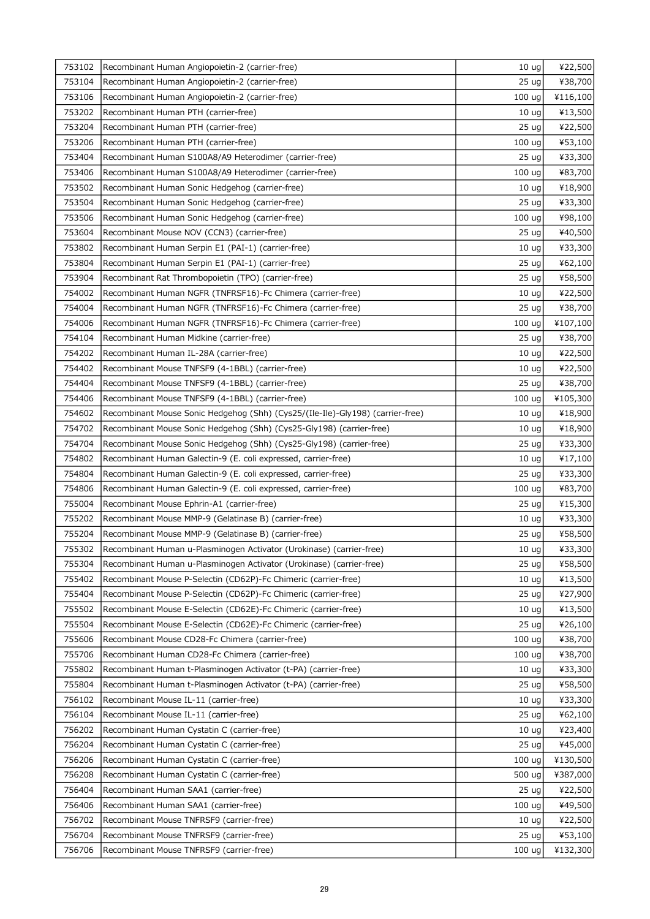| 753102 | Recombinant Human Angiopoietin-2 (carrier-free)                                | 10 <sub>uq</sub>  | ¥22,500  |
|--------|--------------------------------------------------------------------------------|-------------------|----------|
| 753104 | Recombinant Human Angiopoietin-2 (carrier-free)                                | 25 <sub>uq</sub>  | ¥38,700  |
| 753106 | Recombinant Human Angiopoietin-2 (carrier-free)                                | 100 ug            | ¥116,100 |
| 753202 | Recombinant Human PTH (carrier-free)                                           | 10 <sub>uq</sub>  | ¥13,500  |
| 753204 | Recombinant Human PTH (carrier-free)                                           | 25 <sub>uq</sub>  | ¥22,500  |
| 753206 | Recombinant Human PTH (carrier-free)                                           | 100 <sub>uq</sub> | ¥53,100  |
| 753404 | Recombinant Human S100A8/A9 Heterodimer (carrier-free)                         | 25 <sub>uq</sub>  | ¥33,300  |
| 753406 | Recombinant Human S100A8/A9 Heterodimer (carrier-free)                         | 100 uq            | ¥83,700  |
| 753502 | Recombinant Human Sonic Hedgehog (carrier-free)                                | 10 <sub>ug</sub>  | ¥18,900  |
| 753504 | Recombinant Human Sonic Hedgehog (carrier-free)                                | 25 ug             | ¥33,300  |
| 753506 | Recombinant Human Sonic Hedgehog (carrier-free)                                | 100 ug            | ¥98,100  |
| 753604 | Recombinant Mouse NOV (CCN3) (carrier-free)                                    | 25 <sub>uq</sub>  | ¥40,500  |
| 753802 | Recombinant Human Serpin E1 (PAI-1) (carrier-free)                             | 10 <sub>ug</sub>  | ¥33,300  |
| 753804 | Recombinant Human Serpin E1 (PAI-1) (carrier-free)                             | 25 <sub>uq</sub>  | ¥62,100  |
| 753904 | Recombinant Rat Thrombopoietin (TPO) (carrier-free)                            | 25 ug             | ¥58,500  |
| 754002 | Recombinant Human NGFR (TNFRSF16)-Fc Chimera (carrier-free)                    | 10 <sub>ug</sub>  | ¥22,500  |
| 754004 | Recombinant Human NGFR (TNFRSF16)-Fc Chimera (carrier-free)                    | 25 <sub>uq</sub>  | ¥38,700  |
| 754006 | Recombinant Human NGFR (TNFRSF16)-Fc Chimera (carrier-free)                    | 100 ug            | ¥107,100 |
| 754104 | Recombinant Human Midkine (carrier-free)                                       | 25 <sub>uq</sub>  | ¥38,700  |
| 754202 | Recombinant Human IL-28A (carrier-free)                                        | 10 <sub>uq</sub>  | ¥22,500  |
| 754402 | Recombinant Mouse TNFSF9 (4-1BBL) (carrier-free)                               | 10 <sub>uq</sub>  | ¥22,500  |
| 754404 | Recombinant Mouse TNFSF9 (4-1BBL) (carrier-free)                               | 25 <sub>uq</sub>  | ¥38,700  |
| 754406 | Recombinant Mouse TNFSF9 (4-1BBL) (carrier-free)                               | 100 <sub>uq</sub> | ¥105,300 |
| 754602 | Recombinant Mouse Sonic Hedgehog (Shh) (Cys25/(Ile-Ile)-Gly198) (carrier-free) | 10 <sub>uq</sub>  | ¥18,900  |
| 754702 | Recombinant Mouse Sonic Hedgehog (Shh) (Cys25-Gly198) (carrier-free)           | 10 <sub>ug</sub>  | ¥18,900  |
| 754704 | Recombinant Mouse Sonic Hedgehog (Shh) (Cys25-Gly198) (carrier-free)           | 25 <sub>uq</sub>  | ¥33,300  |
| 754802 | Recombinant Human Galectin-9 (E. coli expressed, carrier-free)                 | 10 <sub>uq</sub>  | ¥17,100  |
| 754804 | Recombinant Human Galectin-9 (E. coli expressed, carrier-free)                 | 25 <sub>uq</sub>  | ¥33,300  |
| 754806 | Recombinant Human Galectin-9 (E. coli expressed, carrier-free)                 | 100 ug            | ¥83,700  |
| 755004 | Recombinant Mouse Ephrin-A1 (carrier-free)                                     | 25 ug             | ¥15,300  |
| 755202 | Recombinant Mouse MMP-9 (Gelatinase B) (carrier-free)                          | 10 <sub>uq</sub>  | ¥33,300  |
| 755204 | Recombinant Mouse MMP-9 (Gelatinase B) (carrier-free)                          | 25 ug             | ¥58,500  |
| 755302 | Recombinant Human u-Plasminogen Activator (Urokinase) (carrier-free)           | $10 \text{ ug}$   | ¥33,300  |
| 755304 | Recombinant Human u-Plasminogen Activator (Urokinase) (carrier-free)           | 25 <sub>uq</sub>  | ¥58,500  |
| 755402 | Recombinant Mouse P-Selectin (CD62P)-Fc Chimeric (carrier-free)                | 10 <sub>ug</sub>  | ¥13,500  |
| 755404 | Recombinant Mouse P-Selectin (CD62P)-Fc Chimeric (carrier-free)                | 25 <sub>uq</sub>  | ¥27,900  |
| 755502 | Recombinant Mouse E-Selectin (CD62E)-Fc Chimeric (carrier-free)                | 10 <sub>uq</sub>  | ¥13,500  |
| 755504 | Recombinant Mouse E-Selectin (CD62E)-Fc Chimeric (carrier-free)                | 25 <sub>uq</sub>  | ¥26,100  |
| 755606 | Recombinant Mouse CD28-Fc Chimera (carrier-free)                               | 100 ug            | ¥38,700  |
| 755706 | Recombinant Human CD28-Fc Chimera (carrier-free)                               | 100 ug            | ¥38,700  |
| 755802 | Recombinant Human t-Plasminogen Activator (t-PA) (carrier-free)                | 10 <sub>uq</sub>  | ¥33,300  |
| 755804 | Recombinant Human t-Plasminogen Activator (t-PA) (carrier-free)                | 25 <sub>uq</sub>  | ¥58,500  |
| 756102 | Recombinant Mouse IL-11 (carrier-free)                                         | 10 <sub>uq</sub>  | ¥33,300  |
| 756104 | Recombinant Mouse IL-11 (carrier-free)                                         | 25 <sub>uq</sub>  | ¥62,100  |
| 756202 | Recombinant Human Cystatin C (carrier-free)                                    | 10 <sub>uq</sub>  | ¥23,400  |
| 756204 | Recombinant Human Cystatin C (carrier-free)                                    | 25 <sub>uq</sub>  | ¥45,000  |
| 756206 | Recombinant Human Cystatin C (carrier-free)                                    | 100 ug            | ¥130,500 |
| 756208 | Recombinant Human Cystatin C (carrier-free)                                    | 500 ug            | ¥387,000 |
| 756404 | Recombinant Human SAA1 (carrier-free)                                          | 25 <sub>uq</sub>  | ¥22,500  |
| 756406 | Recombinant Human SAA1 (carrier-free)                                          | 100 uq            | ¥49,500  |
| 756702 | Recombinant Mouse TNFRSF9 (carrier-free)                                       | 10 <sub>uq</sub>  | ¥22,500  |
| 756704 | Recombinant Mouse TNFRSF9 (carrier-free)                                       | 25 <sub>uq</sub>  | ¥53,100  |
| 756706 | Recombinant Mouse TNFRSF9 (carrier-free)                                       | 100 <sub>uq</sub> | ¥132,300 |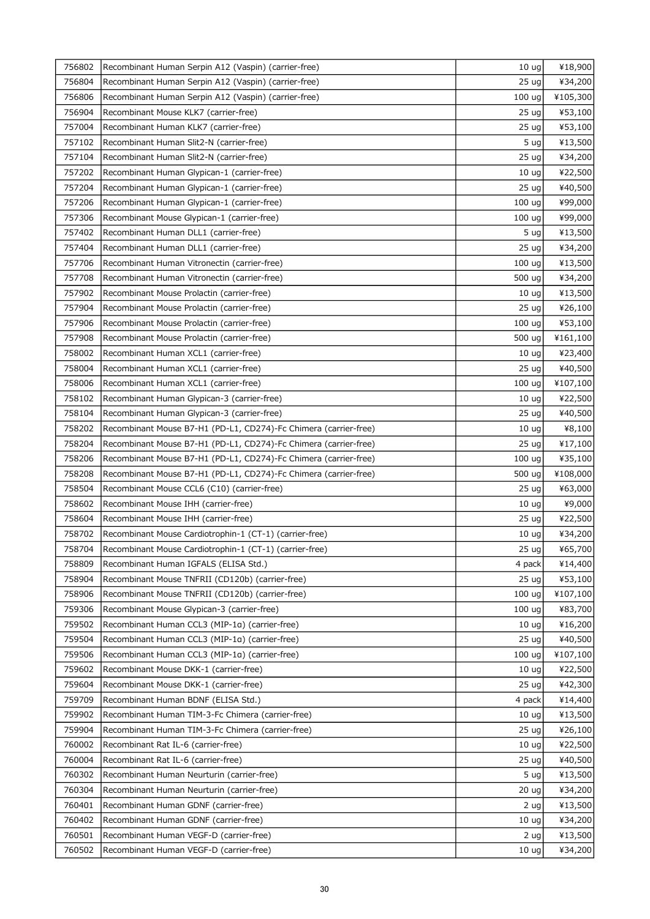| 756802 | Recombinant Human Serpin A12 (Vaspin) (carrier-free)             | 10 <sub>uq</sub>  | ¥18,900  |
|--------|------------------------------------------------------------------|-------------------|----------|
| 756804 | Recombinant Human Serpin A12 (Vaspin) (carrier-free)             | 25 <sub>uq</sub>  | ¥34,200  |
| 756806 | Recombinant Human Serpin A12 (Vaspin) (carrier-free)             | 100 <sub>uq</sub> | ¥105,300 |
| 756904 | Recombinant Mouse KLK7 (carrier-free)                            | 25 <sub>uq</sub>  | ¥53,100  |
| 757004 | Recombinant Human KLK7 (carrier-free)                            | 25 <sub>uq</sub>  | ¥53,100  |
| 757102 | Recombinant Human Slit2-N (carrier-free)                         | 5 ug              | ¥13,500  |
| 757104 | Recombinant Human Slit2-N (carrier-free)                         | 25 <sub>uq</sub>  | ¥34,200  |
| 757202 | Recombinant Human Glypican-1 (carrier-free)                      | 10 <sub>uq</sub>  | ¥22,500  |
| 757204 | Recombinant Human Glypican-1 (carrier-free)                      | 25 <sub>uq</sub>  | ¥40,500  |
| 757206 | Recombinant Human Glypican-1 (carrier-free)                      | 100 <sub>uq</sub> | ¥99,000  |
| 757306 | Recombinant Mouse Glypican-1 (carrier-free)                      | 100 <sub>uq</sub> | ¥99,000  |
| 757402 | Recombinant Human DLL1 (carrier-free)                            | 5 <sub>uq</sub>   | ¥13,500  |
| 757404 | Recombinant Human DLL1 (carrier-free)                            | 25 <sub>uq</sub>  | ¥34,200  |
| 757706 | Recombinant Human Vitronectin (carrier-free)                     | 100 ug            | ¥13,500  |
| 757708 | Recombinant Human Vitronectin (carrier-free)                     | 500 ug            | ¥34,200  |
| 757902 | Recombinant Mouse Prolactin (carrier-free)                       | 10 <sub>ug</sub>  | ¥13,500  |
| 757904 | Recombinant Mouse Prolactin (carrier-free)                       | 25 <sub>uq</sub>  | ¥26,100  |
| 757906 | Recombinant Mouse Prolactin (carrier-free)                       | 100 <sub>uq</sub> | ¥53,100  |
| 757908 | Recombinant Mouse Prolactin (carrier-free)                       | 500 ug            | ¥161,100 |
| 758002 | Recombinant Human XCL1 (carrier-free)                            | 10 <sub>uq</sub>  | ¥23,400  |
| 758004 | Recombinant Human XCL1 (carrier-free)                            | 25 <sub>uq</sub>  | ¥40,500  |
| 758006 | Recombinant Human XCL1 (carrier-free)                            | 100 <sub>uq</sub> | ¥107,100 |
| 758102 | Recombinant Human Glypican-3 (carrier-free)                      | 10 <sub>uq</sub>  | ¥22,500  |
| 758104 | Recombinant Human Glypican-3 (carrier-free)                      | 25 <sub>uq</sub>  | ¥40,500  |
| 758202 | Recombinant Mouse B7-H1 (PD-L1, CD274)-Fc Chimera (carrier-free) | 10 <sub>uq</sub>  | ¥8,100   |
| 758204 | Recombinant Mouse B7-H1 (PD-L1, CD274)-Fc Chimera (carrier-free) | 25 <sub>uq</sub>  | ¥17,100  |
| 758206 | Recombinant Mouse B7-H1 (PD-L1, CD274)-Fc Chimera (carrier-free) | 100 ug            | ¥35,100  |
| 758208 | Recombinant Mouse B7-H1 (PD-L1, CD274)-Fc Chimera (carrier-free) | 500 ug            | ¥108,000 |
| 758504 | Recombinant Mouse CCL6 (C10) (carrier-free)                      | 25 <sub>uq</sub>  | ¥63,000  |
| 758602 | Recombinant Mouse IHH (carrier-free)                             | 10 <sub>uq</sub>  | ¥9,000   |
| 758604 | Recombinant Mouse IHH (carrier-free)                             | 25 <sub>uq</sub>  | ¥22,500  |
| 758702 | Recombinant Mouse Cardiotrophin-1 (CT-1) (carrier-free)          | 10 <sub>ug</sub>  | ¥34,200  |
| 758704 | Recombinant Mouse Cardiotrophin-1 (CT-1) (carrier-free)          | 25 ug             | ¥65,700  |
| 758809 | Recombinant Human IGFALS (ELISA Std.)                            | 4 pack            | ¥14,400  |
| 758904 | Recombinant Mouse TNFRII (CD120b) (carrier-free)                 | 25 <sub>uq</sub>  | ¥53,100  |
| 758906 | Recombinant Mouse TNFRII (CD120b) (carrier-free)                 | 100 ug            | ¥107,100 |
|        |                                                                  |                   |          |
| 759306 | Recombinant Mouse Glypican-3 (carrier-free)                      | 100 <sub>uq</sub> | ¥83,700  |
| 759502 | Recombinant Human CCL3 (MIP-1a) (carrier-free)                   | 10 <sub>uq</sub>  | ¥16,200  |
| 759504 | Recombinant Human CCL3 (MIP-1a) (carrier-free)                   | 25 <sub>uq</sub>  | ¥40,500  |
| 759506 | Recombinant Human CCL3 (MIP-1a) (carrier-free)                   | 100 <sub>uq</sub> | ¥107,100 |
| 759602 | Recombinant Mouse DKK-1 (carrier-free)                           | 10 <sub>uq</sub>  | ¥22,500  |
| 759604 | Recombinant Mouse DKK-1 (carrier-free)                           | 25 <sub>uq</sub>  | ¥42,300  |
| 759709 | Recombinant Human BDNF (ELISA Std.)                              | 4 pack            | ¥14,400  |
| 759902 | Recombinant Human TIM-3-Fc Chimera (carrier-free)                | 10 <sub>uq</sub>  | ¥13,500  |
| 759904 | Recombinant Human TIM-3-Fc Chimera (carrier-free)                | 25 <sub>uq</sub>  | ¥26,100  |
| 760002 | Recombinant Rat IL-6 (carrier-free)                              | 10 <sub>uq</sub>  | ¥22,500  |
| 760004 | Recombinant Rat IL-6 (carrier-free)                              | 25 <sub>uq</sub>  | ¥40,500  |
| 760302 | Recombinant Human Neurturin (carrier-free)                       | 5 ug              | ¥13,500  |
| 760304 | Recombinant Human Neurturin (carrier-free)                       | 20 <sub>uq</sub>  | ¥34,200  |
| 760401 | Recombinant Human GDNF (carrier-free)                            | 2 ug              | ¥13,500  |
| 760402 | Recombinant Human GDNF (carrier-free)                            | 10 <sub>uq</sub>  | ¥34,200  |
| 760501 | Recombinant Human VEGF-D (carrier-free)                          | 2 <sub>uq</sub>   | ¥13,500  |
| 760502 | Recombinant Human VEGF-D (carrier-free)                          | 10 <sub>uq</sub>  | ¥34,200  |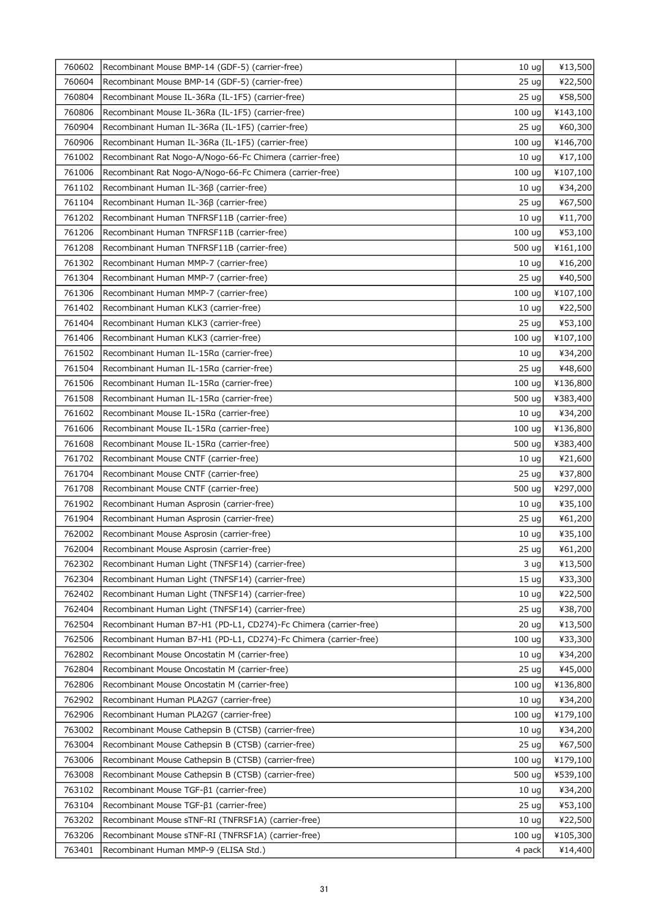| 760602 | Recombinant Mouse BMP-14 (GDF-5) (carrier-free)                  | 10 <sub>uq</sub>  | ¥13,500  |
|--------|------------------------------------------------------------------|-------------------|----------|
| 760604 | Recombinant Mouse BMP-14 (GDF-5) (carrier-free)                  | 25 <sub>uq</sub>  | ¥22,500  |
| 760804 | Recombinant Mouse IL-36Ra (IL-1F5) (carrier-free)                | 25 <sub>uq</sub>  | ¥58,500  |
| 760806 | Recombinant Mouse IL-36Ra (IL-1F5) (carrier-free)                | 100 <sub>uq</sub> | ¥143,100 |
| 760904 | Recombinant Human IL-36Ra (IL-1F5) (carrier-free)                | 25 <sub>uq</sub>  | ¥60,300  |
| 760906 | Recombinant Human IL-36Ra (IL-1F5) (carrier-free)                | 100 ug            | ¥146,700 |
| 761002 | Recombinant Rat Nogo-A/Nogo-66-Fc Chimera (carrier-free)         | 10 <sub>uq</sub>  | ¥17,100  |
| 761006 | Recombinant Rat Nogo-A/Nogo-66-Fc Chimera (carrier-free)         | 100 <sub>uq</sub> | ¥107,100 |
| 761102 | Recombinant Human IL-36ß (carrier-free)                          | 10 <sub>uq</sub>  | ¥34,200  |
| 761104 | Recombinant Human IL-36β (carrier-free)                          | 25 <sub>uq</sub>  | ¥67,500  |
| 761202 | Recombinant Human TNFRSF11B (carrier-free)                       | 10 <sub>uq</sub>  | ¥11,700  |
| 761206 | Recombinant Human TNFRSF11B (carrier-free)                       | 100 <sub>uq</sub> | ¥53,100  |
| 761208 | Recombinant Human TNFRSF11B (carrier-free)                       | 500 ug            | ¥161,100 |
| 761302 | Recombinant Human MMP-7 (carrier-free)                           | 10 <sub>uq</sub>  | ¥16,200  |
| 761304 | Recombinant Human MMP-7 (carrier-free)                           | 25 <sub>uq</sub>  | ¥40,500  |
| 761306 | Recombinant Human MMP-7 (carrier-free)                           | 100 <sub>uq</sub> | ¥107,100 |
| 761402 | Recombinant Human KLK3 (carrier-free)                            | 10 <sub>uq</sub>  | ¥22,500  |
| 761404 | Recombinant Human KLK3 (carrier-free)                            | 25 <sub>uq</sub>  | ¥53,100  |
| 761406 | Recombinant Human KLK3 (carrier-free)                            | 100 ug            | ¥107,100 |
| 761502 | Recombinant Human IL-15Ra (carrier-free)                         | 10 <sub>ug</sub>  | ¥34,200  |
| 761504 | Recombinant Human IL-15Ra (carrier-free)                         | 25 <sub>uq</sub>  | ¥48,600  |
| 761506 | Recombinant Human IL-15Ra (carrier-free)                         | 100 <sub>uq</sub> | ¥136,800 |
| 761508 | Recombinant Human IL-15Ra (carrier-free)                         | 500 ug            | ¥383,400 |
| 761602 | Recombinant Mouse IL-15Ra (carrier-free)                         | 10 <sub>uq</sub>  | ¥34,200  |
| 761606 | Recombinant Mouse IL-15Ra (carrier-free)                         | 100 <sub>uq</sub> | ¥136,800 |
| 761608 | Recombinant Mouse IL-15Ra (carrier-free)                         | 500 ug            | ¥383,400 |
| 761702 | Recombinant Mouse CNTF (carrier-free)                            | 10 <sub>uq</sub>  | ¥21,600  |
| 761704 | Recombinant Mouse CNTF (carrier-free)                            | 25 <sub>uq</sub>  | ¥37,800  |
| 761708 | Recombinant Mouse CNTF (carrier-free)                            | 500 ug            | ¥297,000 |
| 761902 | Recombinant Human Asprosin (carrier-free)                        | 10 <sub>uq</sub>  | ¥35,100  |
| 761904 | Recombinant Human Asprosin (carrier-free)                        | 25 <sub>uq</sub>  | ¥61,200  |
| 762002 | Recombinant Mouse Asprosin (carrier-free)                        | 10 <sub>uq</sub>  | ¥35,100  |
| 762004 | Recombinant Mouse Asprosin (carrier-free)                        | 25 ug             | ¥61,200  |
| 762302 | Recombinant Human Light (TNFSF14) (carrier-free)                 | 3 ug              | ¥13,500  |
| 762304 | Recombinant Human Light (TNFSF14) (carrier-free)                 | 15 <sub>uq</sub>  | ¥33,300  |
| 762402 | Recombinant Human Light (TNFSF14) (carrier-free)                 | 10 <sub>uq</sub>  | ¥22,500  |
| 762404 | Recombinant Human Light (TNFSF14) (carrier-free)                 | 25 <sub>uq</sub>  | ¥38,700  |
| 762504 | Recombinant Human B7-H1 (PD-L1, CD274)-Fc Chimera (carrier-free) | 20 <sub>uq</sub>  | ¥13,500  |
| 762506 | Recombinant Human B7-H1 (PD-L1, CD274)-Fc Chimera (carrier-free) | 100 <sub>uq</sub> | ¥33,300  |
| 762802 | Recombinant Mouse Oncostatin M (carrier-free)                    | 10 <sub>uq</sub>  | ¥34,200  |
| 762804 | Recombinant Mouse Oncostatin M (carrier-free)                    | 25 <sub>uq</sub>  | ¥45,000  |
| 762806 | Recombinant Mouse Oncostatin M (carrier-free)                    | 100 <sub>uq</sub> | ¥136,800 |
| 762902 | Recombinant Human PLA2G7 (carrier-free)                          | 10 <sub>uq</sub>  | ¥34,200  |
| 762906 | Recombinant Human PLA2G7 (carrier-free)                          | 100 <sub>uq</sub> | ¥179,100 |
| 763002 | Recombinant Mouse Cathepsin B (CTSB) (carrier-free)              | 10 <sub>uq</sub>  | ¥34,200  |
| 763004 | Recombinant Mouse Cathepsin B (CTSB) (carrier-free)              | 25 <sub>uq</sub>  | ¥67,500  |
| 763006 | Recombinant Mouse Cathepsin B (CTSB) (carrier-free)              | 100 <sub>uq</sub> | ¥179,100 |
| 763008 | Recombinant Mouse Cathepsin B (CTSB) (carrier-free)              | 500 ug            | ¥539,100 |
| 763102 | Recombinant Mouse TGF-β1 (carrier-free)                          | 10 <sub>uq</sub>  | ¥34,200  |
| 763104 | Recombinant Mouse TGF- $\beta$ 1 (carrier-free)                  | 25 <sub>uq</sub>  | ¥53,100  |
| 763202 | Recombinant Mouse sTNF-RI (TNFRSF1A) (carrier-free)              | 10 <sub>uq</sub>  | ¥22,500  |
| 763206 | Recombinant Mouse sTNF-RI (TNFRSF1A) (carrier-free)              | 100 <sub>uq</sub> | ¥105,300 |
| 763401 | Recombinant Human MMP-9 (ELISA Std.)                             | 4 pack            | ¥14,400  |
|        |                                                                  |                   |          |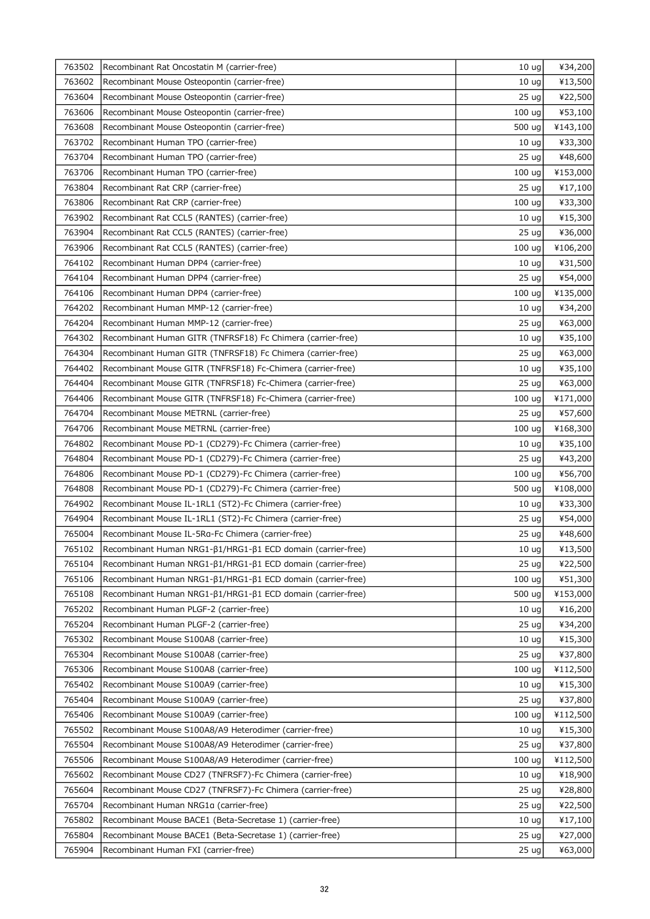| 763502 | Recombinant Rat Oncostatin M (carrier-free)                 | 10 <sub>uq</sub>  | ¥34,200  |
|--------|-------------------------------------------------------------|-------------------|----------|
| 763602 | Recombinant Mouse Osteopontin (carrier-free)                | 10 <sub>uq</sub>  | ¥13,500  |
| 763604 | Recombinant Mouse Osteopontin (carrier-free)                | 25 <sub>uq</sub>  | ¥22,500  |
| 763606 | Recombinant Mouse Osteopontin (carrier-free)                | 100 <sub>uq</sub> | ¥53,100  |
| 763608 | Recombinant Mouse Osteopontin (carrier-free)                | 500 ug            | ¥143,100 |
| 763702 | Recombinant Human TPO (carrier-free)                        | 10 <sub>uq</sub>  | ¥33,300  |
| 763704 | Recombinant Human TPO (carrier-free)                        | 25 ug             | ¥48,600  |
| 763706 | Recombinant Human TPO (carrier-free)                        | 100 <sub>uq</sub> | ¥153,000 |
| 763804 | Recombinant Rat CRP (carrier-free)                          | 25 ug             | ¥17,100  |
| 763806 | Recombinant Rat CRP (carrier-free)                          | 100 <sub>uq</sub> | ¥33,300  |
| 763902 | Recombinant Rat CCL5 (RANTES) (carrier-free)                | 10 <sub>uq</sub>  | ¥15,300  |
| 763904 | Recombinant Rat CCL5 (RANTES) (carrier-free)                | 25 <sub>uq</sub>  | ¥36,000  |
| 763906 | Recombinant Rat CCL5 (RANTES) (carrier-free)                | 100 <sub>uq</sub> | ¥106,200 |
| 764102 | Recombinant Human DPP4 (carrier-free)                       | 10 <sub>uq</sub>  | ¥31,500  |
| 764104 | Recombinant Human DPP4 (carrier-free)                       | 25 <sub>uq</sub>  | ¥54,000  |
| 764106 | Recombinant Human DPP4 (carrier-free)                       | 100 ug            | ¥135,000 |
| 764202 | Recombinant Human MMP-12 (carrier-free)                     | 10 <sub>uq</sub>  | ¥34,200  |
| 764204 | Recombinant Human MMP-12 (carrier-free)                     | 25 <sub>uq</sub>  | ¥63,000  |
| 764302 | Recombinant Human GITR (TNFRSF18) Fc Chimera (carrier-free) | 10 <sub>ug</sub>  | ¥35,100  |
| 764304 | Recombinant Human GITR (TNFRSF18) Fc Chimera (carrier-free) | 25 <sub>uq</sub>  | ¥63,000  |
| 764402 | Recombinant Mouse GITR (TNFRSF18) Fc-Chimera (carrier-free) | 10 <sub>uq</sub>  | ¥35,100  |
| 764404 | Recombinant Mouse GITR (TNFRSF18) Fc-Chimera (carrier-free) | 25 ug             | ¥63,000  |
| 764406 | Recombinant Mouse GITR (TNFRSF18) Fc-Chimera (carrier-free) | 100 ug            | ¥171,000 |
| 764704 | Recombinant Mouse METRNL (carrier-free)                     | 25 <sub>uq</sub>  | ¥57,600  |
| 764706 | Recombinant Mouse METRNL (carrier-free)                     | 100 <sub>uq</sub> | ¥168,300 |
| 764802 | Recombinant Mouse PD-1 (CD279)-Fc Chimera (carrier-free)    | 10 <sub>uq</sub>  | ¥35,100  |
| 764804 | Recombinant Mouse PD-1 (CD279)-Fc Chimera (carrier-free)    | 25 <sub>uq</sub>  | ¥43,200  |
| 764806 | Recombinant Mouse PD-1 (CD279)-Fc Chimera (carrier-free)    | 100 <sub>uq</sub> | ¥56,700  |
| 764808 | Recombinant Mouse PD-1 (CD279)-Fc Chimera (carrier-free)    | 500 ug            | ¥108,000 |
| 764902 | Recombinant Mouse IL-1RL1 (ST2)-Fc Chimera (carrier-free)   | 10 <sub>uq</sub>  | ¥33,300  |
| 764904 | Recombinant Mouse IL-1RL1 (ST2)-Fc Chimera (carrier-free)   | 25 <sub>uq</sub>  | ¥54,000  |
| 765004 | Recombinant Mouse IL-5Ra-Fc Chimera (carrier-free)          | 25 ug             | ¥48,600  |
| 765102 | Recombinant Human NRG1-β1/HRG1-β1 ECD domain (carrier-free) | $10 \text{ ug}$   | ¥13,500  |
| 765104 | Recombinant Human NRG1-β1/HRG1-β1 ECD domain (carrier-free) | 25 <sub>uq</sub>  | ¥22,500  |
| 765106 | Recombinant Human NRG1-β1/HRG1-β1 ECD domain (carrier-free) | 100 <sub>uq</sub> | ¥51,300  |
| 765108 | Recombinant Human NRG1-β1/HRG1-β1 ECD domain (carrier-free) | 500 ug            | ¥153,000 |
| 765202 | Recombinant Human PLGF-2 (carrier-free)                     | 10 <sub>uq</sub>  | ¥16,200  |
| 765204 | Recombinant Human PLGF-2 (carrier-free)                     | 25 <sub>uq</sub>  | ¥34,200  |
| 765302 | Recombinant Mouse S100A8 (carrier-free)                     | 10 <sub>uq</sub>  | ¥15,300  |
| 765304 | Recombinant Mouse S100A8 (carrier-free)                     | 25 <sub>uq</sub>  | ¥37,800  |
| 765306 | Recombinant Mouse S100A8 (carrier-free)                     | 100 <sub>uq</sub> | ¥112,500 |
| 765402 | Recombinant Mouse S100A9 (carrier-free)                     | 10 <sub>uq</sub>  | ¥15,300  |
| 765404 | Recombinant Mouse S100A9 (carrier-free)                     | 25 <sub>uq</sub>  | ¥37,800  |
| 765406 | Recombinant Mouse S100A9 (carrier-free)                     | 100 <sub>uq</sub> | ¥112,500 |
| 765502 | Recombinant Mouse S100A8/A9 Heterodimer (carrier-free)      | 10 <sub>uq</sub>  | ¥15,300  |
| 765504 | Recombinant Mouse S100A8/A9 Heterodimer (carrier-free)      | 25 <sub>uq</sub>  | ¥37,800  |
| 765506 | Recombinant Mouse S100A8/A9 Heterodimer (carrier-free)      | 100 <sub>uq</sub> | ¥112,500 |
| 765602 | Recombinant Mouse CD27 (TNFRSF7)-Fc Chimera (carrier-free)  | 10 <sub>uq</sub>  | ¥18,900  |
| 765604 | Recombinant Mouse CD27 (TNFRSF7)-Fc Chimera (carrier-free)  | 25 <sub>uq</sub>  | ¥28,800  |
| 765704 | Recombinant Human NRG1a (carrier-free)                      | 25 <sub>uq</sub>  | ¥22,500  |
| 765802 | Recombinant Mouse BACE1 (Beta-Secretase 1) (carrier-free)   | 10 <sub>uq</sub>  | ¥17,100  |
| 765804 | Recombinant Mouse BACE1 (Beta-Secretase 1) (carrier-free)   | 25 <sub>uq</sub>  | ¥27,000  |
| 765904 | Recombinant Human FXI (carrier-free)                        | 25 <sub>uq</sub>  | ¥63,000  |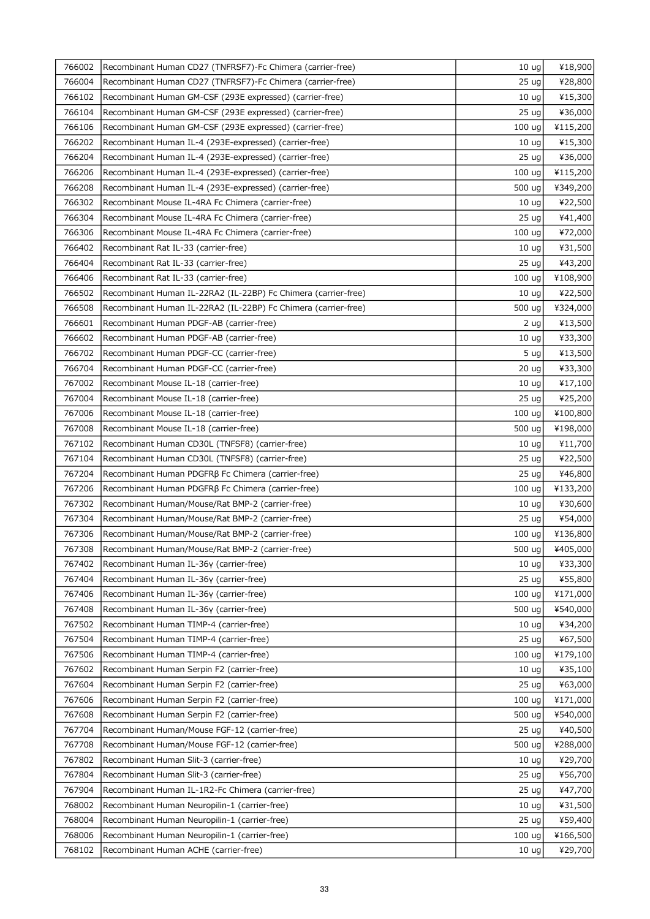| 766002 | Recombinant Human CD27 (TNFRSF7)-Fc Chimera (carrier-free)     | 10 <sub>uq</sub>  | ¥18,900  |
|--------|----------------------------------------------------------------|-------------------|----------|
| 766004 | Recombinant Human CD27 (TNFRSF7)-Fc Chimera (carrier-free)     | 25 <sub>uq</sub>  | ¥28,800  |
| 766102 | Recombinant Human GM-CSF (293E expressed) (carrier-free)       | 10 <sub>uq</sub>  | ¥15,300  |
| 766104 | Recombinant Human GM-CSF (293E expressed) (carrier-free)       | 25 <sub>uq</sub>  | ¥36,000  |
| 766106 | Recombinant Human GM-CSF (293E expressed) (carrier-free)       | 100 ug            | ¥115,200 |
| 766202 | Recombinant Human IL-4 (293E-expressed) (carrier-free)         | 10 <sub>uq</sub>  | ¥15,300  |
| 766204 | Recombinant Human IL-4 (293E-expressed) (carrier-free)         | 25 ug             | ¥36,000  |
| 766206 | Recombinant Human IL-4 (293E-expressed) (carrier-free)         | 100 <sub>uq</sub> | ¥115,200 |
| 766208 | Recombinant Human IL-4 (293E-expressed) (carrier-free)         | 500 ug            | ¥349,200 |
| 766302 | Recombinant Mouse IL-4RA Fc Chimera (carrier-free)             | 10 <sub>uq</sub>  | ¥22,500  |
| 766304 | Recombinant Mouse IL-4RA Fc Chimera (carrier-free)             | 25 <sub>uq</sub>  | ¥41,400  |
| 766306 | Recombinant Mouse IL-4RA Fc Chimera (carrier-free)             | 100 ug            | ¥72,000  |
| 766402 | Recombinant Rat IL-33 (carrier-free)                           | 10 <sub>uq</sub>  | ¥31,500  |
| 766404 | Recombinant Rat IL-33 (carrier-free)                           | 25 <sub>uq</sub>  | ¥43,200  |
| 766406 | Recombinant Rat IL-33 (carrier-free)                           | 100 uq            | ¥108,900 |
| 766502 | Recombinant Human IL-22RA2 (IL-22BP) Fc Chimera (carrier-free) | 10 <sub>uq</sub>  | ¥22,500  |
| 766508 | Recombinant Human IL-22RA2 (IL-22BP) Fc Chimera (carrier-free) | 500 ug            | ¥324,000 |
| 766601 | Recombinant Human PDGF-AB (carrier-free)                       | 2 ug              | ¥13,500  |
| 766602 | Recombinant Human PDGF-AB (carrier-free)                       | 10 <sub>uq</sub>  | ¥33,300  |
| 766702 | Recombinant Human PDGF-CC (carrier-free)                       | 5 ug              | ¥13,500  |
| 766704 | Recombinant Human PDGF-CC (carrier-free)                       | 20 <sub>uq</sub>  | ¥33,300  |
| 767002 | Recombinant Mouse IL-18 (carrier-free)                         | 10 <sub>ug</sub>  | ¥17,100  |
| 767004 | Recombinant Mouse IL-18 (carrier-free)                         | 25 <sub>uq</sub>  | ¥25,200  |
| 767006 | Recombinant Mouse IL-18 (carrier-free)                         | 100 <sub>uq</sub> | ¥100,800 |
| 767008 | Recombinant Mouse IL-18 (carrier-free)                         | 500 ug            | ¥198,000 |
| 767102 | Recombinant Human CD30L (TNFSF8) (carrier-free)                | 10 <sub>uq</sub>  | ¥11,700  |
| 767104 | Recombinant Human CD30L (TNFSF8) (carrier-free)                | 25 <sub>uq</sub>  | ¥22,500  |
| 767204 | Recombinant Human PDGFRβ Fc Chimera (carrier-free)             | 25 <sub>uq</sub>  | ¥46,800  |
| 767206 | Recombinant Human PDGFRβ Fc Chimera (carrier-free)             | 100 <sub>uq</sub> | ¥133,200 |
| 767302 | Recombinant Human/Mouse/Rat BMP-2 (carrier-free)               | 10 <sub>uq</sub>  | ¥30,600  |
| 767304 | Recombinant Human/Mouse/Rat BMP-2 (carrier-free)               | 25 <sub>uq</sub>  | ¥54,000  |
| 767306 | Recombinant Human/Mouse/Rat BMP-2 (carrier-free)               | 100 ug            | ¥136,800 |
| 767308 | Recombinant Human/Mouse/Rat BMP-2 (carrier-free)               | 500 ug            | ¥405,000 |
| 767402 | Recombinant Human IL-36y (carrier-free)                        | 10 <sub>uq</sub>  | ¥33,300  |
| 767404 | Recombinant Human IL-36y (carrier-free)                        | 25 <sub>uq</sub>  | ¥55,800  |
| 767406 | Recombinant Human IL-36y (carrier-free)                        | 100 ug            | ¥171,000 |
| 767408 | Recombinant Human IL-36y (carrier-free)                        | 500 ug            | ¥540,000 |
| 767502 | Recombinant Human TIMP-4 (carrier-free)                        | 10 <sub>uq</sub>  | ¥34,200  |
| 767504 | Recombinant Human TIMP-4 (carrier-free)                        | 25 <sub>uq</sub>  | ¥67,500  |
| 767506 | Recombinant Human TIMP-4 (carrier-free)                        | 100 <sub>uq</sub> | ¥179,100 |
| 767602 | Recombinant Human Serpin F2 (carrier-free)                     | 10 <sub>uq</sub>  | ¥35,100  |
| 767604 | Recombinant Human Serpin F2 (carrier-free)                     | 25 <sub>uq</sub>  | ¥63,000  |
| 767606 | Recombinant Human Serpin F2 (carrier-free)                     | 100 <sub>uq</sub> | ¥171,000 |
| 767608 | Recombinant Human Serpin F2 (carrier-free)                     | 500 ug            | ¥540,000 |
| 767704 | Recombinant Human/Mouse FGF-12 (carrier-free)                  | 25 <sub>uq</sub>  | ¥40,500  |
| 767708 | Recombinant Human/Mouse FGF-12 (carrier-free)                  | 500 ug            | ¥288,000 |
| 767802 | Recombinant Human Slit-3 (carrier-free)                        | 10 <sub>uq</sub>  | ¥29,700  |
| 767804 | Recombinant Human Slit-3 (carrier-free)                        | 25 <sub>uq</sub>  | ¥56,700  |
| 767904 | Recombinant Human IL-1R2-Fc Chimera (carrier-free)             | 25 <sub>uq</sub>  | ¥47,700  |
| 768002 | Recombinant Human Neuropilin-1 (carrier-free)                  | 10 <sub>uq</sub>  | ¥31,500  |
| 768004 | Recombinant Human Neuropilin-1 (carrier-free)                  | 25 <sub>uq</sub>  | ¥59,400  |
| 768006 | Recombinant Human Neuropilin-1 (carrier-free)                  | 100 ug            | ¥166,500 |
| 768102 | Recombinant Human ACHE (carrier-free)                          | 10 <sub>uq</sub>  | ¥29,700  |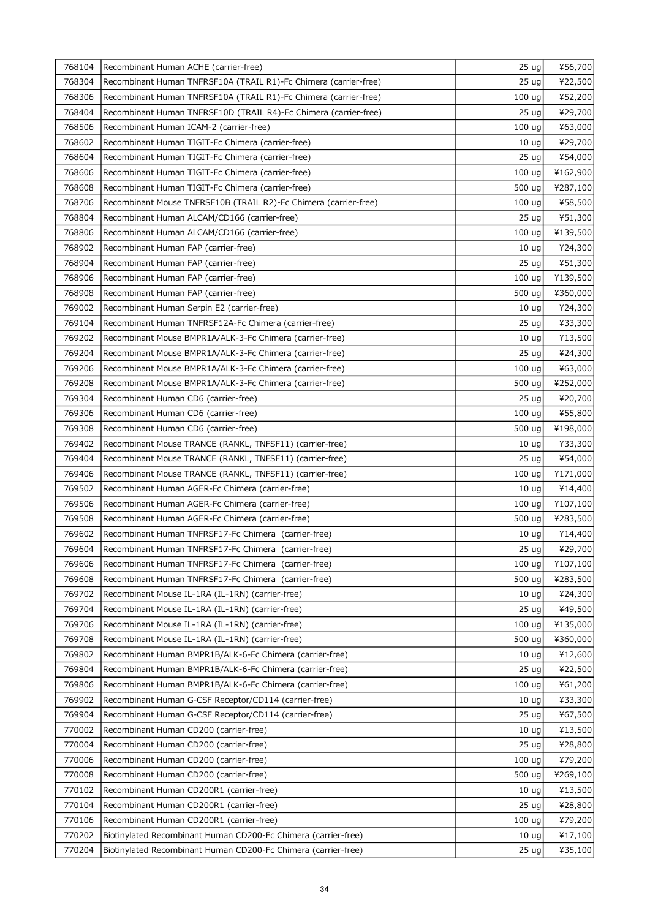| 768104 | Recombinant Human ACHE (carrier-free)                            | 25 ug             | ¥56,700  |
|--------|------------------------------------------------------------------|-------------------|----------|
| 768304 | Recombinant Human TNFRSF10A (TRAIL R1)-Fc Chimera (carrier-free) | 25 <sub>uq</sub>  | ¥22,500  |
| 768306 | Recombinant Human TNFRSF10A (TRAIL R1)-Fc Chimera (carrier-free) | 100 ug            | ¥52,200  |
| 768404 | Recombinant Human TNFRSF10D (TRAIL R4)-Fc Chimera (carrier-free) | 25 <sub>uq</sub>  | ¥29,700  |
| 768506 | Recombinant Human ICAM-2 (carrier-free)                          | 100 ug            | ¥63,000  |
| 768602 | Recombinant Human TIGIT-Fc Chimera (carrier-free)                | 10 <sub>uq</sub>  | ¥29,700  |
| 768604 | Recombinant Human TIGIT-Fc Chimera (carrier-free)                | 25 <sub>uq</sub>  | ¥54,000  |
| 768606 | Recombinant Human TIGIT-Fc Chimera (carrier-free)                | 100 ug            | ¥162,900 |
| 768608 | Recombinant Human TIGIT-Fc Chimera (carrier-free)                | 500 ug            | ¥287,100 |
| 768706 | Recombinant Mouse TNFRSF10B (TRAIL R2)-Fc Chimera (carrier-free) | 100 <sub>uq</sub> | ¥58,500  |
| 768804 | Recombinant Human ALCAM/CD166 (carrier-free)                     | 25 <sub>uq</sub>  | ¥51,300  |
| 768806 | Recombinant Human ALCAM/CD166 (carrier-free)                     | 100 ug            | ¥139,500 |
| 768902 | Recombinant Human FAP (carrier-free)                             | 10 <sub>uq</sub>  | ¥24,300  |
| 768904 | Recombinant Human FAP (carrier-free)                             | 25 <sub>uq</sub>  | ¥51,300  |
| 768906 | Recombinant Human FAP (carrier-free)                             | 100 <sub>uq</sub> | ¥139,500 |
| 768908 | Recombinant Human FAP (carrier-free)                             | 500 ug            | ¥360,000 |
| 769002 | Recombinant Human Serpin E2 (carrier-free)                       | 10 <sub>uq</sub>  | ¥24,300  |
| 769104 | Recombinant Human TNFRSF12A-Fc Chimera (carrier-free)            | 25 <sub>uq</sub>  | ¥33,300  |
| 769202 | Recombinant Mouse BMPR1A/ALK-3-Fc Chimera (carrier-free)         | 10 <sub>uq</sub>  | ¥13,500  |
| 769204 | Recombinant Mouse BMPR1A/ALK-3-Fc Chimera (carrier-free)         | 25 <sub>uq</sub>  | ¥24,300  |
| 769206 | Recombinant Mouse BMPR1A/ALK-3-Fc Chimera (carrier-free)         | 100 ug            | ¥63,000  |
| 769208 | Recombinant Mouse BMPR1A/ALK-3-Fc Chimera (carrier-free)         | 500 ug            | ¥252,000 |
| 769304 | Recombinant Human CD6 (carrier-free)                             | 25 <sub>uq</sub>  | ¥20,700  |
| 769306 | Recombinant Human CD6 (carrier-free)                             | 100 ug            | ¥55,800  |
| 769308 | Recombinant Human CD6 (carrier-free)                             | 500 ug            | ¥198,000 |
| 769402 | Recombinant Mouse TRANCE (RANKL, TNFSF11) (carrier-free)         | 10 <sub>uq</sub>  | ¥33,300  |
| 769404 | Recombinant Mouse TRANCE (RANKL, TNFSF11) (carrier-free)         | 25 <sub>uq</sub>  | ¥54,000  |
| 769406 | Recombinant Mouse TRANCE (RANKL, TNFSF11) (carrier-free)         | 100 uq            | ¥171,000 |
| 769502 | Recombinant Human AGER-Fc Chimera (carrier-free)                 | 10 <sub>uq</sub>  | ¥14,400  |
| 769506 | Recombinant Human AGER-Fc Chimera (carrier-free)                 | 100 ug            | ¥107,100 |
| 769508 | Recombinant Human AGER-Fc Chimera (carrier-free)                 | 500 ug            | ¥283,500 |
| 769602 | Recombinant Human TNFRSF17-Fc Chimera (carrier-free)             | 10 <sub>ug</sub>  | ¥14,400  |
| 769604 | Recombinant Human TNFRSF17-Fc Chimera (carrier-free)             | $25 \text{ ug}$   | ¥29,700  |
| 769606 | Recombinant Human TNFRSF17-Fc Chimera (carrier-free)             | 100 ug            | ¥107,100 |
| 769608 | Recombinant Human TNFRSF17-Fc Chimera (carrier-free)             | 500 ug            | ¥283,500 |
| 769702 | Recombinant Mouse IL-1RA (IL-1RN) (carrier-free)                 | 10 <sub>uq</sub>  | ¥24,300  |
| 769704 | Recombinant Mouse IL-1RA (IL-1RN) (carrier-free)                 | 25 <sub>uq</sub>  | ¥49,500  |
| 769706 | Recombinant Mouse IL-1RA (IL-1RN) (carrier-free)                 | 100 uq            | ¥135,000 |
| 769708 | Recombinant Mouse IL-1RA (IL-1RN) (carrier-free)                 | 500 ug            | ¥360,000 |
| 769802 | Recombinant Human BMPR1B/ALK-6-Fc Chimera (carrier-free)         | 10 <sub>uq</sub>  | ¥12,600  |
| 769804 | Recombinant Human BMPR1B/ALK-6-Fc Chimera (carrier-free)         | 25 <sub>uq</sub>  | ¥22,500  |
| 769806 | Recombinant Human BMPR1B/ALK-6-Fc Chimera (carrier-free)         | 100 ug            | ¥61,200  |
| 769902 | Recombinant Human G-CSF Receptor/CD114 (carrier-free)            | 10 <sub>uq</sub>  | ¥33,300  |
| 769904 | Recombinant Human G-CSF Receptor/CD114 (carrier-free)            | 25 <sub>uq</sub>  | ¥67,500  |
| 770002 | Recombinant Human CD200 (carrier-free)                           | 10 <sub>uq</sub>  | ¥13,500  |
| 770004 | Recombinant Human CD200 (carrier-free)                           | 25 <sub>uq</sub>  | ¥28,800  |
| 770006 | Recombinant Human CD200 (carrier-free)                           | 100 ug            | ¥79,200  |
| 770008 | Recombinant Human CD200 (carrier-free)                           | 500 ug            | ¥269,100 |
| 770102 | Recombinant Human CD200R1 (carrier-free)                         | 10 <sub>uq</sub>  | ¥13,500  |
| 770104 | Recombinant Human CD200R1 (carrier-free)                         | 25 <sub>uq</sub>  | ¥28,800  |
| 770106 | Recombinant Human CD200R1 (carrier-free)                         | 100 ug            | ¥79,200  |
| 770202 | Biotinylated Recombinant Human CD200-Fc Chimera (carrier-free)   | 10 <sub>uq</sub>  | ¥17,100  |
| 770204 | Biotinylated Recombinant Human CD200-Fc Chimera (carrier-free)   | 25 <sub>uq</sub>  | ¥35,100  |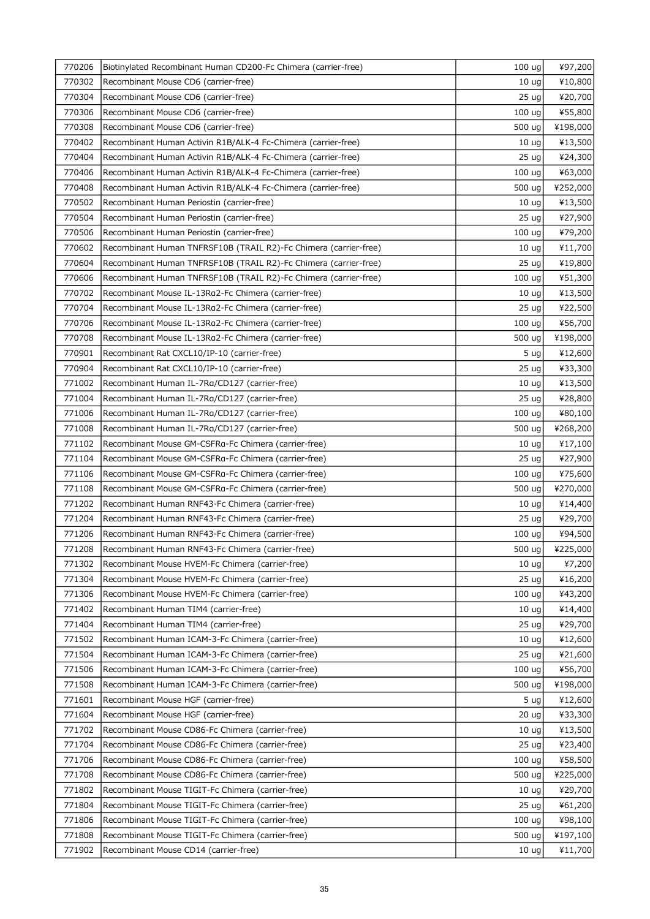| 770206 | Biotinylated Recombinant Human CD200-Fc Chimera (carrier-free)   | 100 <sub>uq</sub> | ¥97,200  |
|--------|------------------------------------------------------------------|-------------------|----------|
| 770302 | Recombinant Mouse CD6 (carrier-free)                             | 10 <sub>uq</sub>  | ¥10,800  |
| 770304 | Recombinant Mouse CD6 (carrier-free)                             | 25 <sub>uq</sub>  | ¥20,700  |
| 770306 | Recombinant Mouse CD6 (carrier-free)                             | 100 ug            | ¥55,800  |
| 770308 | Recombinant Mouse CD6 (carrier-free)                             | 500 ug            | ¥198,000 |
| 770402 | Recombinant Human Activin R1B/ALK-4 Fc-Chimera (carrier-free)    | 10 <sub>uq</sub>  | ¥13,500  |
| 770404 | Recombinant Human Activin R1B/ALK-4 Fc-Chimera (carrier-free)    | 25 <sub>uq</sub>  | ¥24,300  |
| 770406 | Recombinant Human Activin R1B/ALK-4 Fc-Chimera (carrier-free)    | 100 ug            | ¥63,000  |
| 770408 | Recombinant Human Activin R1B/ALK-4 Fc-Chimera (carrier-free)    | 500 ug            | ¥252,000 |
| 770502 | Recombinant Human Periostin (carrier-free)                       | 10 <sub>uq</sub>  | ¥13,500  |
| 770504 | Recombinant Human Periostin (carrier-free)                       | 25 <sub>uq</sub>  | ¥27,900  |
| 770506 | Recombinant Human Periostin (carrier-free)                       | 100 ug            | ¥79,200  |
| 770602 | Recombinant Human TNFRSF10B (TRAIL R2)-Fc Chimera (carrier-free) | 10 <sub>uq</sub>  | ¥11,700  |
| 770604 | Recombinant Human TNFRSF10B (TRAIL R2)-Fc Chimera (carrier-free) | 25 <sub>uq</sub>  | ¥19,800  |
| 770606 | Recombinant Human TNFRSF10B (TRAIL R2)-Fc Chimera (carrier-free) | 100 ug            | ¥51,300  |
| 770702 | Recombinant Mouse IL-13Ra2-Fc Chimera (carrier-free)             | 10 <sub>ug</sub>  | ¥13,500  |
| 770704 | Recombinant Mouse IL-13Ra2-Fc Chimera (carrier-free)             | 25 <sub>uq</sub>  | ¥22,500  |
| 770706 | Recombinant Mouse IL-13Ra2-Fc Chimera (carrier-free)             | 100 ug            | ¥56,700  |
| 770708 | Recombinant Mouse IL-13Ra2-Fc Chimera (carrier-free)             | 500 ug            | ¥198,000 |
| 770901 | Recombinant Rat CXCL10/IP-10 (carrier-free)                      | 5 <sub>uq</sub>   | ¥12,600  |
| 770904 | Recombinant Rat CXCL10/IP-10 (carrier-free)                      | 25 <sub>uq</sub>  | ¥33,300  |
| 771002 | Recombinant Human IL-7Ra/CD127 (carrier-free)                    | 10 <sub>uq</sub>  | ¥13,500  |
| 771004 | Recombinant Human IL-7Ra/CD127 (carrier-free)                    | 25 <sub>uq</sub>  | ¥28,800  |
| 771006 | Recombinant Human IL-7Ra/CD127 (carrier-free)                    | 100 ug            | ¥80,100  |
| 771008 | Recombinant Human IL-7Ra/CD127 (carrier-free)                    | 500 ug            | ¥268,200 |
| 771102 | Recombinant Mouse GM-CSFRa-Fc Chimera (carrier-free)             | 10 <sub>uq</sub>  | ¥17,100  |
| 771104 | Recombinant Mouse GM-CSFRa-Fc Chimera (carrier-free)             | 25 <sub>uq</sub>  | ¥27,900  |
| 771106 | Recombinant Mouse GM-CSFRa-Fc Chimera (carrier-free)             | 100 uq            | ¥75,600  |
| 771108 | Recombinant Mouse GM-CSFRa-Fc Chimera (carrier-free)             | 500 ug            | ¥270,000 |
| 771202 | Recombinant Human RNF43-Fc Chimera (carrier-free)                | 10 <sub>uq</sub>  | ¥14,400  |
| 771204 | Recombinant Human RNF43-Fc Chimera (carrier-free)                | 25 <sub>uq</sub>  | ¥29,700  |
| 771206 | Recombinant Human RNF43-Fc Chimera (carrier-free)                | 100 ug            | ¥94,500  |
| 771208 | Recombinant Human RNF43-Fc Chimera (carrier-free)                | 500 ug            | ¥225,000 |
| 771302 | Recombinant Mouse HVEM-Fc Chimera (carrier-free)                 | 10 <sub>uq</sub>  | ¥7,200   |
| 771304 | Recombinant Mouse HVEM-Fc Chimera (carrier-free)                 | 25 ug             | ¥16,200  |
| 771306 | Recombinant Mouse HVEM-Fc Chimera (carrier-free)                 | 100 <sub>uq</sub> | ¥43,200  |
| 771402 | Recombinant Human TIM4 (carrier-free)                            | 10 <sub>uq</sub>  | ¥14,400  |
| 771404 | Recombinant Human TIM4 (carrier-free)                            | 25 <sub>uq</sub>  | ¥29,700  |
| 771502 | Recombinant Human ICAM-3-Fc Chimera (carrier-free)               | 10 <sub>uq</sub>  | ¥12,600  |
| 771504 | Recombinant Human ICAM-3-Fc Chimera (carrier-free)               | 25 <sub>uq</sub>  | ¥21,600  |
| 771506 | Recombinant Human ICAM-3-Fc Chimera (carrier-free)               | 100 ug            | ¥56,700  |
| 771508 | Recombinant Human ICAM-3-Fc Chimera (carrier-free)               | 500 ug            | ¥198,000 |
| 771601 | Recombinant Mouse HGF (carrier-free)                             | 5 <sub>uq</sub>   | ¥12,600  |
| 771604 | Recombinant Mouse HGF (carrier-free)                             | 20 <sub>uq</sub>  | ¥33,300  |
| 771702 | Recombinant Mouse CD86-Fc Chimera (carrier-free)                 | 10 <sub>uq</sub>  | ¥13,500  |
| 771704 | Recombinant Mouse CD86-Fc Chimera (carrier-free)                 | 25 <sub>uq</sub>  | ¥23,400  |
| 771706 | Recombinant Mouse CD86-Fc Chimera (carrier-free)                 | 100 ug            | ¥58,500  |
| 771708 | Recombinant Mouse CD86-Fc Chimera (carrier-free)                 | 500 ug            | ¥225,000 |
| 771802 | Recombinant Mouse TIGIT-Fc Chimera (carrier-free)                | 10 <sub>uq</sub>  | ¥29,700  |
| 771804 | Recombinant Mouse TIGIT-Fc Chimera (carrier-free)                | 25 <sub>uq</sub>  | ¥61,200  |
| 771806 | Recombinant Mouse TIGIT-Fc Chimera (carrier-free)                | 100 ug            | ¥98,100  |
| 771808 | Recombinant Mouse TIGIT-Fc Chimera (carrier-free)                | 500 ug            | ¥197,100 |
| 771902 | Recombinant Mouse CD14 (carrier-free)                            | 10 <sub>uq</sub>  | ¥11,700  |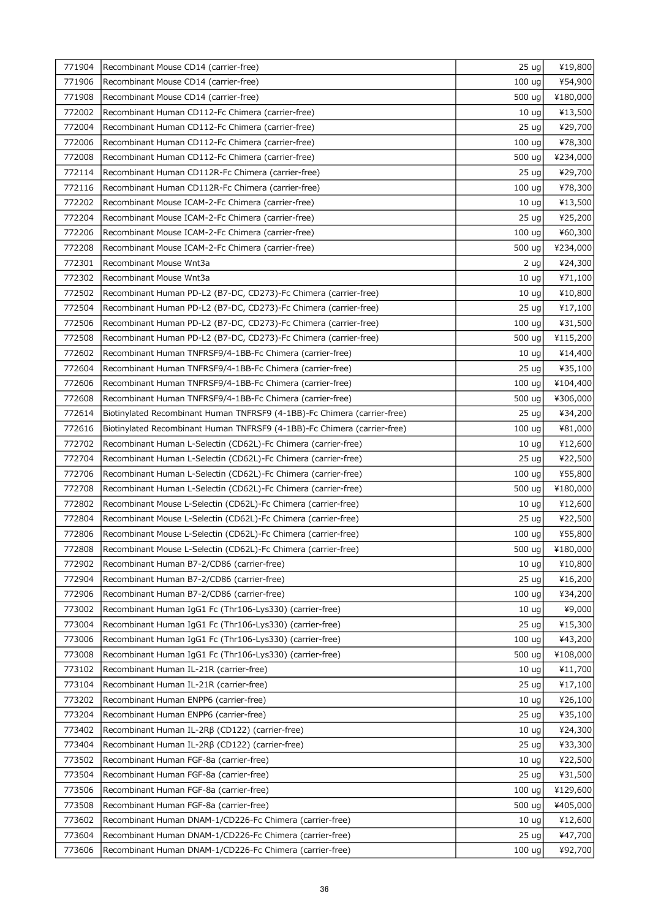| 771904 | Recombinant Mouse CD14 (carrier-free)                                    | 25 <sub>uq</sub>                     | ¥19,800  |
|--------|--------------------------------------------------------------------------|--------------------------------------|----------|
| 771906 | Recombinant Mouse CD14 (carrier-free)                                    | 100 ug                               | ¥54,900  |
| 771908 | Recombinant Mouse CD14 (carrier-free)                                    | 500 ug                               | ¥180,000 |
| 772002 | Recombinant Human CD112-Fc Chimera (carrier-free)                        | 10 <sub>uq</sub>                     | ¥13,500  |
| 772004 | Recombinant Human CD112-Fc Chimera (carrier-free)                        | 25 <sub>uq</sub>                     | ¥29,700  |
| 772006 | Recombinant Human CD112-Fc Chimera (carrier-free)                        | 100 ug                               | ¥78,300  |
| 772008 | Recombinant Human CD112-Fc Chimera (carrier-free)                        | 500 ug                               | ¥234,000 |
| 772114 | Recombinant Human CD112R-Fc Chimera (carrier-free)                       | 25 <sub>uq</sub>                     | ¥29,700  |
| 772116 | Recombinant Human CD112R-Fc Chimera (carrier-free)                       | 100 ug                               | ¥78,300  |
| 772202 | Recombinant Mouse ICAM-2-Fc Chimera (carrier-free)                       | 10 <sub>uq</sub>                     | ¥13,500  |
| 772204 | Recombinant Mouse ICAM-2-Fc Chimera (carrier-free)                       | 25 <sub>uq</sub>                     | ¥25,200  |
| 772206 | Recombinant Mouse ICAM-2-Fc Chimera (carrier-free)                       | 100 ug                               | ¥60,300  |
| 772208 | Recombinant Mouse ICAM-2-Fc Chimera (carrier-free)                       | 500 ug                               | ¥234,000 |
| 772301 | Recombinant Mouse Wnt3a                                                  | 2 ug                                 | ¥24,300  |
| 772302 | Recombinant Mouse Wnt3a                                                  | 10 <sub>uq</sub>                     | ¥71,100  |
| 772502 | Recombinant Human PD-L2 (B7-DC, CD273)-Fc Chimera (carrier-free)         | 10 <sub>uq</sub>                     | ¥10,800  |
| 772504 | Recombinant Human PD-L2 (B7-DC, CD273)-Fc Chimera (carrier-free)         | 25 <sub>uq</sub>                     | ¥17,100  |
| 772506 | Recombinant Human PD-L2 (B7-DC, CD273)-Fc Chimera (carrier-free)         | 100 ug                               | ¥31,500  |
| 772508 | Recombinant Human PD-L2 (B7-DC, CD273)-Fc Chimera (carrier-free)         | 500 ug                               | ¥115,200 |
| 772602 | Recombinant Human TNFRSF9/4-1BB-Fc Chimera (carrier-free)                | 10 <sub>uq</sub>                     | ¥14,400  |
| 772604 | Recombinant Human TNFRSF9/4-1BB-Fc Chimera (carrier-free)                | 25 <sub>uq</sub>                     | ¥35,100  |
| 772606 | Recombinant Human TNFRSF9/4-1BB-Fc Chimera (carrier-free)                | 100 ug                               | ¥104,400 |
| 772608 | Recombinant Human TNFRSF9/4-1BB-Fc Chimera (carrier-free)                | 500 ug                               | ¥306,000 |
| 772614 | Biotinylated Recombinant Human TNFRSF9 (4-1BB)-Fc Chimera (carrier-free) | 25 <sub>uq</sub>                     | ¥34,200  |
| 772616 | Biotinylated Recombinant Human TNFRSF9 (4-1BB)-Fc Chimera (carrier-free) | 100 ug                               | ¥81,000  |
| 772702 | Recombinant Human L-Selectin (CD62L)-Fc Chimera (carrier-free)           | 10 <sub>uq</sub>                     | ¥12,600  |
| 772704 | Recombinant Human L-Selectin (CD62L)-Fc Chimera (carrier-free)           | 25 ug                                | ¥22,500  |
| 772706 | Recombinant Human L-Selectin (CD62L)-Fc Chimera (carrier-free)           | 100 ug                               | ¥55,800  |
| 772708 | Recombinant Human L-Selectin (CD62L)-Fc Chimera (carrier-free)           | 500 ug                               | ¥180,000 |
| 772802 | Recombinant Mouse L-Selectin (CD62L)-Fc Chimera (carrier-free)           | 10 <sub>uq</sub>                     | ¥12,600  |
| 772804 | Recombinant Mouse L-Selectin (CD62L)-Fc Chimera (carrier-free)           | 25 <sub>uq</sub>                     | ¥22,500  |
| 772806 | Recombinant Mouse L-Selectin (CD62L)-Fc Chimera (carrier-free)           | 100 <sub>uq</sub>                    | ¥55,800  |
| 772808 | Recombinant Mouse L-Selectin (CD62L)-Fc Chimera (carrier-free)           | 500 $ug$                             | ¥180,000 |
| 772902 | Recombinant Human B7-2/CD86 (carrier-free)                               | 10 <sub>uq</sub>                     | ¥10,800  |
| 772904 | Recombinant Human B7-2/CD86 (carrier-free)                               | 25 <sub>uq</sub>                     | ¥16,200  |
| 772906 | Recombinant Human B7-2/CD86 (carrier-free)                               | 100 <sub>uq</sub>                    | ¥34,200  |
| 773002 | Recombinant Human IgG1 Fc (Thr106-Lys330) (carrier-free)                 | 10 <sub>uq</sub>                     | ¥9,000   |
| 773004 | Recombinant Human IgG1 Fc (Thr106-Lys330) (carrier-free)                 | 25 <sub>uq</sub>                     | ¥15,300  |
| 773006 | Recombinant Human IgG1 Fc (Thr106-Lys330) (carrier-free)                 | 100 ug                               | ¥43,200  |
| 773008 | Recombinant Human IgG1 Fc (Thr106-Lys330) (carrier-free)                 | 500 ug                               | ¥108,000 |
| 773102 | Recombinant Human IL-21R (carrier-free)                                  | 10 <sub>uq</sub>                     | ¥11,700  |
| 773104 | Recombinant Human IL-21R (carrier-free)                                  | 25 <sub>uq</sub>                     | ¥17,100  |
| 773202 | Recombinant Human ENPP6 (carrier-free)                                   | 10 <sub>uq</sub>                     | ¥26,100  |
| 773204 | Recombinant Human ENPP6 (carrier-free)                                   | 25 ug                                | ¥35,100  |
| 773402 | Recombinant Human IL-2Rβ (CD122) (carrier-free)                          | 10 <sub>uq</sub>                     | ¥24,300  |
| 773404 | Recombinant Human IL-2RB (CD122) (carrier-free)                          | 25 <sub>uq</sub>                     | ¥33,300  |
| 773502 | Recombinant Human FGF-8a (carrier-free)                                  | 10 <sub>uq</sub>                     | ¥22,500  |
| 773504 | Recombinant Human FGF-8a (carrier-free)                                  | 25 <sub>uq</sub>                     | ¥31,500  |
| 773506 | Recombinant Human FGF-8a (carrier-free)                                  | 100 ug                               | ¥129,600 |
| 773508 | Recombinant Human FGF-8a (carrier-free)                                  | 500 ug                               | ¥405,000 |
| 773602 | Recombinant Human DNAM-1/CD226-Fc Chimera (carrier-free)                 |                                      | ¥12,600  |
| 773604 | Recombinant Human DNAM-1/CD226-Fc Chimera (carrier-free)                 | 10 <sub>uq</sub><br>25 <sub>uq</sub> |          |
|        |                                                                          |                                      | ¥47,700  |
| 773606 | Recombinant Human DNAM-1/CD226-Fc Chimera (carrier-free)                 | 100 <sub>uq</sub>                    | ¥92,700  |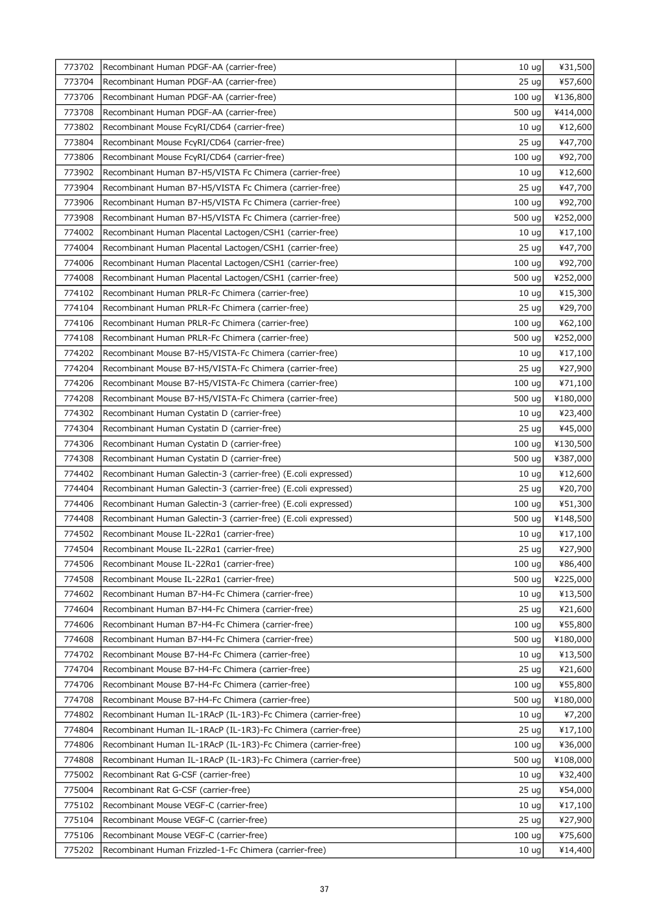| 773702 | Recombinant Human PDGF-AA (carrier-free)                       | 10 <sub>uq</sub>  | ¥31,500  |
|--------|----------------------------------------------------------------|-------------------|----------|
| 773704 | Recombinant Human PDGF-AA (carrier-free)                       | 25 <sub>uq</sub>  | ¥57,600  |
| 773706 | Recombinant Human PDGF-AA (carrier-free)                       | 100 ug            | ¥136,800 |
| 773708 | Recombinant Human PDGF-AA (carrier-free)                       | 500 ug            | ¥414,000 |
| 773802 | Recombinant Mouse FcyRI/CD64 (carrier-free)                    | 10 <sub>uq</sub>  | ¥12,600  |
| 773804 | Recombinant Mouse FcyRI/CD64 (carrier-free)                    | 25 <sub>uq</sub>  | ¥47,700  |
| 773806 | Recombinant Mouse FcyRI/CD64 (carrier-free)                    | 100 ug            | ¥92,700  |
| 773902 | Recombinant Human B7-H5/VISTA Fc Chimera (carrier-free)        | 10 <sub>uq</sub>  | ¥12,600  |
| 773904 | Recombinant Human B7-H5/VISTA Fc Chimera (carrier-free)        | 25 <sub>uq</sub>  | ¥47,700  |
| 773906 | Recombinant Human B7-H5/VISTA Fc Chimera (carrier-free)        | 100 <sub>uq</sub> | ¥92,700  |
| 773908 | Recombinant Human B7-H5/VISTA Fc Chimera (carrier-free)        | 500 ug            | ¥252,000 |
| 774002 | Recombinant Human Placental Lactogen/CSH1 (carrier-free)       | 10 <sub>ug</sub>  | ¥17,100  |
| 774004 | Recombinant Human Placental Lactogen/CSH1 (carrier-free)       | 25 <sub>uq</sub>  | ¥47,700  |
| 774006 | Recombinant Human Placental Lactogen/CSH1 (carrier-free)       | 100 ug            | ¥92,700  |
| 774008 | Recombinant Human Placental Lactogen/CSH1 (carrier-free)       | 500 ug            | ¥252,000 |
| 774102 | Recombinant Human PRLR-Fc Chimera (carrier-free)               | 10 <sub>uq</sub>  | ¥15,300  |
| 774104 | Recombinant Human PRLR-Fc Chimera (carrier-free)               | 25 <sub>uq</sub>  | ¥29,700  |
| 774106 | Recombinant Human PRLR-Fc Chimera (carrier-free)               | 100 <sub>uq</sub> | ¥62,100  |
| 774108 | Recombinant Human PRLR-Fc Chimera (carrier-free)               | 500 ug            | ¥252,000 |
| 774202 | Recombinant Mouse B7-H5/VISTA-Fc Chimera (carrier-free)        | 10 <sub>uq</sub>  | ¥17,100  |
| 774204 | Recombinant Mouse B7-H5/VISTA-Fc Chimera (carrier-free)        | 25 <sub>uq</sub>  | ¥27,900  |
| 774206 | Recombinant Mouse B7-H5/VISTA-Fc Chimera (carrier-free)        | 100 <sub>uq</sub> | ¥71,100  |
| 774208 | Recombinant Mouse B7-H5/VISTA-Fc Chimera (carrier-free)        | 500 ug            | ¥180,000 |
| 774302 | Recombinant Human Cystatin D (carrier-free)                    | 10 <sub>uq</sub>  | ¥23,400  |
| 774304 | Recombinant Human Cystatin D (carrier-free)                    | 25 <sub>uq</sub>  | ¥45,000  |
| 774306 | Recombinant Human Cystatin D (carrier-free)                    | 100 ug            | ¥130,500 |
| 774308 | Recombinant Human Cystatin D (carrier-free)                    | 500 ug            | ¥387,000 |
| 774402 | Recombinant Human Galectin-3 (carrier-free) (E.coli expressed) | 10 <sub>uq</sub>  | ¥12,600  |
| 774404 | Recombinant Human Galectin-3 (carrier-free) (E.coli expressed) | 25 <sub>uq</sub>  | ¥20,700  |
| 774406 | Recombinant Human Galectin-3 (carrier-free) (E.coli expressed) | 100 <sub>uq</sub> | ¥51,300  |
| 774408 | Recombinant Human Galectin-3 (carrier-free) (E.coli expressed) | 500 ug            | ¥148,500 |
| 774502 | Recombinant Mouse IL-22Ra1 (carrier-free)                      | 10 <sub>ug</sub>  | ¥17,100  |
| 774504 | Recombinant Mouse IL-22Ra1 (carrier-free)                      | 25 ug             | ¥27,900  |
| 774506 | Recombinant Mouse IL-22Ra1 (carrier-free)                      | 100 uq            | ¥86,400  |
| 774508 | Recombinant Mouse IL-22Ra1 (carrier-free)                      | 500 ug            | ¥225,000 |
| 774602 | Recombinant Human B7-H4-Fc Chimera (carrier-free)              | 10 <sub>uq</sub>  | ¥13,500  |
| 774604 | Recombinant Human B7-H4-Fc Chimera (carrier-free)              | 25 <sub>uq</sub>  | ¥21,600  |
| 774606 | Recombinant Human B7-H4-Fc Chimera (carrier-free)              | 100 <sub>uq</sub> | ¥55,800  |
| 774608 | Recombinant Human B7-H4-Fc Chimera (carrier-free)              | 500 ug            | ¥180,000 |
| 774702 | Recombinant Mouse B7-H4-Fc Chimera (carrier-free)              | 10 <sub>uq</sub>  | ¥13,500  |
| 774704 | Recombinant Mouse B7-H4-Fc Chimera (carrier-free)              | 25 <sub>uq</sub>  | ¥21,600  |
| 774706 | Recombinant Mouse B7-H4-Fc Chimera (carrier-free)              | 100 <sub>uq</sub> | ¥55,800  |
| 774708 | Recombinant Mouse B7-H4-Fc Chimera (carrier-free)              | 500 ug            | ¥180,000 |
| 774802 | Recombinant Human IL-1RAcP (IL-1R3)-Fc Chimera (carrier-free)  | 10 <sub>uq</sub>  | ¥7,200   |
| 774804 | Recombinant Human IL-1RAcP (IL-1R3)-Fc Chimera (carrier-free)  | 25 <sub>uq</sub>  | ¥17,100  |
| 774806 | Recombinant Human IL-1RAcP (IL-1R3)-Fc Chimera (carrier-free)  | 100 <sub>uq</sub> | ¥36,000  |
| 774808 | Recombinant Human IL-1RAcP (IL-1R3)-Fc Chimera (carrier-free)  | 500 ug            | ¥108,000 |
| 775002 | Recombinant Rat G-CSF (carrier-free)                           | 10 <sub>uq</sub>  | ¥32,400  |
| 775004 | Recombinant Rat G-CSF (carrier-free)                           | 25 <sub>uq</sub>  | ¥54,000  |
| 775102 | Recombinant Mouse VEGF-C (carrier-free)                        | 10 <sub>uq</sub>  | ¥17,100  |
| 775104 | Recombinant Mouse VEGF-C (carrier-free)                        | 25 <sub>uq</sub>  | ¥27,900  |
| 775106 | Recombinant Mouse VEGF-C (carrier-free)                        | 100 <sub>uq</sub> | ¥75,600  |
| 775202 | Recombinant Human Frizzled-1-Fc Chimera (carrier-free)         | 10 <sub>uq</sub>  | ¥14,400  |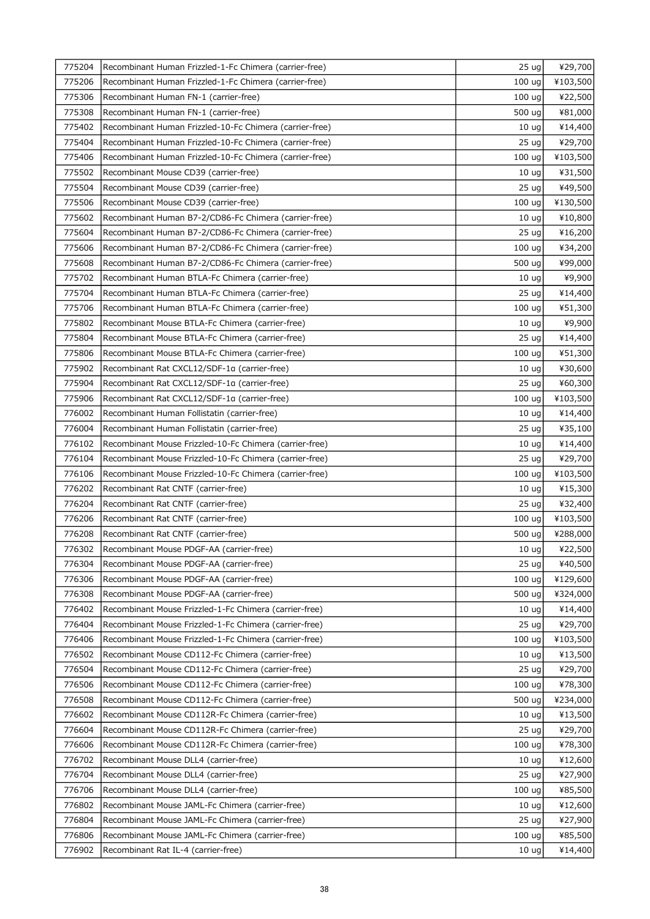| 775204 | Recombinant Human Frizzled-1-Fc Chimera (carrier-free)  | 25 <sub>uq</sub>  | ¥29,700  |
|--------|---------------------------------------------------------|-------------------|----------|
| 775206 | Recombinant Human Frizzled-1-Fc Chimera (carrier-free)  | 100 <sub>uq</sub> | ¥103,500 |
| 775306 | Recombinant Human FN-1 (carrier-free)                   | 100 <sub>uq</sub> | ¥22,500  |
| 775308 | Recombinant Human FN-1 (carrier-free)                   | 500 ug            | ¥81,000  |
| 775402 | Recombinant Human Frizzled-10-Fc Chimera (carrier-free) | 10 <sub>uq</sub>  | ¥14,400  |
| 775404 | Recombinant Human Frizzled-10-Fc Chimera (carrier-free) | 25 <sub>uq</sub>  | ¥29,700  |
| 775406 | Recombinant Human Frizzled-10-Fc Chimera (carrier-free) | 100 <sub>uq</sub> | ¥103,500 |
| 775502 | Recombinant Mouse CD39 (carrier-free)                   | 10 <sub>uq</sub>  | ¥31,500  |
| 775504 | Recombinant Mouse CD39 (carrier-free)                   | 25 <sub>uq</sub>  | ¥49,500  |
| 775506 | Recombinant Mouse CD39 (carrier-free)                   | 100 <sub>uq</sub> | ¥130,500 |
| 775602 | Recombinant Human B7-2/CD86-Fc Chimera (carrier-free)   | 10 <sub>uq</sub>  | ¥10,800  |
| 775604 | Recombinant Human B7-2/CD86-Fc Chimera (carrier-free)   | 25 <sub>uq</sub>  | ¥16,200  |
| 775606 | Recombinant Human B7-2/CD86-Fc Chimera (carrier-free)   | 100 <sub>uq</sub> | ¥34,200  |
| 775608 | Recombinant Human B7-2/CD86-Fc Chimera (carrier-free)   | 500 ug            | ¥99,000  |
| 775702 | Recombinant Human BTLA-Fc Chimera (carrier-free)        | 10 <sub>uq</sub>  | ¥9,900   |
| 775704 | Recombinant Human BTLA-Fc Chimera (carrier-free)        | 25 <sub>uq</sub>  | ¥14,400  |
| 775706 | Recombinant Human BTLA-Fc Chimera (carrier-free)        | 100 <sub>uq</sub> | ¥51,300  |
| 775802 | Recombinant Mouse BTLA-Fc Chimera (carrier-free)        | 10 <sub>uq</sub>  | ¥9,900   |
| 775804 | Recombinant Mouse BTLA-Fc Chimera (carrier-free)        | 25 ug             | ¥14,400  |
| 775806 | Recombinant Mouse BTLA-Fc Chimera (carrier-free)        | 100 <sub>uq</sub> | ¥51,300  |
| 775902 | Recombinant Rat CXCL12/SDF-1a (carrier-free)            | 10 <sub>uq</sub>  | ¥30,600  |
| 775904 | Recombinant Rat CXCL12/SDF-1a (carrier-free)            | 25 <sub>uq</sub>  | ¥60,300  |
| 775906 | Recombinant Rat CXCL12/SDF-1a (carrier-free)            | 100 <sub>uq</sub> | ¥103,500 |
| 776002 | Recombinant Human Follistatin (carrier-free)            | 10 <sub>uq</sub>  | ¥14,400  |
| 776004 | Recombinant Human Follistatin (carrier-free)            | 25 <sub>uq</sub>  | ¥35,100  |
| 776102 | Recombinant Mouse Frizzled-10-Fc Chimera (carrier-free) | 10 <sub>uq</sub>  | ¥14,400  |
| 776104 | Recombinant Mouse Frizzled-10-Fc Chimera (carrier-free) | 25 <sub>uq</sub>  | ¥29,700  |
| 776106 | Recombinant Mouse Frizzled-10-Fc Chimera (carrier-free) | 100 <sub>uq</sub> | ¥103,500 |
| 776202 | Recombinant Rat CNTF (carrier-free)                     | 10 <sub>uq</sub>  | ¥15,300  |
| 776204 | Recombinant Rat CNTF (carrier-free)                     | 25 <sub>uq</sub>  | ¥32,400  |
| 776206 | Recombinant Rat CNTF (carrier-free)                     | 100 <sub>uq</sub> | ¥103,500 |
| 776208 | Recombinant Rat CNTF (carrier-free)                     | 500 ug            | ¥288,000 |
| 776302 | Recombinant Mouse PDGF-AA (carrier-free)                | $10 \text{ ug}$   | ¥22,500  |
| 776304 | Recombinant Mouse PDGF-AA (carrier-free)                | 25 <sub>uq</sub>  | ¥40,500  |
| 776306 | Recombinant Mouse PDGF-AA (carrier-free)                | 100 ug            | ¥129,600 |
| 776308 | Recombinant Mouse PDGF-AA (carrier-free)                | 500 ug            | ¥324,000 |
| 776402 | Recombinant Mouse Frizzled-1-Fc Chimera (carrier-free)  | 10 <sub>uq</sub>  | ¥14,400  |
| 776404 | Recombinant Mouse Frizzled-1-Fc Chimera (carrier-free)  | 25 <sub>uq</sub>  | ¥29,700  |
| 776406 | Recombinant Mouse Frizzled-1-Fc Chimera (carrier-free)  | 100 <sub>uq</sub> | ¥103,500 |
| 776502 | Recombinant Mouse CD112-Fc Chimera (carrier-free)       | 10 <sub>uq</sub>  | ¥13,500  |
| 776504 | Recombinant Mouse CD112-Fc Chimera (carrier-free)       | 25 <sub>uq</sub>  | ¥29,700  |
| 776506 | Recombinant Mouse CD112-Fc Chimera (carrier-free)       | 100 <sub>uq</sub> | ¥78,300  |
| 776508 | Recombinant Mouse CD112-Fc Chimera (carrier-free)       | 500 ug            | ¥234,000 |
| 776602 | Recombinant Mouse CD112R-Fc Chimera (carrier-free)      | 10 <sub>uq</sub>  | ¥13,500  |
| 776604 | Recombinant Mouse CD112R-Fc Chimera (carrier-free)      | 25 <sub>uq</sub>  | ¥29,700  |
| 776606 | Recombinant Mouse CD112R-Fc Chimera (carrier-free)      | 100 <sub>uq</sub> | ¥78,300  |
| 776702 | Recombinant Mouse DLL4 (carrier-free)                   | 10 <sub>uq</sub>  | ¥12,600  |
| 776704 | Recombinant Mouse DLL4 (carrier-free)                   | 25 <sub>uq</sub>  | ¥27,900  |
| 776706 | Recombinant Mouse DLL4 (carrier-free)                   | 100 <sub>uq</sub> | ¥85,500  |
| 776802 | Recombinant Mouse JAML-Fc Chimera (carrier-free)        | 10 <sub>uq</sub>  | ¥12,600  |
| 776804 | Recombinant Mouse JAML-Fc Chimera (carrier-free)        | 25 <sub>uq</sub>  | ¥27,900  |
| 776806 | Recombinant Mouse JAML-Fc Chimera (carrier-free)        | 100 <sub>uq</sub> | ¥85,500  |
| 776902 | Recombinant Rat IL-4 (carrier-free)                     | 10 <sub>uq</sub>  | ¥14,400  |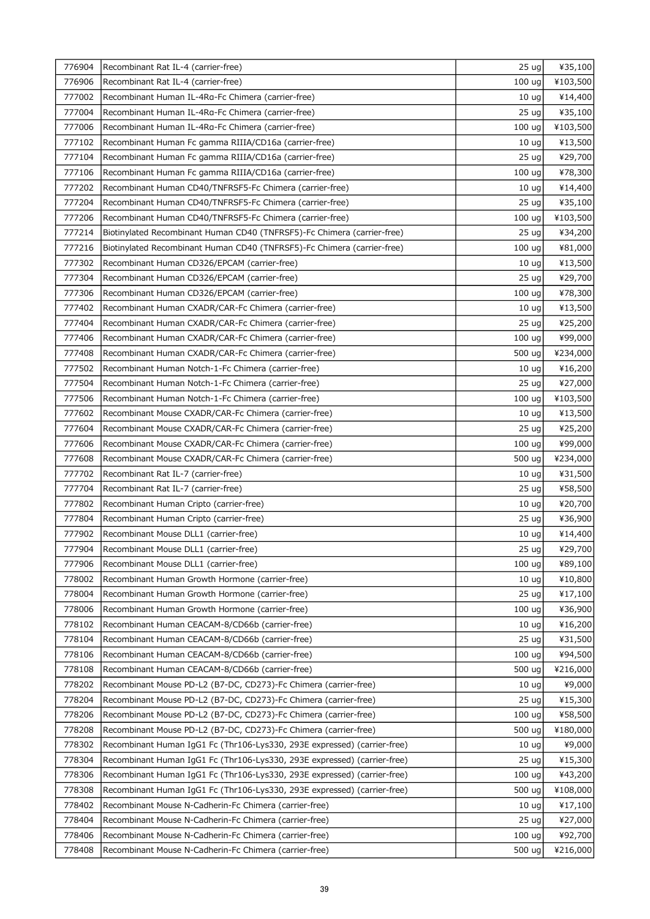| 776904 | Recombinant Rat IL-4 (carrier-free)                                      | 25 ug             | ¥35,100  |
|--------|--------------------------------------------------------------------------|-------------------|----------|
| 776906 | Recombinant Rat IL-4 (carrier-free)                                      | 100 ug            | ¥103,500 |
| 777002 | Recombinant Human IL-4Rg-Fc Chimera (carrier-free)                       | 10 <sub>uq</sub>  | ¥14,400  |
| 777004 | Recombinant Human IL-4Ra-Fc Chimera (carrier-free)                       | 25 <sub>uq</sub>  | ¥35,100  |
| 777006 | Recombinant Human IL-4Rg-Fc Chimera (carrier-free)                       | 100 ug            | ¥103,500 |
| 777102 | Recombinant Human Fc gamma RIIIA/CD16a (carrier-free)                    | 10 <sub>uq</sub>  | ¥13,500  |
| 777104 | Recombinant Human Fc gamma RIIIA/CD16a (carrier-free)                    | 25 <sub>uq</sub>  | ¥29,700  |
| 777106 | Recombinant Human Fc gamma RIIIA/CD16a (carrier-free)                    | 100 uq            | ¥78,300  |
| 777202 | Recombinant Human CD40/TNFRSF5-Fc Chimera (carrier-free)                 | 10 <sub>uq</sub>  | ¥14,400  |
| 777204 | Recombinant Human CD40/TNFRSF5-Fc Chimera (carrier-free)                 | 25 <sub>uq</sub>  | ¥35,100  |
| 777206 | Recombinant Human CD40/TNFRSF5-Fc Chimera (carrier-free)                 | 100 ug            | ¥103,500 |
| 777214 | Biotinylated Recombinant Human CD40 (TNFRSF5)-Fc Chimera (carrier-free)  | 25 <sub>uq</sub>  | ¥34,200  |
| 777216 | Biotinylated Recombinant Human CD40 (TNFRSF5)-Fc Chimera (carrier-free)  | 100 ug            | ¥81,000  |
| 777302 | Recombinant Human CD326/EPCAM (carrier-free)                             | 10 <sub>uq</sub>  | ¥13,500  |
| 777304 | Recombinant Human CD326/EPCAM (carrier-free)                             | 25 <sub>uq</sub>  | ¥29,700  |
| 777306 | Recombinant Human CD326/EPCAM (carrier-free)                             | 100 ug            | ¥78,300  |
| 777402 | Recombinant Human CXADR/CAR-Fc Chimera (carrier-free)                    | 10 <sub>uq</sub>  | ¥13,500  |
| 777404 | Recombinant Human CXADR/CAR-Fc Chimera (carrier-free)                    | 25 <sub>uq</sub>  | ¥25,200  |
| 777406 | Recombinant Human CXADR/CAR-Fc Chimera (carrier-free)                    | 100 ug            | ¥99,000  |
| 777408 | Recombinant Human CXADR/CAR-Fc Chimera (carrier-free)                    | 500 ug            | ¥234,000 |
| 777502 | Recombinant Human Notch-1-Fc Chimera (carrier-free)                      | 10 <sub>uq</sub>  | ¥16,200  |
| 777504 | Recombinant Human Notch-1-Fc Chimera (carrier-free)                      | 25 <sub>uq</sub>  | ¥27,000  |
| 777506 | Recombinant Human Notch-1-Fc Chimera (carrier-free)                      | 100 ug            | ¥103,500 |
| 777602 | Recombinant Mouse CXADR/CAR-Fc Chimera (carrier-free)                    | 10 <sub>uq</sub>  | ¥13,500  |
| 777604 | Recombinant Mouse CXADR/CAR-Fc Chimera (carrier-free)                    | 25 <sub>uq</sub>  | ¥25,200  |
| 777606 | Recombinant Mouse CXADR/CAR-Fc Chimera (carrier-free)                    | 100 ug            | ¥99,000  |
| 777608 | Recombinant Mouse CXADR/CAR-Fc Chimera (carrier-free)                    | 500 ug            | ¥234,000 |
| 777702 | Recombinant Rat IL-7 (carrier-free)                                      | 10 <sub>uq</sub>  | ¥31,500  |
| 777704 | Recombinant Rat IL-7 (carrier-free)                                      | 25 <sub>uq</sub>  | ¥58,500  |
| 777802 | Recombinant Human Cripto (carrier-free)                                  | 10 <sub>uq</sub>  | ¥20,700  |
| 777804 | Recombinant Human Cripto (carrier-free)                                  | 25 <sub>uq</sub>  | ¥36,900  |
| 777902 | Recombinant Mouse DLL1 (carrier-free)                                    | 10 <sub>ug</sub>  | ¥14,400  |
| 777904 | Recombinant Mouse DLL1 (carrier-free)                                    | $25 \text{ ug}$   | ¥29,700  |
| 777906 | Recombinant Mouse DLL1 (carrier-free)                                    | 100 ug            | ¥89,100  |
| 778002 | Recombinant Human Growth Hormone (carrier-free)                          | 10 <sub>ug</sub>  | ¥10,800  |
| 778004 | Recombinant Human Growth Hormone (carrier-free)                          | 25 <sub>uq</sub>  | ¥17,100  |
| 778006 | Recombinant Human Growth Hormone (carrier-free)                          | 100 ug            | ¥36,900  |
| 778102 | Recombinant Human CEACAM-8/CD66b (carrier-free)                          | 10 <sub>uq</sub>  | ¥16,200  |
| 778104 | Recombinant Human CEACAM-8/CD66b (carrier-free)                          | 25 <sub>uq</sub>  | ¥31,500  |
| 778106 | Recombinant Human CEACAM-8/CD66b (carrier-free)                          | 100 ug            | ¥94,500  |
| 778108 | Recombinant Human CEACAM-8/CD66b (carrier-free)                          | 500 ug            | ¥216,000 |
| 778202 | Recombinant Mouse PD-L2 (B7-DC, CD273)-Fc Chimera (carrier-free)         | 10 <sub>uq</sub>  | ¥9,000   |
| 778204 | Recombinant Mouse PD-L2 (B7-DC, CD273)-Fc Chimera (carrier-free)         | 25 <sub>uq</sub>  | ¥15,300  |
| 778206 | Recombinant Mouse PD-L2 (B7-DC, CD273)-Fc Chimera (carrier-free)         | 100 ug            | ¥58,500  |
| 778208 | Recombinant Mouse PD-L2 (B7-DC, CD273)-Fc Chimera (carrier-free)         | 500 ug            | ¥180,000 |
| 778302 | Recombinant Human IgG1 Fc (Thr106-Lys330, 293E expressed) (carrier-free) | 10 <sub>uq</sub>  | ¥9,000   |
| 778304 | Recombinant Human IgG1 Fc (Thr106-Lys330, 293E expressed) (carrier-free) | 25 <sub>uq</sub>  | ¥15,300  |
| 778306 | Recombinant Human IgG1 Fc (Thr106-Lys330, 293E expressed) (carrier-free) | 100 <sub>uq</sub> | ¥43,200  |
| 778308 | Recombinant Human IgG1 Fc (Thr106-Lys330, 293E expressed) (carrier-free) | 500 ug            | ¥108,000 |
| 778402 | Recombinant Mouse N-Cadherin-Fc Chimera (carrier-free)                   | 10 <sub>uq</sub>  | ¥17,100  |
| 778404 | Recombinant Mouse N-Cadherin-Fc Chimera (carrier-free)                   | 25 <sub>uq</sub>  | ¥27,000  |
| 778406 | Recombinant Mouse N-Cadherin-Fc Chimera (carrier-free)                   | 100 ug            | ¥92,700  |
| 778408 | Recombinant Mouse N-Cadherin-Fc Chimera (carrier-free)                   | 500 ug            | ¥216,000 |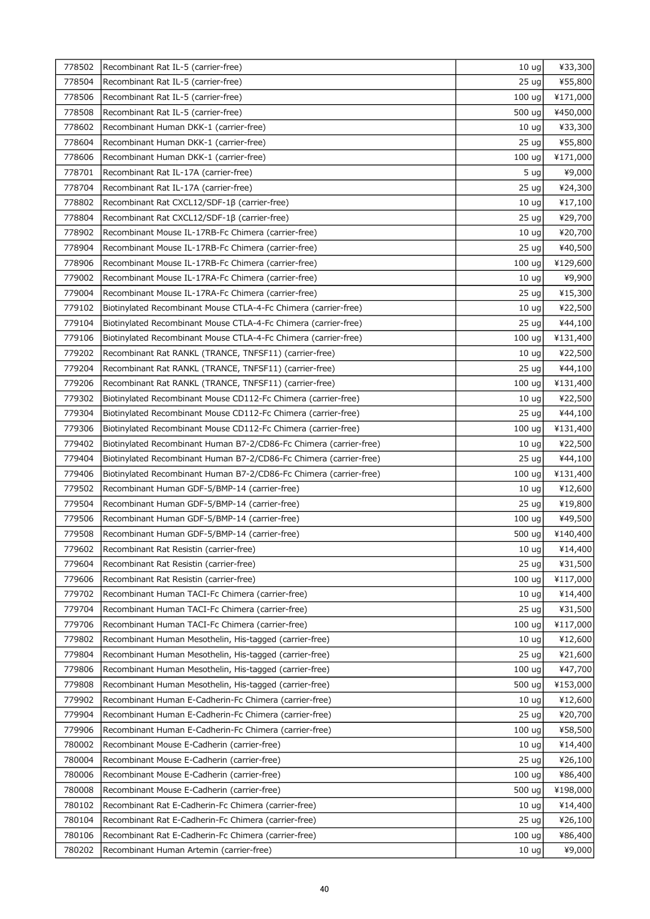| 778502 | Recombinant Rat IL-5 (carrier-free)                                | 10 <sub>uq</sub> | ¥33,300  |
|--------|--------------------------------------------------------------------|------------------|----------|
| 778504 | Recombinant Rat IL-5 (carrier-free)                                | 25 <sub>uq</sub> | ¥55,800  |
| 778506 | Recombinant Rat IL-5 (carrier-free)                                | 100 ug           | ¥171,000 |
| 778508 | Recombinant Rat IL-5 (carrier-free)                                | 500 ug           | ¥450,000 |
| 778602 | Recombinant Human DKK-1 (carrier-free)                             | 10 <sub>uq</sub> | ¥33,300  |
| 778604 | Recombinant Human DKK-1 (carrier-free)                             | 25 <sub>uq</sub> | ¥55,800  |
| 778606 | Recombinant Human DKK-1 (carrier-free)                             | 100 ug           | ¥171,000 |
| 778701 | Recombinant Rat IL-17A (carrier-free)                              | 5 <sub>uq</sub>  | ¥9,000   |
| 778704 | Recombinant Rat IL-17A (carrier-free)                              | 25 ug            | ¥24,300  |
| 778802 | Recombinant Rat CXCL12/SDF-1B (carrier-free)                       | 10 <sub>uq</sub> | ¥17,100  |
| 778804 | Recombinant Rat CXCL12/SDF-1ß (carrier-free)                       | 25 <sub>uq</sub> | ¥29,700  |
| 778902 | Recombinant Mouse IL-17RB-Fc Chimera (carrier-free)                | 10 <sub>uq</sub> | ¥20,700  |
| 778904 | Recombinant Mouse IL-17RB-Fc Chimera (carrier-free)                | 25 <sub>uq</sub> | ¥40,500  |
| 778906 | Recombinant Mouse IL-17RB-Fc Chimera (carrier-free)                | 100 ug           | ¥129,600 |
| 779002 | Recombinant Mouse IL-17RA-Fc Chimera (carrier-free)                | 10 <sub>uq</sub> | ¥9,900   |
| 779004 | Recombinant Mouse IL-17RA-Fc Chimera (carrier-free)                | 25 <sub>uq</sub> | ¥15,300  |
| 779102 | Biotinylated Recombinant Mouse CTLA-4-Fc Chimera (carrier-free)    | 10 <sub>uq</sub> | ¥22,500  |
| 779104 | Biotinylated Recombinant Mouse CTLA-4-Fc Chimera (carrier-free)    | 25 <sub>uq</sub> | ¥44,100  |
| 779106 | Biotinylated Recombinant Mouse CTLA-4-Fc Chimera (carrier-free)    | 100 ug           | ¥131,400 |
| 779202 | Recombinant Rat RANKL (TRANCE, TNFSF11) (carrier-free)             | 10 <sub>uq</sub> | ¥22,500  |
| 779204 | Recombinant Rat RANKL (TRANCE, TNFSF11) (carrier-free)             | 25 <sub>uq</sub> | ¥44,100  |
| 779206 | Recombinant Rat RANKL (TRANCE, TNFSF11) (carrier-free)             | 100 ug           | ¥131,400 |
| 779302 | Biotinylated Recombinant Mouse CD112-Fc Chimera (carrier-free)     | 10 <sub>uq</sub> | ¥22,500  |
| 779304 | Biotinylated Recombinant Mouse CD112-Fc Chimera (carrier-free)     | 25 <sub>uq</sub> | ¥44,100  |
| 779306 | Biotinylated Recombinant Mouse CD112-Fc Chimera (carrier-free)     | 100 ug           | ¥131,400 |
| 779402 | Biotinylated Recombinant Human B7-2/CD86-Fc Chimera (carrier-free) | 10 <sub>uq</sub> | ¥22,500  |
| 779404 | Biotinylated Recombinant Human B7-2/CD86-Fc Chimera (carrier-free) | 25 <sub>uq</sub> | ¥44,100  |
| 779406 | Biotinylated Recombinant Human B7-2/CD86-Fc Chimera (carrier-free) | 100 ug           | ¥131,400 |
| 779502 | Recombinant Human GDF-5/BMP-14 (carrier-free)                      | 10 <sub>ug</sub> | ¥12,600  |
| 779504 | Recombinant Human GDF-5/BMP-14 (carrier-free)                      | 25 <sub>uq</sub> | ¥19,800  |
| 779506 | Recombinant Human GDF-5/BMP-14 (carrier-free)                      | 100 ug           | ¥49,500  |
| 779508 | Recombinant Human GDF-5/BMP-14 (carrier-free)                      | 500 ug           | ¥140,400 |
| 779602 | Recombinant Rat Resistin (carrier-free)                            | $10 \text{ ug}$  | ¥14,400  |
| 779604 | Recombinant Rat Resistin (carrier-free)                            | 25 <sub>uq</sub> | ¥31,500  |
| 779606 | Recombinant Rat Resistin (carrier-free)                            | 100 ug           | ¥117,000 |
| 779702 | Recombinant Human TACI-Fc Chimera (carrier-free)                   | 10 <sub>uq</sub> | ¥14,400  |
| 779704 | Recombinant Human TACI-Fc Chimera (carrier-free)                   | 25 <sub>uq</sub> | ¥31,500  |
| 779706 | Recombinant Human TACI-Fc Chimera (carrier-free)                   | 100 ug           | ¥117,000 |
| 779802 | Recombinant Human Mesothelin, His-tagged (carrier-free)            | 10 <sub>uq</sub> | ¥12,600  |
| 779804 | Recombinant Human Mesothelin, His-tagged (carrier-free)            | 25 <sub>uq</sub> | ¥21,600  |
| 779806 | Recombinant Human Mesothelin, His-tagged (carrier-free)            | 100 ug           | ¥47,700  |
| 779808 | Recombinant Human Mesothelin, His-tagged (carrier-free)            | 500 ug           | ¥153,000 |
| 779902 | Recombinant Human E-Cadherin-Fc Chimera (carrier-free)             | 10 <sub>uq</sub> | ¥12,600  |
| 779904 | Recombinant Human E-Cadherin-Fc Chimera (carrier-free)             | 25 <sub>uq</sub> | ¥20,700  |
| 779906 | Recombinant Human E-Cadherin-Fc Chimera (carrier-free)             | 100 ug           | ¥58,500  |
| 780002 | Recombinant Mouse E-Cadherin (carrier-free)                        | 10 <sub>ug</sub> | ¥14,400  |
| 780004 | Recombinant Mouse E-Cadherin (carrier-free)                        | 25 <sub>uq</sub> | ¥26,100  |
| 780006 | Recombinant Mouse E-Cadherin (carrier-free)                        | 100 ug           | ¥86,400  |
| 780008 | Recombinant Mouse E-Cadherin (carrier-free)                        | 500 ug           | ¥198,000 |
| 780102 | Recombinant Rat E-Cadherin-Fc Chimera (carrier-free)               | 10 <sub>uq</sub> | ¥14,400  |
| 780104 | Recombinant Rat E-Cadherin-Fc Chimera (carrier-free)               | 25 <sub>uq</sub> | ¥26,100  |
| 780106 | Recombinant Rat E-Cadherin-Fc Chimera (carrier-free)               | 100 ug           | ¥86,400  |
| 780202 | Recombinant Human Artemin (carrier-free)                           | 10 <sub>uq</sub> | ¥9,000   |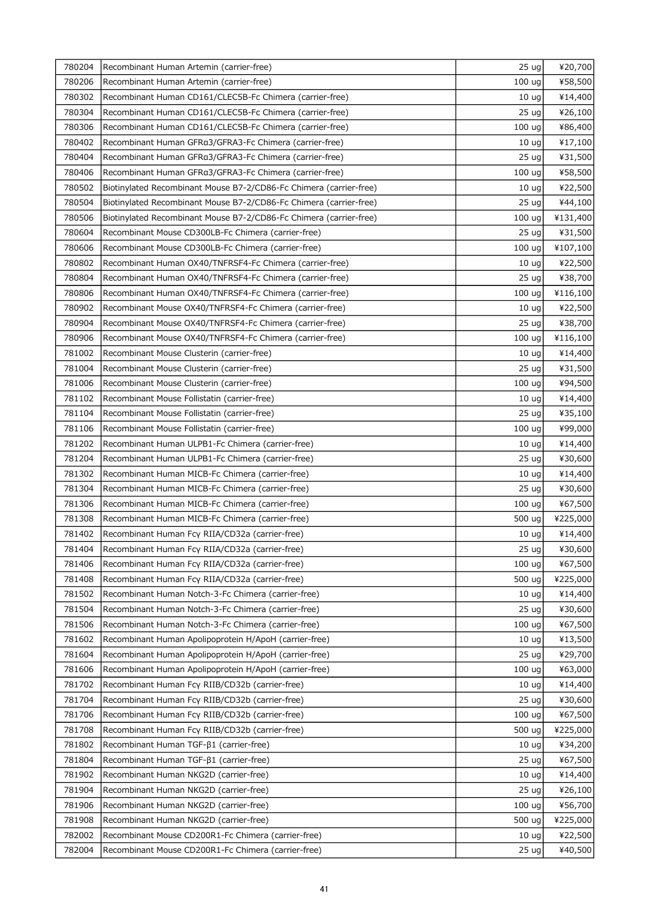| 780204 | Recombinant Human Artemin (carrier-free)                           | 25 <sub>uq</sub>  | ¥20,700  |
|--------|--------------------------------------------------------------------|-------------------|----------|
| 780206 | Recombinant Human Artemin (carrier-free)                           | 100 <sub>uq</sub> | ¥58,500  |
| 780302 | Recombinant Human CD161/CLEC5B-Fc Chimera (carrier-free)           | 10 <sub>uq</sub>  | ¥14,400  |
| 780304 | Recombinant Human CD161/CLEC5B-Fc Chimera (carrier-free)           | 25 <sub>uq</sub>  | ¥26,100  |
| 780306 | Recombinant Human CD161/CLEC5B-Fc Chimera (carrier-free)           | 100 ug            | ¥86,400  |
| 780402 | Recombinant Human GFRa3/GFRA3-Fc Chimera (carrier-free)            | 10 <sub>uq</sub>  | ¥17,100  |
| 780404 | Recombinant Human GFRa3/GFRA3-Fc Chimera (carrier-free)            | 25 <sub>uq</sub>  | ¥31,500  |
| 780406 | Recombinant Human GFRa3/GFRA3-Fc Chimera (carrier-free)            | 100 uq            | ¥58,500  |
| 780502 | Biotinylated Recombinant Mouse B7-2/CD86-Fc Chimera (carrier-free) | 10 <sub>uq</sub>  | ¥22,500  |
| 780504 | Biotinylated Recombinant Mouse B7-2/CD86-Fc Chimera (carrier-free) | 25 <sub>uq</sub>  | ¥44,100  |
| 780506 | Biotinylated Recombinant Mouse B7-2/CD86-Fc Chimera (carrier-free) | 100 uq            | ¥131,400 |
| 780604 | Recombinant Mouse CD300LB-Fc Chimera (carrier-free)                | 25 <sub>uq</sub>  | ¥31,500  |
| 780606 | Recombinant Mouse CD300LB-Fc Chimera (carrier-free)                | 100 ug            | ¥107,100 |
| 780802 | Recombinant Human OX40/TNFRSF4-Fc Chimera (carrier-free)           | 10 <sub>uq</sub>  | ¥22,500  |
| 780804 | Recombinant Human OX40/TNFRSF4-Fc Chimera (carrier-free)           | 25 <sub>uq</sub>  | ¥38,700  |
| 780806 | Recombinant Human OX40/TNFRSF4-Fc Chimera (carrier-free)           | 100 ug            | ¥116,100 |
| 780902 | Recombinant Mouse OX40/TNFRSF4-Fc Chimera (carrier-free)           | 10 <sub>uq</sub>  | ¥22,500  |
| 780904 | Recombinant Mouse OX40/TNFRSF4-Fc Chimera (carrier-free)           | 25 <sub>uq</sub>  | ¥38,700  |
| 780906 | Recombinant Mouse OX40/TNFRSF4-Fc Chimera (carrier-free)           | 100 ug            | ¥116,100 |
| 781002 | Recombinant Mouse Clusterin (carrier-free)                         | 10 <sub>uq</sub>  | ¥14,400  |
| 781004 | Recombinant Mouse Clusterin (carrier-free)                         | 25 <sub>uq</sub>  | ¥31,500  |
| 781006 | Recombinant Mouse Clusterin (carrier-free)                         | 100 ug            | ¥94,500  |
| 781102 | Recombinant Mouse Follistatin (carrier-free)                       | 10 <sub>ug</sub>  | ¥14,400  |
| 781104 | Recombinant Mouse Follistatin (carrier-free)                       | 25 <sub>uq</sub>  | ¥35,100  |
| 781106 | Recombinant Mouse Follistatin (carrier-free)                       | 100 ug            | ¥99,000  |
| 781202 | Recombinant Human ULPB1-Fc Chimera (carrier-free)                  | 10 <sub>uq</sub>  | ¥14,400  |
| 781204 | Recombinant Human ULPB1-Fc Chimera (carrier-free)                  | 25 <sub>uq</sub>  | ¥30,600  |
| 781302 | Recombinant Human MICB-Fc Chimera (carrier-free)                   | 10 <sub>uq</sub>  | ¥14,400  |
| 781304 | Recombinant Human MICB-Fc Chimera (carrier-free)                   | 25 <sub>uq</sub>  | ¥30,600  |
| 781306 | Recombinant Human MICB-Fc Chimera (carrier-free)                   | 100 ug            | ¥67,500  |
| 781308 | Recombinant Human MICB-Fc Chimera (carrier-free)                   | 500 ug            | ¥225,000 |
| 781402 | Recombinant Human Fcy RIIA/CD32a (carrier-free)                    | 10 <sub>ug</sub>  | ¥14,400  |
| 781404 | Recombinant Human Fcy RIIA/CD32a (carrier-free)                    | $25 \text{ ug}$   | ¥30,600  |
| 781406 | Recombinant Human Fcy RIIA/CD32a (carrier-free)                    | 100 ug            | ¥67,500  |
| 781408 | Recombinant Human Fcy RIIA/CD32a (carrier-free)                    | 500 ug            | ¥225,000 |
| 781502 | Recombinant Human Notch-3-Fc Chimera (carrier-free)                | 10 <sub>uq</sub>  | ¥14,400  |
| 781504 | Recombinant Human Notch-3-Fc Chimera (carrier-free)                | 25 <sub>uq</sub>  | ¥30,600  |
| 781506 | Recombinant Human Notch-3-Fc Chimera (carrier-free)                | 100 uq            | ¥67,500  |
| 781602 | Recombinant Human Apolipoprotein H/ApoH (carrier-free)             | 10 <sub>uq</sub>  | ¥13,500  |
| 781604 | Recombinant Human Apolipoprotein H/ApoH (carrier-free)             | 25 <sub>uq</sub>  | ¥29,700  |
| 781606 | Recombinant Human Apolipoprotein H/ApoH (carrier-free)             | 100 ug            | ¥63,000  |
| 781702 | Recombinant Human Fcy RIIB/CD32b (carrier-free)                    | 10 <sub>uq</sub>  | ¥14,400  |
| 781704 | Recombinant Human Fcy RIIB/CD32b (carrier-free)                    | 25 <sub>uq</sub>  | ¥30,600  |
| 781706 | Recombinant Human Fcy RIIB/CD32b (carrier-free)                    | 100 ug            | ¥67,500  |
| 781708 | Recombinant Human Fcy RIIB/CD32b (carrier-free)                    | 500 ug            | ¥225,000 |
| 781802 | Recombinant Human TGF-β1 (carrier-free)                            | 10 <sub>uq</sub>  | ¥34,200  |
| 781804 | Recombinant Human TGF-β1 (carrier-free)                            | 25 <sub>uq</sub>  | ¥67,500  |
| 781902 | Recombinant Human NKG2D (carrier-free)                             | 10 <sub>uq</sub>  | ¥14,400  |
| 781904 | Recombinant Human NKG2D (carrier-free)                             | 25 <sub>uq</sub>  | ¥26,100  |
| 781906 | Recombinant Human NKG2D (carrier-free)                             | 100 ug            | ¥56,700  |
| 781908 | Recombinant Human NKG2D (carrier-free)                             | 500 ug            | ¥225,000 |
| 782002 | Recombinant Mouse CD200R1-Fc Chimera (carrier-free)                | 10 <sub>uq</sub>  | ¥22,500  |
| 782004 | Recombinant Mouse CD200R1-Fc Chimera (carrier-free)                | 25 <sub>uq</sub>  | ¥40,500  |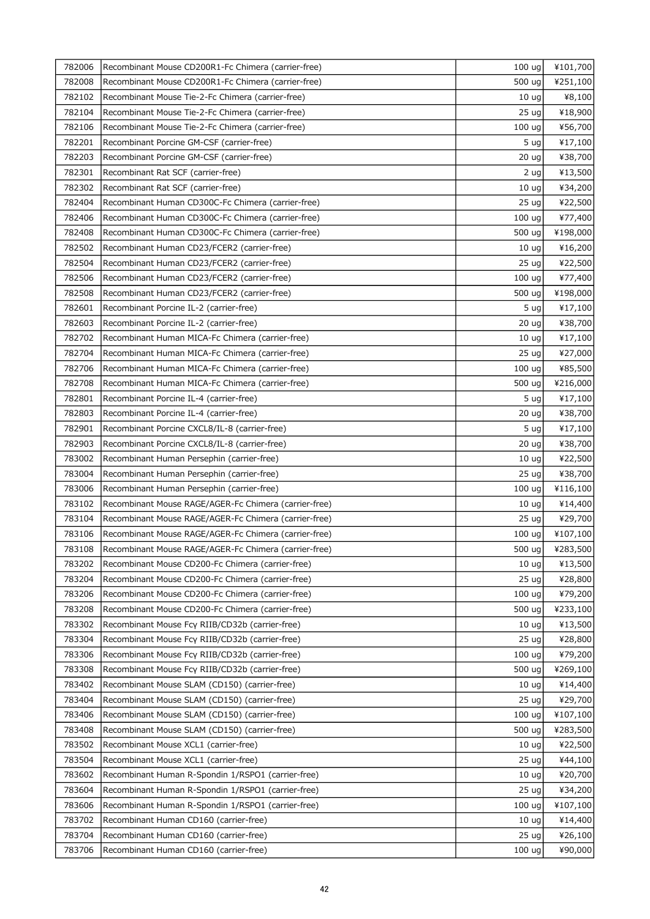| 782006 | Recombinant Mouse CD200R1-Fc Chimera (carrier-free)   | 100 ug            | ¥101,700 |
|--------|-------------------------------------------------------|-------------------|----------|
| 782008 | Recombinant Mouse CD200R1-Fc Chimera (carrier-free)   | 500 ug            | ¥251,100 |
| 782102 | Recombinant Mouse Tie-2-Fc Chimera (carrier-free)     | 10 <sub>uq</sub>  | ¥8,100   |
| 782104 | Recombinant Mouse Tie-2-Fc Chimera (carrier-free)     | 25 <sub>uq</sub>  | ¥18,900  |
| 782106 | Recombinant Mouse Tie-2-Fc Chimera (carrier-free)     | 100 ug            | ¥56,700  |
| 782201 | Recombinant Porcine GM-CSF (carrier-free)             | 5 ug              | ¥17,100  |
| 782203 | Recombinant Porcine GM-CSF (carrier-free)             | 20 <sub>uq</sub>  | ¥38,700  |
| 782301 | Recombinant Rat SCF (carrier-free)                    | 2 ug              | ¥13,500  |
| 782302 | Recombinant Rat SCF (carrier-free)                    | 10 <sub>uq</sub>  | ¥34,200  |
| 782404 | Recombinant Human CD300C-Fc Chimera (carrier-free)    | 25 <sub>uq</sub>  | ¥22,500  |
| 782406 | Recombinant Human CD300C-Fc Chimera (carrier-free)    | 100 <sub>uq</sub> | ¥77,400  |
| 782408 | Recombinant Human CD300C-Fc Chimera (carrier-free)    | 500 ug            | ¥198,000 |
| 782502 | Recombinant Human CD23/FCER2 (carrier-free)           | 10 <sub>uq</sub>  | ¥16,200  |
| 782504 | Recombinant Human CD23/FCER2 (carrier-free)           | 25 <sub>uq</sub>  | ¥22,500  |
| 782506 | Recombinant Human CD23/FCER2 (carrier-free)           | 100 ug            | ¥77,400  |
| 782508 | Recombinant Human CD23/FCER2 (carrier-free)           | 500 ug            | ¥198,000 |
| 782601 | Recombinant Porcine IL-2 (carrier-free)               | 5 <sub>uq</sub>   | ¥17,100  |
| 782603 | Recombinant Porcine IL-2 (carrier-free)               | 20 <sub>uq</sub>  | ¥38,700  |
| 782702 | Recombinant Human MICA-Fc Chimera (carrier-free)      | 10 <sub>uq</sub>  | ¥17,100  |
| 782704 | Recombinant Human MICA-Fc Chimera (carrier-free)      | 25 <sub>uq</sub>  | ¥27,000  |
| 782706 | Recombinant Human MICA-Fc Chimera (carrier-free)      | 100 ug            | ¥85,500  |
| 782708 | Recombinant Human MICA-Fc Chimera (carrier-free)      | 500 ug            | ¥216,000 |
| 782801 | Recombinant Porcine IL-4 (carrier-free)               | 5 <sub>uq</sub>   | ¥17,100  |
| 782803 | Recombinant Porcine IL-4 (carrier-free)               | 20 <sub>uq</sub>  | ¥38,700  |
| 782901 | Recombinant Porcine CXCL8/IL-8 (carrier-free)         | 5 ug              | ¥17,100  |
| 782903 | Recombinant Porcine CXCL8/IL-8 (carrier-free)         | 20 <sub>uq</sub>  | ¥38,700  |
| 783002 | Recombinant Human Persephin (carrier-free)            | 10 <sub>uq</sub>  | ¥22,500  |
| 783004 | Recombinant Human Persephin (carrier-free)            | 25 <sub>uq</sub>  | ¥38,700  |
| 783006 | Recombinant Human Persephin (carrier-free)            | 100 <sub>uq</sub> | ¥116,100 |
| 783102 | Recombinant Mouse RAGE/AGER-Fc Chimera (carrier-free) | 10 <sub>uq</sub>  | ¥14,400  |
| 783104 | Recombinant Mouse RAGE/AGER-Fc Chimera (carrier-free) | 25 <sub>uq</sub>  | ¥29,700  |
| 783106 | Recombinant Mouse RAGE/AGER-Fc Chimera (carrier-free) | 100 ug            | ¥107,100 |
| 783108 | Recombinant Mouse RAGE/AGER-Fc Chimera (carrier-free) | 500 ug            | ¥283,500 |
| 783202 | Recombinant Mouse CD200-Fc Chimera (carrier-free)     | 10 <sub>uq</sub>  | ¥13,500  |
| 783204 | Recombinant Mouse CD200-Fc Chimera (carrier-free)     | 25 <sub>uq</sub>  | ¥28,800  |
| 783206 | Recombinant Mouse CD200-Fc Chimera (carrier-free)     | 100 ug            | ¥79,200  |
| 783208 | Recombinant Mouse CD200-Fc Chimera (carrier-free)     | 500 ug            | ¥233,100 |
| 783302 | Recombinant Mouse Fcy RIIB/CD32b (carrier-free)       | 10 <sub>uq</sub>  | ¥13,500  |
| 783304 | Recombinant Mouse Fcy RIIB/CD32b (carrier-free)       | 25 <sub>uq</sub>  | ¥28,800  |
| 783306 | Recombinant Mouse Fcy RIIB/CD32b (carrier-free)       | 100 <sub>uq</sub> | ¥79,200  |
| 783308 | Recombinant Mouse Fcy RIIB/CD32b (carrier-free)       | 500 ug            | ¥269,100 |
| 783402 | Recombinant Mouse SLAM (CD150) (carrier-free)         | 10 <sub>uq</sub>  | ¥14,400  |
| 783404 | Recombinant Mouse SLAM (CD150) (carrier-free)         | 25 <sub>uq</sub>  | ¥29,700  |
| 783406 | Recombinant Mouse SLAM (CD150) (carrier-free)         | 100 <sub>uq</sub> | ¥107,100 |
| 783408 | Recombinant Mouse SLAM (CD150) (carrier-free)         | 500 ug            | ¥283,500 |
| 783502 | Recombinant Mouse XCL1 (carrier-free)                 | 10 <sub>uq</sub>  | ¥22,500  |
| 783504 | Recombinant Mouse XCL1 (carrier-free)                 | 25 <sub>uq</sub>  | ¥44,100  |
| 783602 | Recombinant Human R-Spondin 1/RSPO1 (carrier-free)    | 10 <sub>uq</sub>  | ¥20,700  |
| 783604 | Recombinant Human R-Spondin 1/RSPO1 (carrier-free)    | 25 <sub>uq</sub>  | ¥34,200  |
| 783606 | Recombinant Human R-Spondin 1/RSPO1 (carrier-free)    | 100 <sub>uq</sub> | ¥107,100 |
| 783702 | Recombinant Human CD160 (carrier-free)                | 10 <sub>uq</sub>  | ¥14,400  |
| 783704 | Recombinant Human CD160 (carrier-free)                | 25 <sub>uq</sub>  | ¥26,100  |
| 783706 | Recombinant Human CD160 (carrier-free)                | 100 <sub>uq</sub> | ¥90,000  |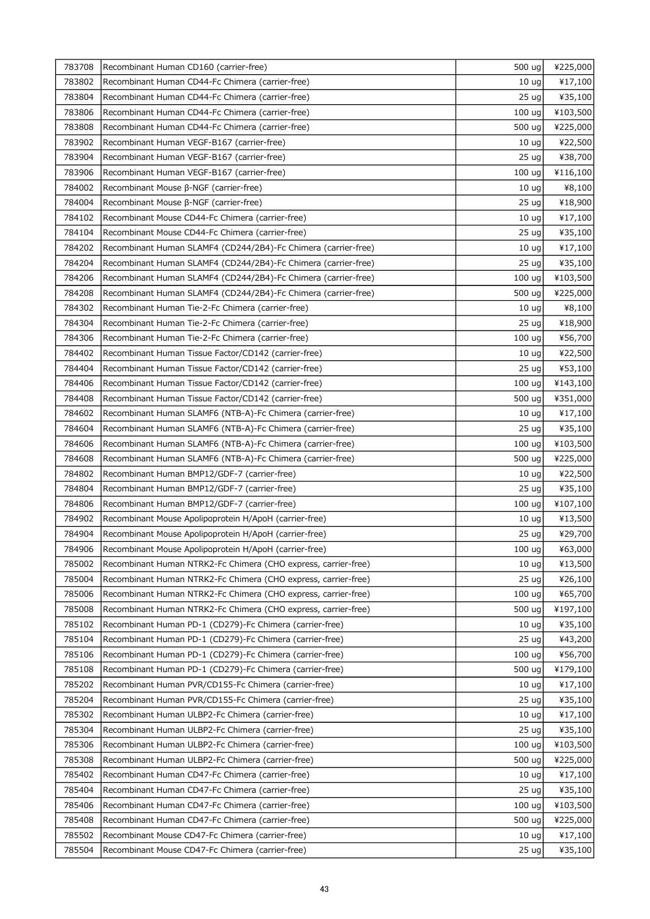| 783708 | Recombinant Human CD160 (carrier-free)                         | 500 ug            | ¥225,000 |
|--------|----------------------------------------------------------------|-------------------|----------|
| 783802 | Recombinant Human CD44-Fc Chimera (carrier-free)               | 10 <sub>uq</sub>  | ¥17,100  |
| 783804 | Recombinant Human CD44-Fc Chimera (carrier-free)               | 25 <sub>uq</sub>  | ¥35,100  |
| 783806 | Recombinant Human CD44-Fc Chimera (carrier-free)               | 100 <sub>uq</sub> | ¥103,500 |
| 783808 | Recombinant Human CD44-Fc Chimera (carrier-free)               | 500 ug            | ¥225,000 |
| 783902 | Recombinant Human VEGF-B167 (carrier-free)                     | 10 <sub>uq</sub>  | ¥22,500  |
| 783904 | Recombinant Human VEGF-B167 (carrier-free)                     | 25 <sub>uq</sub>  | ¥38,700  |
| 783906 | Recombinant Human VEGF-B167 (carrier-free)                     | 100 uq            | ¥116,100 |
| 784002 | Recombinant Mouse β-NGF (carrier-free)                         | 10 <sub>uq</sub>  | ¥8,100   |
| 784004 | Recombinant Mouse β-NGF (carrier-free)                         | 25 <sub>uq</sub>  | ¥18,900  |
| 784102 | Recombinant Mouse CD44-Fc Chimera (carrier-free)               | 10 <sub>uq</sub>  | ¥17,100  |
| 784104 | Recombinant Mouse CD44-Fc Chimera (carrier-free)               | 25 <sub>uq</sub>  | ¥35,100  |
| 784202 | Recombinant Human SLAMF4 (CD244/2B4)-Fc Chimera (carrier-free) | 10 <sub>uq</sub>  | ¥17,100  |
| 784204 | Recombinant Human SLAMF4 (CD244/2B4)-Fc Chimera (carrier-free) | 25 <sub>uq</sub>  | ¥35,100  |
| 784206 | Recombinant Human SLAMF4 (CD244/2B4)-Fc Chimera (carrier-free) | 100 <sub>uq</sub> | ¥103,500 |
| 784208 | Recombinant Human SLAMF4 (CD244/2B4)-Fc Chimera (carrier-free) | 500 ug            | ¥225,000 |
| 784302 | Recombinant Human Tie-2-Fc Chimera (carrier-free)              | 10 <sub>uq</sub>  | ¥8,100   |
| 784304 | Recombinant Human Tie-2-Fc Chimera (carrier-free)              | 25 <sub>uq</sub>  | ¥18,900  |
| 784306 | Recombinant Human Tie-2-Fc Chimera (carrier-free)              | 100 ug            | ¥56,700  |
| 784402 | Recombinant Human Tissue Factor/CD142 (carrier-free)           | 10 <sub>uq</sub>  | ¥22,500  |
| 784404 | Recombinant Human Tissue Factor/CD142 (carrier-free)           | 25 <sub>uq</sub>  | ¥53,100  |
| 784406 | Recombinant Human Tissue Factor/CD142 (carrier-free)           | 100 <sub>uq</sub> | ¥143,100 |
| 784408 | Recombinant Human Tissue Factor/CD142 (carrier-free)           | 500 ug            | ¥351,000 |
| 784602 | Recombinant Human SLAMF6 (NTB-A)-Fc Chimera (carrier-free)     | 10 <sub>uq</sub>  | ¥17,100  |
| 784604 | Recombinant Human SLAMF6 (NTB-A)-Fc Chimera (carrier-free)     | 25 <sub>uq</sub>  | ¥35,100  |
| 784606 | Recombinant Human SLAMF6 (NTB-A)-Fc Chimera (carrier-free)     | 100 <sub>uq</sub> | ¥103,500 |
| 784608 | Recombinant Human SLAMF6 (NTB-A)-Fc Chimera (carrier-free)     | 500 ug            | ¥225,000 |
| 784802 | Recombinant Human BMP12/GDF-7 (carrier-free)                   | 10 <sub>uq</sub>  | ¥22,500  |
| 784804 | Recombinant Human BMP12/GDF-7 (carrier-free)                   | 25 <sub>uq</sub>  | ¥35,100  |
| 784806 | Recombinant Human BMP12/GDF-7 (carrier-free)                   | 100 <sub>uq</sub> | ¥107,100 |
| 784902 | Recombinant Mouse Apolipoprotein H/ApoH (carrier-free)         | 10 <sub>uq</sub>  | ¥13,500  |
| 784904 | Recombinant Mouse Apolipoprotein H/ApoH (carrier-free)         | 25 ug             | ¥29,700  |
| 784906 | Recombinant Mouse Apolipoprotein H/ApoH (carrier-free)         | 100 ug            | ¥63,000  |
| 785002 | Recombinant Human NTRK2-Fc Chimera (CHO express, carrier-free) | 10 <sub>uq</sub>  | ¥13,500  |
| 785004 | Recombinant Human NTRK2-Fc Chimera (CHO express, carrier-free) | 25 ug             | ¥26,100  |
| 785006 | Recombinant Human NTRK2-Fc Chimera (CHO express, carrier-free) | 100 <sub>uq</sub> | ¥65,700  |
| 785008 | Recombinant Human NTRK2-Fc Chimera (CHO express, carrier-free) | 500 ug            | ¥197,100 |
| 785102 | Recombinant Human PD-1 (CD279)-Fc Chimera (carrier-free)       | 10 <sub>uq</sub>  | ¥35,100  |
| 785104 | Recombinant Human PD-1 (CD279)-Fc Chimera (carrier-free)       | 25 <sub>uq</sub>  | ¥43,200  |
| 785106 | Recombinant Human PD-1 (CD279)-Fc Chimera (carrier-free)       | 100 <sub>uq</sub> | ¥56,700  |
| 785108 | Recombinant Human PD-1 (CD279)-Fc Chimera (carrier-free)       | 500 ug            | ¥179,100 |
| 785202 | Recombinant Human PVR/CD155-Fc Chimera (carrier-free)          | 10 <sub>uq</sub>  | ¥17,100  |
| 785204 | Recombinant Human PVR/CD155-Fc Chimera (carrier-free)          | 25 <sub>uq</sub>  | ¥35,100  |
| 785302 | Recombinant Human ULBP2-Fc Chimera (carrier-free)              | 10 <sub>uq</sub>  | ¥17,100  |
| 785304 | Recombinant Human ULBP2-Fc Chimera (carrier-free)              | 25 <sub>uq</sub>  | ¥35,100  |
| 785306 | Recombinant Human ULBP2-Fc Chimera (carrier-free)              | 100 <sub>uq</sub> | ¥103,500 |
| 785308 | Recombinant Human ULBP2-Fc Chimera (carrier-free)              | 500 ug            | ¥225,000 |
| 785402 | Recombinant Human CD47-Fc Chimera (carrier-free)               | 10 <sub>uq</sub>  | ¥17,100  |
| 785404 | Recombinant Human CD47-Fc Chimera (carrier-free)               | 25 <sub>uq</sub>  | ¥35,100  |
| 785406 | Recombinant Human CD47-Fc Chimera (carrier-free)               | 100 <sub>uq</sub> | ¥103,500 |
| 785408 | Recombinant Human CD47-Fc Chimera (carrier-free)               | 500 ug            | ¥225,000 |
| 785502 | Recombinant Mouse CD47-Fc Chimera (carrier-free)               | 10 <sub>uq</sub>  | ¥17,100  |
| 785504 | Recombinant Mouse CD47-Fc Chimera (carrier-free)               | 25 <sub>uq</sub>  | ¥35,100  |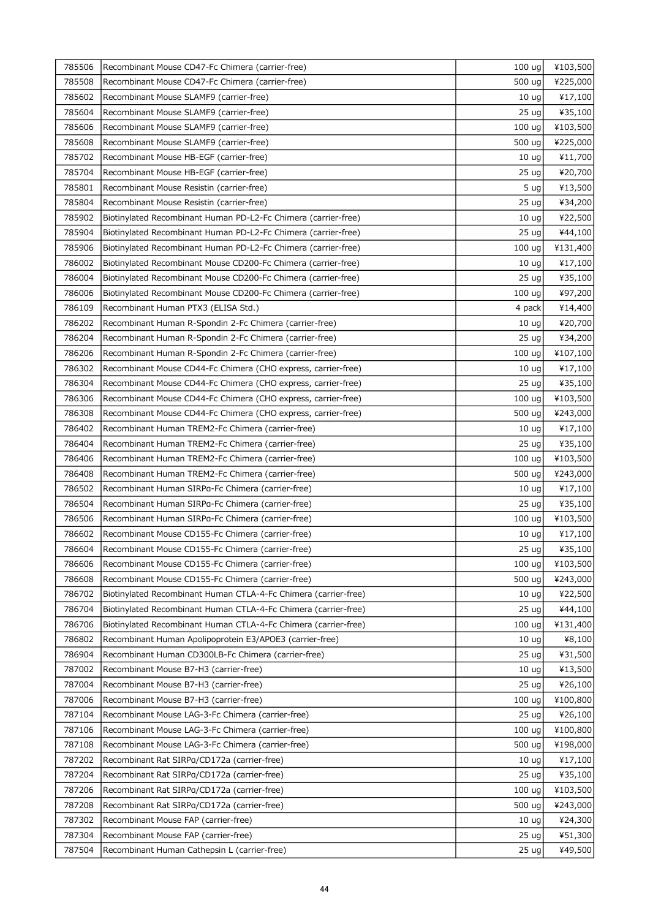| 785506 | Recombinant Mouse CD47-Fc Chimera (carrier-free)                | 100 ug            | ¥103,500 |
|--------|-----------------------------------------------------------------|-------------------|----------|
| 785508 | Recombinant Mouse CD47-Fc Chimera (carrier-free)                | 500 ug            | ¥225,000 |
| 785602 | Recombinant Mouse SLAMF9 (carrier-free)                         | 10 <sub>uq</sub>  | ¥17,100  |
| 785604 | Recombinant Mouse SLAMF9 (carrier-free)                         | 25 <sub>uq</sub>  | ¥35,100  |
| 785606 | Recombinant Mouse SLAMF9 (carrier-free)                         | 100 ug            | ¥103,500 |
| 785608 | Recombinant Mouse SLAMF9 (carrier-free)                         | 500 ug            | ¥225,000 |
| 785702 | Recombinant Mouse HB-EGF (carrier-free)                         | 10 <sub>uq</sub>  | ¥11,700  |
| 785704 | Recombinant Mouse HB-EGF (carrier-free)                         | 25 ug             | ¥20,700  |
| 785801 | Recombinant Mouse Resistin (carrier-free)                       | 5 <sub>uq</sub>   | ¥13,500  |
| 785804 | Recombinant Mouse Resistin (carrier-free)                       | 25 <sub>uq</sub>  | ¥34,200  |
| 785902 | Biotinylated Recombinant Human PD-L2-Fc Chimera (carrier-free)  | 10 <sub>uq</sub>  | ¥22,500  |
| 785904 | Biotinylated Recombinant Human PD-L2-Fc Chimera (carrier-free)  | 25 <sub>uq</sub>  | ¥44,100  |
| 785906 | Biotinylated Recombinant Human PD-L2-Fc Chimera (carrier-free)  | 100 ug            | ¥131,400 |
| 786002 | Biotinylated Recombinant Mouse CD200-Fc Chimera (carrier-free)  | 10 <sub>uq</sub>  | ¥17,100  |
| 786004 | Biotinylated Recombinant Mouse CD200-Fc Chimera (carrier-free)  | 25 <sub>uq</sub>  | ¥35,100  |
| 786006 | Biotinylated Recombinant Mouse CD200-Fc Chimera (carrier-free)  | 100 ug            | ¥97,200  |
| 786109 | Recombinant Human PTX3 (ELISA Std.)                             | 4 pack            | ¥14,400  |
| 786202 | Recombinant Human R-Spondin 2-Fc Chimera (carrier-free)         | 10 <sub>uq</sub>  | ¥20,700  |
| 786204 | Recombinant Human R-Spondin 2-Fc Chimera (carrier-free)         | 25 <sub>uq</sub>  | ¥34,200  |
| 786206 | Recombinant Human R-Spondin 2-Fc Chimera (carrier-free)         | 100 ug            | ¥107,100 |
| 786302 | Recombinant Mouse CD44-Fc Chimera (CHO express, carrier-free)   | 10 <sub>uq</sub>  | ¥17,100  |
| 786304 | Recombinant Mouse CD44-Fc Chimera (CHO express, carrier-free)   | 25 <sub>uq</sub>  | ¥35,100  |
| 786306 | Recombinant Mouse CD44-Fc Chimera (CHO express, carrier-free)   | 100 <sub>uq</sub> | ¥103,500 |
| 786308 | Recombinant Mouse CD44-Fc Chimera (CHO express, carrier-free)   | 500 ug            | ¥243,000 |
| 786402 | Recombinant Human TREM2-Fc Chimera (carrier-free)               | 10 <sub>uq</sub>  | ¥17,100  |
| 786404 | Recombinant Human TREM2-Fc Chimera (carrier-free)               | 25 <sub>uq</sub>  | ¥35,100  |
| 786406 | Recombinant Human TREM2-Fc Chimera (carrier-free)               | 100 ug            | ¥103,500 |
| 786408 | Recombinant Human TREM2-Fc Chimera (carrier-free)               | 500 ug            | ¥243,000 |
| 786502 | Recombinant Human SIRPa-Fc Chimera (carrier-free)               | 10 <sub>uq</sub>  | ¥17,100  |
| 786504 | Recombinant Human SIRPa-Fc Chimera (carrier-free)               | 25 <sub>uq</sub>  | ¥35,100  |
| 786506 | Recombinant Human SIRPa-Fc Chimera (carrier-free)               | 100 ug            | ¥103,500 |
| 786602 | Recombinant Mouse CD155-Fc Chimera (carrier-free)               | 10 <sub>uq</sub>  | ¥17,100  |
| 786604 | Recombinant Mouse CD155-Fc Chimera (carrier-free)               | 25 ug             | ¥35,100  |
| 786606 | Recombinant Mouse CD155-Fc Chimera (carrier-free)               | 100 uq            | ¥103,500 |
| 786608 | Recombinant Mouse CD155-Fc Chimera (carrier-free)               | 500 ug            | ¥243,000 |
| 786702 | Biotinylated Recombinant Human CTLA-4-Fc Chimera (carrier-free) | 10 <sub>uq</sub>  | ¥22,500  |
| 786704 | Biotinylated Recombinant Human CTLA-4-Fc Chimera (carrier-free) | 25 <sub>uq</sub>  | ¥44,100  |
| 786706 | Biotinylated Recombinant Human CTLA-4-Fc Chimera (carrier-free) | 100 uq            | ¥131,400 |
| 786802 | Recombinant Human Apolipoprotein E3/APOE3 (carrier-free)        | 10 <sub>uq</sub>  | ¥8,100   |
| 786904 | Recombinant Human CD300LB-Fc Chimera (carrier-free)             | 25 <sub>uq</sub>  | ¥31,500  |
| 787002 | Recombinant Mouse B7-H3 (carrier-free)                          | 10 <sub>uq</sub>  | ¥13,500  |
| 787004 | Recombinant Mouse B7-H3 (carrier-free)                          | 25 <sub>uq</sub>  | ¥26,100  |
| 787006 | Recombinant Mouse B7-H3 (carrier-free)                          | 100 <sub>uq</sub> | ¥100,800 |
| 787104 | Recombinant Mouse LAG-3-Fc Chimera (carrier-free)               | 25 <sub>uq</sub>  | ¥26,100  |
| 787106 | Recombinant Mouse LAG-3-Fc Chimera (carrier-free)               | 100 ug            | ¥100,800 |
| 787108 | Recombinant Mouse LAG-3-Fc Chimera (carrier-free)               | 500 ug            | ¥198,000 |
| 787202 | Recombinant Rat SIRPa/CD172a (carrier-free)                     | 10 <sub>uq</sub>  | ¥17,100  |
| 787204 | Recombinant Rat SIRPg/CD172a (carrier-free)                     | 25 <sub>uq</sub>  | ¥35,100  |
| 787206 | Recombinant Rat SIRPg/CD172a (carrier-free)                     | 100 ug            | ¥103,500 |
| 787208 | Recombinant Rat SIRPg/CD172a (carrier-free)                     | 500 ug            | ¥243,000 |
| 787302 | Recombinant Mouse FAP (carrier-free)                            | 10 <sub>uq</sub>  | ¥24,300  |
| 787304 | Recombinant Mouse FAP (carrier-free)                            | 25 <sub>uq</sub>  | ¥51,300  |
| 787504 | Recombinant Human Cathepsin L (carrier-free)                    | 25 <sub>uq</sub>  | ¥49,500  |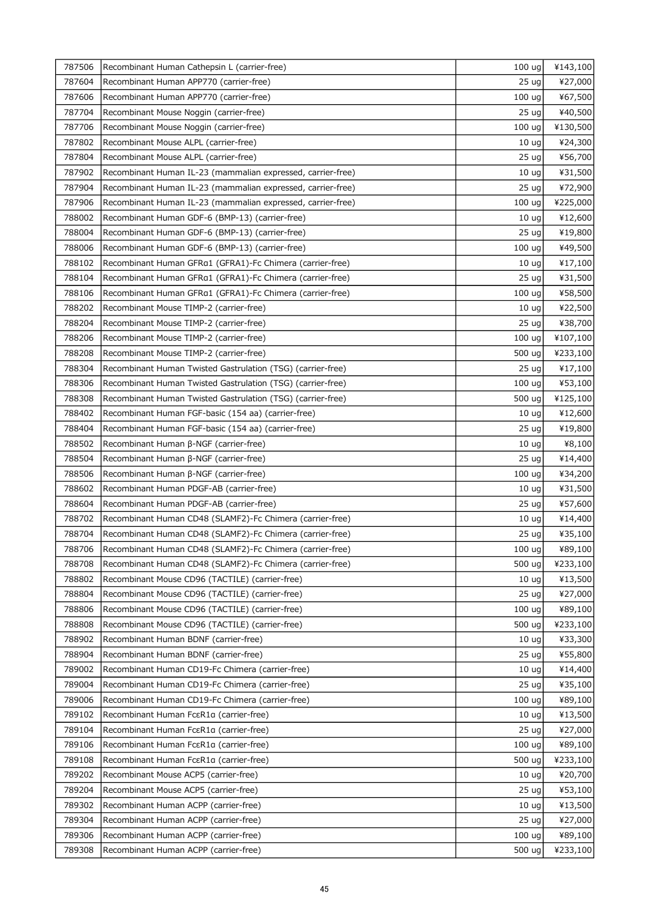| 787506 | Recombinant Human Cathepsin L (carrier-free)                | 100 <sub>uq</sub> | ¥143,100 |
|--------|-------------------------------------------------------------|-------------------|----------|
| 787604 | Recombinant Human APP770 (carrier-free)                     | 25 <sub>uq</sub>  | ¥27,000  |
| 787606 | Recombinant Human APP770 (carrier-free)                     | 100 ug            | ¥67,500  |
| 787704 | Recombinant Mouse Noggin (carrier-free)                     | 25 <sub>uq</sub>  | ¥40,500  |
| 787706 | Recombinant Mouse Noggin (carrier-free)                     | 100 ug            | ¥130,500 |
| 787802 | Recombinant Mouse ALPL (carrier-free)                       | 10 <sub>uq</sub>  | ¥24,300  |
| 787804 | Recombinant Mouse ALPL (carrier-free)                       | 25 ug             | ¥56,700  |
| 787902 | Recombinant Human IL-23 (mammalian expressed, carrier-free) | 10 <sub>uq</sub>  | ¥31,500  |
| 787904 | Recombinant Human IL-23 (mammalian expressed, carrier-free) | 25 ug             | ¥72,900  |
| 787906 | Recombinant Human IL-23 (mammalian expressed, carrier-free) | 100 ug            | ¥225,000 |
| 788002 | Recombinant Human GDF-6 (BMP-13) (carrier-free)             | 10 <sub>uq</sub>  | ¥12,600  |
| 788004 | Recombinant Human GDF-6 (BMP-13) (carrier-free)             | 25 <sub>uq</sub>  | ¥19,800  |
| 788006 | Recombinant Human GDF-6 (BMP-13) (carrier-free)             | 100 <sub>uq</sub> | ¥49,500  |
| 788102 | Recombinant Human GFRa1 (GFRA1)-Fc Chimera (carrier-free)   | 10 <sub>uq</sub>  | ¥17,100  |
| 788104 | Recombinant Human GFRa1 (GFRA1)-Fc Chimera (carrier-free)   | 25 <sub>uq</sub>  | ¥31,500  |
| 788106 | Recombinant Human GFRa1 (GFRA1)-Fc Chimera (carrier-free)   | 100 ug            | ¥58,500  |
| 788202 | Recombinant Mouse TIMP-2 (carrier-free)                     | 10 <sub>ug</sub>  | ¥22,500  |
| 788204 | Recombinant Mouse TIMP-2 (carrier-free)                     | 25 <sub>uq</sub>  | ¥38,700  |
| 788206 | Recombinant Mouse TIMP-2 (carrier-free)                     | 100 ug            | ¥107,100 |
| 788208 | Recombinant Mouse TIMP-2 (carrier-free)                     | 500 ug            | ¥233,100 |
| 788304 | Recombinant Human Twisted Gastrulation (TSG) (carrier-free) | 25 <sub>uq</sub>  | ¥17,100  |
| 788306 | Recombinant Human Twisted Gastrulation (TSG) (carrier-free) | 100 ug            | ¥53,100  |
| 788308 | Recombinant Human Twisted Gastrulation (TSG) (carrier-free) | 500 ug            | ¥125,100 |
| 788402 | Recombinant Human FGF-basic (154 aa) (carrier-free)         | 10 <sub>uq</sub>  | ¥12,600  |
| 788404 | Recombinant Human FGF-basic (154 aa) (carrier-free)         | 25 <sub>uq</sub>  | ¥19,800  |
| 788502 | Recombinant Human β-NGF (carrier-free)                      | 10 <sub>uq</sub>  | ¥8,100   |
| 788504 | Recombinant Human β-NGF (carrier-free)                      | 25 <sub>uq</sub>  | ¥14,400  |
| 788506 | Recombinant Human β-NGF (carrier-free)                      | 100 ug            | ¥34,200  |
| 788602 | Recombinant Human PDGF-AB (carrier-free)                    | 10 <sub>ug</sub>  | ¥31,500  |
| 788604 | Recombinant Human PDGF-AB (carrier-free)                    | 25 <sub>uq</sub>  | ¥57,600  |
| 788702 | Recombinant Human CD48 (SLAMF2)-Fc Chimera (carrier-free)   | 10 <sub>uq</sub>  | ¥14,400  |
| 788704 | Recombinant Human CD48 (SLAMF2)-Fc Chimera (carrier-free)   | 25 ug             | ¥35,100  |
| 788706 | Recombinant Human CD48 (SLAMF2)-Fc Chimera (carrier-free)   | $100 \text{ ug}$  | ¥89,100  |
| 788708 | Recombinant Human CD48 (SLAMF2)-Fc Chimera (carrier-free)   | 500 ug            | ¥233,100 |
| 788802 | Recombinant Mouse CD96 (TACTILE) (carrier-free)             | 10 <sub>uq</sub>  | ¥13,500  |
| 788804 | Recombinant Mouse CD96 (TACTILE) (carrier-free)             | 25 <sub>uq</sub>  | ¥27,000  |
| 788806 | Recombinant Mouse CD96 (TACTILE) (carrier-free)             | 100 ug            | ¥89,100  |
| 788808 | Recombinant Mouse CD96 (TACTILE) (carrier-free)             | 500 ug            | ¥233,100 |
| 788902 | Recombinant Human BDNF (carrier-free)                       | 10 <sub>uq</sub>  | ¥33,300  |
| 788904 | Recombinant Human BDNF (carrier-free)                       | 25 <sub>uq</sub>  | ¥55,800  |
| 789002 | Recombinant Human CD19-Fc Chimera (carrier-free)            | 10 <sub>uq</sub>  | ¥14,400  |
| 789004 | Recombinant Human CD19-Fc Chimera (carrier-free)            | 25 <sub>uq</sub>  | ¥35,100  |
| 789006 | Recombinant Human CD19-Fc Chimera (carrier-free)            | 100 <sub>uq</sub> | ¥89,100  |
| 789102 | Recombinant Human Fc $\epsilon$ R1a (carrier-free)          | 10 <sub>uq</sub>  | ¥13,500  |
| 789104 | Recombinant Human Fc $\epsilon$ R1a (carrier-free)          | 25 <sub>uq</sub>  | ¥27,000  |
| 789106 | Recombinant Human Fc $\epsilon$ R1a (carrier-free)          | 100 ug            | ¥89,100  |
| 789108 | Recombinant Human Fc $\epsilon$ R1a (carrier-free)          | 500 ug            | ¥233,100 |
| 789202 | Recombinant Mouse ACP5 (carrier-free)                       | 10 <sub>uq</sub>  | ¥20,700  |
| 789204 | Recombinant Mouse ACP5 (carrier-free)                       | 25 <sub>uq</sub>  | ¥53,100  |
| 789302 | Recombinant Human ACPP (carrier-free)                       | 10 <sub>uq</sub>  | ¥13,500  |
| 789304 | Recombinant Human ACPP (carrier-free)                       | 25 <sub>uq</sub>  | ¥27,000  |
| 789306 | Recombinant Human ACPP (carrier-free)                       | 100 ug            | ¥89,100  |
| 789308 | Recombinant Human ACPP (carrier-free)                       | 500 ug            | ¥233,100 |
|        |                                                             |                   |          |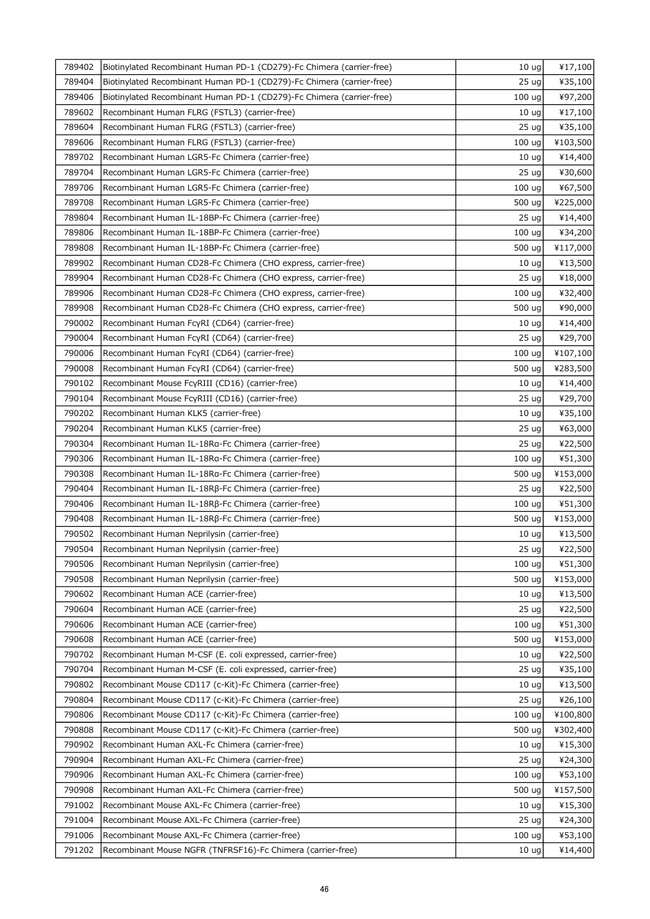| 789402 | Biotinylated Recombinant Human PD-1 (CD279)-Fc Chimera (carrier-free) | 10 <sub>uq</sub>  | ¥17,100             |
|--------|-----------------------------------------------------------------------|-------------------|---------------------|
| 789404 | Biotinylated Recombinant Human PD-1 (CD279)-Fc Chimera (carrier-free) | 25 <sub>uq</sub>  | ¥35,100             |
| 789406 | Biotinylated Recombinant Human PD-1 (CD279)-Fc Chimera (carrier-free) | 100 ug            | ¥97,200             |
| 789602 | Recombinant Human FLRG (FSTL3) (carrier-free)                         | 10 <sub>uq</sub>  | ¥17,100             |
| 789604 | Recombinant Human FLRG (FSTL3) (carrier-free)                         | 25 <sub>uq</sub>  | ¥35,100             |
| 789606 | Recombinant Human FLRG (FSTL3) (carrier-free)                         | 100 ug            | ¥103,500            |
| 789702 | Recombinant Human LGR5-Fc Chimera (carrier-free)                      | 10 <sub>uq</sub>  | ¥14,400             |
| 789704 | Recombinant Human LGR5-Fc Chimera (carrier-free)                      | 25 <sub>uq</sub>  | ¥30,600             |
| 789706 | Recombinant Human LGR5-Fc Chimera (carrier-free)                      | 100 ug            | ¥67,500             |
| 789708 | Recombinant Human LGR5-Fc Chimera (carrier-free)                      | 500 ug            | ¥225,000            |
| 789804 | Recombinant Human IL-18BP-Fc Chimera (carrier-free)                   | 25 <sub>uq</sub>  | ¥14,400             |
| 789806 | Recombinant Human IL-18BP-Fc Chimera (carrier-free)                   | 100 ug            | ¥34,200             |
| 789808 | Recombinant Human IL-18BP-Fc Chimera (carrier-free)                   | 500 ug            | ¥117,000            |
| 789902 | Recombinant Human CD28-Fc Chimera (CHO express, carrier-free)         | 10 <sub>uq</sub>  | ¥13,500             |
| 789904 | Recombinant Human CD28-Fc Chimera (CHO express, carrier-free)         | 25 <sub>uq</sub>  | ¥18,000             |
| 789906 | Recombinant Human CD28-Fc Chimera (CHO express, carrier-free)         | 100 ug            | ¥32,400             |
| 789908 | Recombinant Human CD28-Fc Chimera (CHO express, carrier-free)         | 500 ug            | ¥90,000             |
| 790002 | Recombinant Human FcyRI (CD64) (carrier-free)                         | 10 <sub>uq</sub>  | ¥14,400             |
| 790004 | Recombinant Human FcyRI (CD64) (carrier-free)                         | 25 ug             | ¥29,700             |
| 790006 | Recombinant Human FcyRI (CD64) (carrier-free)                         | 100 <sub>uq</sub> | ¥107,100            |
| 790008 | Recombinant Human FcyRI (CD64) (carrier-free)                         | 500 ug            | ¥283,500            |
| 790102 | Recombinant Mouse FcyRIII (CD16) (carrier-free)                       | 10 <sub>ug</sub>  | ¥14,400             |
| 790104 | Recombinant Mouse FcyRIII (CD16) (carrier-free)                       | 25 <sub>uq</sub>  | ¥29,700             |
| 790202 | Recombinant Human KLK5 (carrier-free)                                 | 10 <sub>uq</sub>  | ¥35,100             |
| 790204 | Recombinant Human KLK5 (carrier-free)                                 | 25 <sub>uq</sub>  | ¥63,000             |
| 790304 | Recombinant Human IL-18Ra-Fc Chimera (carrier-free)                   | 25 <sub>uq</sub>  | ¥22,500             |
| 790306 | Recombinant Human IL-18Ra-Fc Chimera (carrier-free)                   | 100 ug            | ¥51,300             |
| 790308 | Recombinant Human IL-18Ra-Fc Chimera (carrier-free)                   | 500 ug            | ¥153,000            |
| 790404 | Recombinant Human IL-18Rβ-Fc Chimera (carrier-free)                   | 25 <sub>uq</sub>  | ¥22,500             |
| 790406 | Recombinant Human IL-18Rβ-Fc Chimera (carrier-free)                   | 100 ug            | ¥51,300             |
| 790408 | Recombinant Human IL-18Rβ-Fc Chimera (carrier-free)                   | 500 ug            | ¥153,000            |
| 790502 | Recombinant Human Neprilysin (carrier-free)                           | 10 <sub>ug</sub>  | ¥13,500             |
| 790504 | Recombinant Human Neprilysin (carrier-free)                           | 25 ug             | ¥22,500             |
| 790506 | Recombinant Human Neprilysin (carrier-free)                           | 100 uq            | ¥51,300             |
| 790508 | Recombinant Human Neprilysin (carrier-free)                           | 500 ug            | ¥153,000            |
| 790602 | Recombinant Human ACE (carrier-free)                                  | 10 <sub>uq</sub>  | ¥13,500             |
| 790604 | Recombinant Human ACE (carrier-free)                                  | 25 <sub>uq</sub>  | ¥22,500             |
| 790606 | Recombinant Human ACE (carrier-free)                                  | 100 ug            | ¥51,300             |
| 790608 | Recombinant Human ACE (carrier-free)                                  | 500 ug            | ¥153,000            |
| 790702 | Recombinant Human M-CSF (E. coli expressed, carrier-free)             | 10 <sub>uq</sub>  | ¥22,500             |
| 790704 | Recombinant Human M-CSF (E. coli expressed, carrier-free)             | 25 <sub>uq</sub>  | ¥35,100             |
| 790802 | Recombinant Mouse CD117 (c-Kit)-Fc Chimera (carrier-free)             | 10 <sub>uq</sub>  | ¥13,500             |
| 790804 | Recombinant Mouse CD117 (c-Kit)-Fc Chimera (carrier-free)             | 25 <sub>uq</sub>  | ¥26,100             |
| 790806 | Recombinant Mouse CD117 (c-Kit)-Fc Chimera (carrier-free)             | 100 ug            | ¥100,800            |
| 790808 | Recombinant Mouse CD117 (c-Kit)-Fc Chimera (carrier-free)             | 500 ug            | ¥302,400            |
| 790902 | Recombinant Human AXL-Fc Chimera (carrier-free)                       | 10 <sub>uq</sub>  | ¥15,300             |
| 790904 | Recombinant Human AXL-Fc Chimera (carrier-free)                       | 25 <sub>uq</sub>  | ¥24,300             |
| 790906 | Recombinant Human AXL-Fc Chimera (carrier-free)                       | 100 ug            |                     |
| 790908 | Recombinant Human AXL-Fc Chimera (carrier-free)                       | 500 ug            | ¥53,100<br>¥157,500 |
| 791002 | Recombinant Mouse AXL-Fc Chimera (carrier-free)                       | 10 <sub>uq</sub>  | ¥15,300             |
| 791004 | Recombinant Mouse AXL-Fc Chimera (carrier-free)                       | 25 <sub>uq</sub>  | ¥24,300             |
| 791006 | Recombinant Mouse AXL-Fc Chimera (carrier-free)                       | 100 <sub>uq</sub> | ¥53,100             |
| 791202 |                                                                       |                   |                     |
|        | Recombinant Mouse NGFR (TNFRSF16)-Fc Chimera (carrier-free)           | 10 <sub>uq</sub>  | ¥14,400             |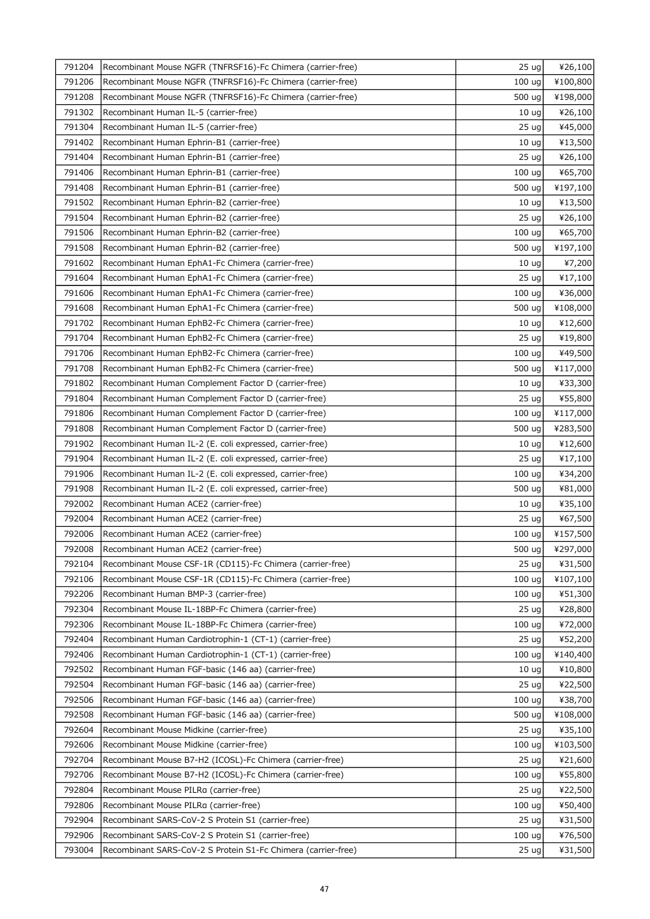| 791204 | Recombinant Mouse NGFR (TNFRSF16)-Fc Chimera (carrier-free)   | 25 <sub>uq</sub>  | ¥26,100  |
|--------|---------------------------------------------------------------|-------------------|----------|
| 791206 | Recombinant Mouse NGFR (TNFRSF16)-Fc Chimera (carrier-free)   | 100 <sub>uq</sub> | ¥100,800 |
| 791208 | Recombinant Mouse NGFR (TNFRSF16)-Fc Chimera (carrier-free)   | 500 ug            | ¥198,000 |
| 791302 | Recombinant Human IL-5 (carrier-free)                         | 10 <sub>uq</sub>  | ¥26,100  |
| 791304 | Recombinant Human IL-5 (carrier-free)                         | 25 <sub>uq</sub>  | ¥45,000  |
| 791402 | Recombinant Human Ephrin-B1 (carrier-free)                    | 10 <sub>uq</sub>  | ¥13,500  |
| 791404 | Recombinant Human Ephrin-B1 (carrier-free)                    | 25 ug             | ¥26,100  |
| 791406 | Recombinant Human Ephrin-B1 (carrier-free)                    | 100 <sub>uq</sub> | ¥65,700  |
| 791408 | Recombinant Human Ephrin-B1 (carrier-free)                    | 500 ug            | ¥197,100 |
| 791502 | Recombinant Human Ephrin-B2 (carrier-free)                    | 10 <sub>uq</sub>  | ¥13,500  |
| 791504 | Recombinant Human Ephrin-B2 (carrier-free)                    | 25 <sub>uq</sub>  | ¥26,100  |
| 791506 | Recombinant Human Ephrin-B2 (carrier-free)                    | 100 <sub>uq</sub> | ¥65,700  |
| 791508 | Recombinant Human Ephrin-B2 (carrier-free)                    | 500 ug            | ¥197,100 |
| 791602 | Recombinant Human EphA1-Fc Chimera (carrier-free)             | 10 <sub>uq</sub>  | ¥7,200   |
| 791604 | Recombinant Human EphA1-Fc Chimera (carrier-free)             | 25 <sub>uq</sub>  | ¥17,100  |
| 791606 | Recombinant Human EphA1-Fc Chimera (carrier-free)             | 100 ug            | ¥36,000  |
| 791608 | Recombinant Human EphA1-Fc Chimera (carrier-free)             | 500 ug            | ¥108,000 |
| 791702 | Recombinant Human EphB2-Fc Chimera (carrier-free)             | 10 <sub>uq</sub>  | ¥12,600  |
| 791704 | Recombinant Human EphB2-Fc Chimera (carrier-free)             | 25 ug             | ¥19,800  |
| 791706 | Recombinant Human EphB2-Fc Chimera (carrier-free)             | 100 <sub>uq</sub> | ¥49,500  |
| 791708 |                                                               |                   |          |
| 791802 | Recombinant Human EphB2-Fc Chimera (carrier-free)             | 500 ug            | ¥117,000 |
|        | Recombinant Human Complement Factor D (carrier-free)          | 10 <sub>ug</sub>  | ¥33,300  |
| 791804 | Recombinant Human Complement Factor D (carrier-free)          | 25 <sub>uq</sub>  | ¥55,800  |
| 791806 | Recombinant Human Complement Factor D (carrier-free)          | 100 <sub>uq</sub> | ¥117,000 |
| 791808 | Recombinant Human Complement Factor D (carrier-free)          | 500 ug            | ¥283,500 |
| 791902 | Recombinant Human IL-2 (E. coli expressed, carrier-free)      | 10 <sub>uq</sub>  | ¥12,600  |
| 791904 | Recombinant Human IL-2 (E. coli expressed, carrier-free)      | 25 <sub>uq</sub>  | ¥17,100  |
| 791906 | Recombinant Human IL-2 (E. coli expressed, carrier-free)      | 100 <sub>uq</sub> | ¥34,200  |
| 791908 | Recombinant Human IL-2 (E. coli expressed, carrier-free)      | 500 ug            | ¥81,000  |
| 792002 | Recombinant Human ACE2 (carrier-free)                         | 10 <sub>uq</sub>  | ¥35,100  |
| 792004 | Recombinant Human ACE2 (carrier-free)                         | 25 <sub>uq</sub>  | ¥67,500  |
| 792006 | Recombinant Human ACE2 (carrier-free)                         | 100 ug            | ¥157,500 |
| 792008 | Recombinant Human ACE2 (carrier-free)                         | 500 ug            | ¥297,000 |
| 792104 | Recombinant Mouse CSF-1R (CD115)-Fc Chimera (carrier-free)    | 25 <sub>uq</sub>  | ¥31,500  |
| 792106 | Recombinant Mouse CSF-1R (CD115)-Fc Chimera (carrier-free)    | 100 <sub>uq</sub> | ¥107,100 |
| 792206 | Recombinant Human BMP-3 (carrier-free)                        | 100 <sub>uq</sub> | ¥51,300  |
| 792304 | Recombinant Mouse IL-18BP-Fc Chimera (carrier-free)           | 25 <sub>uq</sub>  | ¥28,800  |
| 792306 | Recombinant Mouse IL-18BP-Fc Chimera (carrier-free)           | 100 uq            | ¥72,000  |
| 792404 | Recombinant Human Cardiotrophin-1 (CT-1) (carrier-free)       | 25 <sub>uq</sub>  | ¥52,200  |
| 792406 | Recombinant Human Cardiotrophin-1 (CT-1) (carrier-free)       | 100 <sub>uq</sub> | ¥140,400 |
| 792502 | Recombinant Human FGF-basic (146 aa) (carrier-free)           | 10 <sub>uq</sub>  | ¥10,800  |
| 792504 | Recombinant Human FGF-basic (146 aa) (carrier-free)           | 25 <sub>uq</sub>  | ¥22,500  |
| 792506 | Recombinant Human FGF-basic (146 aa) (carrier-free)           | 100 <sub>uq</sub> | ¥38,700  |
| 792508 | Recombinant Human FGF-basic (146 aa) (carrier-free)           | 500 ug            | ¥108,000 |
| 792604 | Recombinant Mouse Midkine (carrier-free)                      | 25 <sub>uq</sub>  | ¥35,100  |
| 792606 | Recombinant Mouse Midkine (carrier-free)                      | 100 <sub>uq</sub> | ¥103,500 |
| 792704 | Recombinant Mouse B7-H2 (ICOSL)-Fc Chimera (carrier-free)     | 25 <sub>uq</sub>  | ¥21,600  |
| 792706 | Recombinant Mouse B7-H2 (ICOSL)-Fc Chimera (carrier-free)     | 100 uq            | ¥55,800  |
| 792804 | Recombinant Mouse PILRa (carrier-free)                        | 25 <sub>uq</sub>  | ¥22,500  |
| 792806 | Recombinant Mouse PILRa (carrier-free)                        | 100 uq            | ¥50,400  |
| 792904 | Recombinant SARS-CoV-2 S Protein S1 (carrier-free)            | 25 <sub>uq</sub>  | ¥31,500  |
| 792906 | Recombinant SARS-CoV-2 S Protein S1 (carrier-free)            | 100 <sub>uq</sub> | ¥76,500  |
| 793004 | Recombinant SARS-CoV-2 S Protein S1-Fc Chimera (carrier-free) | 25 <sub>uq</sub>  | ¥31,500  |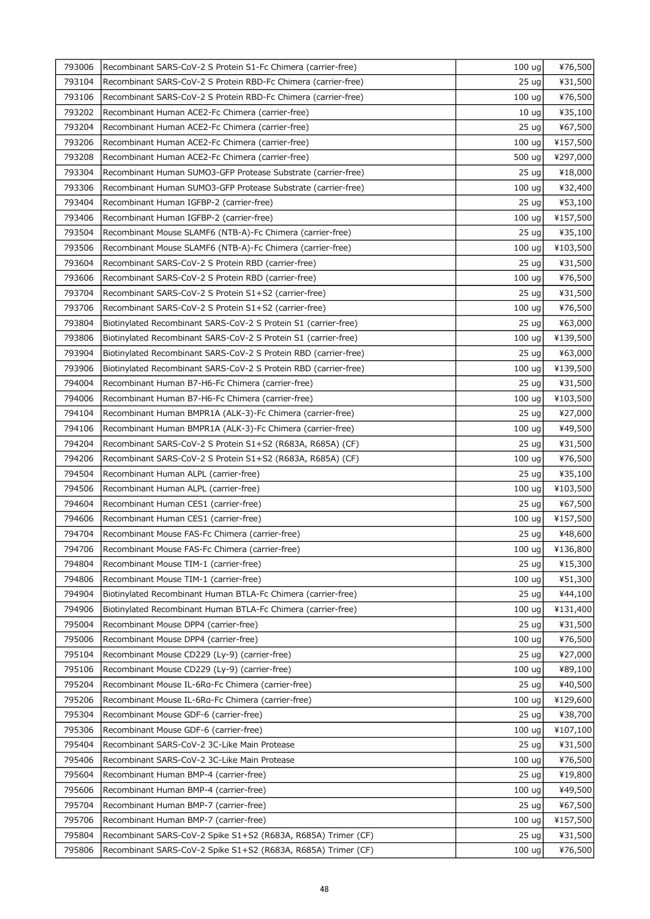| 793006 | Recombinant SARS-CoV-2 S Protein S1-Fc Chimera (carrier-free)    | 100 <sub>uq</sub> | ¥76,500  |
|--------|------------------------------------------------------------------|-------------------|----------|
| 793104 | Recombinant SARS-CoV-2 S Protein RBD-Fc Chimera (carrier-free)   | 25 <sub>uq</sub>  | ¥31,500  |
| 793106 | Recombinant SARS-CoV-2 S Protein RBD-Fc Chimera (carrier-free)   | 100 <sub>uq</sub> | ¥76,500  |
| 793202 | Recombinant Human ACE2-Fc Chimera (carrier-free)                 | 10 <sub>uq</sub>  | ¥35,100  |
| 793204 | Recombinant Human ACE2-Fc Chimera (carrier-free)                 | 25 <sub>uq</sub>  | ¥67,500  |
| 793206 | Recombinant Human ACE2-Fc Chimera (carrier-free)                 | 100 <sub>uq</sub> | ¥157,500 |
| 793208 | Recombinant Human ACE2-Fc Chimera (carrier-free)                 | 500 ug            | ¥297,000 |
| 793304 | Recombinant Human SUMO3-GFP Protease Substrate (carrier-free)    | 25 <sub>uq</sub>  | ¥18,000  |
| 793306 | Recombinant Human SUMO3-GFP Protease Substrate (carrier-free)    | 100 <sub>uq</sub> | ¥32,400  |
| 793404 | Recombinant Human IGFBP-2 (carrier-free)                         | 25 <sub>uq</sub>  | ¥53,100  |
| 793406 | Recombinant Human IGFBP-2 (carrier-free)                         | 100 <sub>uq</sub> | ¥157,500 |
| 793504 | Recombinant Mouse SLAMF6 (NTB-A)-Fc Chimera (carrier-free)       | 25 <sub>uq</sub>  | ¥35,100  |
| 793506 | Recombinant Mouse SLAMF6 (NTB-A)-Fc Chimera (carrier-free)       | 100 <sub>uq</sub> | ¥103,500 |
| 793604 | Recombinant SARS-CoV-2 S Protein RBD (carrier-free)              | 25 <sub>uq</sub>  | ¥31,500  |
| 793606 | Recombinant SARS-CoV-2 S Protein RBD (carrier-free)              | 100 uq            | ¥76,500  |
| 793704 | Recombinant SARS-CoV-2 S Protein S1+S2 (carrier-free)            | 25 ug             | ¥31,500  |
| 793706 | Recombinant SARS-CoV-2 S Protein S1+S2 (carrier-free)            | 100 <sub>uq</sub> | ¥76,500  |
| 793804 | Biotinylated Recombinant SARS-CoV-2 S Protein S1 (carrier-free)  | 25 <sub>uq</sub>  | ¥63,000  |
| 793806 | Biotinylated Recombinant SARS-CoV-2 S Protein S1 (carrier-free)  | 100 <sub>uq</sub> | ¥139,500 |
| 793904 | Biotinylated Recombinant SARS-CoV-2 S Protein RBD (carrier-free) | 25 <sub>uq</sub>  | ¥63,000  |
| 793906 | Biotinylated Recombinant SARS-CoV-2 S Protein RBD (carrier-free) | 100 ug            | ¥139,500 |
| 794004 | Recombinant Human B7-H6-Fc Chimera (carrier-free)                | 25 <sub>uq</sub>  | ¥31,500  |
| 794006 | Recombinant Human B7-H6-Fc Chimera (carrier-free)                | 100 <sub>uq</sub> | ¥103,500 |
| 794104 | Recombinant Human BMPR1A (ALK-3)-Fc Chimera (carrier-free)       | 25 <sub>uq</sub>  | ¥27,000  |
| 794106 | Recombinant Human BMPR1A (ALK-3)-Fc Chimera (carrier-free)       | 100 uq            | ¥49,500  |
| 794204 | Recombinant SARS-CoV-2 S Protein S1+S2 (R683A, R685A) (CF)       | 25 <sub>uq</sub>  | ¥31,500  |
| 794206 | Recombinant SARS-CoV-2 S Protein S1+S2 (R683A, R685A) (CF)       | 100 ug            | ¥76,500  |
| 794504 | Recombinant Human ALPL (carrier-free)                            | 25 <sub>uq</sub>  | ¥35,100  |
| 794506 | Recombinant Human ALPL (carrier-free)                            | 100 ug            | ¥103,500 |
| 794604 | Recombinant Human CES1 (carrier-free)                            | 25 <sub>uq</sub>  | ¥67,500  |
| 794606 | Recombinant Human CES1 (carrier-free)                            | 100 <sub>uq</sub> | ¥157,500 |
| 794704 | Recombinant Mouse FAS-Fc Chimera (carrier-free)                  | 25 ug             | ¥48,600  |
| 794706 | Recombinant Mouse FAS-Fc Chimera (carrier-free)                  | $100 \text{ ug}$  | ¥136,800 |
| 794804 | Recombinant Mouse TIM-1 (carrier-free)                           | 25 <sub>uq</sub>  | ¥15,300  |
| 794806 | Recombinant Mouse TIM-1 (carrier-free)                           | 100 uq            | ¥51,300  |
| 794904 | Biotinylated Recombinant Human BTLA-Fc Chimera (carrier-free)    | 25 <sub>uq</sub>  | ¥44,100  |
| 794906 | Biotinylated Recombinant Human BTLA-Fc Chimera (carrier-free)    | 100 <sub>uq</sub> | ¥131,400 |
| 795004 | Recombinant Mouse DPP4 (carrier-free)                            | 25 <sub>uq</sub>  | ¥31,500  |
| 795006 | Recombinant Mouse DPP4 (carrier-free)                            | 100 <sub>uq</sub> | ¥76,500  |
| 795104 | Recombinant Mouse CD229 (Ly-9) (carrier-free)                    | 25 <sub>uq</sub>  | ¥27,000  |
| 795106 | Recombinant Mouse CD229 (Ly-9) (carrier-free)                    | 100 <sub>uq</sub> | ¥89,100  |
| 795204 | Recombinant Mouse IL-6Ra-Fc Chimera (carrier-free)               | 25 <sub>uq</sub>  | ¥40,500  |
| 795206 | Recombinant Mouse IL-6Ra-Fc Chimera (carrier-free)               | 100 <sub>uq</sub> | ¥129,600 |
| 795304 | Recombinant Mouse GDF-6 (carrier-free)                           | 25 <sub>uq</sub>  | ¥38,700  |
| 795306 | Recombinant Mouse GDF-6 (carrier-free)                           | 100 uq            | ¥107,100 |
| 795404 | Recombinant SARS-CoV-2 3C-Like Main Protease                     | 25 <sub>uq</sub>  | ¥31,500  |
| 795406 | Recombinant SARS-CoV-2 3C-Like Main Protease                     | 100 <sub>uq</sub> | ¥76,500  |
| 795604 | Recombinant Human BMP-4 (carrier-free)                           | 25 <sub>uq</sub>  | ¥19,800  |
| 795606 | Recombinant Human BMP-4 (carrier-free)                           | 100 <sub>uq</sub> | ¥49,500  |
| 795704 | Recombinant Human BMP-7 (carrier-free)                           | 25 <sub>uq</sub>  | ¥67,500  |
| 795706 | Recombinant Human BMP-7 (carrier-free)                           | 100 <sub>uq</sub> | ¥157,500 |
| 795804 | Recombinant SARS-CoV-2 Spike S1+S2 (R683A, R685A) Trimer (CF)    | 25 <sub>uq</sub>  | ¥31,500  |
| 795806 | Recombinant SARS-CoV-2 Spike S1+S2 (R683A, R685A) Trimer (CF)    | 100 <sub>uq</sub> | ¥76,500  |